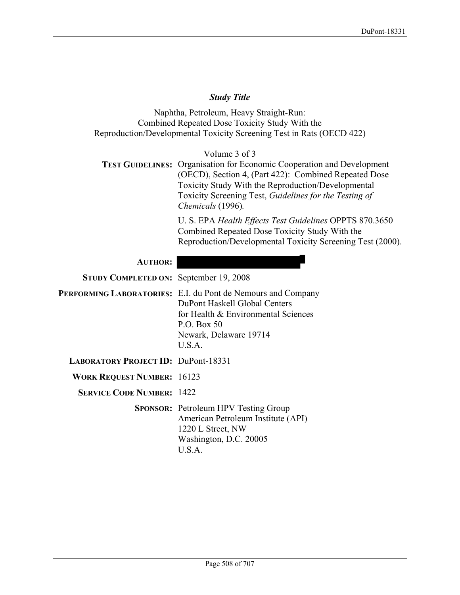# *Study Title*

Naphtha, Petroleum, Heavy Straight-Run: Combined Repeated Dose Toxicity Study With the Reproduction/Developmental Toxicity Screening Test in Rats (OECD 422)

Volume 3 of 3 **TEST GUIDELINES:** Organisation for Economic Cooperation and Development (OECD), Section 4, (Part 422): Combined Repeated Dose Toxicity Study With the Reproduction/Developmental Toxicity Screening Test, *Guidelines for the Testing of Chemicals* (1996)*.*

> U. S. EPA *Health Effects Test Guidelines* OPPTS 870.3650 Combined Repeated Dose Toxicity Study With the Reproduction/Developmental Toxicity Screening Test (2000).

# **AUTHOR:**

**STUDY COMPLETED ON:** September 19, 2008

**PERFORMING LABORATORIES:** E.I. du Pont de Nemours and Company DuPont Haskell Global Centers for Health & Environmental Sciences P.O. Box 50 Newark, Delaware 19714  $U.S.A$ 

**LABORATORY PROJECT ID:** DuPont-18331

**WORK REQUEST NUMBER:** 16123

**SERVICE CODE NUMBER:** 1422

**SPONSOR:** Petroleum HPV Testing Group American Petroleum Institute (API) 1220 L Street, NW Washington, D.C. 20005 U.S.A.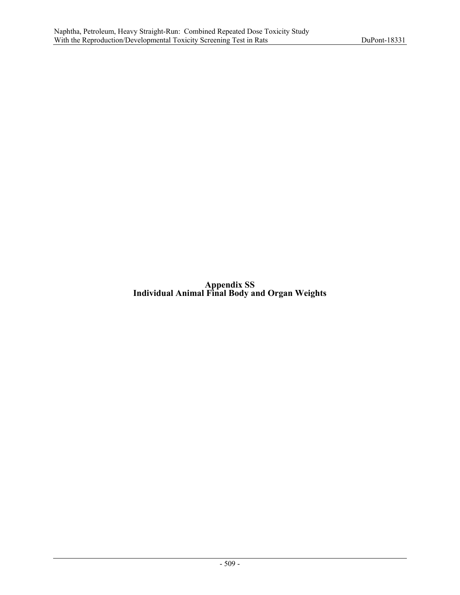**Appendix SS Individual Animal Final Body and Organ Weights**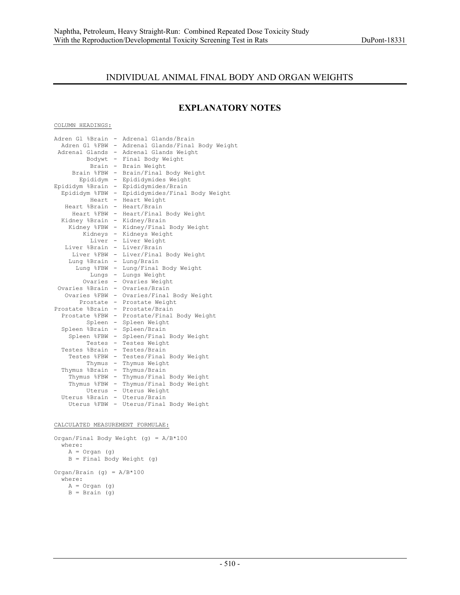# INDIVIDUAL ANIMAL FINAL BODY AND ORGAN WEIGHTS

# **EXPLANATORY NOTES**

#### COLUMN HEADINGS:

| Adren Gl %Brain                  | $-$                      | Adrenal Glands/Brain                             |
|----------------------------------|--------------------------|--------------------------------------------------|
|                                  |                          | Adren Gl %FBW - Adrenal Glands/Final Body Weight |
|                                  |                          | Adrenal Glands - Adrenal Glands Weight           |
|                                  |                          | Bodywt - Final Body Weight                       |
|                                  |                          | Brain - Brain Weight                             |
|                                  |                          | Brain %FBW - Brain/Final Body Weight             |
| Epididym -                       |                          | Epididymides Weight                              |
| Epididym %Brain                  | $-$ .                    | Epididymides/Brain                               |
| Epididym %FBW                    | $-$                      | Epididymides/Final Body Weight                   |
| Heart                            |                          | - Heart Weight                                   |
| Heart %Brain - Heart/Brain       |                          |                                                  |
|                                  |                          | Heart %FBW - Heart/Final Body Weight             |
| Kidney %Brain - Kidney/Brain     |                          |                                                  |
|                                  |                          | Kidney %FBW - Kidney/Final Body Weight           |
|                                  |                          | Kidneys - Kidneys Weight                         |
|                                  |                          | Liver - Liver Weight                             |
| Liver %Brain - Liver/Brain       |                          |                                                  |
|                                  |                          | Liver %FBW - Liver/Final Body Weight             |
| Lung %Brain - Lung/Brain         |                          |                                                  |
|                                  |                          | Lung %FBW - Lung/Final Body Weight               |
|                                  |                          | Lungs - Lungs Weight                             |
|                                  |                          | Ovaries - Ovaries Weight                         |
| Ovaries %Brain - Ovaries/Brain   |                          |                                                  |
|                                  |                          | Ovaries %FBW - Ovaries/Final Body Weight         |
|                                  |                          | Prostate - Prostate Weight                       |
| Prostate %Brain - Prostate/Brain |                          |                                                  |
|                                  |                          | Prostate %FBW - Prostate/Final Body Weight       |
|                                  |                          | Spleen - Spleen Weight                           |
| Spleen %Brain                    |                          | - Spleen/Brain                                   |
| Spleen %FBW                      | $-$                      | Spleen/Final Body Weight                         |
| Testes                           |                          | - Testes Weight                                  |
| Testes %Brain - Testes/Brain     |                          |                                                  |
|                                  |                          | Testes %FBW - Testes/Final Body Weight           |
| Thymus                           | $-$ .                    | Thymus Weight                                    |
| Thymus %Brain                    | $\overline{\phantom{a}}$ | Thymus/Brain                                     |
| Thymus %FBW                      | $\overline{\phantom{a}}$ | Thymus/Final Body Weight                         |
| Thymus %FBW                      | $-$                      | Thymus/Final Body Weight                         |
|                                  |                          | Uterus - Uterus Weight                           |
| Uterus %Brain - Uterus/Brain     |                          |                                                  |
|                                  |                          | Uterus %FBW - Uterus/Final Body Weight           |
|                                  |                          |                                                  |

CALCULATED MEASUREMENT FORMULAE:

```
Organ/Final Body Weight (g) = A/B*100 
  where: 
 A = Organ (g) 
 B = Final Body Weight (g) 
Organ/Brain (g) = A/B*100 
   where: 
   A = Organ (g)
   B = \text{Brain} (g)
```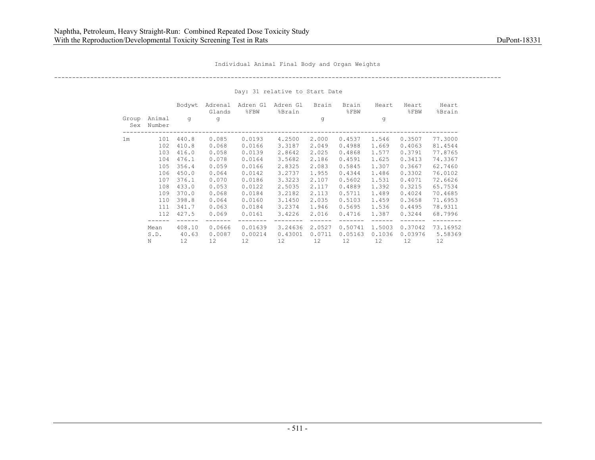----------------------------------------------------------------------------------------------------------------------------

|                |                  | Bodywt | Adrenal<br>Glands | Adren Gl<br>$8$ FBW | Adren Gl<br>%Brain | Brain  | Brain<br>$8$ $FBW$ | Heart   | Heart<br>$8$ FBW | Heart<br>%Brain |
|----------------|------------------|--------|-------------------|---------------------|--------------------|--------|--------------------|---------|------------------|-----------------|
| Group<br>Sex   | Animal<br>Number | q      | q                 |                     |                    | q      |                    | q       |                  |                 |
| 1 <sub>m</sub> | 101              | 440.8  | 0.085             | 0.0193              | 4,2500             | 2,000  | 0.4537             | 1.546   | 0.3507           | 77.3000         |
|                | 102              | 410.8  | 0.068             | 0.0166              | 3.3187             | 2.049  | 0.4988             | 1.669   | 0.4063           | 81.4544         |
|                | 103              | 416.0  | 0.058             | 0.0139              | 2.8642             | 2.025  | 0.4868             | 1.577   | 0.3791           | 77.8765         |
|                | 104              | 476.1  | 0.078             | 0.0164              | 3.5682             | 2.186  | 0.4591             | 1.625   | 0.3413           | 74.3367         |
|                | 105              | 356.4  | 0.059             | 0.0166              | 2.8325             | 2.083  | 0.5845             | 1.307   | 0.3667           | 62.7460         |
|                | 106              | 450.0  | 0.064             | 0.0142              | 3.2737             | 1.955  | 0.4344             | 1.486   | 0.3302           | 76.0102         |
|                | 107              | 376.1  | 0.070             | 0.0186              | 3.3223             | 2.107  | 0.5602             | 1.531   | 0.4071           | 72.6626         |
|                | 108              | 433.0  | 0.053             | 0.0122              | 2.5035             | 2.117  | 0.4889             | 1.392   | 0.3215           | 65.7534         |
|                | 109              | 370.0  | 0.068             | 0.0184              | 3.2182             | 2.113  | 0.5711             | 1.489   | 0.4024           | 70.4685         |
|                | 110              | 398.8  | 0.064             | 0.0160              | 3.1450             | 2.035  | 0.5103             | 1.459   | 0.3658           | 71.6953         |
|                | 111              | 341.7  | 0.063             | 0.0184              | 3.2374             | 1.946  | 0.5695             | 1.536   | 0.4495           | 78.9311         |
|                | 112              | 427.5  | 0.069             | 0.0161              | 3.4226             | 2.016  | 0.4716             | 1.387   | 0.3244           | 68.7996         |
|                | Mean             | 408.10 | 0.0666            | 0.01639             | 3.24636            | 2.0527 | 0.50741            | 1,5003  | 0.37042          | 73.16952        |
|                | S.D.             | 40.63  | 0.0087            | 0.00214             | 0.43001            | 0.0711 | 0.05163            | 0.1036  | 0.03976          | 5.58369         |
|                | N                | 12     | 12                | 12                  | 12                 | 12     | 12                 | $12 \,$ | 12               | 12              |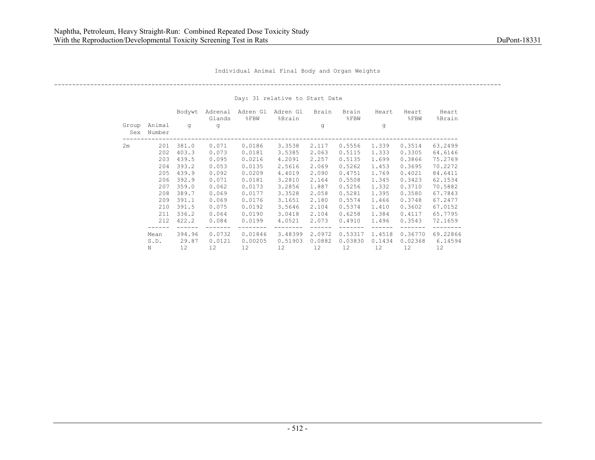----------------------------------------------------------------------------------------------------------------------------

|              |                  | Bodywt       | Adrenal<br>Glands | Adren Gl<br>8FBW | Adren Gl<br>%Brain | Brain         | Brain<br>$\SFBW$ | Heart         | Heart<br>$\S$ FBW | Heart<br>%Brain |
|--------------|------------------|--------------|-------------------|------------------|--------------------|---------------|------------------|---------------|-------------------|-----------------|
| Group<br>Sex | Animal<br>Number | q            | q                 |                  |                    | q             |                  | q             |                   |                 |
| 2m           | 201              | 381.0        | 0.071             | 0.0186           | 3.3538             | 2.117         | 0.5556           | 1.339         | 0.3514            | 63.2499         |
|              | 202              | 403.3        | 0.073             | 0.0181           | 3.5385             | 2.063         | 0.5115           | 1.333         | 0.3305            | 64.6146         |
|              | 203              | 439.5        | 0.095             | 0.0216           | 4.2091             | 2.257         | 0.5135           | 1.699         | 0.3866            | 75.2769         |
|              | 204              | 393.2        | 0.053             | 0.0135           | 2.5616             | 2.069         | 0.5262           | 1.453         | 0.3695            | 70.2272         |
|              | 205              | 439.9        | 0.092             | 0.0209           | 4.4019             | 2.090         | 0.4751           | 1.769         | 0.4021            | 84.6411         |
|              | 206              | 392.9        | 0.071             | 0.0181           | 3.2810             | 2.164         | 0.5508           | 1.345         | 0.3423            | 62.1534         |
|              | 207              | 359.0        | 0.062             | 0.0173           | 3.2856             | 1.887         | 0.5256           | 1.332         | 0.3710            | 70.5882         |
|              | 208              | 389.7        | 0.069             | 0.0177           | 3.3528             | 2.058         | 0.5281           | 1.395         | 0.3580            | 67.7843         |
|              | 209              | 391.1        | 0.069             | 0.0176           | 3.1651             | 2.180         | 0.5574           | 1.466         | 0.3748            | 67.2477         |
|              | 210              | 391.5        | 0.075             | 0.0192           | 3.5646             | 2.104         | 0.5374           | 1.410         | 0.3602            | 67.0152         |
|              | 211              | 336.2        | 0.064             | 0.0190           | 3.0418             | 2.104         | 0.6258           | 1.384         | 0.4117            | 65.7795         |
|              | 212              | 422.2        | 0.084             | 0.0199           | 4.0521             | 2.073         | 0.4910           | 1.496         | 0.3543            | 72.1659         |
|              | Mean             | 394.96       | 0.0732            | 0.01846          | 3.48399<br>0.51903 | 2.0972        | 0.53317          | 1.4518        | 0.36770           | 69.22866        |
|              | S.D.<br>N        | 29.87<br>12. | 0.0121<br>12.     | 0.00205<br>12.   | 12.                | 0.0882<br>12. | 0.03830<br>12.   | 0.1434<br>12. | 0.02368<br>12.    | 6.14594<br>12.  |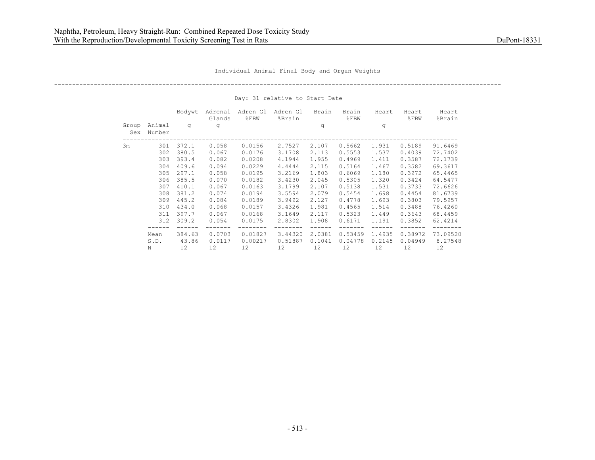----------------------------------------------------------------------------------------------------------------------------

|              |                  | Bodywt          | Adrenal<br>Glands | Adren Gl<br>8FBW   | Adren Gl<br>%Brain | Brain            | Brain<br>$\SFBW$   | Heart            | Heart<br>$\S$ FBW  | Heart<br>%Brain     |
|--------------|------------------|-----------------|-------------------|--------------------|--------------------|------------------|--------------------|------------------|--------------------|---------------------|
| Group<br>Sex | Animal<br>Number | q               | q                 |                    |                    | q                |                    | q                |                    |                     |
| 3m           | 301              | 372.1           | 0.058             | 0.0156             | 2,7527             | 2.107            | 0.5662             | 1.931            | 0.5189             | 91.6469             |
|              | 302              | 380.5           | 0.067             | 0.0176             | 3.1708             | 2.113            | 0.5553             | 1.537            | 0.4039             | 72.7402             |
|              | 303              | 393.4           | 0.082             | 0.0208             | 4.1944             | 1.955            | 0.4969             | 1.411            | 0.3587             | 72.1739             |
|              | 304              | 409.6           | 0.094             | 0.0229             | 4.4444             | 2.115            | 0.5164             | 1.467            | 0.3582             | 69.3617             |
|              | 305              | 297.1           | 0.058             | 0.0195             | 3.2169             | 1.803            | 0.6069             | 1.180            | 0.3972             | 65.4465             |
|              | 306              | 385.5           | 0.070             | 0.0182             | 3.4230             | 2.045            | 0.5305             | 1.320            | 0.3424             | 64.5477             |
|              | 307              | 410.1           | 0.067             | 0.0163             | 3.1799             | 2.107            | 0.5138             | 1.531            | 0.3733             | 72.6626             |
|              | 308              | 381.2           | 0.074             | 0.0194             | 3.5594             | 2.079            | 0.5454             | 1.698            | 0.4454             | 81.6739             |
|              | 309              | 445.2           | 0.084             | 0.0189             | 3.9492             | 2.127            | 0.4778             | 1.693            | 0.3803             | 79.5957             |
|              | 310              | 434.0           | 0.068             | 0.0157             | 3.4326             | 1.981            | 0.4565             | 1.514            | 0.3488             | 76.4260             |
|              | 311              | 397.7           | 0.067             | 0.0168             | 3.1649             | 2.117            | 0.5323             | 1.449            | 0.3643             | 68.4459             |
|              | 312              | 309.2           | 0.054             | 0.0175             | 2.8302             | 1.908            | 0.6171             | 1.191            | 0.3852             | 62.4214             |
|              | Mean<br>S.D.     | 384.63<br>43.86 | 0.0703<br>0.0117  | 0.01827<br>0.00217 | 3.44320<br>0.51887 | 2.0381<br>0.1041 | 0.53459<br>0.04778 | 1.4935<br>0.2145 | 0.38972<br>0.04949 | 73.09520<br>8.27548 |
|              | N                | 12.             | 12.               | 12.                | 12.                | 12.              | 12.                | 12.              | 12.                | 12.                 |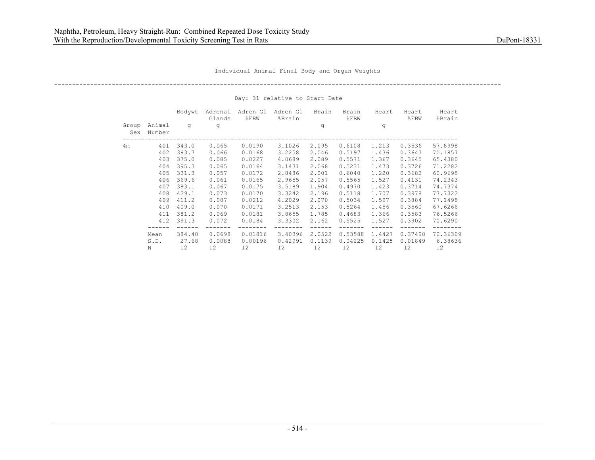----------------------------------------------------------------------------------------------------------------------------

|              |                  | Bodywt | Adrenal<br>Glands | Adren Gl<br>8FBW | Adren Gl<br>%Brain | Brain  | Brain<br>$\S$ FBW | Heart  | Heart<br>$\S$ FBW | Heart<br>%Brain |
|--------------|------------------|--------|-------------------|------------------|--------------------|--------|-------------------|--------|-------------------|-----------------|
| Group<br>Sex | Animal<br>Number | q      | q                 |                  |                    | q      |                   | q      |                   |                 |
| 4m           | 401              | 343.0  | 0.065             | 0.0190           | 3.1026             | 2.095  | 0.6108            | 1.213  | 0.3536            | 57.8998         |
|              | 402              | 393.7  | 0.066             | 0.0168           | 3.2258             | 2.046  | 0.5197            | 1.436  | 0.3647            | 70.1857         |
|              | 403              | 375.0  | 0.085             | 0.0227           | 4.0689             | 2.089  | 0.5571            | 1.367  | 0.3645            | 65.4380         |
|              | 404              | 395.3  | 0.065             | 0.0164           | 3.1431             | 2.068  | 0.5231            | 1.473  | 0.3726            | 71.2282         |
|              | 405              | 331.3  | 0.057             | 0.0172           | 2.8486             | 2.001  | 0.6040            | 1,220  | 0.3682            | 60.9695         |
|              | 406              | 369.6  | 0.061             | 0.0165           | 2.9655             | 2.057  | 0.5565            | 1.527  | 0.4131            | 74.2343         |
|              | 407              | 383.1  | 0.067             | 0.0175           | 3.5189             | 1.904  | 0.4970            | 1.423  | 0.3714            | 74.7374         |
|              | 408              | 429.1  | 0.073             | 0.0170           | 3.3242             | 2.196  | 0.5118            | 1.707  | 0.3978            | 77.7322         |
|              | 409              | 411.2  | 0.087             | 0.0212           | 4.2029             | 2.070  | 0.5034            | 1.597  | 0.3884            | 77.1498         |
|              | 410              | 409.0  | 0.070             | 0.0171           | 3.2513             | 2.153  | 0.5264            | 1.456  | 0.3560            | 67.6266         |
|              | 411              | 381.2  | 0.069             | 0.0181           | 3.8655             | 1.785  | 0.4683            | 1.366  | 0.3583            | 76.5266         |
|              | 412              | 391.3  | 0.072             | 0.0184           | 3.3302             | 2.162  | 0.5525            | 1.527  | 0.3902            | 70.6290         |
|              | Mean             | 384.40 | 0.0698            | 0.01816          | 3.40396            | 2.0522 | 0.53588           | 1.4427 | 0.37490           | 70.36309        |
|              | S.D.             | 27.68  | 0.0088            | 0.00196          | 0.42991            | 0.1139 | 0.04225           | 0.1425 | 0.01849           | 6.38636         |
|              | N                | 12.    | 12.               | 12.              | 12.                | 12.    | 12.               | 12.    | 12.               | 12.             |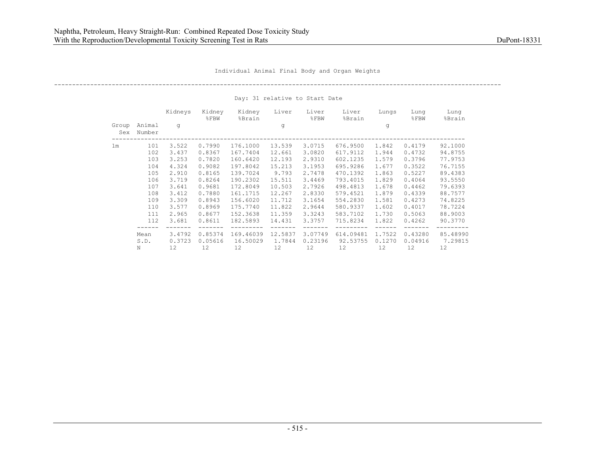# ----------------------------------------------------------------------------------------------------------------------------

|                |                  | Kidneys | Kidney<br>$\S$ FBW | Kidney<br>%Brain  | Liver   | Liver<br>$\S$ FBW | Liver<br>%Brain   | Lungs  | Lung<br>$\S$ FBW | Lung<br>%Brain    |
|----------------|------------------|---------|--------------------|-------------------|---------|-------------------|-------------------|--------|------------------|-------------------|
| Group<br>Sex   | Animal<br>Number | q       |                    |                   | q       |                   |                   | q      |                  |                   |
| 1 <sub>m</sub> | 101              | 3.522   | 0.7990             | 176.1000          | 13.539  | 3.0715            | 676.9500          | 1.842  | 0.4179           | 92.1000           |
|                | 102              | 3.437   | 0.8367             | 167.7404          | 12.661  | 3.0820            | 617.9112          | 1.944  | 0.4732           | 94.8755           |
|                | 103              | 3.253   | 0.7820             | 160.6420          | 12.193  | 2.9310            | 602.1235          | 1.579  | 0.3796           | 77.9753           |
|                | 104              | 4.324   | 0.9082             | 197.8042          | 15.213  | 3.1953            | 695.9286          | 1.677  | 0.3522           | 76.7155           |
|                | 105              | 2.910   | 0.8165             | 139.7024          | 9.793   | 2.7478            | 470.1392          | 1.863  | 0.5227           | 89.4383           |
|                | 106              | 3.719   | 0.8264             | 190.2302          | 15.511  | 3.4469            | 793.4015          | 1.829  | 0.4064           | 93.5550           |
|                | 107              | 3.641   | 0.9681             | 172.8049          | 10.503  | 2.7926            | 498.4813          | 1.678  | 0.4462           | 79.6393           |
|                | 108              | 3.412   | 0.7880             | 161.1715          | 12.267  | 2.8330            | 579.4521          | 1.879  | 0.4339           | 88.7577           |
|                | 109              | 3.309   | 0.8943             | 156.6020          | 11.712  | 3.1654            | 554.2830          | 1.581  | 0.4273           | 74.8225           |
|                | 110              | 3.577   | 0.8969             | 175.7740          | 11.822  | 2.9644            | 580.9337          | 1.602  | 0.4017           | 78.7224           |
|                | 111              | 2.965   | 0.8677             | 152.3638          | 11.359  | 3.3243            | 583.7102          | 1.730  | 0.5063           | 88.9003           |
|                | 112              | 3.681   | 0.8611             | 182.5893          | 14.431  | 3.3757            | 715.8234          | 1.822  | 0.4262           | 90.3770           |
|                |                  |         |                    |                   |         |                   |                   |        |                  |                   |
|                | Mean             | 3.4792  | 0.85374            | 169.46039         | 12.5837 | 3.07749           | 614.09481         | 1.7522 | 0.43280          | 85.48990          |
|                | S.D.             | 0.3723  | 0.05616            | 16.50029          | 1.7844  | 0.23196           | 92.53755          | 0.1270 | 0.04916          | 7.29815           |
|                | Ν                | 12      | $12 \overline{ }$  | $12 \overline{ }$ | 12      | 12                | $12 \overline{ }$ | 12     | 12               | $12 \overline{ }$ |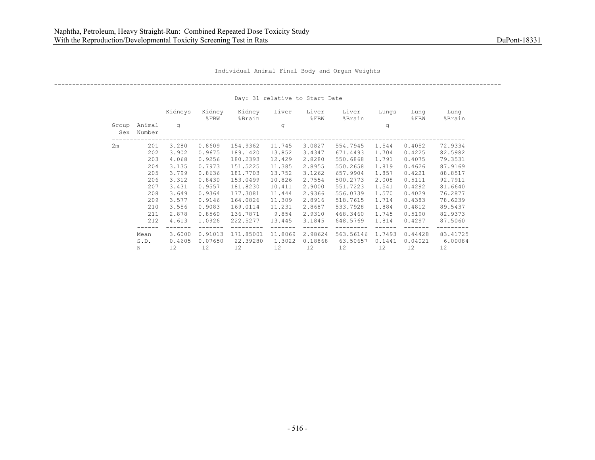## ----------------------------------------------------------------------------------------------------------------------------

|              |                  | Kidneys | Kidney<br>$\S$ FBW | Kidney<br>%Brain  | Liver   | Liver<br>$\S$ FBW | Liver<br>%Brain   | Lungs  | Lung<br>$\S$ FBW | Lung<br>%Brain    |
|--------------|------------------|---------|--------------------|-------------------|---------|-------------------|-------------------|--------|------------------|-------------------|
| Group<br>Sex | Animal<br>Number | q       |                    |                   | q       |                   |                   | q      |                  |                   |
| 2m           | 201              | 3,280   | 0.8609             | 154.9362          | 11.745  | 3.0827            | 554.7945          | 1.544  | 0.4052           | 72.9334           |
|              | 202              | 3.902   | 0.9675             | 189.1420          | 13.852  | 3.4347            | 671.4493          | 1.704  | 0.4225           | 82.5982           |
|              | 203              | 4.068   | 0.9256             | 180.2393          | 12.429  | 2.8280            | 550.6868          | 1.791  | 0.4075           | 79.3531           |
|              | 204              | 3.135   | 0.7973             | 151.5225          | 11.385  | 2.8955            | 550.2658          | 1.819  | 0.4626           | 87.9169           |
|              | 205              | 3.799   | 0.8636             | 181.7703          | 13.752  | 3.1262            | 657.9904          | 1.857  | 0.4221           | 88.8517           |
|              | 206              | 3.312   | 0.8430             | 153.0499          | 10.826  | 2.7554            | 500.2773          | 2.008  | 0.5111           | 92.7911           |
|              | 207              | 3.431   | 0.9557             | 181.8230          | 10.411  | 2,9000            | 551.7223          | 1.541  | 0.4292           | 81.6640           |
|              | 208              | 3.649   | 0.9364             | 177.3081          | 11.444  | 2.9366            | 556.0739          | 1.570  | 0.4029           | 76.2877           |
|              | 209              | 3.577   | 0.9146             | 164.0826          | 11.309  | 2.8916            | 518.7615          | 1.714  | 0.4383           | 78.6239           |
|              | 210              | 3.556   | 0.9083             | 169.0114          | 11.231  | 2.8687            | 533.7928          | 1.884  | 0.4812           | 89.5437           |
|              | 211              | 2.878   | 0.8560             | 136.7871          | 9.854   | 2.9310            | 468.3460          | 1.745  | 0.5190           | 82.9373           |
|              | 212              | 4.613   | 1.0926             | 222.5277          | 13.445  | 3.1845            | 648.5769          | 1.814  | 0.4297           | 87.5060           |
|              |                  |         |                    |                   |         |                   |                   |        |                  |                   |
|              | Mean             | 3.6000  | 0.91013            | 171.85001         | 11,8069 | 2.98624           | 563.56146         | 1.7493 | 0.44428          | 83.41725          |
|              | S.D.             | 0.4605  | 0.07650            | 22.39280          | 1.3022  | 0.18868           | 63.50657          | 0.1441 | 0.04021          | 6.00084           |
|              | Ν                | 12      | $12 \overline{ }$  | $12 \overline{ }$ | 12      | 12                | $12 \overline{ }$ | 12     | 12               | $12 \overline{ }$ |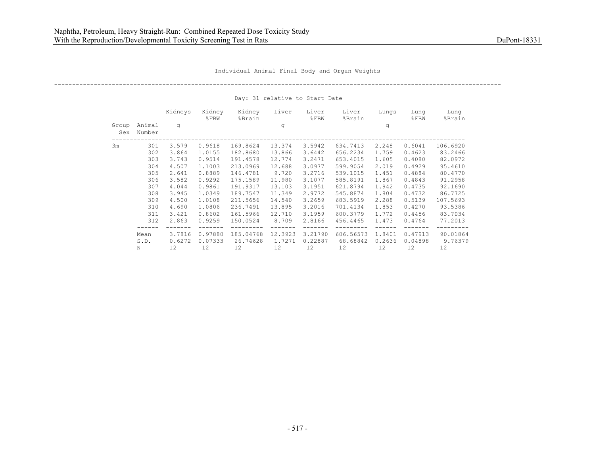## ----------------------------------------------------------------------------------------------------------------------------

|              |                  | Kidneys | Kidney<br>$8$ FBW | Kidney<br>%Brain  | Liver   | Liver<br>$\S$ FBW | Liver<br>%Brain   | Lungs  | Lung<br>$\S$ FBW | Lung<br>%Brain    |
|--------------|------------------|---------|-------------------|-------------------|---------|-------------------|-------------------|--------|------------------|-------------------|
| Group<br>Sex | Animal<br>Number | q       |                   |                   | q       |                   |                   | q      |                  |                   |
| 3m           | 301              | 3.579   | 0.9618            | 169.8624          | 13.374  | 3.5942            | 634.7413          | 2.248  | 0.6041           | 106.6920          |
|              | 302              | 3.864   | 1,0155            | 182.8680          | 13.866  | 3.6442            | 656.2234          | 1.759  | 0.4623           | 83.2466           |
|              | 303              | 3.743   | 0.9514            | 191.4578          | 12.774  | 3.2471            | 653.4015          | 1.605  | 0.4080           | 82.0972           |
|              | 304              | 4.507   | 1,1003            | 213.0969          | 12.688  | 3.0977            | 599.9054          | 2.019  | 0.4929           | 95.4610           |
|              | 305              | 2.641   | 0.8889            | 146.4781          | 9.720   | 3.2716            | 539.1015          | 1.451  | 0.4884           | 80.4770           |
|              | 306              | 3.582   | 0.9292            | 175.1589          | 11.980  | 3.1077            | 585.8191          | 1.867  | 0.4843           | 91.2958           |
|              | 307              | 4.044   | 0.9861            | 191.9317          | 13,103  | 3.1951            | 621.8794          | 1.942  | 0.4735           | 92.1690           |
|              | 308              | 3.945   | 1.0349            | 189.7547          | 11.349  | 2.9772            | 545.8874          | 1.804  | 0.4732           | 86.7725           |
|              | 309              | 4.500   | 1,0108            | 211.5656          | 14.540  | 3.2659            | 683.5919          | 2.288  | 0.5139           | 107.5693          |
|              | 310              | 4.690   | 1.0806            | 236.7491          | 13.895  | 3.2016            | 701.4134          | 1.853  | 0.4270           | 93.5386           |
|              | 311              | 3.421   | 0.8602            | 161.5966          | 12.710  | 3.1959            | 600.3779          | 1.772  | 0.4456           | 83.7034           |
|              | 312              | 2.863   | 0.9259            | 150.0524          | 8.709   | 2.8166            | 456.4465          | 1,473  | 0.4764           | 77.2013           |
|              |                  |         |                   |                   |         |                   |                   |        |                  |                   |
|              | Mean             | 3.7816  | 0.97880           | 185.04768         | 12.3923 | 3.21790           | 606.56573         | 1.8401 | 0.47913          | 90.01864          |
|              | S.D.             | 0.6272  | 0.07333           | 26.74628          | 1.7271  | 0.22887           | 68.68842          | 0.2636 | 0.04898          | 9.76379           |
|              | Ν                | 12      | 12                | $12 \overline{ }$ | 12      | 12                | $12 \overline{ }$ | 12     | 12               | $12 \overline{ }$ |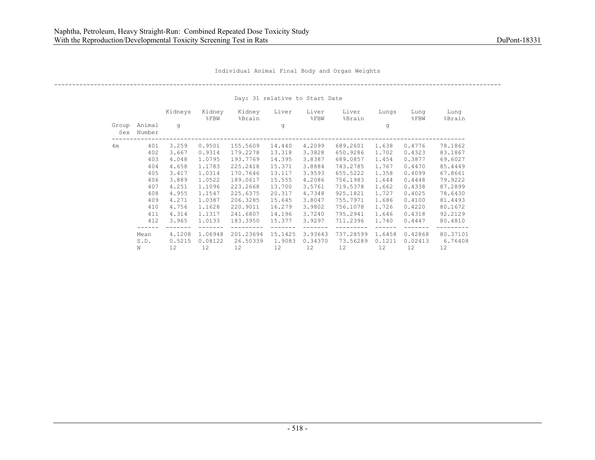# ----------------------------------------------------------------------------------------------------------------------------

|                |                  | Kidneys           | Kidney<br>$8$ FBW | Kidney<br>%Brain  | Liver   | Liver<br>$\S$ FBW | Liver<br>%Brain   | Lungs  | Lung<br>$\S$ FBW | Lung<br>%Brain    |
|----------------|------------------|-------------------|-------------------|-------------------|---------|-------------------|-------------------|--------|------------------|-------------------|
| Group<br>Sex   | Animal<br>Number | q                 |                   |                   | q       |                   |                   | q      |                  |                   |
| 4 <sub>m</sub> | 401              | 3.259             | 0.9501            | 155.5609          | 14.440  | 4.2099            | 689.2601          | 1.638  | 0.4776           | 78.1862           |
|                | 402              | 3.667             | 0.9314            | 179.2278          | 13.318  | 3.3828            | 650.9286          | 1.702  | 0.4323           | 83.1867           |
|                | 403              | 4.048             | 1.0795            | 193.7769          | 14.395  | 3.8387            | 689.0857          | 1.454  | 0.3877           | 69.6027           |
|                | 404              | 4.658             | 1.1783            | 225.2418          | 15.371  | 3.8884            | 743.2785          | 1.767  | 0.4470           | 85.4449           |
|                | 405              | 3.417             | 1.0314            | 170.7646          | 13.117  | 3.9593            | 655.5222          | 1.358  | 0.4099           | 67.8661           |
|                | 406              | 3.889             | 1.0522            | 189.0617          | 15.555  | 4.2086            | 756.1983          | 1.644  | 0.4448           | 79.9222           |
|                | 407              | 4.251             | 1,1096            | 223.2668          | 13,700  | 3.5761            | 719.5378          | 1.662  | 0.4338           | 87.2899           |
|                | 408              | 4.955             | 1.1547            | 225.6375          | 20.317  | 4.7348            | 925.1821          | 1.727  | 0.4025           | 78.6430           |
|                | 409              | 4.271             | 1.0387            | 206.3285          | 15.645  | 3.8047            | 755.7971          | 1.686  | 0.4100           | 81.4493           |
|                | 410              | 4.756             | 1.1628            | 220.9011          | 16.279  | 3.9802            | 756.1078          | 1.726  | 0.4220           | 80.1672           |
|                | 411              | 4.314             | 1,1317            | 241.6807          | 14.196  | 3.7240            | 795.2941          | 1.646  | 0.4318           | 92.2129           |
|                | 412              | 3.965             | 1,0133            | 183.3950          | 15.377  | 3.9297            | 711.2396          | 1,740  | 0.4447           | 80.4810           |
|                |                  |                   |                   |                   |         |                   |                   |        |                  |                   |
|                | Mean             | 4,1208            | 1.06948           | 201.23694         | 15.1425 | 3.93643           | 737.28599         | 1.6458 | 0.42868          | 80.37101          |
|                | S.D.             | 0.5215            | 0.08122           | 26.50339          | 1.9083  | 0.34370           | 73.56289          | 0.1211 | 0.02413          | 6.76408           |
|                | Ν                | $12 \overline{ }$ | $12 \overline{ }$ | $12 \overline{ }$ | 12      | 12                | $12 \overline{ }$ | 12     | 12               | $12 \overline{ }$ |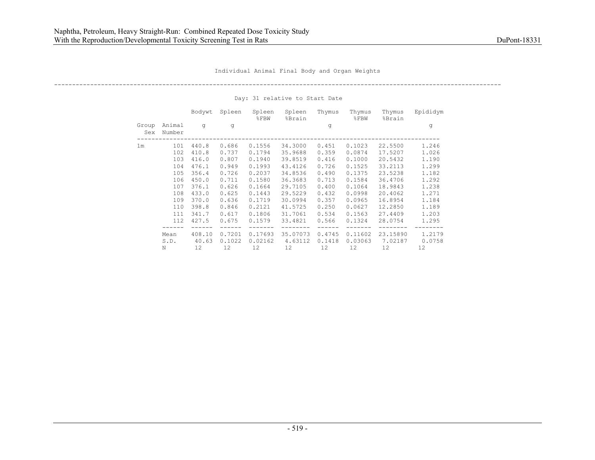----------------------------------------------------------------------------------------------------------------------------

|                |                  | Bodywt | Spleen | Spleen<br>$\S$ FBW | Spleen<br>%Brain | Thymus | Thymus<br>$8$ $FBW$ | Thymus<br>%Brain | Epididym |
|----------------|------------------|--------|--------|--------------------|------------------|--------|---------------------|------------------|----------|
| Group<br>Sex   | Animal<br>Number | q      | q      |                    |                  | g      |                     |                  | g        |
| 1 <sub>m</sub> | 101              | 440.8  | 0.686  | 0.1556             | 34,3000          | 0.451  | 0.1023              | 22,5500          | 1,246    |
|                | 102              | 410.8  | 0.737  | 0.1794             | 35.9688          | 0.359  | 0.0874              | 17.5207          | 1.026    |
|                | 103              | 416.0  | 0.807  | 0.1940             | 39.8519          | 0.416  | 0.1000              | 20.5432          | 1,190    |
|                | 104              | 476.1  | 0.949  | 0.1993             | 43.4126          | 0.726  | 0.1525              | 33.2113          | 1,299    |
|                | 105              | 356.4  | 0.726  | 0.2037             | 34.8536          | 0.490  | 0.1375              | 23.5238          | 1.182    |
|                | 106              | 450.0  | 0.711  | 0.1580             | 36.3683          | 0.713  | 0.1584              | 36.4706          | 1,292    |
|                | 107              | 376.1  | 0.626  | 0.1664             | 29.7105          | 0.400  | 0.1064              | 18.9843          | 1.238    |
|                | 108              | 433.0  | 0.625  | 0.1443             | 29.5229          | 0.432  | 0.0998              | 20,4062          | 1,271    |
|                | 109              | 370.0  | 0.636  | 0.1719             | 30.0994          | 0.357  | 0.0965              | 16.8954          | 1.184    |
|                | 110              | 398.8  | 0.846  | 0.2121             | 41.5725          | 0.250  | 0.0627              | 12.2850          | 1,189    |
|                | 111              | 341.7  | 0.617  | 0.1806             | 31.7061          | 0.534  | 0.1563              | 27.4409          | 1,203    |
|                | 112              | 427.5  | 0.675  | 0.1579             | 33.4821          | 0.566  | 0.1324              | 28.0754          | 1.295    |
|                |                  |        |        |                    |                  |        |                     |                  |          |
|                | Mean             | 408.10 | 0.7201 | 0.17693            | 35.07073         | 0.4745 | 0.11602             | 23.15890         | 1.2179   |
|                | S.D.             | 40.63  | 0.1022 | 0.02162            | 4.63112          | 0.1418 | 0.03063             | 7.02187          | 0.0758   |
|                | N                | 12.    | 12.    | 12.                | 12.              | 12.    | 12.                 | 12.              | 12.      |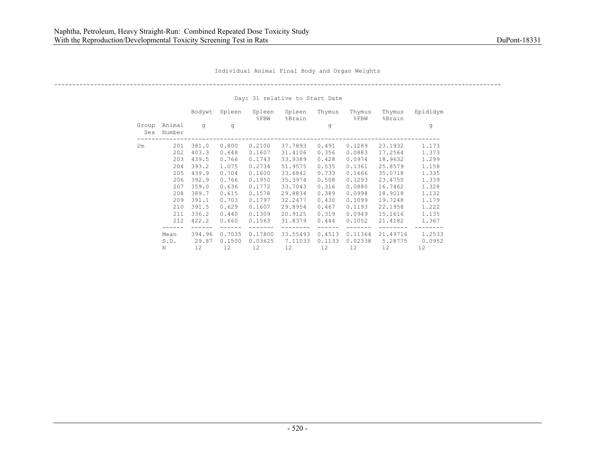----------------------------------------------------------------------------------------------------------------------------

|              |                  | Bodywt | Spleen | Spleen<br>$\S$ FBW | Spleen<br>%Brain | Thymus | Thymus<br>$8$ $FBW$ | Thymus<br>%Brain | Epididym |
|--------------|------------------|--------|--------|--------------------|------------------|--------|---------------------|------------------|----------|
| Group<br>Sex | Animal<br>Number | q      | q      |                    |                  | g      |                     |                  | g        |
| 2m           | 201              | 381.0  | 0.800  | 0.2100             | 37.7893          | 0.491  | 0.1289              | 23.1932          | 1,173    |
|              | 202              | 403.3  | 0.648  | 0.1607             | 31.4106          | 0.356  | 0.0883              | 17.2564          | 1.373    |
|              | 203              | 439.5  | 0.766  | 0.1743             | 33.9389          | 0.428  | 0.0974              | 18.9632          | 1,299    |
|              | 204              | 393.2  | 1.075  | 0.2734             | 51.9575          | 0.535  | 0.1361              | 25.8579          | 1.158    |
|              | 205              | 439.9  | 0.704  | 0.1600             | 33.6842          | 0.733  | 0.1666              | 35.0718          | 1.335    |
|              | 206              | 392.9  | 0.766  | 0.1950             | 35.3974          | 0.508  | 0.1293              | 23,4750          | 1.339    |
|              | 207              | 359.0  | 0.636  | 0.1772             | 33.7043          | 0.316  | 0.0880              | 16.7462          | 1.328    |
|              | 208              | 389.7  | 0.615  | 0.1578             | 29.8834          | 0.389  | 0.0998              | 18.9018          | 1.132    |
|              | 209              | 391.1  | 0.703  | 0.1797             | 32.2477          | 0.430  | 0.1099              | 19.7248          | 1,179    |
|              | 210              | 391.5  | 0.629  | 0.1607             | 29.8954          | 0.467  | 0.1193              | 22.1958          | 1.222    |
|              | 211              | 336.2  | 0.440  | 0.1309             | 20.9125          | 0.319  | 0.0949              | 15.1616          | 1.135    |
|              | 212              | 422.2  | 0.660  | 0.1563             | 31.8379          | 0.444  | 0.1052              | 21,4182          | 1.367    |
|              | Mean             | 394.96 | 0.7035 | 0.17800            | 33.55493         | 0.4513 | 0.11364             | 21.49716         | 1.2533   |
|              | S.D.             | 29.87  | 0.1500 | 0.03625            | 7.11033          | 0.1133 | 0.02338             | 5.28775          | 0.0952   |
| Ν            |                  | 12     | 12     | 12                 | 12               | 12     | 12                  | 12               | 12       |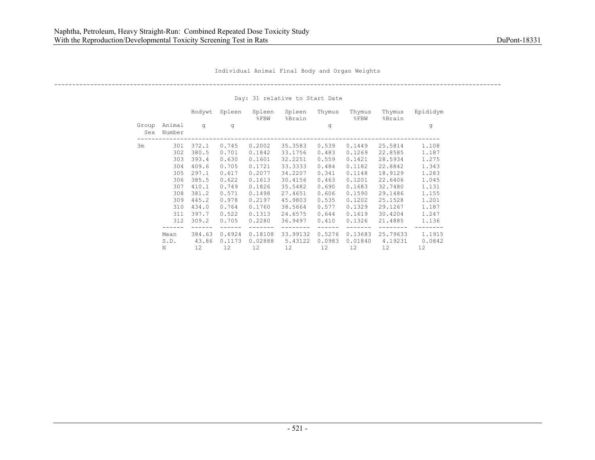----------------------------------------------------------------------------------------------------------------------------

|                  | Bodywt          | Spleen                                                                        | Spleen<br>$8$ FBW  | Spleen<br>%Brain    | Thymus           | Thymus<br>$8$ FBW  | Thymus<br>%Brain    | Epididym         |
|------------------|-----------------|-------------------------------------------------------------------------------|--------------------|---------------------|------------------|--------------------|---------------------|------------------|
| Animal<br>Number | q               | q                                                                             |                    |                     | g                |                    |                     | g                |
| 301              | 372.1           | 0.745                                                                         | 0.2002             | 35.3583             | 0.539            | 0.1449             | 25.5814             | 1,108            |
| 302              | 380.5           | 0.701                                                                         | 0.1842             | 33.1756             | 0.483            | 0.1269             | 22.8585             | 1.187            |
| 303              |                 | 0.630                                                                         | 0.1601             | 32.2251             | 0.559            | 0.1421             | 28.5934             | 1.275            |
| 304              |                 | 0.705                                                                         | 0.1721             | 33.3333             | 0.484            | 0.1182             | 22.8842             | 1.343            |
| 305              |                 | 0.617                                                                         | 0.2077             | 34.2207             | 0.341            | 0.1148             | 18.9129             | 1.283            |
| 306              |                 | 0.622                                                                         | 0.1613             | 30.4156             | 0.463            | 0.1201             | 22.6406             | 1.045            |
| 307              |                 | 0.749                                                                         | 0.1826             | 35.5482             | 0.690            | 0.1683             | 32,7480             | 1.131            |
| 308              |                 | 0.571                                                                         | 0.1498             | 27.4651             | 0.606            | 0.1590             | 29.1486             | 1.155            |
| 309              |                 | 0.978                                                                         | 0.2197             | 45.9803             | 0.535            | 0.1202             | 25.1528             | 1,201            |
| 310              |                 | 0.764                                                                         | 0.1760             | 38.5664             | 0.577            | 0.1329             | 29.1267             | 1.187            |
| 311              |                 | 0.522                                                                         | 0.1313             | 24.6575             | 0.644            | 0.1619             | 30.4204             | 1.247            |
|                  |                 |                                                                               |                    |                     |                  |                    |                     |                  |
| 312              | 309.2           | 0.705                                                                         | 0.2280             | 36.9497             | 0.410            | 0.1326             | 21,4885             | 1.136            |
|                  |                 |                                                                               |                    |                     |                  |                    |                     |                  |
| Mean<br>S.D.     | 384.63<br>43.86 | 0.6924<br>0.1173                                                              | 0.18108<br>0.02888 | 33.99132<br>5.43122 | 0.5276<br>0.0983 | 0.13683<br>0.01840 | 25.79633<br>4.19231 | 1.1915<br>0.0842 |
|                  |                 | 393.4<br>409.6<br>297.1<br>385.5<br>410.1<br>381.2<br>445.2<br>434.0<br>397.7 |                    |                     |                  |                    |                     |                  |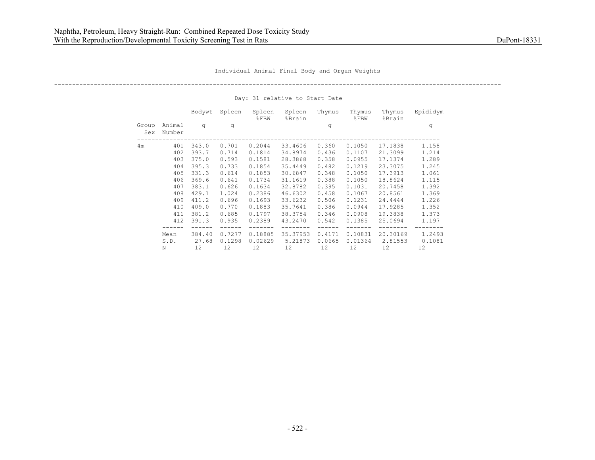----------------------------------------------------------------------------------------------------------------------------

|                                  | Bodywt       | Spleen | Spleen<br>$\S$ FBW | Spleen<br>%Brain | Thymus | Thymus<br>$8$ $FBW$ | Thymus<br>%Brain | Epididym |
|----------------------------------|--------------|--------|--------------------|------------------|--------|---------------------|------------------|----------|
| Animal<br>Group<br>Number<br>Sex | q            | q      |                    |                  | g      |                     |                  | g        |
| 4m                               | 401<br>343.0 | 0.701  | 0.2044             | 33,4606          | 0.360  | 0.1050              | 17.1838          | 1.158    |
|                                  | 393.7<br>402 | 0.714  | 0.1814             | 34.8974          | 0.436  | 0.1107              | 21.3099          | 1.214    |
|                                  | 375.0<br>403 | 0.593  | 0.1581             | 28.3868          | 0.358  | 0.0955              | 17.1374          | 1,289    |
|                                  | 395.3<br>404 | 0.733  | 0.1854             | 35.4449          | 0.482  | 0.1219              | 23.3075          | 1.245    |
|                                  | 405<br>331.3 | 0.614  | 0.1853             | 30.6847          | 0.348  | 0.1050              | 17.3913          | 1.061    |
|                                  | 369.6<br>406 | 0.641  | 0.1734             | 31.1619          | 0.388  | 0.1050              | 18.8624          | 1.115    |
|                                  | 407<br>383.1 | 0.626  | 0.1634             | 32.8782          | 0.395  | 0.1031              | 20.7458          | 1.392    |
|                                  | 429.1<br>408 | 1.024  | 0.2386             | 46.6302          | 0.458  | 0.1067              | 20.8561          | 1.369    |
|                                  | 411.2<br>409 | 0.696  | 0.1693             | 33.6232          | 0.506  | 0.1231              | 24.4444          | 1.226    |
|                                  | 409.0<br>410 | 0.770  | 0.1883             | 35.7641          | 0.386  | 0.0944              | 17.9285          | 1.352    |
|                                  | 381.2<br>411 | 0.685  | 0.1797             | 38.3754          | 0.346  | 0.0908              | 19.3838          | 1.373    |
|                                  | 391.3<br>412 | 0.935  | 0.2389             | 43.2470          | 0.542  | 0.1385              | 25.0694          | 1.197    |
| Mean                             | 384.40       | 0.7277 | 0.18885            | 35.37953         | 0.4171 | 0.10831             | 20.30169         | 1.2493   |
| S.D.                             | 27.68        | 0.1298 | 0.02629            | 5.21873          | 0.0665 | 0.01364             | 2.81553          | 0.1081   |
| Ν                                | 12           | 12     | 12                 | 12               | 12     | 12                  | 12               | 12       |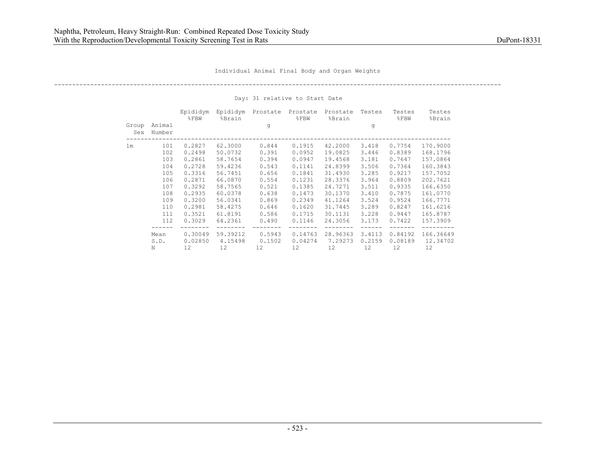----------------------------------------------------------------------------------------------------------------------------

|                |                  | Epididym<br>$\S$ FBW | Epididym<br>%Brain | Prostate | Prostate<br>$8$ $FBW$ | Prostate<br>%Brain | Testes | Testes<br>$\S$ FBW | Testes<br>%Brain |
|----------------|------------------|----------------------|--------------------|----------|-----------------------|--------------------|--------|--------------------|------------------|
| Group<br>Sex   | Animal<br>Number |                      |                    | q        |                       |                    | q      |                    |                  |
| 1 <sub>m</sub> | 101              | 0.2827               | 62.3000            | 0.844    | 0.1915                | 42,2000            | 3.418  | 0.7754             | 170.9000         |
|                | 102              | 0.2498               | 50.0732            | 0.391    | 0.0952                | 19.0825            | 3.446  | 0.8389             | 168.1796         |
|                | 103              | 0.2861               | 58.7654            | 0.394    | 0.0947                | 19.4568            | 3.181  | 0.7647             | 157.0864         |
|                | 104              | 0.2728               | 59.4236            | 0.543    | 0.1141                | 24.8399            | 3.506  | 0.7364             | 160.3843         |
|                | 105              | 0.3316               | 56.7451            | 0.656    | 0.1841                | 31,4930            | 3.285  | 0.9217             | 157.7052         |
|                | 106              | 0.2871               | 66.0870            | 0.554    | 0.1231                | 28.3376            | 3.964  | 0.8809             | 202.7621         |
|                | 107              | 0.3292               | 58.7565            | 0.521    | 0.1385                | 24.7271            | 3.511  | 0.9335             | 166.6350         |
|                | 108              | 0.2935               | 60.0378            | 0.638    | 0.1473                | 30.1370            | 3.410  | 0.7875             | 161.0770         |
|                | 109              | 0.3200               | 56.0341            | 0.869    | 0.2349                | 41.1264            | 3.524  | 0.9524             | 166.7771         |
|                | 110              | 0.2981               | 58.4275            | 0.646    | 0.1620                | 31.7445            | 3,289  | 0.8247             | 161.6216         |
|                | 111              | 0.3521               | 61.8191            | 0.586    | 0.1715                | 30.1131            | 3.228  | 0.9447             | 165.8787         |
|                | 112              | 0.3029               | 64.2361            | 0.490    | 0.1146                | 24.3056            | 3,173  | 0.7422             | 157.3909         |
|                | Mean             | 0.30049              | 59.39212           | 0.5943   | 0.14763               | 28.96363           | 3.4113 | 0.84192            | 166.36649        |
|                | S.D.             | 0.02850              | 4.15498            | 0.1502   | 0.04274               | 7.29273            | 0.2159 | 0.08189            | 12.34702         |
|                | Ν                | 12                   | 12                 | 12       | 12                    | 12                 | 12     | 12                 | 12               |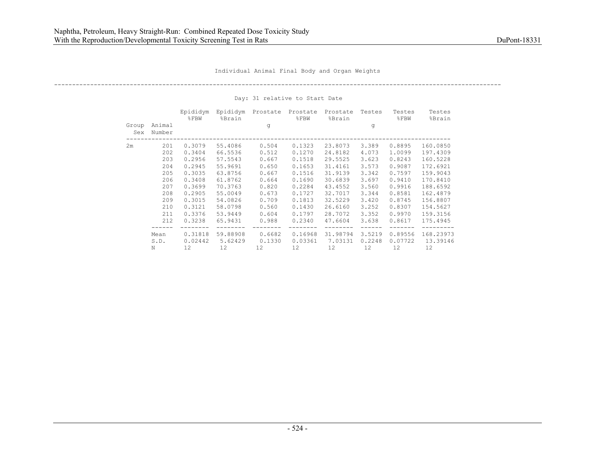----------------------------------------------------------------------------------------------------------------------------

|              |                  | Epididym<br>$8$ $FBW$ | Epididym<br>%Brain | Prostate | Prostate<br>$8$ FBW | Prostate<br>%Brain | Testes | Testes<br>$8$ FBW | Testes<br>%Brain |
|--------------|------------------|-----------------------|--------------------|----------|---------------------|--------------------|--------|-------------------|------------------|
| Group<br>Sex | Animal<br>Number |                       |                    | q        |                     |                    | q      |                   |                  |
| 2m           | 201              | 0.3079                | 55.4086            | 0.504    | 0.1323              | 23.8073            | 3.389  | 0.8895            | 160.0850         |
|              | 202              | 0.3404                | 66.5536            | 0.512    | 0.1270              | 24.8182            | 4.073  | 1,0099            | 197.4309         |
|              | 203              | 0.2956                | 57.5543            | 0.667    | 0.1518              | 29.5525            | 3.623  | 0.8243            | 160.5228         |
|              | 204              | 0.2945                | 55.9691            | 0.650    | 0.1653              | 31.4161            | 3.573  | 0.9087            | 172.6921         |
|              | 205              | 0.3035                | 63.8756            | 0.667    | 0.1516              | 31.9139            | 3.342  | 0.7597            | 159.9043         |
|              | 206              | 0.3408                | 61.8762            | 0.664    | 0.1690              | 30.6839            | 3.697  | 0.9410            | 170.8410         |
|              | 207              | 0.3699                | 70.3763            | 0.820    | 0.2284              | 43.4552            | 3.560  | 0.9916            | 188.6592         |
|              | 208              | 0.2905                | 55.0049            | 0.673    | 0.1727              | 32.7017            | 3.344  | 0.8581            | 162.4879         |
|              | 209              | 0.3015                | 54.0826            | 0.709    | 0.1813              | 32.5229            | 3.420  | 0.8745            | 156.8807         |
|              | 210              | 0.3121                | 58.0798            | 0.560    | 0.1430              | 26.6160            | 3.252  | 0.8307            | 154.5627         |
|              | 211              | 0.3376                | 53.9449            | 0.604    | 0.1797              | 28.7072            | 3.352  | 0.9970            | 159.3156         |
|              | 212              | 0.3238                | 65.9431            | 0.988    | 0.2340              | 47.6604            | 3.638  | 0.8617            | 175.4945         |
|              | Mean             | 0.31818               | 59.88908           | 0.6682   | 0.16968             | 31,98794           | 3.5219 | 0.89556           | 168.23973        |
|              | S.D.             | 0.02442               | 5.62429            | 0.1330   | 0.03361             | 7.03131            | 0.2248 | 0.07722           | 13.39146         |
|              | Ν                | 12                    | 12                 | 12       | 12                  | 12                 | 12     | 12                | 12               |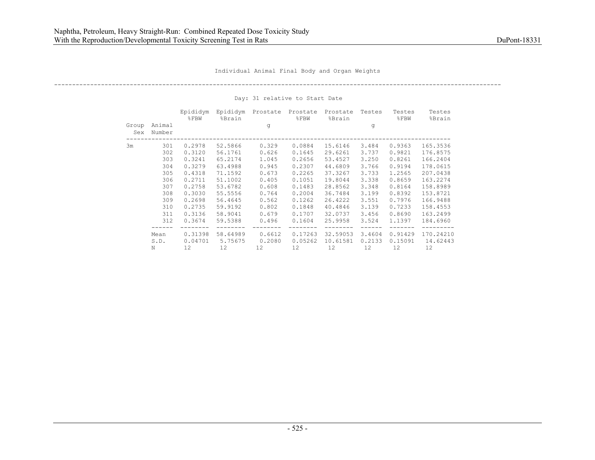----------------------------------------------------------------------------------------------------------------------------

|              |                  | Epididym<br>$8$ $FBW$ | Epididym<br>%Brain | Prostate | Prostate<br>$8$ FBW | Prostate<br>%Brain | Testes | Testes<br>$8$ FBW | Testes<br>%Brain |
|--------------|------------------|-----------------------|--------------------|----------|---------------------|--------------------|--------|-------------------|------------------|
| Group<br>Sex | Animal<br>Number |                       |                    | q        |                     |                    | q      |                   |                  |
| 3m           | 301              | 0.2978                | 52.5866            | 0.329    | 0.0884              | 15.6146            | 3.484  | 0.9363            | 165.3536         |
|              | 302              | 0.3120                | 56.1761            | 0.626    | 0.1645              | 29.6261            | 3.737  | 0.9821            | 176.8575         |
|              | 303              | 0.3241                | 65.2174            | 1.045    | 0.2656              | 53.4527            | 3,250  | 0.8261            | 166.2404         |
|              | 304              | 0.3279                | 63.4988            | 0.945    | 0.2307              | 44.6809            | 3.766  | 0.9194            | 178.0615         |
|              | 305              | 0.4318                | 71.1592            | 0.673    | 0.2265              | 37.3267            | 3.733  | 1,2565            | 207.0438         |
|              | 306              | 0.2711                | 51.1002            | 0.405    | 0.1051              | 19.8044            | 3.338  | 0.8659            | 163.2274         |
|              | 307              | 0.2758                | 53.6782            | 0.608    | 0.1483              | 28.8562            | 3.348  | 0.8164            | 158.8989         |
|              | 308              | 0.3030                | 55.5556            | 0.764    | 0.2004              | 36.7484            | 3.199  | 0.8392            | 153.8721         |
|              | 309              | 0.2698                | 56.4645            | 0.562    | 0.1262              | 26.4222            | 3.551  | 0.7976            | 166.9488         |
|              | 310              | 0.2735                | 59.9192            | 0.802    | 0.1848              | 40.4846            | 3.139  | 0.7233            | 158.4553         |
|              | 311              | 0.3136                | 58.9041            | 0.679    | 0.1707              | 32.0737            | 3.456  | 0.8690            | 163.2499         |
|              | 312              | 0.3674                | 59.5388            | 0.496    | 0.1604              | 25.9958            | 3.524  | 1,1397            | 184.6960         |
|              | Mean             | 0.31398               | 58.64989           | 0.6612   | 0.17263             | 32.59053           | 3.4604 | 0.91429           | 170.24210        |
|              | S.D.             | 0.04701               | 5.75675            | 0,2080   | 0.05262             | 10.61581           | 0.2133 | 0.15091           | 14.62443         |
|              | Ν                | 12                    | 12                 | 12       | 12                  | 12                 | 12     | 12                | 12               |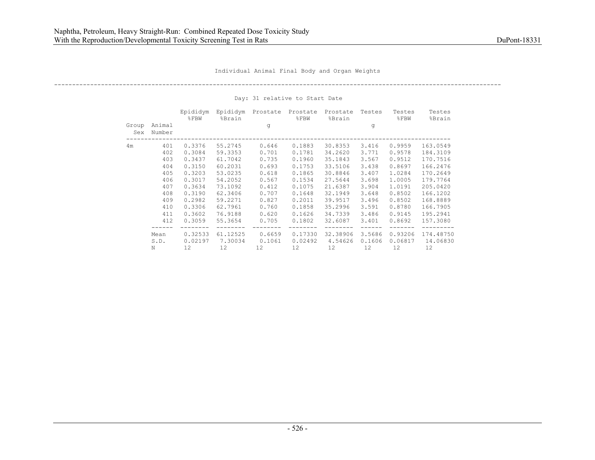----------------------------------------------------------------------------------------------------------------------------

|              |                  | Epididym<br>$8$ $FBW$ | Epididym<br>%Brain | Prostate | Prostate<br>$8$ FBW | Prostate<br>%Brain | Testes | Testes<br>$8$ FBW | Testes<br>%Brain |
|--------------|------------------|-----------------------|--------------------|----------|---------------------|--------------------|--------|-------------------|------------------|
| Group<br>Sex | Animal<br>Number |                       |                    | q        |                     |                    | q      |                   |                  |
| 4m           | 401              | 0.3376                | 55.2745            | 0.646    | 0.1883              | 30.8353            | 3.416  | 0.9959            | 163.0549         |
|              | 402              | 0.3084                | 59.3353            | 0.701    | 0.1781              | 34.2620            | 3.771  | 0.9578            | 184.3109         |
|              | 403              | 0.3437                | 61.7042            | 0.735    | 0.1960              | 35.1843            | 3.567  | 0.9512            | 170.7516         |
|              | 404              | 0.3150                | 60.2031            | 0.693    | 0.1753              | 33.5106            | 3.438  | 0.8697            | 166.2476         |
|              | 405              | 0.3203                | 53.0235            | 0.618    | 0.1865              | 30.8846            | 3,407  | 1.0284            | 170.2649         |
|              | 406              | 0.3017                | 54.2052            | 0.567    | 0.1534              | 27.5644            | 3.698  | 1,0005            | 179.7764         |
|              | 407              | 0.3634                | 73.1092            | 0.412    | 0.1075              | 21.6387            | 3.904  | 1.0191            | 205.0420         |
|              | 408              | 0.3190                | 62.3406            | 0.707    | 0.1648              | 32.1949            | 3.648  | 0.8502            | 166.1202         |
|              | 409              | 0.2982                | 59.2271            | 0.827    | 0.2011              | 39.9517            | 3.496  | 0.8502            | 168.8889         |
|              | 410              | 0.3306                | 62.7961            | 0.760    | 0.1858              | 35.2996            | 3.591  | 0.8780            | 166.7905         |
|              | 411              | 0.3602                | 76.9188            | 0.620    | 0.1626              | 34.7339            | 3.486  | 0.9145            | 195.2941         |
|              | 412              | 0.3059                | 55.3654            | 0.705    | 0.1802              | 32.6087            | 3.401  | 0.8692            | 157.3080         |
|              | Mean             | 0.32533               | 61.12525           | 0.6659   | 0.17330             | 32.38906           | 3.5686 | 0.93206           | 174.48750        |
|              | S.D.             | 0.02197               | 7.30034            | 0.1061   | 0.02492             | 4.54626            | 0.1606 | 0.06817           | 14.06830         |
|              | Ν                | 12                    | 12                 | 12       | 12                  | 12                 | 12     | 12                | 12               |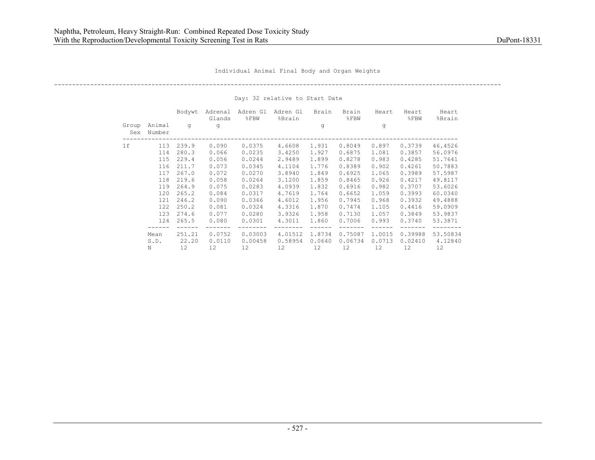----------------------------------------------------------------------------------------------------------------------------

|              |                  | Bodywt | Adrenal<br>Glands | Adren Gl<br>$8$ FBW | Adren Gl<br>%Brain | Brain  | Brain<br>$8$ $FBW$ | Heart  | Heart<br>$8$ FBW | Heart<br>%Brain |
|--------------|------------------|--------|-------------------|---------------------|--------------------|--------|--------------------|--------|------------------|-----------------|
| Group<br>Sex | Animal<br>Number | q      | q                 |                     |                    | q      |                    | q      |                  |                 |
| 1f           | 113              | 239.9  | 0.090             | 0.0375              | 4.6608             | 1.931  | 0.8049             | 0.897  | 0.3739           | 46.4526         |
|              | 114              | 280.3  | 0.066             | 0.0235              | 3.4250             | 1.927  | 0.6875             | 1.081  | 0.3857           | 56.0976         |
|              | 115              | 229.4  | 0.056             | 0.0244              | 2.9489             | 1.899  | 0.8278             | 0.983  | 0.4285           | 51.7641         |
|              | 116              | 211.7  | 0.073             | 0.0345              | 4.1104             | 1.776  | 0.8389             | 0.902  | 0.4261           | 50.7883         |
|              | 117              | 267.0  | 0.072             | 0.0270              | 3.8940             | 1.849  | 0.6925             | 1.065  | 0.3989           | 57.5987         |
|              | 118              | 219.6  | 0.058             | 0.0264              | 3.1200             | 1.859  | 0.8465             | 0.926  | 0.4217           | 49.8117         |
|              | 119              | 264.9  | 0.075             | 0.0283              | 4.0939             | 1.832  | 0.6916             | 0.982  | 0.3707           | 53.6026         |
|              | 120              | 265.2  | 0.084             | 0.0317              | 4.7619             | 1.764  | 0.6652             | 1.059  | 0.3993           | 60.0340         |
|              | 121              | 246.2  | 0.090             | 0.0366              | 4.6012             | 1.956  | 0.7945             | 0.968  | 0.3932           | 49.4888         |
|              | 122              | 250.2  | 0.081             | 0.0324              | 4.3316             | 1.870  | 0.7474             | 1,105  | 0.4416           | 59.0909         |
|              | 123              | 274.6  | 0.077             | 0.0280              | 3.9326             | 1.958  | 0.7130             | 1.057  | 0.3849           | 53.9837         |
|              | 124              | 265.5  | 0.080             | 0.0301              | 4.3011             | 1.860  | 0.7006             | 0.993  | 0.3740           | 53.3871         |
|              | Mean             | 251.21 | 0.0752            | 0.03003             | 4.01512            | 1.8734 | 0.75087            | 1,0015 | 0.39988          | 53.50834        |
|              | S.D.             | 22.20  | 0.0110            | 0.00458             | 0.58954            | 0.0640 | 0.06734            | 0.0713 | 0.02410          | 4.12840         |
|              | Ν                | 12     | 12                | 12                  | 12                 | 12     | 12                 | 12     | 12               | 12              |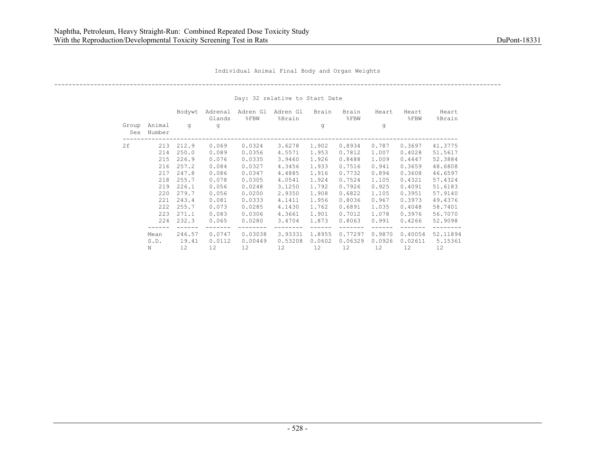----------------------------------------------------------------------------------------------------------------------------

|              |                  | Bodywt | Adrenal<br>Glands | Adren Gl<br>8FBW | Adren Gl<br>%Brain | Brain  | Brain<br>$\S$ FBW | Heart  | Heart<br>$\S$ FBW | Heart<br>%Brain |
|--------------|------------------|--------|-------------------|------------------|--------------------|--------|-------------------|--------|-------------------|-----------------|
| Group<br>Sex | Animal<br>Number | q      | q                 |                  |                    | q      |                   | q      |                   |                 |
| 2f           | 213              | 212.9  | 0.069             | 0.0324           | 3.6278             | 1.902  | 0.8934            | 0.787  | 0.3697            | 41.3775         |
|              | 214              | 250.0  | 0.089             | 0.0356           | 4.5571             | 1.953  | 0.7812            | 1.007  | 0.4028            | 51.5617         |
|              | 215              | 226.9  | 0.076             | 0.0335           | 3.9460             | 1.926  | 0.8488            | 1.009  | 0.4447            | 52.3884         |
|              | 216              | 257.2  | 0.084             | 0.0327           | 4.3456             | 1.933  | 0.7516            | 0.941  | 0.3659            | 48.6808         |
|              | 217              | 247.8  | 0.086             | 0.0347           | 4.4885             | 1.916  | 0.7732            | 0.894  | 0.3608            | 46.6597         |
|              | 218              | 255.7  | 0.078             | 0.0305           | 4.0541             | 1.924  | 0.7524            | 1,105  | 0.4321            | 57.4324         |
|              | 219              | 226.1  | 0.056             | 0.0248           | 3.1250             | 1.792  | 0.7926            | 0.925  | 0.4091            | 51.6183         |
|              | 220              | 279.7  | 0.056             | 0.0200           | 2.9350             | 1.908  | 0.6822            | 1,105  | 0.3951            | 57.9140         |
|              | 221              | 243.4  | 0.081             | 0.0333           | 4.1411             | 1.956  | 0.8036            | 0.967  | 0.3973            | 49.4376         |
|              | 222              | 255.7  | 0.073             | 0.0285           | 4.1430             | 1.762  | 0.6891            | 1.035  | 0.4048            | 58.7401         |
|              | 223              | 271.1  | 0.083             | 0.0306           | 4.3661             | 1.901  | 0.7012            | 1.078  | 0.3976            | 56.7070         |
|              | 224              | 232.3  | 0.065             | 0.0280           | 3.4704             | 1.873  | 0.8063            | 0.991  | 0.4266            | 52.9098         |
|              | Mean             | 246.57 | 0.0747            | 0.03038          | 3.93331            | 1.8955 | 0.77297           | 0.9870 | 0.40054           | 52.11894        |
|              | S.D.             | 19.41  | 0.0112            | 0.00449          | 0.53208            | 0.0602 | 0.06329           | 0.0926 | 0.02611           | 5.15361         |
|              | N                | 12.    | 12.               | 12.              | 12.                | 12.    | 12.               | 12.    | 12.               | 12.             |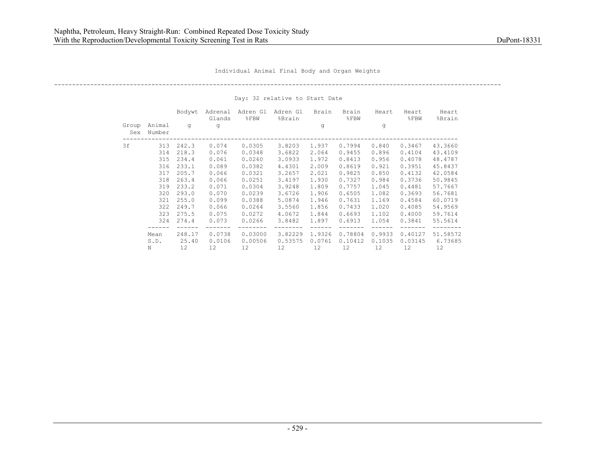----------------------------------------------------------------------------------------------------------------------------

|              |                  | Bodywt | Adrenal<br>Glands | Adren Gl<br>8FBW | Adren Gl<br>%Brain | Brain  | Brain<br>$\S$ FBW | Heart  | Heart<br>$\S$ FBW | Heart<br>%Brain |
|--------------|------------------|--------|-------------------|------------------|--------------------|--------|-------------------|--------|-------------------|-----------------|
| Group<br>Sex | Animal<br>Number | q      | q                 |                  |                    | q      |                   | q      |                   |                 |
| 3f           | 313              | 242.3  | 0.074             | 0.0305           | 3.8203             | 1.937  | 0.7994            | 0.840  | 0.3467            | 43.3660         |
|              | 314              | 218.3  | 0.076             | 0.0348           | 3.6822             | 2.064  | 0.9455            | 0.896  | 0.4104            | 43.4109         |
|              | 315              | 234.4  | 0.061             | 0.0260           | 3.0933             | 1.972  | 0.8413            | 0.956  | 0.4078            | 48.4787         |
|              | 316              | 233.1  | 0.089             | 0.0382           | 4.4301             | 2.009  | 0.8619            | 0.921  | 0.3951            | 45.8437         |
|              | 317              | 205.7  | 0.066             | 0.0321           | 3.2657             | 2.021  | 0.9825            | 0.850  | 0.4132            | 42.0584         |
|              | 318              | 263.4  | 0.066             | 0.0251           | 3.4197             | 1.930  | 0.7327            | 0.984  | 0.3736            | 50.9845         |
|              | 319              | 233.2  | 0.071             | 0.0304           | 3.9248             | 1.809  | 0.7757            | 1.045  | 0.4481            | 57.7667         |
|              | 320              | 293.0  | 0.070             | 0.0239           | 3.6726             | 1.906  | 0.6505            | 1.082  | 0.3693            | 56.7681         |
|              | 321              | 255.0  | 0.099             | 0.0388           | 5.0874             | 1.946  | 0.7631            | 1,169  | 0.4584            | 60.0719         |
|              | 322              | 249.7  | 0.066             | 0.0264           | 3.5560             | 1.856  | 0.7433            | 1,020  | 0.4085            | 54.9569         |
|              | 323              | 275.5  | 0.075             | 0.0272           | 4.0672             | 1.844  | 0.6693            | 1.102  | 0.4000            | 59.7614         |
|              | 324              | 274.4  | 0.073             | 0.0266           | 3.8482             | 1.897  | 0.6913            | 1.054  | 0.3841            | 55.5614         |
|              | Mean             | 248.17 | 0.0738            | 0.03000          | 3.82229            | 1.9326 | 0.78804           | 0.9933 | 0.40127           | 51.58572        |
|              | S.D.             | 25.40  | 0.0106            | 0.00506          | 0.53575            | 0.0761 | 0.10412           | 0.1035 | 0.03145           | 6.73685         |
|              | N                | 12.    | 12.               | 12.              | 12.                | 12.    | 12.               | 12.    | 12.               | 12              |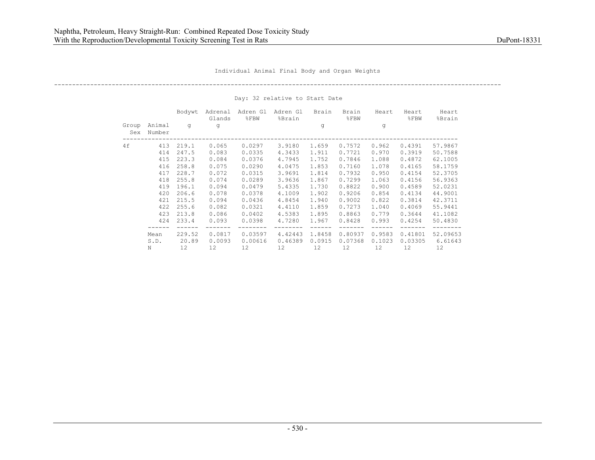----------------------------------------------------------------------------------------------------------------------------

|              |                  | Bodywt | Adrenal<br>Glands | Adren Gl<br>8FBW | Adren Gl<br>%Brain | Brain  | Brain<br>$\S$ FBW | Heart  | Heart<br>$\S$ FBW | Heart<br>%Brain |
|--------------|------------------|--------|-------------------|------------------|--------------------|--------|-------------------|--------|-------------------|-----------------|
| Group<br>Sex | Animal<br>Number | q      | q                 |                  |                    | q      |                   | q      |                   |                 |
| 4f           | 413              | 219.1  | 0.065             | 0.0297           | 3.9180             | 1.659  | 0.7572            | 0.962  | 0.4391            | 57.9867         |
|              | 414              | 247.5  | 0.083             | 0.0335           | 4.3433             | 1.911  | 0.7721            | 0.970  | 0.3919            | 50.7588         |
|              | 415              | 223.3  | 0.084             | 0.0376           | 4.7945             | 1.752  | 0.7846            | 1.088  | 0.4872            | 62.1005         |
|              | 416              | 258.8  | 0.075             | 0.0290           | 4.0475             | 1.853  | 0.7160            | 1.078  | 0.4165            | 58.1759         |
|              | 417              | 228.7  | 0.072             | 0.0315           | 3.9691             | 1.814  | 0.7932            | 0.950  | 0.4154            | 52.3705         |
|              | 418              | 255.8  | 0.074             | 0.0289           | 3.9636             | 1.867  | 0.7299            | 1.063  | 0.4156            | 56.9363         |
|              | 419              | 196.1  | 0.094             | 0.0479           | 5.4335             | 1.730  | 0.8822            | 0.900  | 0.4589            | 52.0231         |
|              | 420              | 206.6  | 0.078             | 0.0378           | 4.1009             | 1.902  | 0.9206            | 0.854  | 0.4134            | 44.9001         |
|              | 421              | 215.5  | 0.094             | 0.0436           | 4.8454             | 1.940  | 0.9002            | 0.822  | 0.3814            | 42.3711         |
|              | 422              | 255.6  | 0.082             | 0.0321           | 4.4110             | 1.859  | 0.7273            | 1.040  | 0.4069            | 55.9441         |
|              | 423              | 213.8  | 0.086             | 0.0402           | 4.5383             | 1.895  | 0.8863            | 0.779  | 0.3644            | 41.1082         |
|              | 424              | 233.4  | 0.093             | 0.0398           | 4.7280             | 1.967  | 0.8428            | 0.993  | 0.4254            | 50.4830         |
|              | Mean             | 229.52 | 0.0817            | 0.03597          | 4.42443            | 1.8458 | 0.80937           | 0.9583 | 0.41801           | 52.09653        |
|              | S.D.             | 20.89  | 0.0093            | 0.00616          | 0.46389            | 0.0915 | 0.07368           | 0.1023 | 0.03305           | 6.61643         |
|              | N                | 12.    | 12.               | 12.              | 12.                | 12.    | 12.               | 12.    | 12.               | 12              |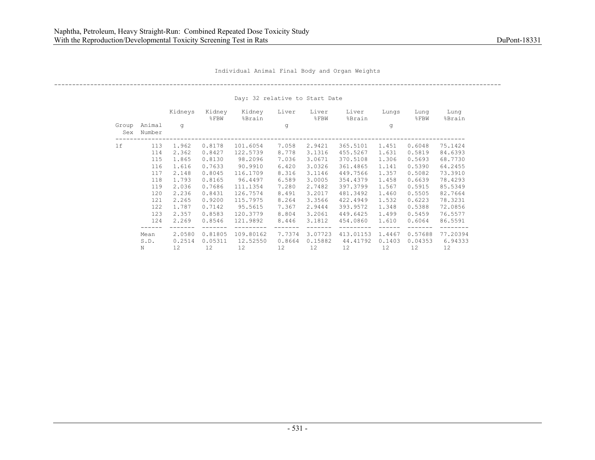----------------------------------------------------------------------------------------------------------------------------

|              |                  | Kidneys | Kidney<br>$\S$ FBW | Kidney<br>%Brain | Liver  | Liver<br>$\S$ FBW | Liver<br>%Brain | Lungs  | Lung<br>$8$ $FBW$ | Lung<br>%Brain |
|--------------|------------------|---------|--------------------|------------------|--------|-------------------|-----------------|--------|-------------------|----------------|
| Group<br>Sex | Animal<br>Number | q       |                    |                  | q      |                   |                 | g      |                   |                |
| 1f           | 113              | 1.962   | 0.8178             | 101.6054         | 7.058  | 2.9421            | 365.5101        | 1.451  | 0.6048            | 75.1424        |
|              | 114              | 2.362   | 0.8427             | 122.5739         | 8.778  | 3.1316            | 455.5267        | 1.631  | 0.5819            | 84.6393        |
|              | 115              | 1.865   | 0.8130             | 98.2096          | 7.036  | 3.0671            | 370.5108        | 1.306  | 0.5693            | 68.7730        |
|              | 116              | 1.616   | 0.7633             | 90.9910          | 6.420  | 3.0326            | 361.4865        | 1.141  | 0.5390            | 64.2455        |
|              | 117              | 2.148   | 0.8045             | 116.1709         | 8.316  | 3.1146            | 449.7566        | 1.357  | 0.5082            | 73.3910        |
|              | 118              | 1.793   | 0.8165             | 96.4497          | 6.589  | 3.0005            | 354.4379        | 1.458  | 0.6639            | 78.4293        |
|              | 119              | 2.036   | 0.7686             | 111.1354         | 7.280  | 2.7482            | 397.3799        | 1.567  | 0.5915            | 85.5349        |
|              | 120              | 2.236   | 0.8431             | 126.7574         | 8.491  | 3.2017            | 481.3492        | 1.460  | 0.5505            | 82.7664        |
|              | 121              | 2.265   | 0.9200             | 115.7975         | 8.264  | 3.3566            | 422.4949        | 1.532  | 0.6223            | 78.3231        |
|              | 122              | 1.787   | 0.7142             | 95.5615          | 7.367  | 2.9444            | 393.9572        | 1.348  | 0.5388            | 72.0856        |
|              | 123              | 2.357   | 0.8583             | 120.3779         | 8.804  | 3.2061            | 449.6425        | 1.499  | 0.5459            | 76.5577        |
|              | 124              | 2.269   | 0.8546             | 121.9892         | 8.446  | 3.1812            | 454.0860        | 1.610  | 0.6064            | 86.5591        |
|              | Mean             | 2,0580  | 0.81805            | 109.80162        | 7.7374 | 3.07723           | 413.01153       | 1.4467 | 0.57688           | 77.20394       |
|              | S.D.             | 0.2514  | 0.05311            | 12.52550         | 0.8664 | 0.15882           | 44.41792        | 0.1403 | 0.04353           | 6.94333        |
|              | N                | 12      | 12                 | 12               | 12     | 12                | 12              | 12     | 12                | 12             |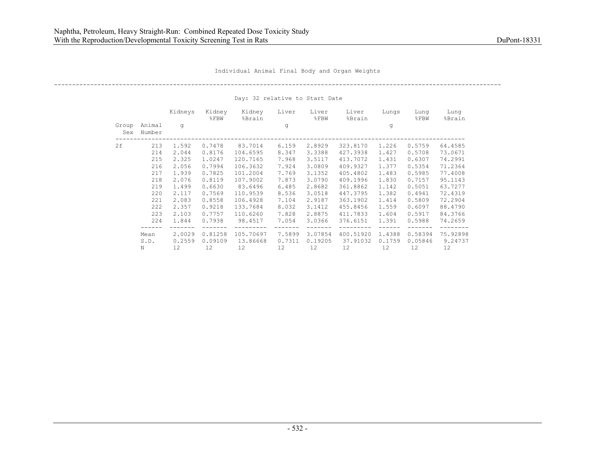----------------------------------------------------------------------------------------------------------------------------

|              |                  | Kidneys | Kidney<br>$8$ FBW | Kidney<br>%Brain | Liver  | Liver<br>$\S$ FBW | Liver<br>%Brain | Lungs  | Lung<br>$8$ $FBW$ | Lung<br>%Brain |
|--------------|------------------|---------|-------------------|------------------|--------|-------------------|-----------------|--------|-------------------|----------------|
| Group<br>Sex | Animal<br>Number | q       |                   |                  | q      |                   |                 | g      |                   |                |
| 2f           | 213              | 1.592   | 0.7478            | 83.7014          | 6.159  | 2.8929            | 323.8170        | 1,226  | 0.5759            | 64.4585        |
|              | 214              | 2.044   | 0.8176            | 104.6595         | 8.347  | 3.3388            | 427.3938        | 1.427  | 0.5708            | 73.0671        |
|              | 215              | 2.325   | 1.0247            | 120.7165         | 7.968  | 3.5117            | 413.7072        | 1.431  | 0.6307            | 74.2991        |
|              | 216              | 2.056   | 0.7994            | 106.3632         | 7.924  | 3.0809            | 409.9327        | 1.377  | 0.5354            | 71.2364        |
|              | 217              | 1.939   | 0.7825            | 101.2004         | 7.769  | 3.1352            | 405.4802        | 1.483  | 0.5985            | 77.4008        |
|              | 218              | 2.076   | 0.8119            | 107.9002         | 7.873  | 3.0790            | 409.1996        | 1.830  | 0.7157            | 95.1143        |
|              | 219              | 1.499   | 0.6630            | 83.6496          | 6.485  | 2.8682            | 361.8862        | 1.142  | 0.5051            | 63.7277        |
|              | 220              | 2.117   | 0.7569            | 110.9539         | 8.536  | 3.0518            | 447.3795        | 1.382  | 0.4941            | 72.4319        |
|              | 221              | 2.083   | 0.8558            | 106.4928         | 7.104  | 2.9187            | 363.1902        | 1.414  | 0.5809            | 72.2904        |
|              | 222              | 2.357   | 0.9218            | 133.7684         | 8.032  | 3.1412            | 455.8456        | 1.559  | 0.6097            | 88.4790        |
|              | 223              | 2.103   | 0.7757            | 110.6260         | 7.828  | 2.8875            | 411.7833        | 1.604  | 0.5917            | 84.3766        |
|              | 224              | 1.844   | 0.7938            | 98.4517          | 7.054  | 3.0366            | 376.6151        | 1.391  | 0.5988            | 74.2659        |
|              | Mean             | 2,0029  | 0.81258           | 105.70697        | 7.5899 | 3.07854           | 400.51920       | 1.4388 | 0.58394           | 75.92898       |
|              | S.D.             | 0.2559  | 0.09109           | 13.86668         | 0.7311 | 0.19205           | 37.91032        | 0.1759 | 0.05846           | 9.24737        |
|              | N                | 12      | 12                | 12               | 12     | 12                | 12              | 12     | 12                | 12             |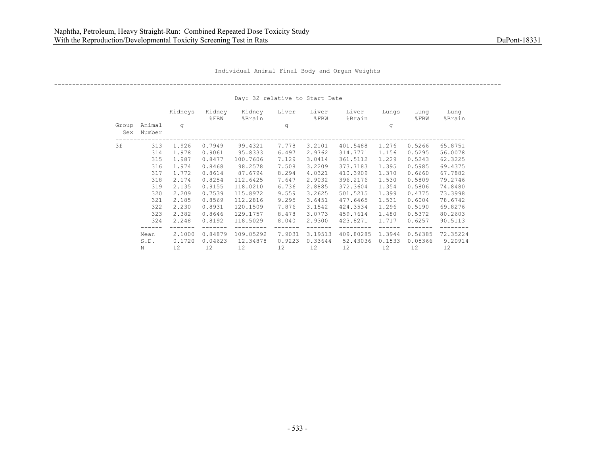----------------------------------------------------------------------------------------------------------------------------

|              |                  | Kidneys | Kidney<br>$8$ FBW | Kidney<br>%Brain | Liver  | Liver<br>$\S$ FBW | Liver<br>%Brain | Lungs  | Lung<br>$8$ $FBW$ | Lung<br>%Brain |
|--------------|------------------|---------|-------------------|------------------|--------|-------------------|-----------------|--------|-------------------|----------------|
| Group<br>Sex | Animal<br>Number | q       |                   |                  | q      |                   |                 | g      |                   |                |
| 3f           | 313              | 1.926   | 0.7949            | 99.4321          | 7.778  | 3.2101            | 401.5488        | 1,276  | 0.5266            | 65.8751        |
|              | 314              | 1.978   | 0.9061            | 95.8333          | 6.497  | 2.9762            | 314.7771        | 1.156  | 0.5295            | 56.0078        |
|              | 315              | 1.987   | 0.8477            | 100.7606         | 7.129  | 3.0414            | 361.5112        | 1,229  | 0.5243            | 62.3225        |
|              | 316              | 1.974   | 0.8468            | 98.2578          | 7.508  | 3.2209            | 373.7183        | 1.395  | 0.5985            | 69.4375        |
|              | 317              | 1.772   | 0.8614            | 87.6794          | 8.294  | 4.0321            | 410.3909        | 1,370  | 0.6660            | 67.7882        |
|              | 318              | 2.174   | 0.8254            | 112.6425         | 7.647  | 2.9032            | 396.2176        | 1.530  | 0.5809            | 79.2746        |
|              | 319              | 2.135   | 0.9155            | 118.0210         | 6.736  | 2.8885            | 372.3604        | 1.354  | 0.5806            | 74.8480        |
|              | 320              | 2.209   | 0.7539            | 115.8972         | 9.559  | 3.2625            | 501.5215        | 1.399  | 0.4775            | 73.3998        |
|              | 321              | 2.185   | 0.8569            | 112.2816         | 9.295  | 3.6451            | 477.6465        | 1.531  | 0.6004            | 78.6742        |
|              | 322              | 2.230   | 0.8931            | 120.1509         | 7.876  | 3.1542            | 424.3534        | 1,296  | 0.5190            | 69.8276        |
|              | 323              | 2.382   | 0.8646            | 129.1757         | 8.478  | 3.0773            | 459.7614        | 1.480  | 0.5372            | 80.2603        |
|              | 324              | 2.248   | 0.8192            | 118.5029         | 8.040  | 2.9300            | 423.8271        | 1.717  | 0.6257            | 90.5113        |
|              | Mean             | 2,1000  | 0.84879           | 109.05292        | 7.9031 | 3.19513           | 409.80285       | 1.3944 | 0.56385           | 72.35224       |
|              | S.D.             | 0.1720  | 0.04623           | 12.34878         | 0.9223 | 0.33644           | 52.43036        | 0.1533 | 0.05366           | 9.20914        |
|              | N                | 12.     | 12.               | 12.              | 12.    | 12.               | 12.             | 12.    | 12.               | 12.            |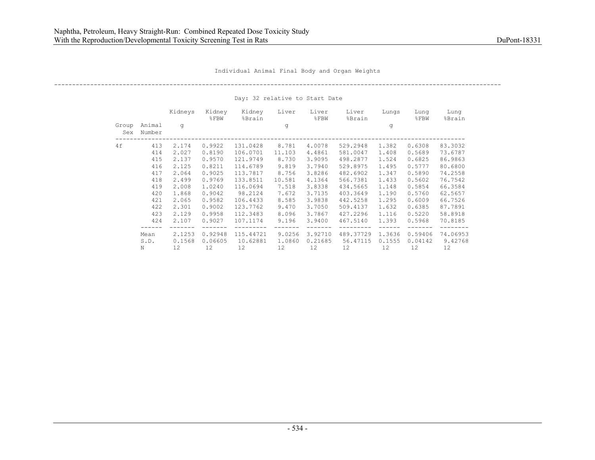----------------------------------------------------------------------------------------------------------------------------

|              |                  | Kidneys | Kidney<br>$8$ FBW | Kidney<br>%Brain | Liver  | Liver<br>$\S$ FBW | Liver<br>%Brain | Lungs  | Lung<br>$8$ $FBW$ | Lung<br>%Brain |
|--------------|------------------|---------|-------------------|------------------|--------|-------------------|-----------------|--------|-------------------|----------------|
| Group<br>Sex | Animal<br>Number | q       |                   |                  | q      |                   |                 | g      |                   |                |
| 4 f          | 413              | 2.174   | 0.9922            | 131.0428         | 8.781  | 4.0078            | 529.2948        | 1.382  | 0.6308            | 83.3032        |
|              | 414              | 2.027   | 0.8190            | 106.0701         | 11.103 | 4.4861            | 581.0047        | 1.408  | 0.5689            | 73.6787        |
|              | 415              | 2.137   | 0.9570            | 121.9749         | 8.730  | 3.9095            | 498.2877        | 1.524  | 0.6825            | 86.9863        |
|              | 416              | 2.125   | 0.8211            | 114.6789         | 9.819  | 3.7940            | 529.8975        | 1.495  | 0.5777            | 80.6800        |
|              | 417              | 2.064   | 0.9025            | 113.7817         | 8.756  | 3.8286            | 482.6902        | 1.347  | 0.5890            | 74.2558        |
|              | 418              | 2.499   | 0.9769            | 133.8511         | 10.581 | 4.1364            | 566.7381        | 1.433  | 0.5602            | 76.7542        |
|              | 419              | 2.008   | 1.0240            | 116.0694         | 7.518  | 3.8338            | 434.5665        | 1.148  | 0.5854            | 66.3584        |
|              | 420              | 1.868   | 0.9042            | 98.2124          | 7.672  | 3.7135            | 403.3649        | 1.190  | 0.5760            | 62.5657        |
|              | 421              | 2.065   | 0.9582            | 106.4433         | 8.585  | 3.9838            | 442.5258        | 1.295  | 0.6009            | 66.7526        |
|              | 422              | 2.301   | 0.9002            | 123.7762         | 9.470  | 3.7050            | 509.4137        | 1.632  | 0.6385            | 87.7891        |
|              | 423              | 2.129   | 0.9958            | 112.3483         | 8.096  | 3.7867            | 427.2296        | 1.116  | 0.5220            | 58.8918        |
|              | 424              | 2,107   | 0.9027            | 107.1174         | 9.196  | 3.9400            | 467.5140        | 1.393  | 0.5968            | 70.8185        |
|              | Mean             | 2,1253  | 0.92948           | 115.44721        | 9.0256 | 3.92710           | 489.37729       | 1.3636 | 0.59406           | 74.06953       |
|              | S.D.             | 0.1568  | 0.06605           | 10.62881         | 1,0860 | 0.21685           | 56.47115        | 0.1555 | 0.04142           | 9.42768        |
|              | N                | 12      | 12                | 12               | 12     | 12                | 12              | 12     | 12                | 12             |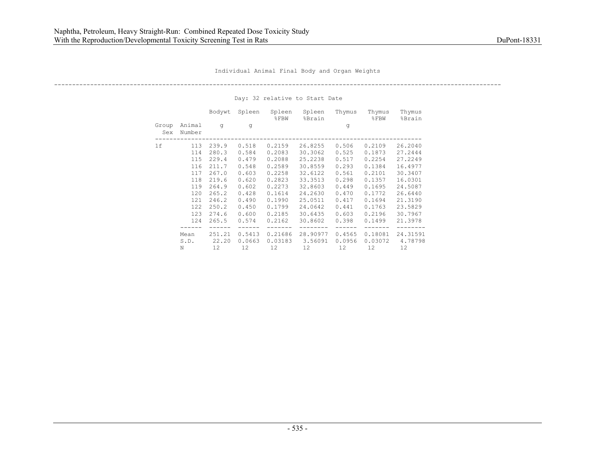----------------------------------------------------------------------------------------------------------------------------

|              |                  | Bodywt | Spleen | Spleen<br>$\S$ FBW | Spleen<br>%Brain | Thymus | Thymus<br>$8$ FBW | Thymus<br>%Brain |
|--------------|------------------|--------|--------|--------------------|------------------|--------|-------------------|------------------|
| Group<br>Sex | Animal<br>Number | q      | q      |                    |                  | q      |                   |                  |
| 1f           | 113              | 239.9  | 0.518  | 0.2159             | 26.8255          | 0.506  | 0.2109            | 26.2040          |
|              | 114              | 280.3  | 0.584  | 0.2083             | 30.3062          | 0.525  | 0.1873            | 27.2444          |
|              | 115              | 229.4  | 0.479  | 0.2088             | 25.2238          | 0.517  | 0.2254            | 27.2249          |
|              | 116              | 211.7  | 0.548  | 0.2589             | 30.8559          | 0.293  | 0.1384            | 16.4977          |
|              | 117              | 267.0  | 0.603  | 0.2258             | 32.6122          | 0.561  | 0.2101            | 30.3407          |
|              | 118              | 219.6  | 0.620  | 0.2823             | 33.3513          | 0.298  | 0.1357            | 16.0301          |
|              | 119              | 264.9  | 0.602  | 0.2273             | 32.8603          | 0.449  | 0.1695            | 24.5087          |
|              | 120              | 265.2  | 0.428  | 0.1614             | 24.2630          | 0.470  | 0.1772            | 26.6440          |
|              | 121              | 246.2  | 0.490  | 0.1990             | 25.0511          | 0.417  | 0.1694            | 21.3190          |
|              | 122              | 250.2  | 0.450  | 0.1799             | 24.0642          | 0.441  | 0.1763            | 23.5829          |
|              | 123              | 274.6  | 0.600  | 0.2185             | 30.6435          | 0.603  | 0.2196            | 30.7967          |
|              | 124              | 265.5  | 0.574  | 0.2162             | 30.8602          | 0.398  | 0.1499            | 21.3978          |
|              | Mean             | 251.21 | 0.5413 | 0.21686            | 28.90977         | 0.4565 | 0.18081           | 24.31591         |
|              | S.D.             | 22.20  | 0.0663 | 0.03183            | 3.56091          | 0.0956 | 0.03072           | 4,78798          |
|              | N                | 12.    | 12.    | 12.                | 12.              | 12.    | 12.               | 12.              |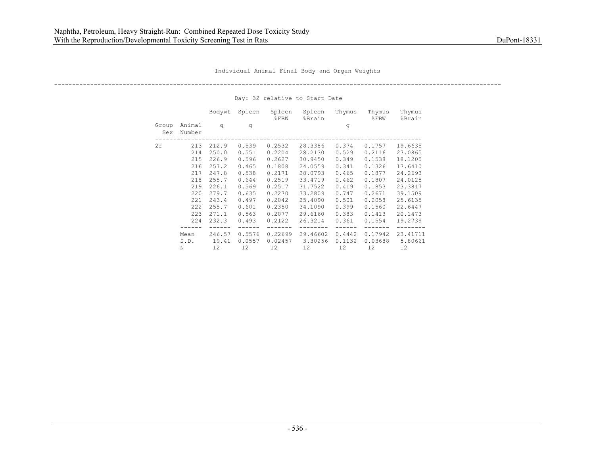----------------------------------------------------------------------------------------------------------------------------

|              |                  | Bodywt | Spleen | Spleen<br>$\S$ FBW | Spleen<br>%Brain | Thymus | Thymus<br>$8$ FBW | Thymus<br>%Brain |
|--------------|------------------|--------|--------|--------------------|------------------|--------|-------------------|------------------|
| Group<br>Sex | Animal<br>Number | q      | q      |                    |                  | g      |                   |                  |
| 2f           | 213              | 212.9  | 0.539  | 0.2532             | 28.3386          | 0.374  | 0.1757            | 19.6635          |
|              | 214              | 250.0  | 0.551  | 0.2204             | 28.2130          | 0.529  | 0.2116            | 27.0865          |
|              | 215              | 226.9  | 0.596  | 0.2627             | 30.9450          | 0.349  | 0.1538            | 18.1205          |
|              | 216              | 257.2  | 0.465  | 0.1808             | 24.0559          | 0.341  | 0.1326            | 17.6410          |
|              | 217              | 247.8  | 0.538  | 0.2171             | 28.0793          | 0.465  | 0.1877            | 24.2693          |
|              | 218              | 255.7  | 0.644  | 0.2519             | 33.4719          | 0.462  | 0.1807            | 24.0125          |
|              | 219              | 226.1  | 0.569  | 0.2517             | 31.7522          | 0.419  | 0.1853            | 23.3817          |
|              | 220              | 279.7  | 0.635  | 0.2270             | 33.2809          | 0.747  | 0.2671            | 39.1509          |
|              | 221              | 243.4  | 0.497  | 0.2042             | 25.4090          | 0.501  | 0.2058            | 25.6135          |
|              | 222              | 255.7  | 0.601  | 0.2350             | 34.1090          | 0.399  | 0.1560            | 22.6447          |
|              | 223              | 271.1  | 0.563  | 0.2077             | 29.6160          | 0.383  | 0.1413            | 20.1473          |
|              | 224              | 232.3  | 0.493  | 0.2122             | 26.3214          | 0.361  | 0.1554            | 19,2739          |
|              |                  |        |        |                    |                  |        |                   |                  |
|              | Mean             | 246.57 | 0.5576 | 0.22699            | 29.46602         | 0.4442 | 0.17942           | 23.41711         |
|              | S.D.             | 19.41  | 0.0557 | 0.02457            | 3.30256          | 0.1132 | 0.03688           | 5.80661          |
|              | N                | 12.    | 12.    | 12.                | 12.              | 12.    | 12.               | 12.              |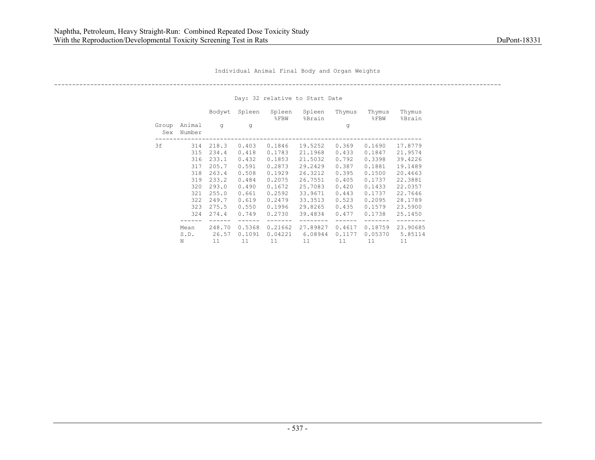----------------------------------------------------------------------------------------------------------------------------

|              |                  | Bodywt | Spleen | Spleen<br>$8$ FBW | Spleen<br>%Brain | Thymus | Thymus<br>$8$ FBW | Thymus<br>%Brain |
|--------------|------------------|--------|--------|-------------------|------------------|--------|-------------------|------------------|
| Group<br>Sex | Animal<br>Number | q      | q      |                   |                  | q      |                   |                  |
| 3f           | 314              | 218.3  | 0.403  | 0.1846            | 19.5252          | 0.369  | 0.1690            | 17.8779          |
|              | 315              | 234.4  | 0.418  | 0.1783            | 21.1968          | 0.433  | 0.1847            | 21.9574          |
|              | 316              | 233.1  | 0.432  | 0.1853            | 21.5032          | 0.792  | 0.3398            | 39.4226          |
|              | 317              | 205.7  | 0.591  | 0.2873            | 29.2429          | 0.387  | 0.1881            | 19.1489          |
|              | 318              | 263.4  | 0.508  | 0.1929            | 26.3212          | 0.395  | 0.1500            | 20.4663          |
|              | 319              | 233.2  | 0.484  | 0.2075            | 26.7551          | 0.405  | 0.1737            | 22.3881          |
|              | 320              | 293.0  | 0.490  | 0.1672            | 25.7083          | 0.420  | 0.1433            | 22.0357          |
|              | 321              | 255.0  | 0.661  | 0.2592            | 33.9671          | 0.443  | 0.1737            | 22.7646          |
|              | 322              | 249.7  | 0.619  | 0.2479            | 33.3513          | 0.523  | 0.2095            | 28.1789          |
|              | 323              | 275.5  | 0.550  | 0.1996            | 29.8265          | 0.435  | 0.1579            | 23.5900          |
|              | 324              | 274.4  | 0.749  | 0.2730            | 39.4834          | 0.477  | 0.1738            | 25.1450          |
|              | Mean             | 248.70 | 0.5368 | 0.21662           | 27.89827         | 0.4617 | 0.18759           | 23.90685         |
|              | S.D.             | 26.57  | 0.1091 | 0.04221           | 6.08944          | 0.1177 | 0.05370           | 5.85114          |
|              | Ν                | 11     | 11     | 11                | 11               | 11     | 11                | 11               |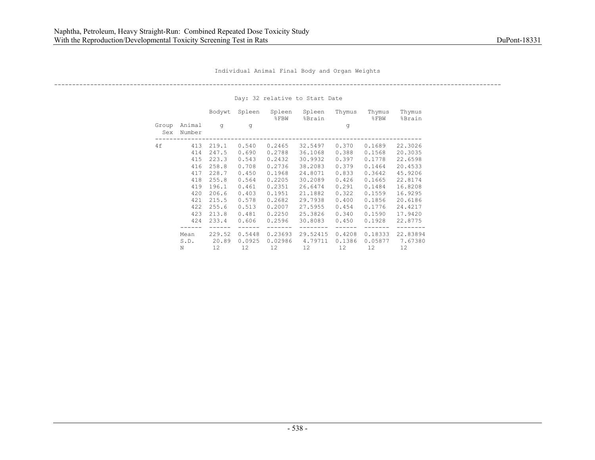----------------------------------------------------------------------------------------------------------------------------

|              |                  | Bodywt | Spleen | Spleen<br>$\S$ FBW | Spleen<br>%Brain | Thymus | Thymus<br>$8$ FBW | Thymus<br>%Brain |
|--------------|------------------|--------|--------|--------------------|------------------|--------|-------------------|------------------|
| Group<br>Sex | Animal<br>Number | q      | q      |                    |                  | q      |                   |                  |
| 4 f          | 413              | 219.1  | 0.540  | 0.2465             | 32.5497          | 0.370  | 0.1689            | 22.3026          |
|              | 414              | 247.5  | 0.690  | 0.2788             | 36.1068          | 0.388  | 0.1568            | 20.3035          |
|              | 415              | 223.3  | 0.543  | 0.2432             | 30.9932          | 0.397  | 0.1778            | 22.6598          |
|              | 416              | 258.8  | 0.708  | 0.2736             | 38.2083          | 0.379  | 0.1464            | 20.4533          |
|              | 417              | 228.7  | 0.450  | 0.1968             | 24.8071          | 0.833  | 0.3642            | 45.9206          |
|              | 418              | 255.8  | 0.564  | 0.2205             | 30.2089          | 0.426  | 0.1665            | 22.8174          |
|              | 419              | 196.1  | 0.461  | 0.2351             | 26.6474          | 0.291  | 0.1484            | 16.8208          |
|              | 420              | 206.6  | 0.403  | 0.1951             | 21.1882          | 0.322  | 0.1559            | 16.9295          |
|              | 421              | 215.5  | 0.578  | 0.2682             | 29.7938          | 0.400  | 0.1856            | 20.6186          |
|              | 422              | 255.6  | 0.513  | 0.2007             | 27.5955          | 0.454  | 0.1776            | 24.4217          |
|              | 423              | 213.8  | 0.481  | 0.2250             | 25.3826          | 0.340  | 0.1590            | 17.9420          |
|              | 424              | 233.4  | 0.606  | 0.2596             | 30.8083          | 0.450  | 0.1928            | 22.8775          |
|              |                  |        |        |                    |                  |        |                   |                  |
|              | Mean             | 229.52 | 0.5448 | 0.23693            | 29.52415         | 0.4208 | 0.18333           | 22.83894         |
|              | S.D.             | 20.89  | 0.0925 | 0.02986            | 4.79711          | 0.1386 | 0.05877           | 7.67380          |
|              | N                | 12.    | 12.    | 12.                | 12.              | 12.    | 12.               | 12.              |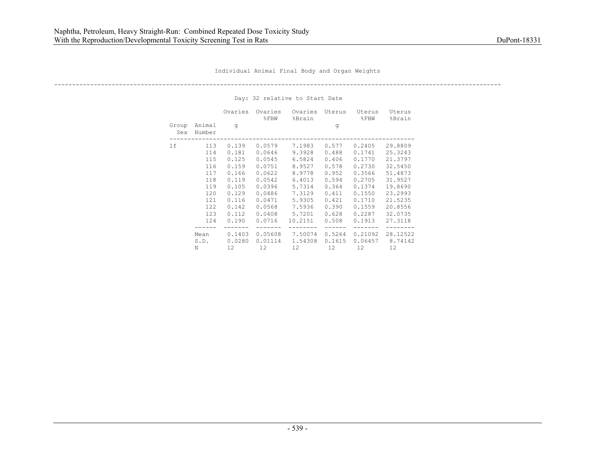----------------------------------------------------------------------------------------------------------------------------

|              |                                                                                  | Ovaries                                                                                                  | Ovaries<br>$\S$ FBW                                                                                                  | Ovaries<br>%Brain                                                                                                     | Uterus                                                                                                   | Uterus<br>$\S$ FBW                                                                                                   | Uterus<br>%Brain                                                                                                                 |
|--------------|----------------------------------------------------------------------------------|----------------------------------------------------------------------------------------------------------|----------------------------------------------------------------------------------------------------------------------|-----------------------------------------------------------------------------------------------------------------------|----------------------------------------------------------------------------------------------------------|----------------------------------------------------------------------------------------------------------------------|----------------------------------------------------------------------------------------------------------------------------------|
| Group<br>Sex | Animal<br>Number                                                                 | q                                                                                                        |                                                                                                                      |                                                                                                                       | g                                                                                                        |                                                                                                                      |                                                                                                                                  |
| 1f           | 113<br>114<br>115<br>116<br>117<br>118<br>119<br>120<br>121<br>122<br>123<br>124 | 0.139<br>0.181<br>0.125<br>0.159<br>0.166<br>0.119<br>0.105<br>0.129<br>0.116<br>0.142<br>0.112<br>0.190 | 0.0579<br>0.0646<br>0.0545<br>0.0751<br>0.0622<br>0.0542<br>0.0396<br>0.0486<br>0.0471<br>0.0568<br>0.0408<br>0.0716 | 7.1983<br>9.3928<br>6.5824<br>8.9527<br>8.9778<br>6.4013<br>5.7314<br>7.3129<br>5.9305<br>7.5936<br>5.7201<br>10.2151 | 0.577<br>0.488<br>0.406<br>0.578<br>0.952<br>0.594<br>0.364<br>0.411<br>0.421<br>0.390<br>0.628<br>0.508 | 0.2405<br>0.1741<br>0.1770<br>0.2730<br>0.3566<br>0.2705<br>0.1374<br>0.1550<br>0.1710<br>0.1559<br>0.2287<br>0.1913 | 29.8809<br>25.3243<br>21.3797<br>32.5450<br>51.4873<br>31.9527<br>19.8690<br>23.2993<br>21.5235<br>20.8556<br>32.0735<br>27.3118 |
|              | Mean<br>S.D.                                                                     | 0.1403<br>0.0280                                                                                         | 0.05608<br>0.01114                                                                                                   | 7.50074<br>1.54308                                                                                                    | 0.5264<br>0.1615                                                                                         | 0.21092<br>0.06457                                                                                                   | 28.12522<br>8.74142                                                                                                              |
|              | N                                                                                | 12.                                                                                                      | 12.                                                                                                                  | 12.                                                                                                                   | 12.                                                                                                      | 12.                                                                                                                  | 12.                                                                                                                              |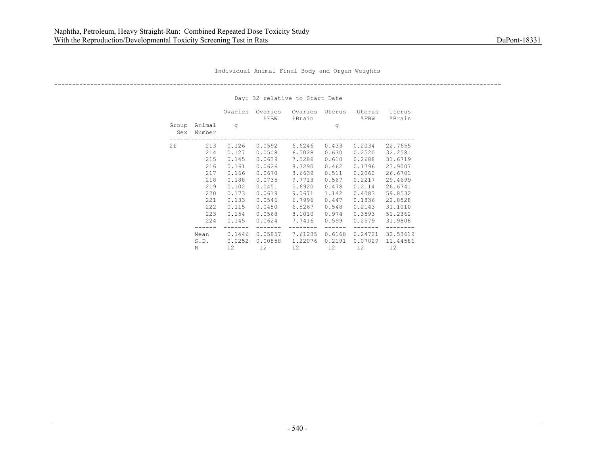----------------------------------------------------------------------------------------------------------------------------

|              |                                                                                  | Ovaries                                                                                                  | Ovaries<br>$\S$ FBW                                                                                                  | Ovaries<br>%Brain                                                                                                    | Uterus                                                                                                   | Uterus<br>$8$ FBW                                                                                                    | Uterus<br>%Brain                                                                                                                 |
|--------------|----------------------------------------------------------------------------------|----------------------------------------------------------------------------------------------------------|----------------------------------------------------------------------------------------------------------------------|----------------------------------------------------------------------------------------------------------------------|----------------------------------------------------------------------------------------------------------|----------------------------------------------------------------------------------------------------------------------|----------------------------------------------------------------------------------------------------------------------------------|
| Group<br>Sex | Animal<br>Number                                                                 | q                                                                                                        |                                                                                                                      |                                                                                                                      | g                                                                                                        |                                                                                                                      |                                                                                                                                  |
| 2f           | 213<br>214<br>215<br>216<br>217<br>218<br>219<br>220<br>221<br>222<br>223<br>224 | 0.126<br>0.127<br>0.145<br>0.161<br>0.166<br>0.188<br>0.102<br>0.173<br>0.133<br>0.115<br>0.154<br>0.145 | 0.0592<br>0.0508<br>0.0639<br>0.0626<br>0.0670<br>0.0735<br>0.0451<br>0.0619<br>0.0546<br>0.0450<br>0.0568<br>0.0624 | 6.6246<br>6.5028<br>7.5286<br>8.3290<br>8.6639<br>9.7713<br>5.6920<br>9.0671<br>6.7996<br>6.5267<br>8.1010<br>7.7416 | 0.433<br>0.630<br>0.610<br>0.462<br>0.511<br>0.567<br>0.478<br>1.142<br>0.447<br>0.548<br>0.974<br>0.599 | 0.2034<br>0.2520<br>0.2688<br>0.1796<br>0.2062<br>0.2217<br>0.2114<br>0.4083<br>0.1836<br>0.2143<br>0.3593<br>0.2579 | 22.7655<br>32.2581<br>31.6719<br>23.9007<br>26.6701<br>29.4699<br>26.6741<br>59.8532<br>22.8528<br>31,1010<br>51.2362<br>31.9808 |
|              | Mean<br>S.D.<br>N                                                                | 0.1446<br>0.0252<br>12.                                                                                  | 0.05857<br>0.00858<br>12.                                                                                            | 7.61235<br>1,22076<br>12.                                                                                            | 0.6168<br>0.2191<br>12.                                                                                  | 0.24721<br>0.07029<br>12.                                                                                            | 32.53619<br>11.44586<br>12.                                                                                                      |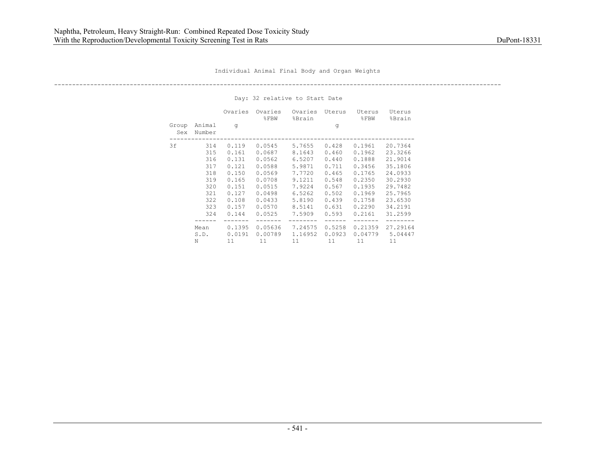----------------------------------------------------------------------------------------------------------------------------

|              |                                                                           | Ovaries                                                                                         | Ovaries<br>$\S$ FBW                                                                                        | Ovaries<br>%Brain                                                                                          | Uterus                                                                                          | Uterus<br>$\SFBW$                                                                                          | Uterus<br>%Brain                                                                                                      |
|--------------|---------------------------------------------------------------------------|-------------------------------------------------------------------------------------------------|------------------------------------------------------------------------------------------------------------|------------------------------------------------------------------------------------------------------------|-------------------------------------------------------------------------------------------------|------------------------------------------------------------------------------------------------------------|-----------------------------------------------------------------------------------------------------------------------|
| Group<br>Sex | Animal<br>Number                                                          | q                                                                                               |                                                                                                            |                                                                                                            | g                                                                                               |                                                                                                            |                                                                                                                       |
| 3f           | 314<br>315<br>316<br>317<br>318<br>319<br>320<br>321<br>322<br>323<br>324 | 0.119<br>0.161<br>0.131<br>0.121<br>0.150<br>0.165<br>0.151<br>0.127<br>0.108<br>0.157<br>0.144 | 0.0545<br>0.0687<br>0.0562<br>0.0588<br>0.0569<br>0.0708<br>0.0515<br>0.0498<br>0.0433<br>0.0570<br>0.0525 | 5.7655<br>8.1643<br>6.5207<br>5.9871<br>7.7720<br>9.1211<br>7.9224<br>6.5262<br>5.8190<br>8.5141<br>7.5909 | 0.428<br>0.460<br>0.440<br>0.711<br>0.465<br>0.548<br>0.567<br>0.502<br>0.439<br>0.631<br>0.593 | 0.1961<br>0.1962<br>0.1888<br>0.3456<br>0.1765<br>0.2350<br>0.1935<br>0.1969<br>0.1758<br>0.2290<br>0.2161 | 20.7364<br>23.3266<br>21.9014<br>35.1806<br>24.0933<br>30.2930<br>29.7482<br>25.7965<br>23.6530<br>34.2191<br>31,2599 |
|              | Mean<br>S.D.<br>N                                                         | 0.1395<br>0.0191<br>11                                                                          | 0.05636<br>0.00789                                                                                         | 7.24575<br>1.16952                                                                                         | 0.5258<br>0.0923<br>11                                                                          | 0.21359<br>0.04779<br>11                                                                                   | 27.29164<br>5.04447                                                                                                   |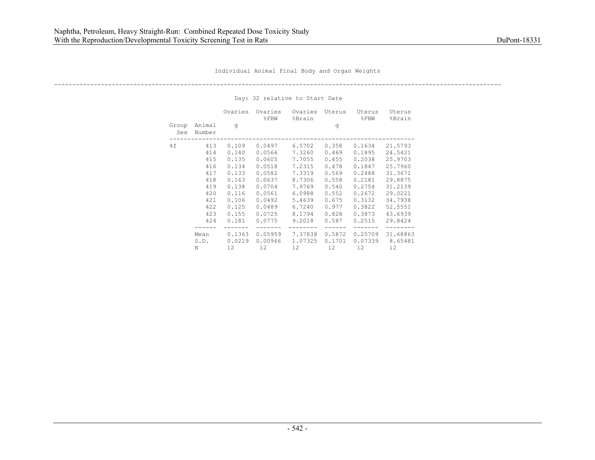----------------------------------------------------------------------------------------------------------------------------

|              |                                                                                  | Ovaries                                                                                                  | Ovaries<br>$\S$ FBW                                                                                                  | Ovaries<br>%Brain                                                                                                    | Uterus                                                                                                   | Uterus<br>$8$ FBW                                                                                                    | Uterus<br>%Brain                                                                                                                 |
|--------------|----------------------------------------------------------------------------------|----------------------------------------------------------------------------------------------------------|----------------------------------------------------------------------------------------------------------------------|----------------------------------------------------------------------------------------------------------------------|----------------------------------------------------------------------------------------------------------|----------------------------------------------------------------------------------------------------------------------|----------------------------------------------------------------------------------------------------------------------------------|
| Group<br>Sex | Animal<br>Number                                                                 | q                                                                                                        |                                                                                                                      |                                                                                                                      | g                                                                                                        |                                                                                                                      |                                                                                                                                  |
| 4f           | 413<br>414<br>415<br>416<br>417<br>418<br>419<br>420<br>421<br>422<br>423<br>424 | 0.109<br>0.140<br>0.135<br>0.134<br>0.133<br>0.163<br>0.138<br>0.116<br>0.106<br>0.125<br>0.155<br>0.181 | 0.0497<br>0.0566<br>0.0605<br>0.0518<br>0.0582<br>0.0637<br>0.0704<br>0.0561<br>0.0492<br>0.0489<br>0.0725<br>0.0775 | 6.5702<br>7.3260<br>7.7055<br>7.2315<br>7.3319<br>8.7306<br>7.9769<br>6.0988<br>5.4639<br>6.7240<br>8.1794<br>9.2018 | 0.358<br>0.469<br>0.455<br>0.478<br>0.569<br>0.558<br>0.540<br>0.552<br>0.675<br>0.977<br>0.828<br>0.587 | 0.1634<br>0.1895<br>0.2038<br>0.1847<br>0.2488<br>0.2181<br>0.2754<br>0.2672<br>0.3132<br>0.3822<br>0.3873<br>0.2515 | 21.5793<br>24.5421<br>25.9703<br>25.7960<br>31.3671<br>29.8875<br>31,2139<br>29.0221<br>34.7938<br>52.5551<br>43.6939<br>29.8424 |
|              | Mean<br>S.D.<br>N                                                                | 0.1363<br>0.0219<br>12.                                                                                  | 0.05959<br>0.00966<br>12.                                                                                            | 7.37838<br>1.07325<br>12.                                                                                            | 0.5872<br>0.1701<br>12.                                                                                  | 0.25709<br>0.07339<br>12.                                                                                            | 31.68863<br>8.65481<br>12.                                                                                                       |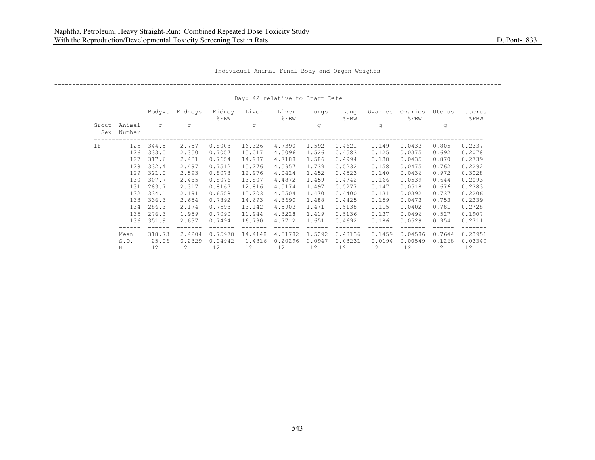----------------------------------------------------------------------------------------------------------------------------

|              |                  | Bodywt | Kidneys | Kidney<br>$8$ FBW | Liver   | Liver<br>$8$ FBW | Lungs  | Lung<br>%FBW | Ovaries | Ovaries<br>%FBW | Uterus | Uterus<br>$\S$ FBW |
|--------------|------------------|--------|---------|-------------------|---------|------------------|--------|--------------|---------|-----------------|--------|--------------------|
| Group<br>Sex | Animal<br>Number | q      | q       |                   | g       |                  | q      |              | q       |                 | q      |                    |
| 1f           | 125              | 344.5  | 2.757   | 0.8003            | 16.326  | 4,7390           | 1.592  | 0.4621       | 0.149   | 0.0433          | 0.805  | 0.2337             |
|              | 126              | 333.0  | 2.350   | 0.7057            | 15.017  | 4.5096           | 1.526  | 0.4583       | 0.125   | 0.0375          | 0.692  | 0.2078             |
|              | 127              | 317.6  | 2.431   | 0.7654            | 14.987  | 4.7188           | 1.586  | 0.4994       | 0.138   | 0.0435          | 0.870  | 0.2739             |
|              | 128              | 332.4  | 2.497   | 0.7512            | 15.276  | 4.5957           | 1.739  | 0.5232       | 0.158   | 0.0475          | 0.762  | 0.2292             |
|              | 129              | 321.0  | 2.593   | 0.8078            | 12.976  | 4.0424           | 1.452  | 0.4523       | 0.140   | 0.0436          | 0.972  | 0.3028             |
|              | 130              | 307.7  | 2.485   | 0.8076            | 13.807  | 4.4872           | 1.459  | 0.4742       | 0.166   | 0.0539          | 0.644  | 0.2093             |
|              | 131              | 283.7  | 2.317   | 0.8167            | 12.816  | 4.5174           | 1.497  | 0.5277       | 0.147   | 0.0518          | 0.676  | 0.2383             |
|              | 132              | 334.1  | 2.191   | 0.6558            | 15.203  | 4.5504           | 1.470  | 0.4400       | 0.131   | 0.0392          | 0.737  | 0.2206             |
|              | 133              | 336.3  | 2.654   | 0.7892            | 14.693  | 4.3690           | 1.488  | 0.4425       | 0.159   | 0.0473          | 0.753  | 0.2239             |
|              | 134              | 286.3  | 2.174   | 0.7593            | 13.142  | 4.5903           | 1.471  | 0.5138       | 0.115   | 0.0402          | 0.781  | 0.2728             |
|              | 135              | 276.3  | 1.959   | 0.7090            | 11.944  | 4.3228           | 1.419  | 0.5136       | 0.137   | 0.0496          | 0.527  | 0.1907             |
|              | 136              | 351.9  | 2.637   | 0.7494            | 16.790  | 4.7712           | 1.651  | 0.4692       | 0.186   | 0.0529          | 0.954  | 0.2711             |
|              | Mean             | 318.73 | 2.4204  | 0.75978           | 14.4148 | 4.51782          | 1.5292 | 0.48136      | 0.1459  | 0.04586         | 0.7644 | 0.23951            |
|              | S.D.             | 25.06  | 0.2329  | 0.04942           | 1.4816  | 0.20296          | 0.0947 | 0.03231      | 0.0194  | 0.00549         | 0.1268 | 0.03349            |
|              | N                | 12     | 12      | 12                | 12      | 12               | 12     | 12           | $12 \,$ | 12              | 12     | 12                 |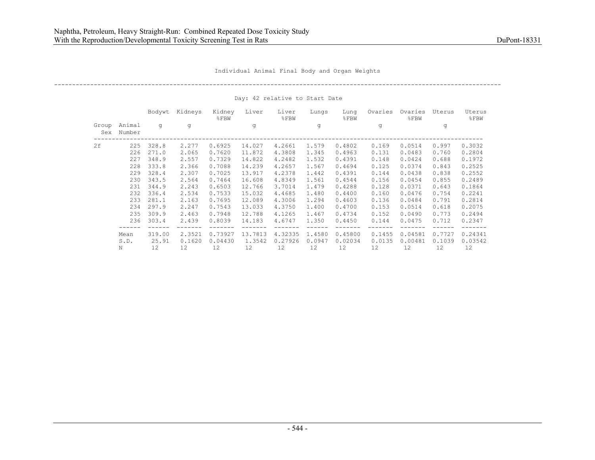Individual Animal Final Body and Organ Weights

----------------------------------------------------------------------------------------------------------------------------

Day: 42 relative to Start Date

|              |                  | Bodywt | Kidneys | Kidney<br>$8$ FBW | Liver   | Liver<br>$8$ FBW | Lungs  | Lung<br>%FBW | Ovaries | Ovaries<br>%FBW | Uterus | Uterus<br>$\S$ FBW |
|--------------|------------------|--------|---------|-------------------|---------|------------------|--------|--------------|---------|-----------------|--------|--------------------|
| Group<br>Sex | Animal<br>Number | q      | q       |                   | g       |                  | q      |              | q       |                 | q      |                    |
| 2f           | 225              | 328.8  | 2,277   | 0.6925            | 14.027  | 4.2661           | 1.579  | 0.4802       | 0.169   | 0.0514          | 0.997  | 0.3032             |
|              | 226              | 271.0  | 2.065   | 0.7620            | 11.872  | 4.3808           | 1.345  | 0.4963       | 0.131   | 0.0483          | 0.760  | 0.2804             |
|              | 227              | 348.9  | 2.557   | 0.7329            | 14.822  | 4.2482           | 1.532  | 0.4391       | 0.148   | 0.0424          | 0.688  | 0.1972             |
|              | 228              | 333.8  | 2.366   | 0.7088            | 14.239  | 4.2657           | 1.567  | 0.4694       | 0.125   | 0.0374          | 0.843  | 0.2525             |
|              | 229              | 328.4  | 2.307   | 0.7025            | 13.917  | 4.2378           | 1.442  | 0.4391       | 0.144   | 0.0438          | 0.838  | 0.2552             |
|              | 230              | 343.5  | 2.564   | 0.7464            | 16.608  | 4.8349           | 1.561  | 0.4544       | 0.156   | 0.0454          | 0.855  | 0.2489             |
|              | 231              | 344.9  | 2.243   | 0.6503            | 12.766  | 3.7014           | 1.479  | 0.4288       | 0.128   | 0.0371          | 0.643  | 0.1864             |
|              | 232              | 336.4  | 2.534   | 0.7533            | 15.032  | 4.4685           | 1.480  | 0.4400       | 0.160   | 0.0476          | 0.754  | 0.2241             |
|              | 233              | 281.1  | 2.163   | 0.7695            | 12.089  | 4.3006           | 1.294  | 0.4603       | 0.136   | 0.0484          | 0.791  | 0.2814             |
|              | 234              | 297.9  | 2.247   | 0.7543            | 13.033  | 4.3750           | 1,400  | 0.4700       | 0.153   | 0.0514          | 0.618  | 0.2075             |
|              | 235              | 309.9  | 2.463   | 0.7948            | 12.788  | 4.1265           | 1.467  | 0.4734       | 0.152   | 0.0490          | 0.773  | 0.2494             |
|              | 236              | 303.4  | 2.439   | 0.8039            | 14.183  | 4.6747           | 1.350  | 0.4450       | 0.144   | 0.0475          | 0.712  | 0.2347             |
|              | Mean             | 319.00 | 2.3521  | 0.73927           | 13.7813 | 4.32335          | 1.4580 | 0.45800      | 0.1455  | 0.04581         | 0.7727 | 0.24341            |
|              | S.D.             | 25.91  | 0.1620  | 0.04430           | 1.3542  | 0.27926          | 0.0947 | 0.02034      | 0.0135  | 0.00481         | 0.1039 | 0.03542            |
|              | N                | 12     | 12      | 12                | 12      | 12               | 12     | 12           | $12 \,$ | 12              | 12     | 12                 |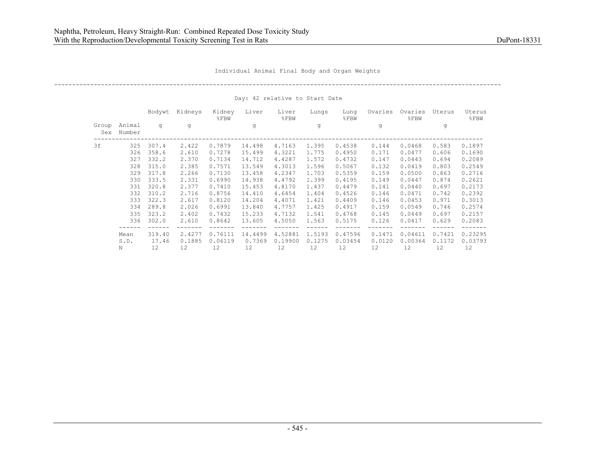Individual Animal Final Body and Organ Weights

----------------------------------------------------------------------------------------------------------------------------

Day: 42 relative to Start Date

|              |                  | Bodywt | Kidneys | Kidney<br>$8$ FBW | Liver   | Liver<br>$8$ FBW | Lungs  | Lung<br>%FBW | Ovaries           | Ovaries<br>%FBW | Uterus | Uterus<br>$\S$ FBW |
|--------------|------------------|--------|---------|-------------------|---------|------------------|--------|--------------|-------------------|-----------------|--------|--------------------|
| Group<br>Sex | Animal<br>Number | q      | q       |                   | g       |                  | q      |              | q                 |                 | q      |                    |
| 3f           | 325              | 307.4  | 2.422   | 0.7879            | 14.498  | 4.7163           | 1.395  | 0.4538       | 0.144             | 0.0468          | 0.583  | 0.1897             |
|              | 326              | 358.6  | 2.610   | 0.7278            | 15.499  | 4.3221           | 1.775  | 0.4950       | 0.171             | 0.0477          | 0.606  | 0.1690             |
|              | 327              | 332.2  | 2.370   | 0.7134            | 14.712  | 4.4287           | 1.572  | 0.4732       | 0.147             | 0.0443          | 0.694  | 0.2089             |
|              | 328              | 315.0  | 2.385   | 0.7571            | 13.549  | 4.3013           | 1.596  | 0.5067       | 0.132             | 0.0419          | 0.803  | 0.2549             |
|              | 329              | 317.8  | 2.266   | 0.7130            | 13.458  | 4.2347           | 1.703  | 0.5359       | 0.159             | 0.0500          | 0.863  | 0.2716             |
|              | 330              | 333.5  | 2.331   | 0.6990            | 14.938  | 4.4792           | 1.399  | 0.4195       | 0.149             | 0.0447          | 0.874  | 0.2621             |
|              | 331              | 320.8  | 2.377   | 0.7410            | 15.453  | 4.8170           | 1.437  | 0.4479       | 0.141             | 0.0440          | 0.697  | 0.2173             |
|              | 332              | 310.2  | 2.716   | 0.8756            | 14.410  | 4.6454           | 1.404  | 0.4526       | 0.146             | 0.0471          | 0.742  | 0.2392             |
|              | 333              | 322.3  | 2.617   | 0.8120            | 14.204  | 4.4071           | 1.421  | 0.4409       | 0.146             | 0.0453          | 0.971  | 0.3013             |
|              | 334              | 289.8  | 2.026   | 0.6991            | 13.840  | 4.7757           | 1.425  | 0.4917       | 0.159             | 0.0549          | 0.746  | 0.2574             |
|              | 335              | 323.2  | 2.402   | 0.7432            | 15.233  | 4.7132           | 1.541  | 0.4768       | 0.145             | 0.0449          | 0.697  | 0.2157             |
|              | 336              | 302.0  | 2.610   | 0.8642            | 13.605  | 4.5050           | 1.563  | 0.5175       | 0.126             | 0.0417          | 0.629  | 0.2083             |
|              | Mean             | 319.40 | 2.4277  | 0.76111           | 14.4499 | 4.52881          | 1.5193 | 0.47596      | 0.1471            | 0.04611         | 0.7421 | 0.23295            |
|              | S.D.             | 17.46  | 0.1885  | 0.06119           | 0.7369  | 0.19900          | 0.1275 | 0.03454      | 0.0120            | 0.00364         | 0.1172 | 0.03793            |
|              | N                | 12     | 12      | 12                | 12      | 12               | 12     | 12           | $12 \overline{ }$ | 12              | 12     | 12                 |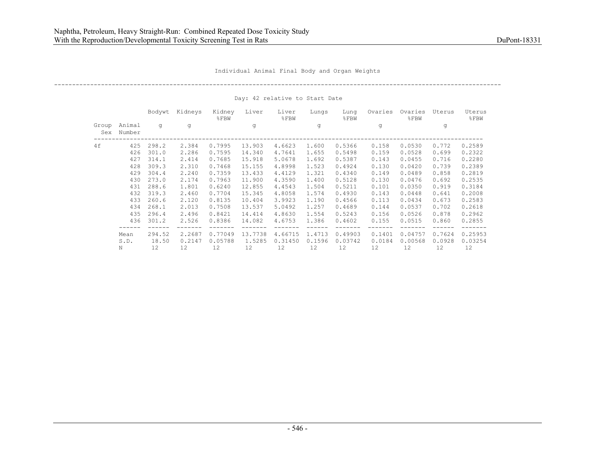Individual Animal Final Body and Organ Weights

----------------------------------------------------------------------------------------------------------------------------

Day: 42 relative to Start Date

|              |                  | Bodywt | Kidneys | Kidney<br>$8$ FBW | Liver   | Liver<br>$8$ FBW | Lungs  | Lung<br>$8$ FBW | Ovaries | Ovaries<br>%FBW | Uterus | Uterus<br>$8$ $FBW$ |
|--------------|------------------|--------|---------|-------------------|---------|------------------|--------|-----------------|---------|-----------------|--------|---------------------|
| Group<br>Sex | Animal<br>Number | q      | q       |                   | q       |                  | q      |                 | q       |                 | q      |                     |
| 4f           | 425              | 298.2  | 2.384   | 0.7995            | 13.903  | 4.6623           | 1.600  | 0.5366          | 0.158   | 0.0530          | 0.772  | 0.2589              |
|              | 426              | 301.0  | 2.286   | 0.7595            | 14.340  | 4.7641           | 1.655  | 0.5498          | 0.159   | 0.0528          | 0.699  | 0.2322              |
|              | 427              | 314.1  | 2.414   | 0.7685            | 15.918  | 5.0678           | 1.692  | 0.5387          | 0.143   | 0.0455          | 0.716  | 0.2280              |
|              | 428              | 309.3  | 2.310   | 0.7468            | 15.155  | 4.8998           | 1.523  | 0.4924          | 0.130   | 0.0420          | 0.739  | 0.2389              |
|              | 429              | 304.4  | 2.240   | 0.7359            | 13.433  | 4.4129           | 1.321  | 0.4340          | 0.149   | 0.0489          | 0.858  | 0.2819              |
|              | 430              | 273.0  | 2.174   | 0.7963            | 11,900  | 4.3590           | 1,400  | 0.5128          | 0.130   | 0.0476          | 0.692  | 0.2535              |
|              | 431              | 288.6  | 1.801   | 0.6240            | 12.855  | 4.4543           | 1.504  | 0.5211          | 0.101   | 0.0350          | 0.919  | 0.3184              |
|              | 432              | 319.3  | 2.460   | 0.7704            | 15.345  | 4.8058           | 1.574  | 0.4930          | 0.143   | 0.0448          | 0.641  | 0.2008              |
|              | 433              | 260.6  | 2.120   | 0.8135            | 10.404  | 3.9923           | 1.190  | 0.4566          | 0.113   | 0.0434          | 0.673  | 0.2583              |
|              | 434              | 268.1  | 2.013   | 0.7508            | 13.537  | 5.0492           | 1.257  | 0.4689          | 0.144   | 0.0537          | 0.702  | 0.2618              |
|              | 435              | 296.4  | 2.496   | 0.8421            | 14.414  | 4.8630           | 1.554  | 0.5243          | 0.156   | 0.0526          | 0.878  | 0.2962              |
|              | 436              | 301.2  | 2.526   | 0.8386            | 14.082  | 4.6753           | 1.386  | 0.4602          | 0.155   | 0.0515          | 0.860  | 0.2855              |
|              | Mean             | 294.52 | 2.2687  | 0.77049           | 13.7738 | 4.66715          | 1.4713 | 0.49903         | 0.1401  | 0.04757         | 0.7624 | 0.25953             |
|              | S.D.             | 18.50  | 0.2147  | 0.05788           | 1.5285  | 0.31450          | 0.1596 | 0.03742         | 0.0184  | 0.00568         | 0.0928 | 0.03254             |
|              | N                | 12     | 12      | 12                | 12      | 12               | 12     | 12              | 12      | 12              | 12     | 12                  |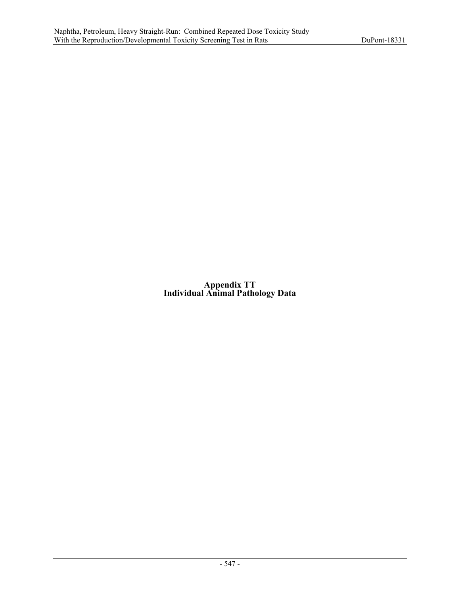**Appendix TT Individual Animal Pathology Data**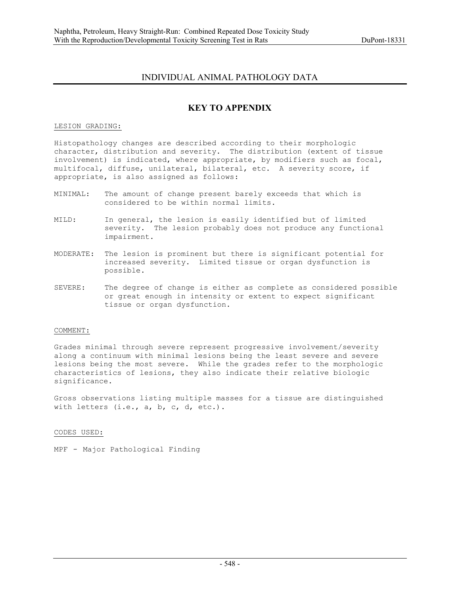# INDIVIDUAL ANIMAL PATHOLOGY DATA

# **KEY TO APPENDIX**

## LESION GRADING:

Histopathology changes are described according to their morphologic character, distribution and severity. The distribution (extent of tissue involvement) is indicated, where appropriate, by modifiers such as focal, multifocal, diffuse, unilateral, bilateral, etc. A severity score, if appropriate, is also assigned as follows:

- MINIMAL: The amount of change present barely exceeds that which is considered to be within normal limits.
- MILD: In general, the lesion is easily identified but of limited severity. The lesion probably does not produce any functional impairment.
- MODERATE: The lesion is prominent but there is significant potential for increased severity. Limited tissue or organ dysfunction is possible.
- SEVERE: The degree of change is either as complete as considered possible or great enough in intensity or extent to expect significant tissue or organ dysfunction.

## COMMENT:

Grades minimal through severe represent progressive involvement/severity along a continuum with minimal lesions being the least severe and severe lesions being the most severe. While the grades refer to the morphologic characteristics of lesions, they also indicate their relative biologic significance.

Gross observations listing multiple masses for a tissue are distinguished with letters  $(i.e., a, b, c, d, etc.).$ 

CODES USED:

MPF - Major Pathological Finding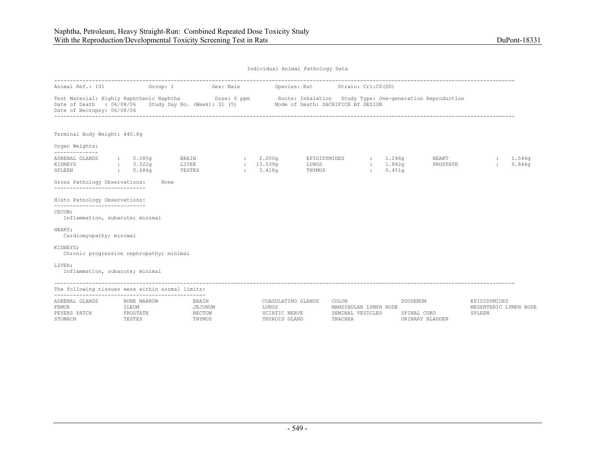| Animal Ref.: 101                                                                                                                                                                                                                            |                                      |             | Group: 1 Sex: Male                          |                                                               | Species: Rat Strain: Crl:CD(SD) |                                           |                                |                                |                                                 |                  |
|---------------------------------------------------------------------------------------------------------------------------------------------------------------------------------------------------------------------------------------------|--------------------------------------|-------------|---------------------------------------------|---------------------------------------------------------------|---------------------------------|-------------------------------------------|--------------------------------|--------------------------------|-------------------------------------------------|------------------|
| Test Material: Highly Naphthenic Naphtha<br>Dose: 0 ppm Route: Inhalation Study Type: One-generation Reproduction<br>Date of Death : 06/08/06 Study Day No. (Week): 31 (5) Mode of Death: SACRIFICE BY DESIGN<br>Date of Necropsy: 06/08/06 |                                      |             |                                             |                                                               |                                 |                                           |                                |                                |                                                 |                  |
| Terminal Body Weight: 440.8q                                                                                                                                                                                                                |                                      |             |                                             |                                                               |                                 |                                           |                                |                                |                                                 |                  |
| Organ Weights:<br>--------------                                                                                                                                                                                                            |                                      |             |                                             |                                                               |                                 |                                           |                                |                                |                                                 |                  |
| ADRENAL GLANDS<br>KIDNEYS<br>SPLEEN                                                                                                                                                                                                         | 0.085q<br>: 3.522q<br>$\cdot$ 0.686q |             | BRAIN<br>LIVER<br>TESTES                    | : 2.000q<br>: 13.539q<br>: 3.418q                             | EPIDIDYMIDES<br>LUNGS<br>THYMUS | 1.246q<br><b>STATE</b>                    | : 1.842q<br>0.451 <sub>q</sub> | HEART<br>PROSTATE              | $\sim$<br>$\mathbf{r}$                          | 1.546q<br>0.844q |
| Gross Pathology Observations:<br>________________________________                                                                                                                                                                           |                                      | None        |                                             |                                                               |                                 |                                           |                                |                                |                                                 |                  |
| Histo Pathology Observations:<br>------------------------------                                                                                                                                                                             |                                      |             |                                             |                                                               |                                 |                                           |                                |                                |                                                 |                  |
| CECUM:<br>Inflammation, subacute; minimal                                                                                                                                                                                                   |                                      |             |                                             |                                                               |                                 |                                           |                                |                                |                                                 |                  |
| HEART:<br>Cardiomyopathy; minimal                                                                                                                                                                                                           |                                      |             |                                             |                                                               |                                 |                                           |                                |                                |                                                 |                  |
| KIDNEYS;<br>Chronic progressive nephropathy; minimal                                                                                                                                                                                        |                                      |             |                                             |                                                               |                                 |                                           |                                |                                |                                                 |                  |
| LIVER:<br>Inflammation, subacute; minimal                                                                                                                                                                                                   |                                      |             |                                             |                                                               |                                 |                                           |                                |                                |                                                 |                  |
| The following tissues were within normal limits:                                                                                                                                                                                            |                                      |             |                                             |                                                               |                                 |                                           |                                |                                |                                                 |                  |
| ADRENAL GLANDS<br><b>FEMUR</b><br>PEYERS PATCH<br>STOMACH                                                                                                                                                                                   | ILEUM<br>PROSTATE<br>TESTES          | BONE MARROW | <b>BRAIN</b><br>JEJUNUM<br>RECTUM<br>THYMUS | COAGULATING GLANDS<br>LUNGS<br>SCIATIC NERVE<br>THYROID GLAND | COLON<br>TRACHEA                | MANDIBULAR LYMPH NODE<br>SEMINAL VESICLES | DUODENUM                       | SPINAL CORD<br>URINARY BLADDER | EPIDIDYMIDES<br>MESENTERIC LYMPH NODE<br>SPLEEN |                  |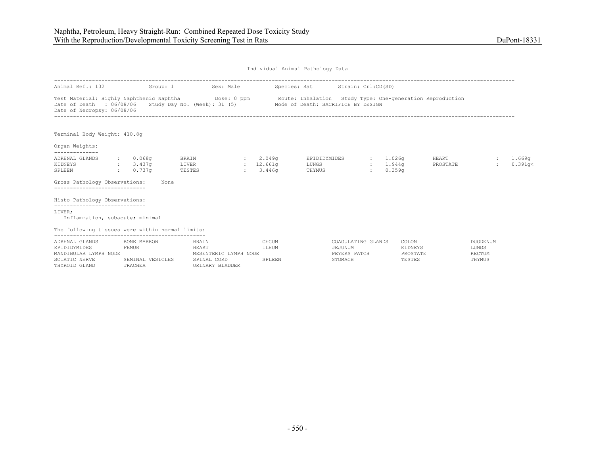| Animal Ref.: 102                                                                                                                 |       | Group: 1                                   |                 | Sex: Male                                                                        |                                 | Species: Rat                       | Strain: Crl:CD(SD)                                       |                  |                              |                                        |                                                           |                                                     |                        |                               |
|----------------------------------------------------------------------------------------------------------------------------------|-------|--------------------------------------------|-----------------|----------------------------------------------------------------------------------|---------------------------------|------------------------------------|----------------------------------------------------------|------------------|------------------------------|----------------------------------------|-----------------------------------------------------------|-----------------------------------------------------|------------------------|-------------------------------|
| Test Material: Highly Naphthenic Naphtha Dose: 0 ppm<br>Date of Death : 06/08/06<br>Date of Necropsy: 06/08/06                   |       |                                            |                 | Study Day No. (Week): 31 (5)                                                     |                                 | Mode of Death: SACRIFICE BY DESIGN |                                                          |                  |                              |                                        | Route: Inhalation Study Type: One-generation Reproduction |                                                     |                        |                               |
| Terminal Body Weight: 410.8q                                                                                                     |       |                                            |                 |                                                                                  |                                 |                                    |                                                          |                  |                              |                                        |                                                           |                                                     |                        |                               |
| Organ Weights:<br>--------------                                                                                                 |       |                                            |                 |                                                                                  |                                 |                                    |                                                          |                  |                              |                                        |                                                           |                                                     |                        |                               |
| ADRENAL GLANDS<br>KIDNEYS<br>SPLEEN                                                                                              |       | : 0.068q<br>3.437q<br>: 0.737q             | LIVER<br>TESTES | <b>BRAIN</b><br>$\mathbf{r}$                                                     | : 2.049q<br>: 12.661q<br>3.446q | EPIDIDYMIDES<br>LUNGS<br>THYMUS    |                                                          | $\sim$<br>$\sim$ | : 1.026q<br>1.944q<br>0.359q |                                        | HEART<br>PROSTATE                                         |                                                     | <b>State</b><br>$\sim$ | 1.669 <sub>q</sub><br>0.391q< |
| Gross Pathology Observations:                                                                                                    |       | None                                       |                 |                                                                                  |                                 |                                    |                                                          |                  |                              |                                        |                                                           |                                                     |                        |                               |
| Histo Pathology Observations:<br>-----------------------------                                                                   |       |                                            |                 |                                                                                  |                                 |                                    |                                                          |                  |                              |                                        |                                                           |                                                     |                        |                               |
| LIVER:<br>Inflammation, subacute; minimal                                                                                        |       |                                            |                 |                                                                                  |                                 |                                    |                                                          |                  |                              |                                        |                                                           |                                                     |                        |                               |
| The following tissues were within normal limits:                                                                                 |       |                                            |                 |                                                                                  |                                 |                                    |                                                          |                  |                              |                                        |                                                           |                                                     |                        |                               |
| ----------------------------<br>ADRENAL GLANDS<br>EPIDIDYMIDES<br>MANDIBULAR LYMPH NODE<br><b>SCIATIC NERVE</b><br>THYROID GLAND | FEMUR | BONE MARROW<br>SEMINAL VESICLES<br>TRACHEA |                 | <b>BRAIN</b><br>HEART<br>MESENTERIC LYMPH NODE<br>SPINAL CORD<br>URINARY BLADDER | CECUM<br>ILEUM<br>SPLEEN        |                                    | COAGULATING GLANDS<br>JEJUNUM<br>PEYERS PATCH<br>STOMACH |                  |                              | COLON<br>KIDNEYS<br>PROSTATE<br>TESTES |                                                           | <b>DUODENUM</b><br>LUNGS<br><b>RECTUM</b><br>THYMUS |                        |                               |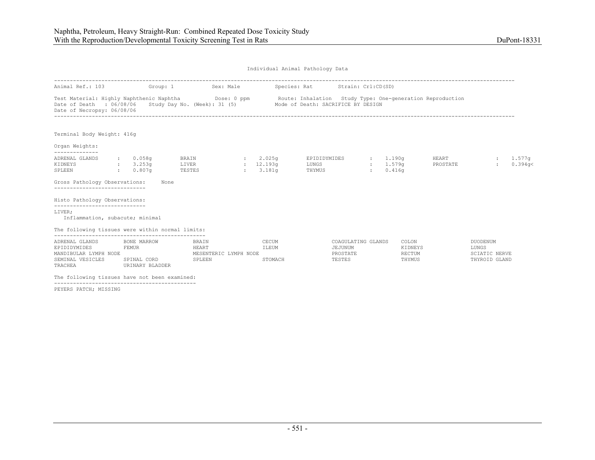| Animal Ref.: 103                                                                                                                            | Group: 1                                               |                                                   | Sex: Male |                           | Species: Rat Strain: Crl:CD(SD)                                                                                                             |                                                 |                                                           |                                                                   |                   |
|---------------------------------------------------------------------------------------------------------------------------------------------|--------------------------------------------------------|---------------------------------------------------|-----------|---------------------------|---------------------------------------------------------------------------------------------------------------------------------------------|-------------------------------------------------|-----------------------------------------------------------|-------------------------------------------------------------------|-------------------|
| Test Material: Highly Naphthenic Naphtha Dose: 0 ppm<br>Date of Death : 06/08/06 Study Day No. (Week): 31 (5)<br>Date of Necropsy: 06/08/06 |                                                        |                                                   |           |                           | Mode of Death: SACRIFICE BY DESIGN                                                                                                          |                                                 | Route: Inhalation Study Type: One-generation Reproduction |                                                                   |                   |
| Terminal Body Weight: 416g                                                                                                                  |                                                        |                                                   |           |                           |                                                                                                                                             |                                                 |                                                           |                                                                   |                   |
| Organ Weights:                                                                                                                              |                                                        |                                                   |           |                           |                                                                                                                                             |                                                 |                                                           |                                                                   |                   |
| --------------<br>ADRENAL GLANDS<br>KIDNEYS<br>$\sim 0.807$ q<br>SPLEEN                                                                     | $\, \cdot \hspace{1.2cm} 0 \, . \, 058$ q<br>3.253q    | LIVER<br>TESTES                                   |           |                           | BRAIN $\qquad \qquad ; \qquad 2.025g \qquad \qquad \text{EPIDIDYMIDES} \qquad \qquad ; \qquad 1.190g$<br>: 12.193q LUNGS<br>: 3.181q THYMUS | 1.579a<br>$\sim$ 100 $\sim$<br>0.416q<br>$\sim$ | <b>HEART</b><br>PROSTATE                                  | <b>State</b><br>$\mathbf{L}$                                      | 1.577q<br>0.394q< |
| Gross Pathology Observations:<br>------------------------------                                                                             | None                                                   |                                                   |           |                           |                                                                                                                                             |                                                 |                                                           |                                                                   |                   |
| Histo Pathology Observations:<br>-----------------------------                                                                              |                                                        |                                                   |           |                           |                                                                                                                                             |                                                 |                                                           |                                                                   |                   |
| LIVER;<br>Inflammation, subacute; minimal                                                                                                   |                                                        |                                                   |           |                           |                                                                                                                                             |                                                 |                                                           |                                                                   |                   |
| The following tissues were within normal limits:                                                                                            |                                                        |                                                   |           |                           |                                                                                                                                             |                                                 |                                                           |                                                                   |                   |
| ADRENAL GLANDS<br>EPIDIDYMIDES<br>MANDIBULAR LYMPH NODE<br>SEMINAL VESICLES<br>TRACHEA                                                      | BONE MARROW<br>FEMUR<br>SPINAL CORD<br>URINARY BLADDER | BRAIN<br>HEART<br>MESENTERIC LYMPH NODE<br>SPLEEN |           | CECUM<br>ILEUM<br>STOMACH | JEJUNUM<br>PROSTATE<br>TESTES                                                                                                               | COAGULATING GLANDS                              | COLON<br>KIDNEYS<br>RECTUM<br>THYMUS                      | <b>DUODENUM</b><br>LUNGS<br><b>SCIATIC NERVE</b><br>THYROID GLAND |                   |
| The following tissues have not been examined:                                                                                               |                                                        |                                                   |           |                           |                                                                                                                                             |                                                 |                                                           |                                                                   |                   |

PEYERS PATCH; MISSING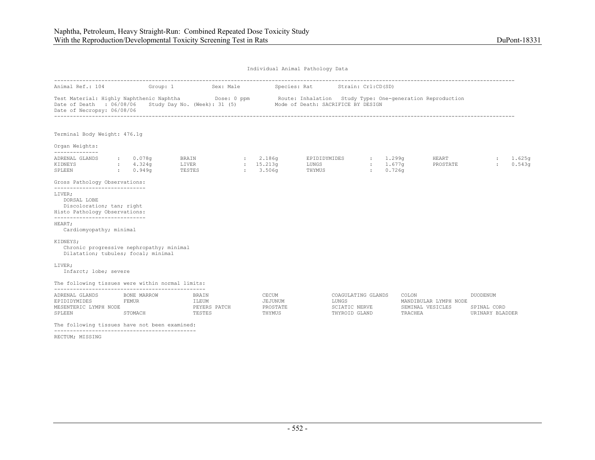| Animal Ref.: 104                                                                                                                            |                                           | Group: 1 Sex: Male                       |                                        | Species: Rat Strain: Crl:CD(SD)         |                                      |                                                               |                                            |
|---------------------------------------------------------------------------------------------------------------------------------------------|-------------------------------------------|------------------------------------------|----------------------------------------|-----------------------------------------|--------------------------------------|---------------------------------------------------------------|--------------------------------------------|
| Test Material: Highly Naphthenic Naphtha Dose: 0 ppm<br>Date of Death : 06/08/06 Study Day No. (Week): 31 (5)<br>Date of Necropsy: 06/08/06 |                                           |                                          |                                        | Mode of Death: SACRIFICE BY DESIGN      |                                      | Route: Inhalation Study Type: One-generation Reproduction     |                                            |
| Terminal Body Weight: 476.1q                                                                                                                |                                           |                                          |                                        |                                         |                                      |                                                               |                                            |
| Organ Weights:<br>--------------                                                                                                            |                                           |                                          |                                        |                                         |                                      |                                                               |                                            |
| ADRENAL GLANDS<br>KIDNEYS<br>SPLEEN                                                                                                         | $\,:\qquad 0.078$ q<br>4.324q<br>: 0.949q | BRAIN<br>LIVER<br>TESTES                 | 2.186q<br>: 15.213q<br>: 3.506q        | EPIDIDYMIDES<br>LUNGS<br>THYMUS         | 1.299q<br>$\mathcal{L}$<br>$1.677$ q | HEART<br>PROSTATE<br>0.726q                                   | 1.625q<br>$\ddot{\phantom{a}}$<br>0.543q   |
| Gross Pathology Observations:                                                                                                               |                                           |                                          |                                        |                                         |                                      |                                                               |                                            |
| ------------------------------<br>LIVER;<br>DORSAL LOBE<br>Discoloration; tan; right<br>Histo Pathology Observations:                       |                                           |                                          |                                        |                                         |                                      |                                                               |                                            |
| ------------------------------<br>HEART:<br>Cardiomyopathy; minimal                                                                         |                                           |                                          |                                        |                                         |                                      |                                                               |                                            |
| KIDNEYS;<br>Chronic progressive nephropathy; minimal<br>Dilatation; tubules; focal; minimal                                                 |                                           |                                          |                                        |                                         |                                      |                                                               |                                            |
| LIVER;<br>Infarct; lobe; severe                                                                                                             |                                           |                                          |                                        |                                         |                                      |                                                               |                                            |
| The following tissues were within normal limits:                                                                                            |                                           |                                          |                                        |                                         |                                      |                                                               |                                            |
| ADRENAL GLANDS<br>EPIDIDYMIDES<br>MESENTERIC LYMPH NODE<br>SPLEEN                                                                           | BONE MARROW<br><b>FEMUR</b><br>STOMACH    | BRAIN<br>ILEUM<br>PEYERS PATCH<br>TESTES | CECUM<br>JEJUNUM<br>PROSTATE<br>THYMUS | LUNGS<br>SCIATIC NERVE<br>THYROID GLAND | COAGULATING GLANDS                   | COLON<br>MANDIBULAR LYMPH NODE<br>SEMINAL VESICLES<br>TRACHEA | DUODENUM<br>SPINAL CORD<br>URINARY BLADDER |
| The following tissues have not been examined:                                                                                               |                                           |                                          |                                        |                                         |                                      |                                                               |                                            |

---------------------------------------------

RECTUM; MISSING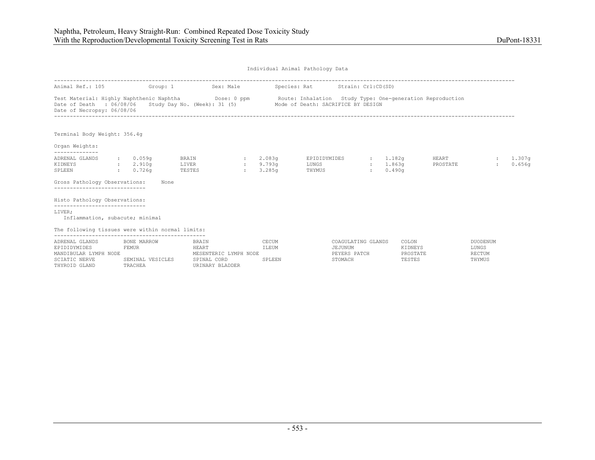| Animal Ref.: 105                                                                                               | Group: 1                                                          |                          | Sex: Male                                                                        |              | Species: Rat                 |                                 | Strain: Crl:CD(SD)                                       |                          |                                                           |                   |                                                     |                         |                  |
|----------------------------------------------------------------------------------------------------------------|-------------------------------------------------------------------|--------------------------|----------------------------------------------------------------------------------|--------------|------------------------------|---------------------------------|----------------------------------------------------------|--------------------------|-----------------------------------------------------------|-------------------|-----------------------------------------------------|-------------------------|------------------|
| Test Material: Highly Naphthenic Naphtha Dose: 0 ppm<br>Date of Death : 06/08/06<br>Date of Necropsy: 06/08/06 |                                                                   |                          | Study Day No. (Week): 31 (5) Mode of Death: SACRIFICE BY DESIGN                  |              |                              |                                 |                                                          |                          | Route: Inhalation Study Type: One-generation Reproduction |                   |                                                     |                         |                  |
| Terminal Body Weight: 356.4g                                                                                   |                                                                   |                          |                                                                                  |              |                              |                                 |                                                          |                          |                                                           |                   |                                                     |                         |                  |
| Organ Weights:                                                                                                 |                                                                   |                          |                                                                                  |              |                              |                                 |                                                          |                          |                                                           |                   |                                                     |                         |                  |
| ADRENAL GLANDS<br>KIDNEYS<br>SPLEEN                                                                            | : 0.059q<br>: 2.910q<br>: 0.726q                                  | BRAIN<br>LIVER<br>TESTES |                                                                                  | $\mathbf{r}$ | : 2.083q<br>9.793q<br>3.285q | EPIDIDYMIDES<br>LUNGS<br>THYMUS |                                                          | $\sim$<br>$\mathbb{R}^n$ | 1.182g<br>1.863a<br>0.490q                                | HEART<br>PROSTATE |                                                     | $\sim$<br>$\mathcal{L}$ | 1.307g<br>0.656q |
| Gross Pathology Observations:                                                                                  | None                                                              |                          |                                                                                  |              |                              |                                 |                                                          |                          |                                                           |                   |                                                     |                         |                  |
| Histo Pathology Observations:<br>------------------------------                                                |                                                                   |                          |                                                                                  |              |                              |                                 |                                                          |                          |                                                           |                   |                                                     |                         |                  |
| LIVER:<br>Inflammation, subacute; minimal                                                                      |                                                                   |                          |                                                                                  |              |                              |                                 |                                                          |                          |                                                           |                   |                                                     |                         |                  |
| The following tissues were within normal limits:                                                               |                                                                   |                          |                                                                                  |              |                              |                                 |                                                          |                          |                                                           |                   |                                                     |                         |                  |
| ADRENAL GLANDS<br>EPIDIDYMIDES<br>MANDIBULAR LYMPH NODE<br>SCIATIC NERVE<br>THYROID GLAND                      | <b>BONE MARROW</b><br><b>FEMUR</b><br>SEMINAL VESICLES<br>TRACHEA |                          | <b>BRAIN</b><br>HEART<br>MESENTERIC LYMPH NODE<br>SPINAL CORD<br>URINARY BLADDER |              | CECUM<br>ILEUM<br>SPLEEN     |                                 | COAGULATING GLANDS<br>JEJUNUM<br>PEYERS PATCH<br>STOMACH |                          | COLON<br>KIDNEYS<br>PROSTATE<br>TESTES                    |                   | <b>DUODENUM</b><br>LUNGS<br><b>RECTUM</b><br>THYMUS |                         |                  |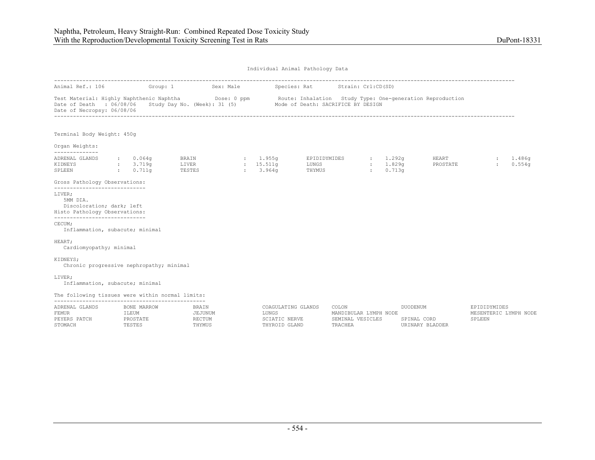| Animal Ref.: 106                                                                                                                                                         |                                                   | Group: 1 Sex: Male                                              |                                                               | Species: Rat Strain: Crl:CD(SD) |                                                               |              |                                           |                                |                                                 |                    |
|--------------------------------------------------------------------------------------------------------------------------------------------------------------------------|---------------------------------------------------|-----------------------------------------------------------------|---------------------------------------------------------------|---------------------------------|---------------------------------------------------------------|--------------|-------------------------------------------|--------------------------------|-------------------------------------------------|--------------------|
| Test Material: Highly Naphthenic Naphtha Mose: 0 ppm Route: Inhalation Study Type: One-generation Reproduction<br>Date of Death : 06/08/06<br>Date of Necropsy: 06/08/06 |                                                   | Study Day No. (Week): 31 (5) Mode of Death: SACRIFICE BY DESIGN |                                                               |                                 |                                                               |              |                                           |                                |                                                 |                    |
| Terminal Body Weight: 450g                                                                                                                                               |                                                   |                                                                 |                                                               |                                 |                                                               |              |                                           |                                |                                                 |                    |
| Organ Weights:<br>--------------                                                                                                                                         |                                                   |                                                                 |                                                               |                                 |                                                               |              |                                           |                                |                                                 |                    |
| ADRENAL GLANDS<br>KIDNEYS<br>SPLEEN                                                                                                                                      | : 0.064q<br>: 3.719q<br>$\, \cdot \,$ $\, 0.711q$ | BRAIN<br>LIVER<br>TESTES                                        | : 1.955q<br>: 15.511q<br>: 3.964q                             | EPIDIDYMIDES<br>LUNGS<br>THYMUS |                                                               | $\mathbf{L}$ | $\therefore$ 1.292q<br>: 1.829q<br>0.713q | HEART<br>PROSTATE              | $\ddot{\phantom{a}}$                            | : 1.486q<br>0.554q |
| Gross Pathology Observations:                                                                                                                                            |                                                   |                                                                 |                                                               |                                 |                                                               |              |                                           |                                |                                                 |                    |
| ------------------------------<br>LIVER:<br>5MM DIA.<br>Discoloration; dark; left<br>Histo Pathology Observations:<br>------------------------------                     |                                                   |                                                                 |                                                               |                                 |                                                               |              |                                           |                                |                                                 |                    |
| CECUM;<br>Inflammation, subacute; minimal                                                                                                                                |                                                   |                                                                 |                                                               |                                 |                                                               |              |                                           |                                |                                                 |                    |
| HEART;<br>Cardiomyopathy; minimal                                                                                                                                        |                                                   |                                                                 |                                                               |                                 |                                                               |              |                                           |                                |                                                 |                    |
| KIDNEYS;                                                                                                                                                                 | Chronic progressive nephropathy; minimal          |                                                                 |                                                               |                                 |                                                               |              |                                           |                                |                                                 |                    |
| LIVER;<br>Inflammation, subacute; minimal                                                                                                                                |                                                   |                                                                 |                                                               |                                 |                                                               |              |                                           |                                |                                                 |                    |
| The following tissues were within normal limits:                                                                                                                         |                                                   |                                                                 |                                                               |                                 |                                                               |              |                                           |                                |                                                 |                    |
| ADRENAL GLANDS<br><b>FEMUR</b><br>PEYERS PATCH<br>STOMACH                                                                                                                | BONE MARROW<br>ILEUM<br>PROSTATE<br>TESTES        | <b>BRAIN</b><br>JEJUNUM<br>RECTUM<br>THYMUS                     | COAGULATING GLANDS<br>LUNGS<br>SCIATIC NERVE<br>THYROID GLAND |                                 | COLON<br>MANDIBULAR LYMPH NODE<br>SEMINAL VESICLES<br>TRACHEA |              | <b>DUODENUM</b>                           | SPINAL CORD<br>URINARY BLADDER | EPIDIDYMIDES<br>MESENTERIC LYMPH NODE<br>SPLEEN |                    |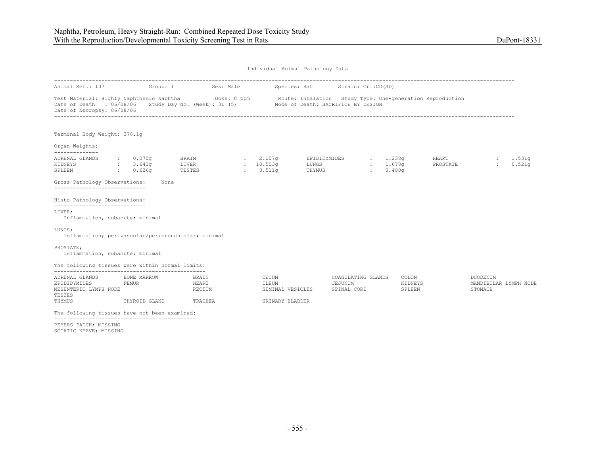| Animal Ref.: 107                                                                                               |                                              |      | Group: 1 Sex: Male             |                                | Species: Rat                                              |                                 | Strain: Crl:CD(SD)                           |                                             |                              |                   |                                                   |                       |
|----------------------------------------------------------------------------------------------------------------|----------------------------------------------|------|--------------------------------|--------------------------------|-----------------------------------------------------------|---------------------------------|----------------------------------------------|---------------------------------------------|------------------------------|-------------------|---------------------------------------------------|-----------------------|
| Test Material: Highly Naphthenic Naphtha Dose: 0 ppm<br>Date of Death : 06/08/06<br>Date of Necropsy: 06/08/06 |                                              |      | Study Day No. (Week): $31$ (5) |                                | Route: Inhalation Study Type: One-generation Reproduction |                                 | Mode of Death: SACRIFICE BY DESIGN           |                                             |                              |                   |                                                   |                       |
| Terminal Body Weight: 376.1q                                                                                   |                                              |      |                                |                                |                                                           |                                 |                                              |                                             |                              |                   |                                                   |                       |
| Organ Weights:<br>--------------                                                                               |                                              |      |                                |                                |                                                           |                                 |                                              |                                             |                              |                   |                                                   |                       |
| ADRENAL GLANDS<br>KIDNEYS<br>$\sim 10^{11}$ km $^{-1}$<br>SPLEEN                                               | $\cdot$ 0.070q<br>3.641q<br>0.626q<br>$\sim$ |      | BRAIN<br>LIVER<br>TESTES       | $\mathbf{r}$<br>$\mathbb{R}^n$ | 2.107 <sub>q</sub><br>: 10.503q<br>3.511q                 | EPIDIDYMIDES<br>LUNGS<br>THYMUS |                                              | $\mathcal{L} = \mathcal{L}$<br>$\mathbf{r}$ | : 1.238q<br>1.678g<br>0.400q | HEART<br>PROSTATE | $\ddot{\phantom{a}}$<br>$\mathbb{R}^{\mathbb{Z}}$ | 1.531q<br>0.521q      |
| Gross Pathology Observations:<br>------------------------------                                                |                                              | None |                                |                                |                                                           |                                 |                                              |                                             |                              |                   |                                                   |                       |
| Histo Pathology Observations:                                                                                  |                                              |      |                                |                                |                                                           |                                 |                                              |                                             |                              |                   |                                                   |                       |
| ------------------------------<br>LIVER:<br>Inflammation, subacute; minimal                                    |                                              |      |                                |                                |                                                           |                                 |                                              |                                             |                              |                   |                                                   |                       |
| LUNGS;<br>Inflammation; perivascular/peribronchiolar; minimal                                                  |                                              |      |                                |                                |                                                           |                                 |                                              |                                             |                              |                   |                                                   |                       |
| PROSTATE:<br>Inflammation, subacute; minimal                                                                   |                                              |      |                                |                                |                                                           |                                 |                                              |                                             |                              |                   |                                                   |                       |
| The following tissues were within normal limits:                                                               |                                              |      |                                |                                |                                                           |                                 |                                              |                                             |                              |                   |                                                   |                       |
| ADRENAL GLANDS<br>EPIDIDYMIDES<br>MESENTERIC LYMPH NODE<br>TESTES                                              | BONE MARROW<br>FEMUR                         |      | BRAIN<br>HEART<br>RECTUM       |                                | CECUM<br>ILEUM<br>SEMINAL VESICLES                        |                                 | COAGULATING GLANDS<br>JEJUNUM<br>SPINAL CORD |                                             | COLON<br>KIDNEYS<br>SPLEEN   |                   | <b>DUODENUM</b><br>STOMACH                        | MANDIBULAR LYMPH NODE |
| THYMUS                                                                                                         | THYROID GLAND                                |      | TRACHEA                        |                                | URINARY BLADDER                                           |                                 |                                              |                                             |                              |                   |                                                   |                       |
| The following tissues have not been examined:                                                                  |                                              |      |                                |                                |                                                           |                                 |                                              |                                             |                              |                   |                                                   |                       |
| DEVEDS DATCH. MISSING                                                                                          |                                              |      |                                |                                |                                                           |                                 |                                              |                                             |                              |                   |                                                   |                       |

PEYERS PATCH; MISSING SCIATIC NERVE; MISSING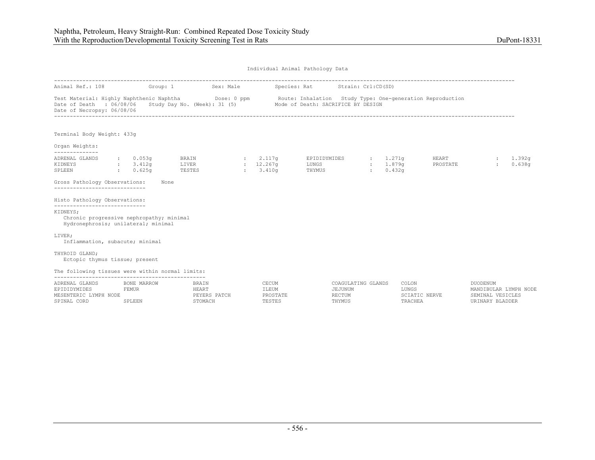| Individual Animal Pathology Data |  |  |
|----------------------------------|--|--|
|                                  |  |  |

| Animal Ref.: 108                                                                                                                                              | Group: 1                                                         | Sex: Male                                   |                                      | Species: Rat                                                                                    | Strain: Crl:CD(SD)                   |                                            |                   |                                                              |                  |
|---------------------------------------------------------------------------------------------------------------------------------------------------------------|------------------------------------------------------------------|---------------------------------------------|--------------------------------------|-------------------------------------------------------------------------------------------------|--------------------------------------|--------------------------------------------|-------------------|--------------------------------------------------------------|------------------|
| Test Material: Highly Naphthenic Naphtha<br>Date of Death : 06/08/06<br>Date of Necropsy: 06/08/06                                                            |                                                                  | Dose: 0 ppm<br>Study Day No. (Week): 31 (5) |                                      | Route: Inhalation Study Type: One-generation Reproduction<br>Mode of Death: SACRIFICE BY DESIGN |                                      |                                            |                   |                                                              |                  |
| Terminal Body Weight: 433g                                                                                                                                    |                                                                  |                                             |                                      |                                                                                                 |                                      |                                            |                   |                                                              |                  |
| Organ Weights:<br>--------------                                                                                                                              |                                                                  |                                             |                                      |                                                                                                 |                                      |                                            |                   |                                                              |                  |
| ADRENAL GLANDS<br>KIDNEYS<br>SPLEEN<br>Gross Pathology Observations:<br>------------------------------                                                        | : 0.053q<br>: 3.412q<br>0.625 <sub>q</sub><br><b>The Control</b> | BRAIN<br>LIVER<br>TESTES<br>None            | : 2.117q<br>$: 12.267$ q<br>: 3.410q | EPIDIDYMIDES<br>LUNGS<br>THYMUS                                                                 | : 1.271q<br>: 1.879q<br>$\mathbf{r}$ | 0.432 <sub>q</sub>                         | HEART<br>PROSTATE | $\mathbb{R}^2$                                               | 1.392q<br>0.638q |
| Histo Pathology Observations:<br>-----------------------------<br>KIDNEYS:<br>Chronic progressive nephropathy; minimal<br>Hydronephrosis; unilateral; minimal |                                                                  |                                             |                                      |                                                                                                 |                                      |                                            |                   |                                                              |                  |
| LIVER;<br>Inflammation, subacute; minimal<br>THYROID GLAND;                                                                                                   |                                                                  |                                             |                                      |                                                                                                 |                                      |                                            |                   |                                                              |                  |
| Ectopic thymus tissue; present                                                                                                                                |                                                                  |                                             |                                      |                                                                                                 |                                      |                                            |                   |                                                              |                  |
| The following tissues were within normal limits:                                                                                                              |                                                                  |                                             |                                      |                                                                                                 |                                      |                                            |                   |                                                              |                  |
| ADRENAL GLANDS<br>EPIDIDYMIDES<br>MESENTERIC LYMPH NODE<br>SPINAL CORD                                                                                        | BONE MARROW<br><b>FEMUR</b><br>SPLEEN                            | BRAIN<br>HEART<br>PEYERS PATCH<br>STOMACH   | CECUM<br>ILEUM<br>PROSTATE<br>TESTES | JEJUNUM<br>RECTUM<br>THYMUS                                                                     | COAGULATING GLANDS                   | COLON<br>LUNGS<br>SCIATIC NERVE<br>TRACHEA | <b>DUODENUM</b>   | MANDIBULAR LYMPH NODE<br>SEMINAL VESICLES<br>URINARY BLADDER |                  |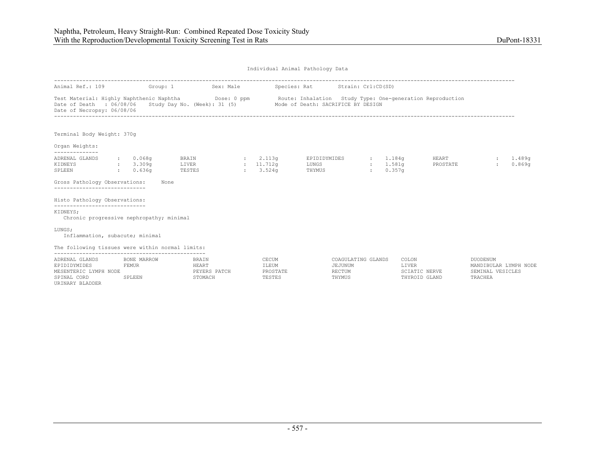| Individual Animal Pathology Data |  |  |
|----------------------------------|--|--|
|                                  |  |  |

| Animal Ref.: 109                                                       | Group: 1                                            | Sex: Male                                                                            |                              |                                      | Species: Rat                                                                                    | Strain: Crl:CD(SD) |                                |                                |                                                                         |                  |
|------------------------------------------------------------------------|-----------------------------------------------------|--------------------------------------------------------------------------------------|------------------------------|--------------------------------------|-------------------------------------------------------------------------------------------------|--------------------|--------------------------------|--------------------------------|-------------------------------------------------------------------------|------------------|
| Date of Death : 06/08/06<br>Date of Necropsy: 06/08/06                 |                                                     | Test Material: Highly Naphthenic Naphtha Dose: 0 ppm<br>Study Day No. (Week): 31 (5) |                              |                                      | Route: Inhalation Study Type: One-generation Reproduction<br>Mode of Death: SACRIFICE BY DESIGN |                    |                                |                                |                                                                         |                  |
| Terminal Body Weight: 370g                                             |                                                     |                                                                                      |                              |                                      |                                                                                                 |                    |                                |                                |                                                                         |                  |
| Organ Weights:                                                         |                                                     |                                                                                      |                              |                                      |                                                                                                 |                    |                                |                                |                                                                         |                  |
| --------------<br>ADRENAL GLANDS<br>KIDNEYS<br>SPLEEN                  | : 0.068q<br>: 3.309q<br>0.636q<br>$\sim$ 100 $\sim$ | BRAIN<br>LIVER<br>TESTES                                                             | $\sim$<br>: 11.712q<br>$\pm$ | 2.113q<br>3.524g                     | EPIDIDYMIDES<br>LUNGS<br>THYMUS                                                                 |                    | : 1.184g<br>: 1.581q<br>0.357q | HEART<br>PROSTATE              | $\ddot{\phantom{a}}$                                                    | 1,489q<br>0.869q |
| Gross Pathology Observations:<br>------------------------------        |                                                     | None                                                                                 |                              |                                      |                                                                                                 |                    |                                |                                |                                                                         |                  |
| Histo Pathology Observations:<br>------------------------------        |                                                     |                                                                                      |                              |                                      |                                                                                                 |                    |                                |                                |                                                                         |                  |
| KIDNEYS;<br>Chronic progressive nephropathy; minimal                   |                                                     |                                                                                      |                              |                                      |                                                                                                 |                    |                                |                                |                                                                         |                  |
| LUNGS:<br>Inflammation, subacute; minimal                              |                                                     |                                                                                      |                              |                                      |                                                                                                 |                    |                                |                                |                                                                         |                  |
| The following tissues were within normal limits:                       |                                                     |                                                                                      |                              |                                      |                                                                                                 |                    |                                |                                |                                                                         |                  |
| ADRENAL GLANDS<br>EPIDIDYMIDES<br>MESENTERIC LYMPH NODE<br>SPINAL CORD | BONE MARROW<br>FEMUR<br>SPLEEN                      | <b>BRAIN</b><br><b>HEART</b><br>PEYERS PATCH<br>STOMACH                              |                              | CECUM<br>ILEUM<br>PROSTATE<br>TESTES | COAGULATING GLANDS<br>JEJUNUM<br>RECTUM<br>THYMUS                                               |                    | COLON<br>LIVER                 | SCIATIC NERVE<br>THYROID GLAND | <b>DUODENUM</b><br>MANDIBULAR LYMPH NODE<br>SEMINAL VESICLES<br>TRACHEA |                  |

URINARY BLADDER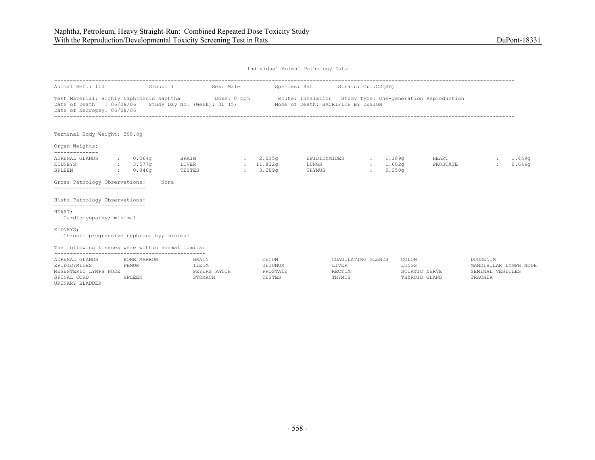| Animal Ref.: 110                                                                                                                                                                                                                                |          |             | Group: 1                              | Sex: Male |                              | Species: Rat Strain: Crl:CD(SD)          |                    |                                |                   |                                                       |                  |
|-------------------------------------------------------------------------------------------------------------------------------------------------------------------------------------------------------------------------------------------------|----------|-------------|---------------------------------------|-----------|------------------------------|------------------------------------------|--------------------|--------------------------------|-------------------|-------------------------------------------------------|------------------|
| Test Material: Highly Naphthenic Naphtha <b>Dose: 0 ppm</b> Route: Inhalation Study Type: One-generation Reproduction<br>Date of Death : 06/08/06 Study Day No. (Week): 31 (5) Mode of Death: SACRIFICE BY DESIGN<br>Date of Necropsy: 06/08/06 |          |             |                                       |           |                              |                                          |                    |                                |                   |                                                       |                  |
| Terminal Body Weight: 398.8q                                                                                                                                                                                                                    |          |             |                                       |           |                              |                                          |                    |                                |                   |                                                       |                  |
| Organ Weights:                                                                                                                                                                                                                                  |          |             |                                       |           |                              |                                          |                    |                                |                   |                                                       |                  |
| ADRENAL GLANDS<br>KIDNEYS<br>3.577q<br>SPLEEN<br>0.846q                                                                                                                                                                                         | : 0.064q |             | BRAIN : 2.035q<br>LIVER<br>TESTES     |           | : 11.822q<br>$: 3.289$ q     | EPIDIDYMIDES : 1.189q<br>LUNGS<br>THYMUS | $\mathbf{L}$       | : 1.602q<br>0.250 <sub>q</sub> | HEART<br>PROSTATE | $\mathcal{L}$<br>$\ddot{\phantom{a}}$                 | 1.459q<br>0.646q |
| Gross Pathology Observations:<br>-----------------------------                                                                                                                                                                                  |          | None        |                                       |           |                              |                                          |                    |                                |                   |                                                       |                  |
| Histo Pathology Observations:<br>-----------------------------                                                                                                                                                                                  |          |             |                                       |           |                              |                                          |                    |                                |                   |                                                       |                  |
| HEART;<br>Cardiomyopathy; minimal                                                                                                                                                                                                               |          |             |                                       |           |                              |                                          |                    |                                |                   |                                                       |                  |
| KIDNEYS;<br>Chronic progressive nephropathy; minimal                                                                                                                                                                                            |          |             |                                       |           |                              |                                          |                    |                                |                   |                                                       |                  |
| The following tissues were within normal limits:                                                                                                                                                                                                |          |             |                                       |           |                              |                                          |                    |                                |                   |                                                       |                  |
| ADRENAL GLANDS<br>EPIDIDYMIDES<br>MESENTERIC LYMPH NODE                                                                                                                                                                                         | FEMUR    | BONE MARROW | <b>BRAIN</b><br>ILEUM<br>PEYERS PATCH |           | CECUM<br>JEJUNUM<br>PROSTATE | LIVER<br>RECTUM                          | COAGULATING GLANDS | COLON<br>LUNGS                 | SCIATIC NERVE     | DUODENUM<br>MANDIBULAR LYMPH NODE<br>SEMINAL VESICLES |                  |

URINARY BLADDER

| BONE MARROW | 3RAIN                   | CECUM    | COAGULATING GLANDS | COLON      |                |
|-------------|-------------------------|----------|--------------------|------------|----------------|
| F.MUR       | T.EUM                   | AJUNUM   | TVER.              | LUNGS      | DTRII          |
|             | <b>DATCH</b><br>DFVFD C | ויומיופר | RECTUM             | ATIC NERVE | `EMINAL        |
|             | TOMACH                  | TESTES   | THYMUS             | ANE        | <b>TRACHEA</b> |
|             |                         |          |                    |            |                |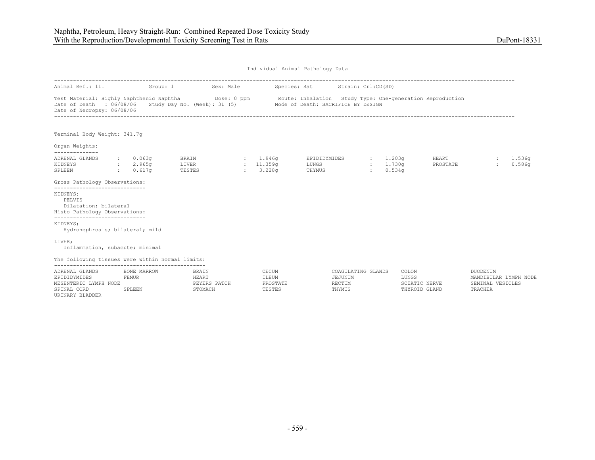| Animal Ref.: 111                                                                                                                                                                                                                                |                                      | Group: 1 Sex: Male                        |                                      | Species: Rat Strain: Crl:CD(SD) |                                  |                    |                                |                                                                  |                    |
|-------------------------------------------------------------------------------------------------------------------------------------------------------------------------------------------------------------------------------------------------|--------------------------------------|-------------------------------------------|--------------------------------------|---------------------------------|----------------------------------|--------------------|--------------------------------|------------------------------------------------------------------|--------------------|
| Test Material: Highly Naphthenic Naphtha <b>Dose: 0 ppm</b> Route: Inhalation Study Type: One-generation Reproduction<br>Date of Death : 06/08/06 Study Day No. (Week): 31 (5) Mode of Death: SACRIFICE BY DESIGN<br>Date of Necropsy: 06/08/06 |                                      |                                           |                                      |                                 |                                  |                    |                                |                                                                  |                    |
| Terminal Body Weight: 341.7g                                                                                                                                                                                                                    |                                      |                                           |                                      |                                 |                                  |                    |                                |                                                                  |                    |
| Organ Weights:<br>--------------                                                                                                                                                                                                                |                                      |                                           |                                      |                                 |                                  |                    |                                |                                                                  |                    |
| ADRENAL GLANDS<br>KIDNEYS<br>SPLEEN                                                                                                                                                                                                             | : 0.063q<br>2.965q<br>$\cdot$ 0.617q | BRAIN<br>LIVER<br>TESTES                  | : 1.946q<br>: 11.359q<br>: 3.228q    | EPIDIDYMIDES<br>LUNGS<br>THYMUS | $\frac{1}{203q}$<br>$\mathbf{1}$ | : 1.730q<br>0.534q | HEART<br>PROSTATE              |                                                                  | : 1.536q<br>0.586q |
| Gross Pathology Observations:                                                                                                                                                                                                                   |                                      |                                           |                                      |                                 |                                  |                    |                                |                                                                  |                    |
| -----------------------------<br>KIDNEYS;<br>PELVIS<br>Dilatation; bilateral<br>Histo Pathology Observations:                                                                                                                                   |                                      |                                           |                                      |                                 |                                  |                    |                                |                                                                  |                    |
| ------------------------------<br>KIDNEYS;<br>Hydronephrosis; bilateral; mild                                                                                                                                                                   |                                      |                                           |                                      |                                 |                                  |                    |                                |                                                                  |                    |
| LIVER;<br>Inflammation, subacute; minimal                                                                                                                                                                                                       |                                      |                                           |                                      |                                 |                                  |                    |                                |                                                                  |                    |
| The following tissues were within normal limits:                                                                                                                                                                                                |                                      |                                           |                                      |                                 |                                  |                    |                                |                                                                  |                    |
| ADRENAL GLANDS<br>FEMUR<br>EPIDIDYMIDES<br>MESENTERIC LYMPH NODE<br>SPINAL CORD<br>URINARY BLADDER                                                                                                                                              | BONE MARROW<br>SPLEEN                | BRAIN<br>HEART<br>PEYERS PATCH<br>STOMACH | CECUM<br>ILEUM<br>PROSTATE<br>TESTES | JEJUNUM<br>RECTUM<br>THYMUS     | COAGULATING GLANDS               | COLON<br>LUNGS     | SCIATIC NERVE<br>THYROID GLAND | DUODENUM<br>MANDIBULAR LYMPH NODE<br>SEMINAL VESICLES<br>TRACHEA |                    |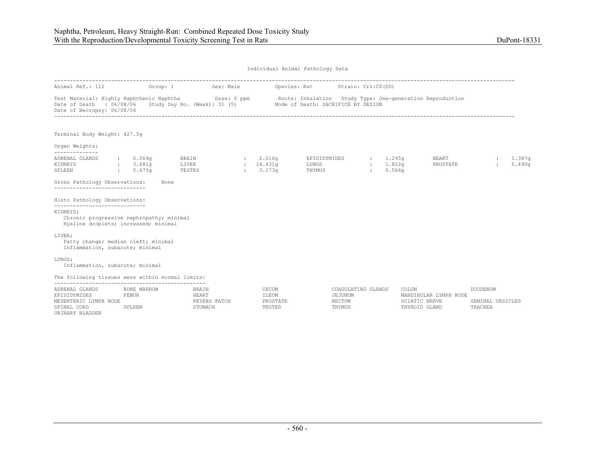| Animal Ref.: 112                                                                                                                                                               |                                | Group: 1 Sex: Male Species: Rat Strain: Crl:CD(SD) |                                      |                                                           |                  |                                            |                                                         |                                         |                  |
|--------------------------------------------------------------------------------------------------------------------------------------------------------------------------------|--------------------------------|----------------------------------------------------|--------------------------------------|-----------------------------------------------------------|------------------|--------------------------------------------|---------------------------------------------------------|-----------------------------------------|------------------|
| Test Material: Highly Naphthenic Naphtha Dose: 0 ppm<br>Date of Death : 06/08/06 Study Day No. (Week): 31 (5) Mode of Death: SACRIFICE BY DESIGN<br>Date of Necropsy: 06/08/06 |                                |                                                    |                                      | Route: Inhalation Study Type: One-generation Reproduction |                  |                                            |                                                         |                                         |                  |
| Terminal Body Weight: 427.5q                                                                                                                                                   |                                |                                                    |                                      |                                                           |                  |                                            |                                                         |                                         |                  |
| Organ Weights:<br>--------------                                                                                                                                               |                                |                                                    |                                      |                                                           |                  |                                            |                                                         |                                         |                  |
| ADRENAL GLANDS<br>KIDNEYS<br>SPLEEN                                                                                                                                            | 0.069q<br>: 3.681g<br>: 0.675q | BRAIN<br>LIVER<br>TESTES                           | 2.016q<br>: 14.431q<br>: 3.173q      | EPIDIDYMIDES<br>LUNGS<br>THYMUS                           | <b>Expertise</b> | : 1.295q<br>: 1.822q<br>0.566 <sub>q</sub> | HEART<br>PROSTATE                                       | $\mathcal{L}$                           | 1.387g<br>0.490q |
| Gross Pathology Observations:<br>------------------------------                                                                                                                | None                           |                                                    |                                      |                                                           |                  |                                            |                                                         |                                         |                  |
| Histo Pathology Observations:<br>------------------------------                                                                                                                |                                |                                                    |                                      |                                                           |                  |                                            |                                                         |                                         |                  |
| KIDNEYS;<br>Chronic progressive nephropathy; minimal<br>Hyaline droplets; increased; minimal                                                                                   |                                |                                                    |                                      |                                                           |                  |                                            |                                                         |                                         |                  |
| LIVER;<br>Fatty change; median cleft; minimal<br>Inflammation, subacute; minimal                                                                                               |                                |                                                    |                                      |                                                           |                  |                                            |                                                         |                                         |                  |
| LUNGS:<br>Inflammation, subacute; minimal                                                                                                                                      |                                |                                                    |                                      |                                                           |                  |                                            |                                                         |                                         |                  |
| The following tissues were within normal limits:                                                                                                                               |                                |                                                    |                                      |                                                           |                  |                                            |                                                         |                                         |                  |
| ADRENAL GLANDS<br>EPIDIDYMIDES<br>MESENTERIC LYMPH NODE<br>SPINAL CORD<br>URINARY BLADDER                                                                                      | BONE MARROW<br>FEMUR<br>SPLEEN | <b>BRAIN</b><br>HEART<br>PEYERS PATCH<br>STOMACH   | CECUM<br>ILEUM<br>PROSTATE<br>TESTES | COAGULATING GLANDS<br>JEJUNUM<br>RECTUM<br>THYMUS         |                  | COLON                                      | MANDIBULAR LYMPH NODE<br>SCIATIC NERVE<br>THYROID GLAND | DUODENUM<br>SEMINAL VESICLES<br>TRACHEA |                  |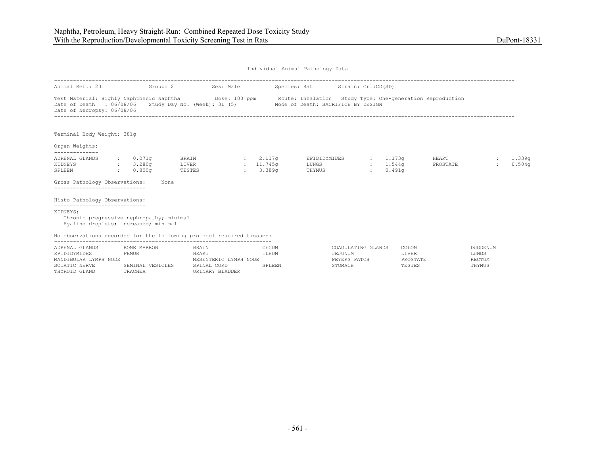|                                                                                                                               |                                                | Animal Ref.: 201 Group: 2 Sex: Male                                   |                         | Species: Rat Strain: Crl:CD(SD)                                                                                                                                                            |                                                             |                            |                                           |
|-------------------------------------------------------------------------------------------------------------------------------|------------------------------------------------|-----------------------------------------------------------------------|-------------------------|--------------------------------------------------------------------------------------------------------------------------------------------------------------------------------------------|-------------------------------------------------------------|----------------------------|-------------------------------------------|
| Date of Death : 06/08/06<br>Date of Necropsy: 06/08/06                                                                        |                                                |                                                                       |                         | Test Material: Highly Naphthenic Naphtha <b>Dose: 100 ppm</b> Route: Inhalation Study Type: One-generation Reproduction<br>Study Day No. (Week): 31 (5) Mode of Death: SACRIFICE BY DESIGN |                                                             |                            |                                           |
| Terminal Body Weight: 381g                                                                                                    |                                                |                                                                       |                         |                                                                                                                                                                                            |                                                             |                            |                                           |
| Organ Weights:                                                                                                                |                                                |                                                                       |                         |                                                                                                                                                                                            |                                                             |                            |                                           |
| ADRENAL GLANDS<br>KIDNEYS<br>SPLEEN                                                                                           | : 0.071q<br>$\frac{1}{2}$ : 3.280g<br>: 0.800q | <b>BRAIN</b><br>LIVER : 11.745q<br>TESTES                             | $: 2.117$ q<br>: 3.389q | EPIDIDYMIDES<br>LUNGS<br>THYMUS                                                                                                                                                            | . 1.173q<br>: 1.544q<br>0.491q<br>$\mathbb{R}^{\mathbb{Z}}$ | <b>HEART</b><br>PROSTATE   | 1.339a<br>0.504q                          |
| Gross Pathology Observations:<br>-----------------------------                                                                |                                                | None                                                                  |                         |                                                                                                                                                                                            |                                                             |                            |                                           |
| Histo Pathology Observations:                                                                                                 |                                                |                                                                       |                         |                                                                                                                                                                                            |                                                             |                            |                                           |
| -----------------------------<br>KIDNEYS;<br>Chronic progressive nephropathy; minimal<br>Hyaline droplets; increased; minimal |                                                |                                                                       |                         |                                                                                                                                                                                            |                                                             |                            |                                           |
|                                                                                                                               |                                                | No observations recorded for the following protocol required tissues: |                         |                                                                                                                                                                                            |                                                             |                            |                                           |
| ADRENAL GLANDS<br>EPIDIDYMIDES<br>MANDIBULAR LYMPH NODE                                                                       | BONE MARROW<br>FEMUR                           | BRAIN<br>HEART<br>MESENTERIC LYMPH NODE                               | CECUM<br>ILEUM          | JEJUNUM<br>PEYERS PATCH                                                                                                                                                                    | COAGULATING GLANDS                                          | COLON<br>LIVER<br>PROSTATE | <b>DUODENUM</b><br>LUNGS<br><b>RECTUM</b> |

| ADINAL GUANDO         | POND PRINTON     | יו ⊥רגעו              | シロンクロ       | cougarithe amundo | <b>UULUU</b> | <b>DUVDENU</b> |
|-----------------------|------------------|-----------------------|-------------|-------------------|--------------|----------------|
| EPIDIDYMIDES          | FEMUR            |                       | <b>LEUM</b> | JEJUNUM           | LIVER        | LUNGS          |
| MANDIBULAR LYMPH NODE |                  | MESENTERIC LYMPH NODE |             | PEYERS PATCH      | PROSTATE     | RECTUM         |
| SCIATIC NERVE         | SEMINAL VESICLES | SPINAL CORD           | SPLEEN      | STOMACH           | TESTES       | THYMUS         |
| THYROID GLAND         | TRACHEA          | URINARY BLADDER       |             |                   |              |                |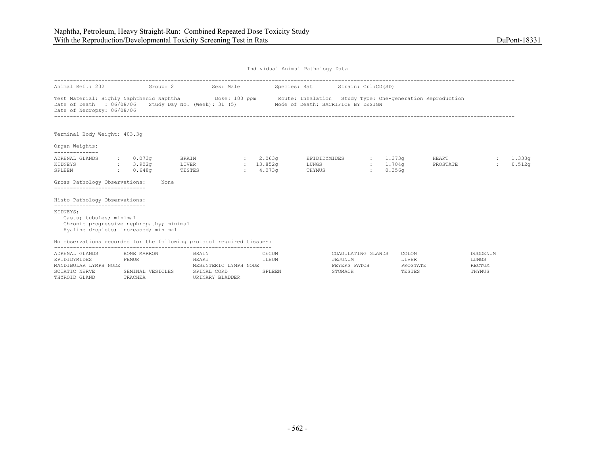| Animal Ref.: 202 Group: 2 Sex: Male                                                                                                                      |                                  |                          |                                      | Species: Rat Strain: Crl:CD(SD)                                                                                                                                                                 |                                    |                              |                   |                         |                  |
|----------------------------------------------------------------------------------------------------------------------------------------------------------|----------------------------------|--------------------------|--------------------------------------|-------------------------------------------------------------------------------------------------------------------------------------------------------------------------------------------------|------------------------------------|------------------------------|-------------------|-------------------------|------------------|
| Date of Death : 06/08/06<br>Date of Necropsy: 06/08/06                                                                                                   |                                  |                          |                                      | Test Material: Highly Naphthenic Naphtha <b>Show Dose:</b> 100 ppm Route: Inhalation Study Type: One-generation Reproduction<br>Study Day No. (Week): 31 (5) Mode of Death: SACRIFICE BY DESIGN |                                    |                              |                   |                         |                  |
| Terminal Body Weight: 403.3q                                                                                                                             |                                  |                          |                                      |                                                                                                                                                                                                 |                                    |                              |                   |                         |                  |
| Organ Weights:                                                                                                                                           |                                  |                          |                                      |                                                                                                                                                                                                 |                                    |                              |                   |                         |                  |
| ADRENAL GLANDS<br>KIDNEYS<br>SPLEEN                                                                                                                      | : 0.073q<br>: 3.902q<br>: 0.648q | BRAIN<br>LIVER<br>TESTES | : 2.063a<br>: 13.852q<br>$: 4.073$ q | EPIDIDYMIDES : 1.373q<br>LUNGS<br>THYMUS                                                                                                                                                        | $\sim$ 100 $\sim$<br>$\mathcal{L}$ | 1.704 <sub>G</sub><br>0.356q | HEART<br>PROSTATE | $\sim$<br>$\mathcal{L}$ | 1.333q<br>0.512q |
| Gross Pathology Observations:<br>-----------------------------                                                                                           | None                             |                          |                                      |                                                                                                                                                                                                 |                                    |                              |                   |                         |                  |
| Histo Pathology Observations:                                                                                                                            |                                  |                          |                                      |                                                                                                                                                                                                 |                                    |                              |                   |                         |                  |
| -----------------------------<br>KIDNEYS;<br>Casts; tubules; minimal<br>Chronic progressive nephropathy; minimal<br>Hyaline droplets; increased; minimal |                                  |                          |                                      |                                                                                                                                                                                                 |                                    |                              |                   |                         |                  |
| No observations recorded for the following protocol required tissues:                                                                                    |                                  |                          |                                      |                                                                                                                                                                                                 |                                    |                              |                   |                         |                  |
| ADRENAL GLANDS<br>EPIDIDYMIDES                                                                                                                           | BONE MARROW<br>FEMUR             | <b>BRATN</b><br>HEART    | CECUM<br>ILEUM                       | COAGULATING GLANDS<br>JEJUNUM                                                                                                                                                                   |                                    | COLON<br>LIVER               |                   | DUODENUM<br>LUNGS       |                  |

| UNDINAT ATHIAD Y      | DUNE MARRUW      | DNALIN<br>ULUUM       |        | CANNA ANA TIMANDO | uulun    | DUUDENU |
|-----------------------|------------------|-----------------------|--------|-------------------|----------|---------|
| EPIDIDYMIDES          | FEMUR            | HEART                 | ILEUM  | JEJUNUM           | LIVER    | LUNGS   |
| MANDIBULAR LYMPH NODE |                  | MESENTERIC LYMPH NODE |        | PEYERS PATCH      | PROSTATE | RECTUM  |
| SCIATIC NERVE         | SEMINAL VESICLES | SPINAL CORD           | SPLEEN | STOMACH           | TESTES   | THYMUS  |
| THYROID GLAND         | TRACHEA          | URINARY BLADDER       |        |                   |          |         |
|                       |                  |                       |        |                   |          |         |

| COMGUTATING GTANDS | uulun           | <b>DUODENUM</b> |
|--------------------|-----------------|-----------------|
| JEJUNUM            | <b>LTVER</b>    | LUNGS           |
| PEYERS PATCH       | <b>PROSTATE</b> | RECTUM          |
| STOMACH            | TESTES          | THYMUS          |
|                    |                 |                 |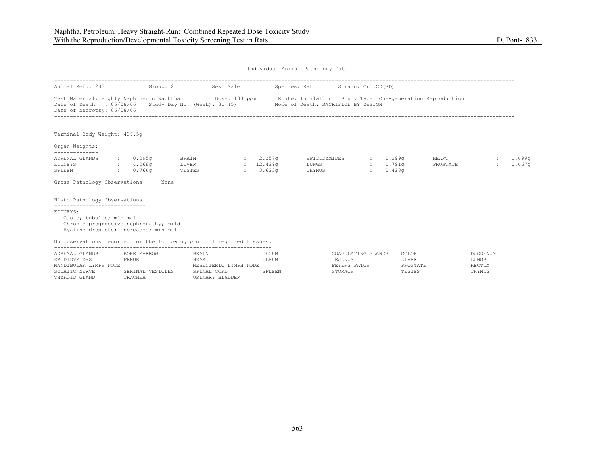THYROID GLAND TRACHEA URINARY BLADDER

Individual Animal Pathology Data

| Animal Ref.: 203                                                                                                                                                                  |                                           | Group: 2                         | Sex: Male             |                                    | Species: Rat Strain: Crl:CD(SD)    |                                               |               |                                 |                   |                                    |                  |
|-----------------------------------------------------------------------------------------------------------------------------------------------------------------------------------|-------------------------------------------|----------------------------------|-----------------------|------------------------------------|------------------------------------|-----------------------------------------------|---------------|---------------------------------|-------------------|------------------------------------|------------------|
| Test Material: Highly Naphthenic Naphtha <b>Dose:</b> 100 ppm Route: Inhalation Study Type: One-generation Reproduction<br>Date of Death : 06/08/06<br>Date of Necropsy: 06/08/06 |                                           | Study Day No. (Week): 31 (5)     |                       |                                    | Mode of Death: SACRIFICE BY DESIGN |                                               |               |                                 |                   |                                    |                  |
| Terminal Body Weight: 439.5g                                                                                                                                                      |                                           |                                  |                       |                                    |                                    |                                               |               |                                 |                   |                                    |                  |
| Organ Weights:                                                                                                                                                                    |                                           |                                  |                       |                                    |                                    |                                               |               |                                 |                   |                                    |                  |
| --------------<br>ADRENAL GLANDS<br>KIDNEYS<br>SPLEEN<br>Gross Pathology Observations:                                                                                            | : 0.095q<br>$\,:\qquad 4.068$ q<br>0.766q | BRAIN<br>LIVER<br>TESTES<br>None |                       | $: 2.257$ q<br>: 12.429q<br>3.623q | EPIDIDYMIDES<br>LUNGS<br>THYMUS    |                                               | $\mathcal{L}$ | 1.299q<br>$: 1.791$ q<br>0.428q | HEART<br>PROSTATE | $\mathcal{L}$                      | 1,699q<br>0.667q |
| _____________________________<br>Histo Pathology Observations:                                                                                                                    |                                           |                                  |                       |                                    |                                    |                                               |               |                                 |                   |                                    |                  |
| -----------------------------<br>KIDNEYS;<br>Casts; tubules; minimal<br>Chronic progressive nephropathy; mild<br>Hyaline droplets; increased; minimal                             |                                           |                                  |                       |                                    |                                    |                                               |               |                                 |                   |                                    |                  |
| No observations recorded for the following protocol required tissues:                                                                                                             |                                           |                                  |                       |                                    |                                    |                                               |               |                                 |                   |                                    |                  |
| ADRENAL GLANDS<br>EPIDIDYMIDES<br>MANDIBULAR LYMPH NODE                                                                                                                           | BONE MARROW<br>FEMUR                      | BRAIN<br>HEART                   | MESENTERIC LYMPH NODE | CECUM<br>ILEUM                     |                                    | COAGULATING GLANDS<br>JEJUNUM<br>PEYERS PATCH |               | COLON<br>LIVER<br>PROSTATE      |                   | DUODENUM<br>LUNGS<br><b>RECTUM</b> |                  |

SCIATIC NERVE SEMINAL VESICLES SPINAL CORD SPLEEN STOMACH STOMACH TESTES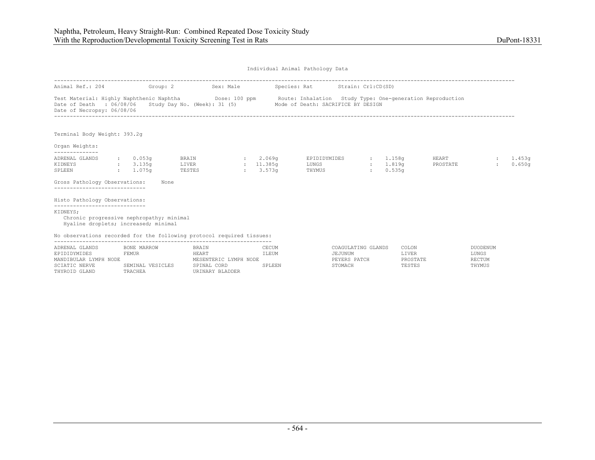| Animal Ref.: 204                                                                                                              |                      |                                         |                                   | Group: 2 Sex: Male Species: Rat Strain: Cr1:CD(SD)              |                                                                               |                                                                                                                         |                                    |
|-------------------------------------------------------------------------------------------------------------------------------|----------------------|-----------------------------------------|-----------------------------------|-----------------------------------------------------------------|-------------------------------------------------------------------------------|-------------------------------------------------------------------------------------------------------------------------|------------------------------------|
| Date of Death : 06/08/06<br>Date of Necropsy: 06/08/06                                                                        |                      |                                         |                                   | Study Day No. (Week): 31 (5) Mode of Death: SACRIFICE BY DESIGN |                                                                               | Test Material: Highly Naphthenic Naphtha <b>Dose:</b> 100 ppm Route: Inhalation Study Type: One-generation Reproduction |                                    |
| Terminal Body Weight: 393.2q                                                                                                  |                      |                                         |                                   |                                                                 |                                                                               |                                                                                                                         |                                    |
| Organ Weights:                                                                                                                |                      |                                         |                                   |                                                                 |                                                                               |                                                                                                                         |                                    |
| ADRENAL GLANDS<br>: 3.135g<br>KIDNEYS<br>SPLEEN                                                                               | : 0.053q<br>: 1.075q | <b>BRAIN</b><br>LIVER<br>TESTES         | : 2.069q<br>: 11.385q<br>: 3.573q | EPIDIDYMIDES<br>LUNGS<br>THYMUS                                 | 1.158a<br>$\mathcal{L}$<br>1.819q<br>$\mathcal{L}$<br>0.535q<br>$\mathcal{L}$ | <b>HEART</b><br>PROSTATE                                                                                                | 1.453a<br>0.650q                   |
| Gross Pathology Observations:<br>-----------------------------                                                                | None                 |                                         |                                   |                                                                 |                                                                               |                                                                                                                         |                                    |
| Histo Pathology Observations:                                                                                                 |                      |                                         |                                   |                                                                 |                                                                               |                                                                                                                         |                                    |
| -----------------------------<br>KIDNEYS;<br>Chronic progressive nephropathy; minimal<br>Hyaline droplets; increased; minimal |                      |                                         |                                   |                                                                 |                                                                               |                                                                                                                         |                                    |
| No observations recorded for the following protocol required tissues:                                                         |                      |                                         |                                   |                                                                 |                                                                               |                                                                                                                         |                                    |
| ADRENAL GLANDS<br>EPIDIDYMIDES<br>MANDIBULAR LYMPH NODE                                                                       | BONE MARROW<br>FEMUR | BRAIN<br>HEART<br>MESENTERIC LYMPH NODE | CECUM<br>ILEUM                    |                                                                 | COAGULATING GLANDS<br>JEJUNUM<br>PEYERS PATCH                                 | COLON<br>LIVER<br>PROSTATE                                                                                              | DUODENUM<br>LUNGS<br><b>RECTUM</b> |

|                       |                  | -------                  | ------- | --------------<br>------- | -----    | ------- |
|-----------------------|------------------|--------------------------|---------|---------------------------|----------|---------|
| EPIDIDYMIDES          | FEMUR            | HEART                    | ILEUM   | JEJUNUM                   | LIVER    | LUNGS   |
| MANDIBULAR LYMPH NODE |                  | LYMPH NODE<br>MECENTEDIC |         | PEYERS PATCH              | PROSTATE | RECTUM  |
| SCIATIC NERVE         | SEMINAL VESICLES | SPINAL CORD              | SPLEEN  | STOMACH                   | TESTES   | THYMUS  |
| THYROID<br>GLAND      | TRACHEA          | URINARY BLADDER          |         |                           |          |         |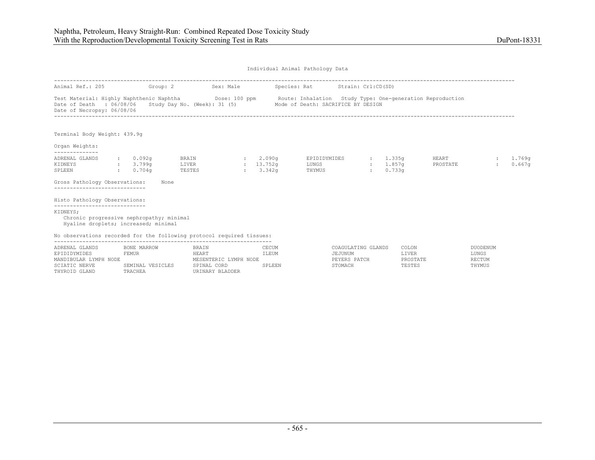| Animal Ref.: 205 Group: 2                                                                                                                                                              |                                          | Sex: Male                                                       |                                   |                | Species: Rat Strain: Crl:CD(SD)               |                        |                            |                          |                                    |                  |
|----------------------------------------------------------------------------------------------------------------------------------------------------------------------------------------|------------------------------------------|-----------------------------------------------------------------|-----------------------------------|----------------|-----------------------------------------------|------------------------|----------------------------|--------------------------|------------------------------------|------------------|
| Test Material: Highly Naphthenic Naphtha <b>Show Dose: 100 ppm</b> Route: Inhalation Study Type: One-generation Reproduction<br>Date of Death : 06/08/06<br>Date of Necropsy: 06/08/06 |                                          | Study Day No. (Week): 31 (5) Mode of Death: SACRIFICE BY DESIGN |                                   |                |                                               |                        |                            |                          |                                    |                  |
| Terminal Body Weight: 439.9g                                                                                                                                                           |                                          |                                                                 |                                   |                |                                               |                        |                            |                          |                                    |                  |
| Organ Weights:                                                                                                                                                                         |                                          |                                                                 |                                   |                |                                               |                        |                            |                          |                                    |                  |
| ADRENAL GLANDS<br>KIDNEYS<br>SPLEEN<br>Gross Pathology Observations:                                                                                                                   | : 0.092q<br>: 3.799q<br>: 0.704q<br>None | BRAIN<br>LIVER<br>TESTES                                        | : 2.090q<br>: 13.7529<br>: 3.342q |                | EPIDIDYMIDES<br>LUNGS<br>THYMUS               | $\sim$<br>$\mathbf{r}$ | 1.335a<br>1.857q<br>0.733q | <b>HEART</b><br>PROSTATE | $\mathcal{L}$                      | 1.769q<br>0.667q |
| Histo Pathology Observations:                                                                                                                                                          |                                          |                                                                 |                                   |                |                                               |                        |                            |                          |                                    |                  |
| -----------------------------<br>KIDNEYS;<br>Chronic progressive nephropathy; minimal<br>Hyaline droplets; increased; minimal                                                          |                                          |                                                                 |                                   |                |                                               |                        |                            |                          |                                    |                  |
| No observations recorded for the following protocol required tissues:                                                                                                                  |                                          |                                                                 |                                   |                |                                               |                        |                            |                          |                                    |                  |
| ADRENAL GLANDS<br>EPIDIDYMIDES<br>MANDIBULAR LYMPH NODE                                                                                                                                | BONE MARROW<br>FEMUR                     | BRAIN<br>HEART<br>MESENTERIC LYMPH NODE                         |                                   | CECUM<br>ILEUM | COAGULATING GLANDS<br>JEJUNUM<br>PEYERS PATCH |                        | COLON<br>LIVER<br>PROSTATE |                          | DUODENUM<br>LUNGS<br><b>RECTUM</b> |                  |

| ADIWANA GEANDO        | POND PRINTON     | <b>DIVALIT</b>           | シロンクロ  | cougaritha amund | <b>UULUU</b> | <b>DUVDENU</b> |
|-----------------------|------------------|--------------------------|--------|------------------|--------------|----------------|
| EPIDIDYMIDES          | FEMUR            | HEART                    | ILEUM  | JEJUNUM          | LIVER        | LUNGS          |
| MANDIBULAR LYMPH NODE |                  | LYMPH NODE<br>MESENTERIC |        | PEYERS PATCH     | PROSTATE     | RECTUM         |
| SCIATIC NERVE         | SEMINAL VESICLES | SPINAL CORD              | SPLEEN | STOMACH          | TESTES       | THYMUS         |
| THYROID GLAND         | TRACHEA          | URINARY BLADDER          |        |                  |              |                |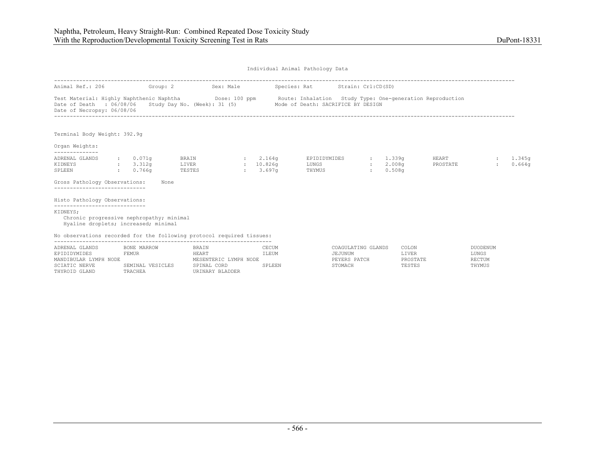| Animal Ref.: 206 Group: 2                                                                                                                                                         |                      | Sex: Male Species: Rat Strain: Crl:CD(SD)                       |                                   |                 |                         |                                |                                        |                          |                                    |                  |
|-----------------------------------------------------------------------------------------------------------------------------------------------------------------------------------|----------------------|-----------------------------------------------------------------|-----------------------------------|-----------------|-------------------------|--------------------------------|----------------------------------------|--------------------------|------------------------------------|------------------|
| Test Material: Highly Naphthenic Naphtha <b>Dose:</b> 100 ppm Route: Inhalation Study Type: One-generation Reproduction<br>Date of Death : 06/08/06<br>Date of Necropsy: 06/08/06 |                      | Study Day No. (Week): 31 (5) Mode of Death: SACRIFICE BY DESIGN |                                   |                 |                         |                                |                                        |                          |                                    |                  |
| Terminal Body Weight: 392.9q                                                                                                                                                      |                      |                                                                 |                                   |                 |                         |                                |                                        |                          |                                    |                  |
| Organ Weights:                                                                                                                                                                    |                      |                                                                 |                                   |                 |                         |                                |                                        |                          |                                    |                  |
| ADRENAL GLANDS<br>$\frac{1}{3.312g}$<br>KIDNEYS<br>SPLEEN                                                                                                                         | : 0.071q<br>: 0.766q | <b>BRAIN</b><br>LIVER<br>TESTES                                 | : 2.164q<br>: 10.826q<br>: 3.697q | LUNGS<br>THYMUS | EPIDIDYMIDES            | $\ddot{\phantom{a}}$<br>$\sim$ | 1.339q<br>2.008 <sub>q</sub><br>0.508q | <b>HEART</b><br>PROSTATE | $\sim$                             | 1.345a<br>0.664q |
| Gross Pathology Observations:<br>-----------------------------                                                                                                                    | None                 |                                                                 |                                   |                 |                         |                                |                                        |                          |                                    |                  |
| Histo Pathology Observations:                                                                                                                                                     |                      |                                                                 |                                   |                 |                         |                                |                                        |                          |                                    |                  |
| -----------------------------<br>KIDNEYS;<br>Chronic progressive nephropathy; minimal<br>Hyaline droplets; increased; minimal                                                     |                      |                                                                 |                                   |                 |                         |                                |                                        |                          |                                    |                  |
| No observations recorded for the following protocol required tissues:                                                                                                             |                      |                                                                 |                                   |                 |                         |                                |                                        |                          |                                    |                  |
| ADRENAL GLANDS<br>EPIDIDYMIDES<br>MANDIBULAR LYMPH NODE                                                                                                                           | BONE MARROW<br>FEMUR | BRAIN<br>HEART<br>MESENTERIC LYMPH NODE                         |                                   | CECUM<br>ILEUM  | JEJUNUM<br>PEYERS PATCH | COAGULATING GLANDS             | COLON<br>LIVER<br>PROSTATE             |                          | DUODENUM<br>LUNGS<br><b>RECTUM</b> |                  |

| ADIWANA GEANDO        | POND PRINTON     | <b>DIVALIT</b>           | シロンクロ  | cougaritha amund | <b>UULUU</b> | <b>DUVDENU</b> |
|-----------------------|------------------|--------------------------|--------|------------------|--------------|----------------|
| EPIDIDYMIDES          | FEMUR            | HEART                    | ILEUM  | JEJUNUM          | LIVER        | LUNGS          |
| MANDIBULAR LYMPH NODE |                  | LYMPH NODE<br>MESENTERIC |        | PEYERS PATCH     | PROSTATE     | RECTUM         |
| SCIATIC NERVE         | SEMINAL VESICLES | SPINAL CORD              | SPLEEN | STOMACH          | TESTES       | THYMUS         |
| THYROID GLAND         | TRACHEA          | URINARY BLADDER          |        |                  |              |                |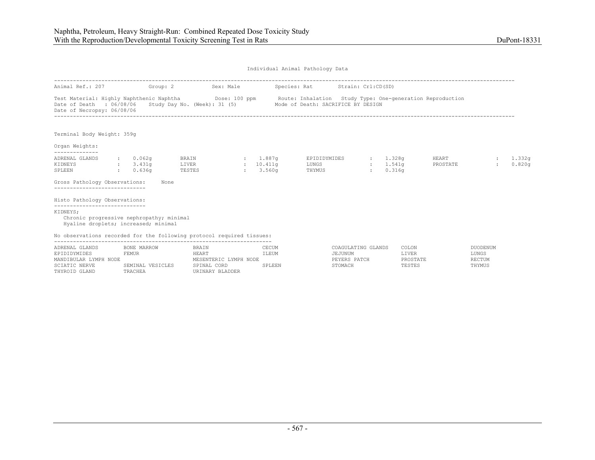| Animal Ref.: 207                                                                             | Group: 2             |                | Sex: Male    |                       | Species: Rat Strain: Crl:CD(SD)                                                                                                                                                     |                      |                  |                   |                 |                              |
|----------------------------------------------------------------------------------------------|----------------------|----------------|--------------|-----------------------|-------------------------------------------------------------------------------------------------------------------------------------------------------------------------------------|----------------------|------------------|-------------------|-----------------|------------------------------|
| Date of Death : 06/08/06<br>Date of Necropsy: 06/08/06                                       |                      |                |              |                       | Test Material: Highly Naphthenic Naphtha Dose: 100 ppm Route: Inhalation Study Type: One-generation Reproduction<br>Study Day No. (Week): 31 (5) Mode of Death: SACRIFICE BY DESIGN |                      |                  |                   |                 |                              |
| Terminal Body Weight: 359g<br>Organ Weights:                                                 |                      |                |              |                       |                                                                                                                                                                                     |                      |                  |                   |                 |                              |
| --------------                                                                               |                      |                |              |                       |                                                                                                                                                                                     |                      |                  |                   |                 |                              |
| ADRENAL GLANDS<br>KIDNEYS                                                                    | : 0.062q<br>: 3.431q | BRAIN<br>LIVER |              | : 1.887q<br>: 10.411q | EPIDIDYMIDES<br>LUNGS                                                                                                                                                               | $\ddot{\phantom{a}}$ | 1.328q<br>1.541q | HEART<br>PROSTATE | $\mathbf{r}$    | 1.332 <sub>q</sub><br>0.820q |
| SPLEEN                                                                                       | : 0.636q             | TESTES         | $\mathbf{1}$ | 3.560q                | THYMUS                                                                                                                                                                              | $\sim$ $\sim$        | 0.316q           |                   |                 |                              |
| Gross Pathology Observations:<br>------------------------------                              |                      | None           |              |                       |                                                                                                                                                                                     |                      |                  |                   |                 |                              |
| Histo Pathology Observations:<br>------------------------------                              |                      |                |              |                       |                                                                                                                                                                                     |                      |                  |                   |                 |                              |
| KIDNEYS;<br>Chronic progressive nephropathy; minimal<br>Hyaline droplets; increased; minimal |                      |                |              |                       |                                                                                                                                                                                     |                      |                  |                   |                 |                              |
| No observations recorded for the following protocol required tissues:                        |                      |                |              |                       |                                                                                                                                                                                     |                      |                  |                   |                 |                              |
| ADRENAL GLANDS                                                                               | BONE MARROW          | <b>BRAIN</b>   |              | CECUM                 |                                                                                                                                                                                     | COAGULATING GLANDS   | COLON            |                   | <b>DUODENUM</b> |                              |
| EPIDIDYMIDES                                                                                 | FEMUR                | HEART          |              | ILEUM                 | JEJUNUM                                                                                                                                                                             |                      | LIVER            |                   | LUNGS           |                              |

| ERIDIDIMIDES          | 5 E.MUR             | <b>HLAK1</b>               | T TRANI | ULUUNUM      | ⊥⊥∨≞K    | LUNGS  |
|-----------------------|---------------------|----------------------------|---------|--------------|----------|--------|
| MANDIBULAR LYMPH NODE |                     | LYMPH NODE<br>MESENTERIC L |         | PEYERS PATCH | PROSTATE | RECTUM |
| SCIATIC NERVE         | VESICLES<br>SEMINAL | SPINAL CORD                | SPLEEN  | STOMACH      | TESTES   | THYMUS |
| THYROID GLAND         | TRACHEA             | URINARY BLADDER            |         |              |          |        |
|                       |                     |                            |         |              |          |        |
|                       |                     |                            |         |              |          |        |

| NG GLANDS  | COLON           | DUODENUM |
|------------|-----------------|----------|
|            | T.TVER          | LUNGS    |
| <b>TCH</b> | <b>PROSTATE</b> | RECTUM   |
|            | TESTES          | THYMUS   |
|            |                 |          |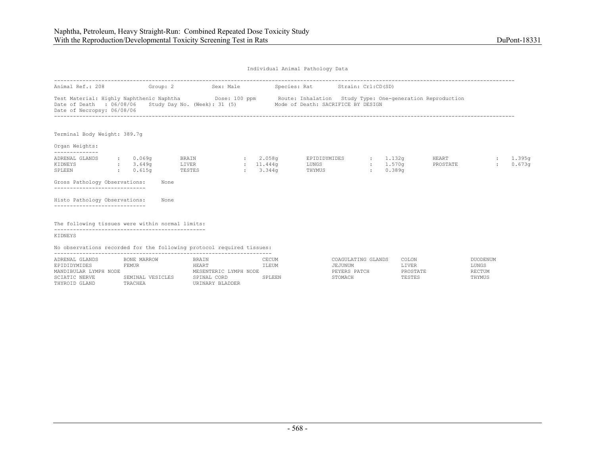| Animal Ref.: 208 Group: 2                                                             |                                                   | Sex: Male                       |              |                                 | Species: Rat Strain: Crl:CD(SD)                                                                                                                                    |                             |                                          |                          |                              |                  |
|---------------------------------------------------------------------------------------|---------------------------------------------------|---------------------------------|--------------|---------------------------------|--------------------------------------------------------------------------------------------------------------------------------------------------------------------|-----------------------------|------------------------------------------|--------------------------|------------------------------|------------------|
| Date of Death : $06/08/06$ Study Day No. (Week): 31 (5)<br>Date of Necropsy: 06/08/06 |                                                   |                                 |              |                                 | Test Material: Highly Naphthenic Naphtha <b>Show Dose: 100 ppm</b> Route: Inhalation Study Type: One-generation Reproduction<br>Mode of Death: SACRIFICE BY DESIGN |                             |                                          |                          |                              |                  |
| Terminal Body Weight: 389.7q                                                          |                                                   |                                 |              |                                 |                                                                                                                                                                    |                             |                                          |                          |                              |                  |
| Organ Weights:<br>--------------                                                      |                                                   |                                 |              |                                 |                                                                                                                                                                    |                             |                                          |                          |                              |                  |
| ADRENAL GLANDS<br>KIDNEYS<br>SPLEEN                                                   | $: 0.069$ q<br>$\frac{1}{2}$ : 3.649g<br>: 0.615q | <b>BRAIN</b><br>LIVER<br>TESTES | $\mathbf{1}$ | : 2.058q<br>: 11.444q<br>3.344q | EPIDIDYMIDES<br>LUNGS<br>THYMUS                                                                                                                                    | <b>COL</b><br>$\mathcal{L}$ | 1.132g<br>: 1.570q<br>0.389 <sub>q</sub> | <b>HEART</b><br>PROSTATE | $\mathbf{r}$<br>$\mathbf{r}$ | 1.395g<br>0.673q |
| Gross Pathology Observations:<br>--------------------------                           |                                                   | None                            |              |                                 |                                                                                                                                                                    |                             |                                          |                          |                              |                  |
| Histo Pathology Observations:                                                         |                                                   | None                            |              |                                 |                                                                                                                                                                    |                             |                                          |                          |                              |                  |
| The following tissues were within normal limits:                                      |                                                   |                                 |              |                                 |                                                                                                                                                                    |                             |                                          |                          |                              |                  |
| KIDNEYS                                                                               |                                                   |                                 |              |                                 |                                                                                                                                                                    |                             |                                          |                          |                              |                  |
| No observations recorded for the following protocol required tissues:                 |                                                   |                                 |              |                                 |                                                                                                                                                                    |                             |                                          |                          |                              |                  |

| ADRENAL GLANDS        | BONE MARROW      | <b>BRAIN</b>          | CECUM  | COAGULATING GLANDS | COLON    | DUODENUM |
|-----------------------|------------------|-----------------------|--------|--------------------|----------|----------|
| EPIDIDYMIDES          | FEMUR            | HEART                 | ILEUM  | JEJUNUM            | LIVER    | LUNGS    |
| MANDIBULAR LYMPH NODE |                  | MESENTERIC LYMPH NODE |        | PEYERS PATCH       | PROSTATE | RECTUM   |
| SCIATIC NERVE         | SEMINAL VESICLES | SPINAL CORD           | SPLEEN | STOMACH            | TESTES   | THYMUS   |
| THYROID GLAND         | TRACHEA          | URINARY BLADDER       |        |                    |          |          |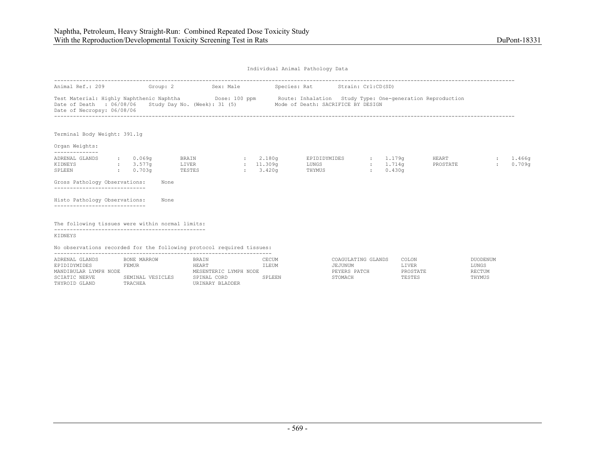| Animal Ref.: 209 Group: 2                                                                                                                                                                                                                  |                          |                          | Sex: Male |                    | Species: Rat Strain: Crl:CD(SD) |                          |               |                              |                          |                        |                              |
|--------------------------------------------------------------------------------------------------------------------------------------------------------------------------------------------------------------------------------------------|--------------------------|--------------------------|-----------|--------------------|---------------------------------|--------------------------|---------------|------------------------------|--------------------------|------------------------|------------------------------|
| Test Material: Highly Naphthenic Naphtha Dose: 100 ppm Route: Inhalation Study Type: One-generation Reproduction<br>Date of Death : 06/08/06 Study Day No. (Week): 31 (5) Mode of Death: SACRIFICE BY DESIGN<br>Date of Necropsy: 06/08/06 |                          |                          |           |                    |                                 |                          |               |                              |                          |                        |                              |
| Terminal Body Weight: 391.1q<br>Organ Weights:                                                                                                                                                                                             |                          |                          |           |                    |                                 |                          |               |                              |                          |                        |                              |
| --------------<br>ADRENAL GLANDS<br>KIDNEYS<br>$\sim 0.703$ q<br>SPLEEN                                                                                                                                                                    | $\cdot$ 0.069q<br>3.577q | BRAIN<br>LIVER<br>TESTES |           | 2.180q<br>: 3.420q | $11.309q$ LUNGS                 | EPIDIDYMIDES :<br>THYMUS | $\mathcal{L}$ | 1.179q<br>: 1.714q<br>0.430q | <b>HEART</b><br>PROSTATE | $\sim$<br>$\mathbf{L}$ | 1.466 <sub>q</sub><br>0.709q |
| Gross Pathology Observations:                                                                                                                                                                                                              |                          | None                     |           |                    |                                 |                          |               |                              |                          |                        |                              |
| Histo Pathology Observations:<br>----------------------------                                                                                                                                                                              |                          | None                     |           |                    |                                 |                          |               |                              |                          |                        |                              |
| The following tissues were within normal limits:                                                                                                                                                                                           |                          |                          |           |                    |                                 |                          |               |                              |                          |                        |                              |
| KIDNEYS                                                                                                                                                                                                                                    |                          |                          |           |                    |                                 |                          |               |                              |                          |                        |                              |
| No observations recorded for the following protocol required tissues:                                                                                                                                                                      |                          |                          |           |                    |                                 |                          |               |                              |                          |                        |                              |

| ADRENAL GLANDS        | BONE MARROW      | <b>BRAIN</b>          | CECUM  | COAGULATING GLANDS | COLON    | DUODENUM |
|-----------------------|------------------|-----------------------|--------|--------------------|----------|----------|
| EPIDIDYMIDES          | FEMUR            | HEART                 | ILEUM  | JEJUNUM            | LIVER    | LUNGS    |
| MANDIBULAR LYMPH NODE |                  | MESENTERIC LYMPH NODE |        | PEYERS PATCH       | PROSTATE | RECTUM   |
| SCIATIC NERVE         | SEMINAL VESICLES | SPINAL CORD           | SPLEEN | STOMACH            | TESTES   | THYMUS   |
| THYROID GLAND         | TRACHEA          | URINARY BLADDER       |        |                    |          |          |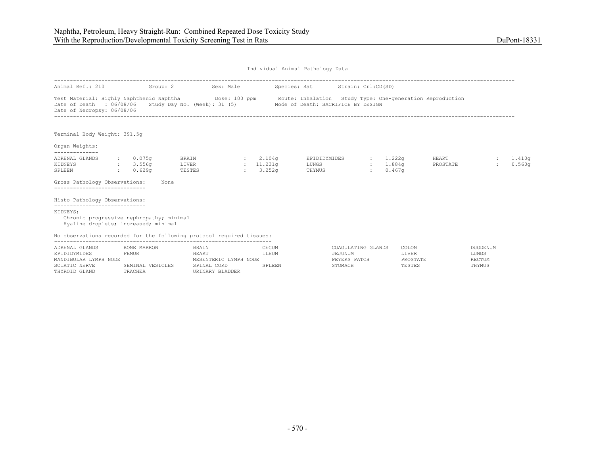| Animal Ref.: 210 Group: 2                                                                                                                                                              |                                          | Sex: Male                                                       |                                   |                | Species: Rat Strain: Crl:CD(SD)               |                                |                            |                          |                                    |                  |
|----------------------------------------------------------------------------------------------------------------------------------------------------------------------------------------|------------------------------------------|-----------------------------------------------------------------|-----------------------------------|----------------|-----------------------------------------------|--------------------------------|----------------------------|--------------------------|------------------------------------|------------------|
| Test Material: Highly Naphthenic Naphtha <b>Show Dose: 100 ppm</b> Route: Inhalation Study Type: One-generation Reproduction<br>Date of Death : 06/08/06<br>Date of Necropsy: 06/08/06 |                                          | Study Day No. (Week): 31 (5) Mode of Death: SACRIFICE BY DESIGN |                                   |                |                                               |                                |                            |                          |                                    |                  |
| Terminal Body Weight: 391.5q                                                                                                                                                           |                                          |                                                                 |                                   |                |                                               |                                |                            |                          |                                    |                  |
| Organ Weights:                                                                                                                                                                         |                                          |                                                                 |                                   |                |                                               |                                |                            |                          |                                    |                  |
| ADRENAL GLANDS<br>KIDNEYS<br>SPLEEN<br>Gross Pathology Observations:                                                                                                                   | : 0.075q<br>: 3.556q<br>: 0.629q<br>None | BRAIN<br>LIVER<br>TESTES                                        | : 2.104q<br>: 11.231q<br>: 3.252q |                | EPIDIDYMIDES<br>LUNGS<br>THYMUS               | $\sim$ $\sim$<br>$\mathcal{L}$ | 1.222q<br>1,884q<br>0.467q | <b>HEART</b><br>PROSTATE |                                    | 1.410q<br>0.560q |
|                                                                                                                                                                                        |                                          |                                                                 |                                   |                |                                               |                                |                            |                          |                                    |                  |
| Histo Pathology Observations:                                                                                                                                                          |                                          |                                                                 |                                   |                |                                               |                                |                            |                          |                                    |                  |
| -----------------------------<br>KIDNEYS;<br>Chronic progressive nephropathy; minimal<br>Hyaline droplets; increased; minimal                                                          |                                          |                                                                 |                                   |                |                                               |                                |                            |                          |                                    |                  |
| No observations recorded for the following protocol required tissues:                                                                                                                  |                                          |                                                                 |                                   |                |                                               |                                |                            |                          |                                    |                  |
| ADRENAL GLANDS<br>EPIDIDYMIDES<br>MANDIBULAR LYMPH NODE                                                                                                                                | BONE MARROW<br>FEMUR                     | BRAIN<br>HEART<br>MESENTERIC LYMPH NODE                         |                                   | CECUM<br>ILEUM | COAGULATING GLANDS<br>JEJUNUM<br>PEYERS PATCH |                                | COLON<br>LIVER<br>PROSTATE |                          | DUODENUM<br>LUNGS<br><b>RECTUM</b> |                  |

| ------------<br>-------- | <u>DUND IMMUTUM</u> | -------        | -----               | -------        | - COMO LI | PUULLIU |
|--------------------------|---------------------|----------------|---------------------|----------------|-----------|---------|
|                          | FEMUR               | <b>HEART</b>   | ILEUM               | <b>TUNUM</b>   | LIVER     | LUNGS   |
| <b>VMDH</b><br>MANDT     |                     | T VMDU<br>NODE |                     | .              |           | RECTUM  |
| NERVI<br><b>COTAT</b>    | 7 <sub>m</sub>      | <b>CDTNA</b>   | יות דם כ<br>المتلقط | <b>STOMACI</b> | TESTES    | THYMUS  |
| THVD(<br>ת ותרשבו        | <b>TDACHEL</b>      | <b>ADDED</b>   |                     |                |           |         |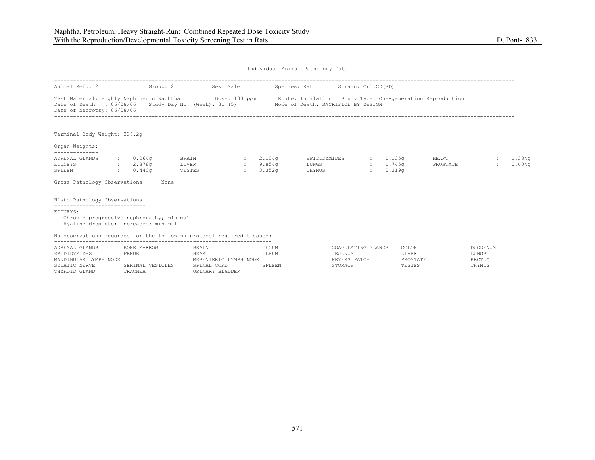| Animal Ref.: 211 Group: 2 Sex: Male                                                                                                                                               |                              |                                         |                               |                                            | Species: Rat Strain: Crl:CD(SD)                                 |               |                                   |                          |                                           |                  |
|-----------------------------------------------------------------------------------------------------------------------------------------------------------------------------------|------------------------------|-----------------------------------------|-------------------------------|--------------------------------------------|-----------------------------------------------------------------|---------------|-----------------------------------|--------------------------|-------------------------------------------|------------------|
| Test Material: Highly Naphthenic Naphtha <b>Dose:</b> 100 ppm Route: Inhalation Study Type: One-generation Reproduction<br>Date of Death : 06/08/06<br>Date of Necropsy: 06/08/06 |                              |                                         |                               |                                            | Study Day No. (Week): 31 (5) Mode of Death: SACRIFICE BY DESIGN |               |                                   |                          |                                           |                  |
| Terminal Body Weight: 336.2q                                                                                                                                                      |                              |                                         |                               |                                            |                                                                 |               |                                   |                          |                                           |                  |
| Organ Weights:                                                                                                                                                                    |                              |                                         |                               |                                            |                                                                 |               |                                   |                          |                                           |                  |
| ADRENAL GLANDS<br>2.878g<br>KIDNEYS<br>SPLEEN<br>Gross Pathology Observations:                                                                                                    | : 0.064q<br>: 0.440q<br>None | <b>BRAIN</b><br>LIVER<br>TESTES         | <b>CENTER</b><br>$\mathbf{r}$ | $\cdot$ 2.104 $\sigma$<br>9.854a<br>3.352q | EPIDIDYMIDES<br>LUNGS<br>THYMUS                                 | $\mathcal{L}$ | : 1.135a<br>$: 1.745$ q<br>0.319q | <b>HEART</b><br>PROSTATE |                                           | 1.384q<br>0.604q |
| -----------------------------                                                                                                                                                     |                              |                                         |                               |                                            |                                                                 |               |                                   |                          |                                           |                  |
| Histo Pathology Observations:<br>-----------------------------                                                                                                                    |                              |                                         |                               |                                            |                                                                 |               |                                   |                          |                                           |                  |
| KIDNEYS;<br>Chronic progressive nephropathy; minimal<br>Hyaline droplets; increased; minimal                                                                                      |                              |                                         |                               |                                            |                                                                 |               |                                   |                          |                                           |                  |
| No observations recorded for the following protocol required tissues:                                                                                                             |                              |                                         |                               |                                            |                                                                 |               |                                   |                          |                                           |                  |
| ADRENAL GLANDS<br>EPIDIDYMIDES<br>MANDIBULAR LYMPH NODE                                                                                                                           | BONE MARROW<br>FEMUR         | BRAIN<br>HEART<br>MESENTERIC LYMPH NODE |                               | CECUM<br>ILEUM                             | COAGULATING GLANDS<br>JEJUNUM<br>PEYERS PATCH                   |               | COLON<br>LIVER<br>PROSTATE        |                          | <b>DUODENUM</b><br>LUNGS<br><b>RECTUM</b> |                  |

| ADNENAE GEANDO        | DUNE FENNNUW     | DNA IN                | - ULU ULU | COAGO DAILING GEANDO | uuluu    | DUUDENU |
|-----------------------|------------------|-----------------------|-----------|----------------------|----------|---------|
| EPIDIDYMIDES          | FEMUR            | HEART                 | ILEUM     | JEJUNUM              | LIVER    | LUNGS   |
| MANDIBULAR LYMPH NODE |                  | MESENTERIC LYMPH NODE |           | PEYERS PATCH         | PROSTATE | RECTUM  |
| SCIATIC NERVE         | SEMINAL VESICLES | SPINAL CORD           | SPLEEN    | STOMACH              | TESTES   | THYMUS  |
| THYROID GLAND         | TRACHEA          | URINARY BLADDER       |           |                      |          |         |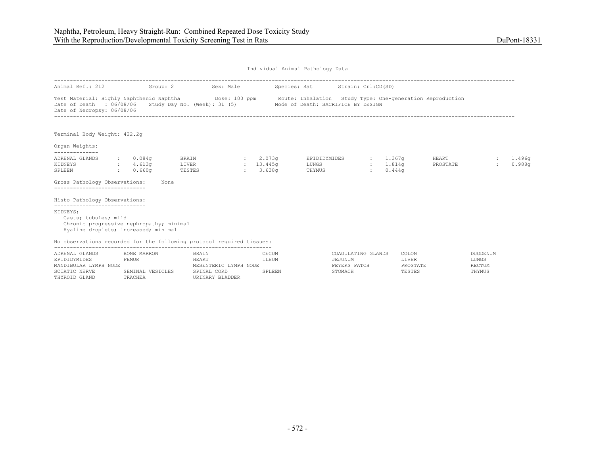| Animal Ref.: 212                                                                                                                                      | Group: 2                                        |                          | Sex: Male |                                      | Species: Rat Strain: Crl:CD(SD)                                                                                                                                                                 |        |                       |                          |                                |                  |
|-------------------------------------------------------------------------------------------------------------------------------------------------------|-------------------------------------------------|--------------------------|-----------|--------------------------------------|-------------------------------------------------------------------------------------------------------------------------------------------------------------------------------------------------|--------|-----------------------|--------------------------|--------------------------------|------------------|
| Date of Death : 06/08/06<br>Date of Necropsy: 06/08/06                                                                                                |                                                 |                          |           |                                      | Test Material: Highly Naphthenic Naphtha <b>Show Dose:</b> 100 ppm Route: Inhalation Study Type: One-generation Reproduction<br>Study Day No. (Week): 31 (5) Mode of Death: SACRIFICE BY DESIGN |        |                       |                          |                                |                  |
| Terminal Body Weight: 422.2q                                                                                                                          |                                                 |                          |           |                                      |                                                                                                                                                                                                 |        |                       |                          |                                |                  |
| Organ Weights:                                                                                                                                        |                                                 |                          |           |                                      |                                                                                                                                                                                                 |        |                       |                          |                                |                  |
| ADRENAL GLANDS<br>KIDNEYS<br>SPLEEN                                                                                                                   | $: 0.084$ q<br>4.613q<br>$\cdot$ 0.660 $\sigma$ | BRAIN<br>LIVER<br>TESTES |           | : 2.073q<br>$: 13.445$ q<br>: 3.638q | EPIDIDYMIDES : 1.367q<br>LUNGS<br>THYMUS                                                                                                                                                        | $\sim$ | $: 1.814$ q<br>0.444q | <b>HEART</b><br>PROSTATE | $\mathcal{L}$<br>$\mathcal{L}$ | 1.496g<br>0.988q |
| Gross Pathology Observations:<br>-----------------------------                                                                                        | None                                            |                          |           |                                      |                                                                                                                                                                                                 |        |                       |                          |                                |                  |
| Histo Pathology Observations:                                                                                                                         |                                                 |                          |           |                                      |                                                                                                                                                                                                 |        |                       |                          |                                |                  |
| -----------------------------<br>KIDNEYS;<br>Casts; tubules; mild<br>Chronic progressive nephropathy; minimal<br>Hyaline droplets; increased; minimal |                                                 |                          |           |                                      |                                                                                                                                                                                                 |        |                       |                          |                                |                  |
| No observations recorded for the following protocol required tissues:                                                                                 |                                                 |                          |           |                                      |                                                                                                                                                                                                 |        |                       |                          |                                |                  |
| ADRENAL GLANDS<br>EPIDIDYMIDES                                                                                                                        | BONE MARROW<br>FEMUR                            | <b>BRAIN</b><br>HEART    |           | CECUM<br>ILEUM                       | COAGULATING GLANDS<br>JEJUNUM                                                                                                                                                                   |        | COLON<br>LIVER        |                          | DUODENUM<br>LUNGS              |                  |

| ADKENAL GLANDS        | BUNE MARROW      | BRAIN                 | JECUM  | JUAGULATING GLANDS | CULUN    | DUODENU |
|-----------------------|------------------|-----------------------|--------|--------------------|----------|---------|
| EPIDIDYMIDES          | FEMUR            | HEART                 | LEUM.  | JEJUNUM            | LIVER    | LUNGS   |
| MANDIBULAR LYMPH NODE |                  | MESENTERIC LYMPH NODE |        | PEYERS PATCH       | PROSTATE | RECTUM  |
| SCIATIC NERVE         | SEMINAL VESICLES | SPINAL CORD           | SPLEEN | STOMACH            | TESTES   | THYMUS  |
| THYROID GLAND         | TRACHEA          | URINARY BLADDER       |        |                    |          |         |
|                       |                  |                       |        |                    |          |         |

| CANNAA AMITIWA AMA | uulun           | <b>LUULLINUM</b> |
|--------------------|-----------------|------------------|
| JEJUNUM            | <b>LTVER</b>    | LUNGS            |
| PEYERS PATCH       | <b>PROSTATE</b> | RECTUM           |
| STOMACH            | TESTES          | THYMUS           |
|                    |                 |                  |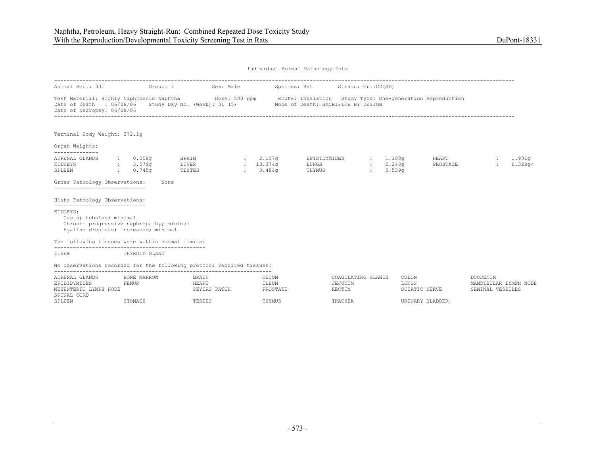| Animal Ref.: 301                                                                                                                                                                                                                           |                      |                                 | Group: 3 Sex: Male |                                             |                            | Species: Rat Strain: Crl:CD(SD)          |                                         |                |                                |                          |                                                       |                     |
|--------------------------------------------------------------------------------------------------------------------------------------------------------------------------------------------------------------------------------------------|----------------------|---------------------------------|--------------------|---------------------------------------------|----------------------------|------------------------------------------|-----------------------------------------|----------------|--------------------------------|--------------------------|-------------------------------------------------------|---------------------|
| Test Material: Highly Naphthenic Naphtha Dose: 500 ppm Route: Inhalation Study Type: One-generation Reproduction<br>Date of Death : 06/08/06 Study Day No. (Week): 31 (5) Mode of Death: SACRIFICE BY DESIGN<br>Date of Necropsy: 06/08/06 |                      |                                 |                    |                                             |                            |                                          |                                         |                |                                |                          |                                                       |                     |
| Terminal Body Weight: 372.1q                                                                                                                                                                                                               |                      |                                 |                    |                                             |                            |                                          |                                         |                |                                |                          |                                                       |                     |
| Organ Weights:                                                                                                                                                                                                                             |                      |                                 |                    |                                             |                            |                                          |                                         |                |                                |                          |                                                       |                     |
| --------------<br>ADRENAL GLANDS<br>KIDNEYS<br>SPLEEN<br>0.745q                                                                                                                                                                            | : 0.058q<br>: 3.579q | <b>BRAIN</b><br>LIVER<br>TESTES |                    | 2.107 <sub>q</sub><br>: 13.374q<br>: 3.484q |                            | EPIDIDYMIDES : 1.108q<br>LUNGS<br>THYMUS |                                         | <b>British</b> | : 2.248q<br>0.539 <sub>q</sub> | <b>HEART</b><br>PROSTATE | $\mathcal{L}$                                         | : 1.931q<br>0.329q< |
| Gross Pathology Observations:<br>------------------------------                                                                                                                                                                            | None                 |                                 |                    |                                             |                            |                                          |                                         |                |                                |                          |                                                       |                     |
| Histo Pathology Observations:                                                                                                                                                                                                              |                      |                                 |                    |                                             |                            |                                          |                                         |                |                                |                          |                                                       |                     |
| -----------------------------<br>KIDNEYS;<br>Casts; tubules; minimal<br>Chronic progressive nephropathy; minimal<br>Hyaline droplets; increased; minimal                                                                                   |                      |                                 |                    |                                             |                            |                                          |                                         |                |                                |                          |                                                       |                     |
| The following tissues were within normal limits:                                                                                                                                                                                           |                      |                                 |                    |                                             |                            |                                          |                                         |                |                                |                          |                                                       |                     |
| LIVER<br>THYROID GLAND                                                                                                                                                                                                                     |                      |                                 |                    |                                             |                            |                                          |                                         |                |                                |                          |                                                       |                     |
| No observations recorded for the following protocol required tissues:                                                                                                                                                                      |                      |                                 |                    |                                             |                            |                                          |                                         |                |                                |                          |                                                       |                     |
| ADRENAL GLANDS<br><b>EEMUR</b><br>EPIDIDYMIDES<br>MESENTERIC LYMPH NODE<br>SPINAL CORD                                                                                                                                                     | BONE MARROW          | BRAIN<br>HEART                  | PEYERS PATCH       |                                             | CECUM<br>ILEUM<br>PROSTATE |                                          | COAGULATING GLANDS<br>JEJUNUM<br>RECTUM |                | COLON<br>LUNGS                 | SCIATIC NERVE            | DUODENUM<br>MANDIBULAR LYMPH NODE<br>SEMINAL VESICLES |                     |
| SPLEEN                                                                                                                                                                                                                                     | STOMACH              | TESTES                          |                    |                                             | THYMUS                     |                                          | TRACHEA                                 |                |                                | URINARY BLADDER          |                                                       |                     |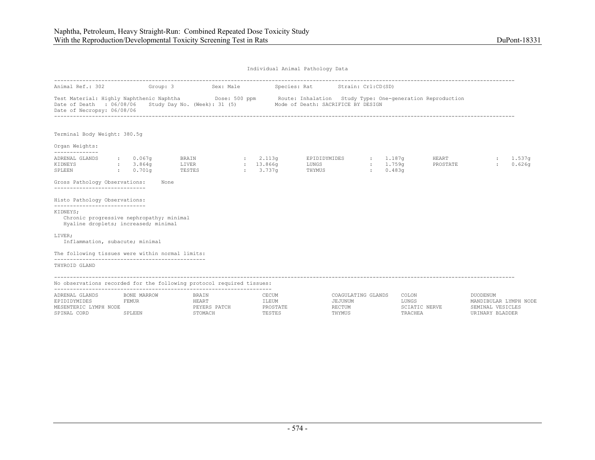|                                                                                                                               |      |                                 |  | Animal Ref.: 302 6roup: 3 Sex: Male Species: Rat Strain: Crl:CD(SD)                                                                                                                                                      |  |                          |              |                    |
|-------------------------------------------------------------------------------------------------------------------------------|------|---------------------------------|--|--------------------------------------------------------------------------------------------------------------------------------------------------------------------------------------------------------------------------|--|--------------------------|--------------|--------------------|
| Date of Necropsy: 06/08/06                                                                                                    |      |                                 |  | Test Material: Highly Naphthenic Naphtha <b>Show Dose: 500 ppm</b> Route: Inhalation Study Type: One-generation Reproduction<br>Date of Death : 06/08/06 Study Day No. (Week): 31 (5) Mode of Death: SACRIFICE BY DESIGN |  |                          |              |                    |
| Terminal Body Weight: 380.5q                                                                                                  |      |                                 |  |                                                                                                                                                                                                                          |  |                          |              |                    |
| Organ Weights:<br>--------------                                                                                              |      |                                 |  |                                                                                                                                                                                                                          |  |                          |              |                    |
| ADRENAL GLANDS : 0.067q<br>KIDNEYS : 3.864g<br>SPLEEN : 0.701q<br>Gross Pathology Observations:                               | None | <b>BRAIN</b><br>LIVER<br>TESTES |  | $\sim$ 2.113q EPIDIDYMIDES : 1.187q                                                                                                                                                                                      |  | <b>HEART</b><br>PROSTATE | $\mathbf{L}$ | : 1.537q<br>0.626q |
| ------------------------------<br>Histo Pathology Observations:                                                               |      |                                 |  |                                                                                                                                                                                                                          |  |                          |              |                    |
| -----------------------------<br>KIDNEYS:<br>Chronic progressive nephropathy; minimal<br>Hyaline droplets; increased; minimal |      |                                 |  |                                                                                                                                                                                                                          |  |                          |              |                    |
| LIVER;<br>Inflammation, subacute; minimal                                                                                     |      |                                 |  |                                                                                                                                                                                                                          |  |                          |              |                    |
| The following tissues were within normal limits:                                                                              |      |                                 |  |                                                                                                                                                                                                                          |  |                          |              |                    |
| THYROID GLAND                                                                                                                 |      |                                 |  |                                                                                                                                                                                                                          |  |                          |              |                    |

No observations recorded for the following protocol required tissues:

| ADRENAL GLANDS        | BONE MARROW | BRAIN         | CECUM     | COAGULATING GLANDS | COLON         | <b>DUODENUM</b>       |
|-----------------------|-------------|---------------|-----------|--------------------|---------------|-----------------------|
| EPIDIDYMIDES          | 'EMUR       | <b>IEAR</b> 1 | LEUM!     | <b>EJUNUM</b>      | LUNGS         | MANDIBULAR LYMPH NODE |
| MESENTERIC LYMPH NODE |             | PEYERS PATCH  | PROSTATE  | RECTUM             | SCIATIC NERVE | VESICLES<br>SEMTNAL   |
| SPINAL CORD           | SPLEEN      | TOMACH        | 고 국 교 교 교 | <b>THYMUS</b>      | 'RACHEA       | URINARY BLADDER       |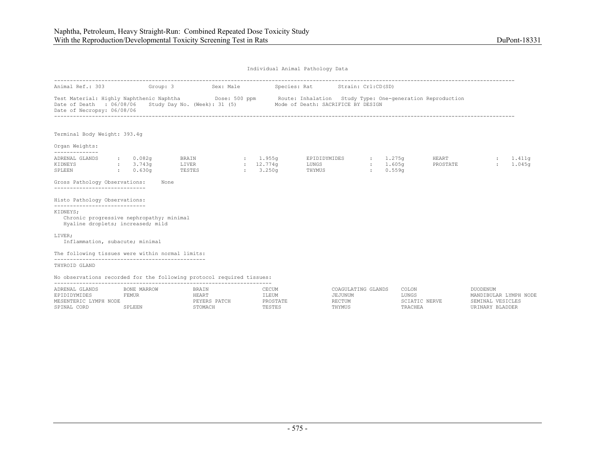| Animal Ref.: 303                                                                                                                                                            |                                                        | Group: 3<br>Sex: Male                     |                                      | Species: Rat                       | Strain: Crl:CD(SD)                                    |                                            |                                                                                 |
|-----------------------------------------------------------------------------------------------------------------------------------------------------------------------------|--------------------------------------------------------|-------------------------------------------|--------------------------------------|------------------------------------|-------------------------------------------------------|--------------------------------------------|---------------------------------------------------------------------------------|
| Test Material: Highly Naphthenic Naphtha (Dose: 500 ppm Route: Inhalation Study Type: One-generation Reproduction<br>Date of Death : 06/08/06<br>Date of Necropsy: 06/08/06 |                                                        | Study Day No. (Week): 31 (5)              |                                      | Mode of Death: SACRIFICE BY DESIGN |                                                       |                                            |                                                                                 |
| Terminal Body Weight: 393.4q                                                                                                                                                |                                                        |                                           |                                      |                                    |                                                       |                                            |                                                                                 |
| Organ Weights:                                                                                                                                                              |                                                        |                                           |                                      |                                    |                                                       |                                            |                                                                                 |
| --------------<br>ADRENAL GLANDS<br>KIDNEYS<br>SPLEEN                                                                                                                       | $\therefore$ 0.082q<br>: 3.743q<br>$\therefore$ 0.630q | BRAIN<br>LIVER<br>TESTES                  | : 1.955q<br>: 12.774q<br>3.250q      | EPIDIDYMIDES<br>LUNGS<br>THYMUS    | $\frac{1}{275}$<br>: 1.605q<br>0.559q<br>$\mathbf{r}$ | HEART<br>PROSTATE                          | : 1.411q<br>1.045q                                                              |
| Gross Pathology Observations:<br>-----------------------------                                                                                                              | None                                                   |                                           |                                      |                                    |                                                       |                                            |                                                                                 |
| Histo Pathology Observations:                                                                                                                                               |                                                        |                                           |                                      |                                    |                                                       |                                            |                                                                                 |
| ------------------------------<br>KIDNEYS;<br>Chronic progressive nephropathy; minimal<br>Hyaline droplets; increased; mild                                                 |                                                        |                                           |                                      |                                    |                                                       |                                            |                                                                                 |
| LIVER;<br>Inflammation, subacute; minimal                                                                                                                                   |                                                        |                                           |                                      |                                    |                                                       |                                            |                                                                                 |
| The following tissues were within normal limits:                                                                                                                            |                                                        |                                           |                                      |                                    |                                                       |                                            |                                                                                 |
| THYROID GLAND                                                                                                                                                               |                                                        |                                           |                                      |                                    |                                                       |                                            |                                                                                 |
| No observations recorded for the following protocol required tissues:                                                                                                       |                                                        |                                           |                                      |                                    |                                                       |                                            |                                                                                 |
| ADRENAL GLANDS<br>EPIDIDYMIDES<br>MESENTERIC LYMPH NODE<br>SPINAL CORD                                                                                                      | BONE MARROW<br><b>FEMUR</b><br>SPLEEN                  | BRAIN<br>HEART<br>PEYERS PATCH<br>STOMACH | CECUM<br>ILEUM<br>PROSTATE<br>TESTES | JEJUNUM<br>RECTUM<br>THYMUS        | COAGULATING GLANDS                                    | COLON<br>LUNGS<br>SCIATIC NERVE<br>TRACHEA | <b>DUODENUM</b><br>MANDIBULAR LYMPH NODE<br>SEMINAL VESICLES<br>URINARY BLADDER |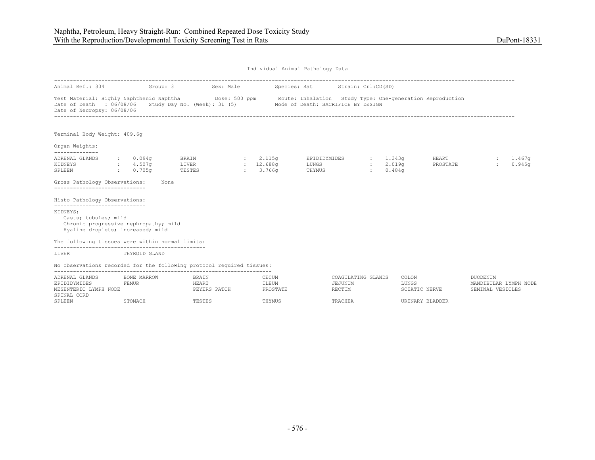| Animal Ref.: 304                                                                                                                                                           |              |                      | Group: 3 Sex: Male             |                                   | Species: Rat Strain: Crl:CD(SD)                                 |                                         |                                          |                 |                   |                                                              |                  |
|----------------------------------------------------------------------------------------------------------------------------------------------------------------------------|--------------|----------------------|--------------------------------|-----------------------------------|-----------------------------------------------------------------|-----------------------------------------|------------------------------------------|-----------------|-------------------|--------------------------------------------------------------|------------------|
| Test Material: Highly Naphthenic Naphtha Dose: 500 ppm Route: Inhalation Study Type: One-generation Reproduction<br>Date of Death : 06/08/06<br>Date of Necropsy: 06/08/06 |              |                      |                                |                                   | Study Day No. (Week): 31 (5) Mode of Death: SACRIFICE BY DESIGN |                                         |                                          |                 |                   |                                                              |                  |
| Terminal Body Weight: 409.6q                                                                                                                                               |              |                      |                                |                                   |                                                                 |                                         |                                          |                 |                   |                                                              |                  |
| Organ Weights:                                                                                                                                                             |              |                      |                                |                                   |                                                                 |                                         |                                          |                 |                   |                                                              |                  |
| --------------<br>ADRENAL GLANDS<br>KIDNEYS<br>SPLEEN<br>$\sim 0.705$ q                                                                                                    |              | : 0.094q<br>: 4.507g | BRAIN<br>LIVER<br>TESTES       | : 2.115q<br>: 12.688q<br>: 3.766q | EPIDIDYMIDES<br>LUNGS<br>THYMUS                                 |                                         | 1.343q<br>: 2.019q<br>0.484 <sub>q</sub> |                 | HEART<br>PROSTATE | $\mathbb{Z}$                                                 | 1.467q<br>0.945q |
| Gross Pathology Observations:<br>----------------------------                                                                                                              |              | None                 |                                |                                   |                                                                 |                                         |                                          |                 |                   |                                                              |                  |
| Histo Pathology Observations:                                                                                                                                              |              |                      |                                |                                   |                                                                 |                                         |                                          |                 |                   |                                                              |                  |
| ------------------------------<br>KIDNEYS;<br>Casts; tubules; mild<br>Chronic progressive nephropathy; mild<br>Hyaline droplets; increased; mild                           |              |                      |                                |                                   |                                                                 |                                         |                                          |                 |                   |                                                              |                  |
| The following tissues were within normal limits:                                                                                                                           |              |                      |                                |                                   |                                                                 |                                         |                                          |                 |                   |                                                              |                  |
| LIVER                                                                                                                                                                      |              | THYROID GLAND        |                                |                                   |                                                                 |                                         |                                          |                 |                   |                                                              |                  |
| No observations recorded for the following protocol required tissues:                                                                                                      |              |                      |                                |                                   |                                                                 |                                         |                                          |                 |                   |                                                              |                  |
| ADRENAL GLANDS<br>EPIDIDYMIDES<br>MESENTERIC LYMPH NODE<br>SPINAL CORD                                                                                                     | <b>FEMUR</b> | BONE MARROW          | BRAIN<br>HEART<br>PEYERS PATCH | CECUM<br>ILEUM<br>PROSTATE        |                                                                 | COAGULATING GLANDS<br>JEJUNUM<br>RECTUM |                                          | COLON<br>LUNGS  | SCIATIC NERVE     | <b>DUODENUM</b><br>MANDIBULAR LYMPH NODE<br>SEMINAL VESICLES |                  |
| SPLEEN                                                                                                                                                                     |              | STOMACH              | TESTES                         | THYMUS                            |                                                                 | TRACHEA                                 |                                          | URINARY BLADDER |                   |                                                              |                  |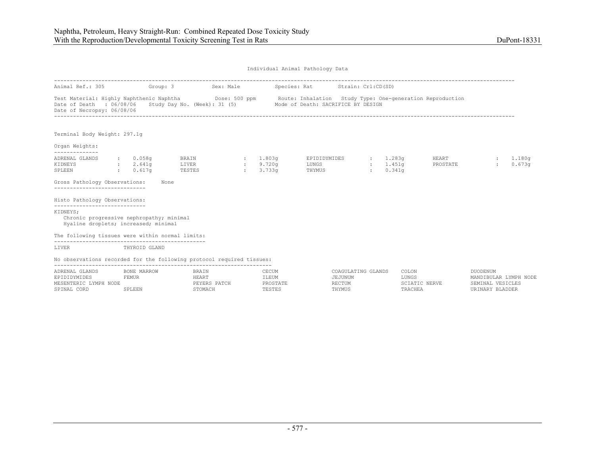| Animal Ref.: 305 Group: 3 Sex: Male                                                                                                                                                 |                     |                                         |                                    |                                 | Species: Rat Strain: Crl:CD(SD)                                                                                                                                                     |                    |                    |                   |              |                  |
|-------------------------------------------------------------------------------------------------------------------------------------------------------------------------------------|---------------------|-----------------------------------------|------------------------------------|---------------------------------|-------------------------------------------------------------------------------------------------------------------------------------------------------------------------------------|--------------------|--------------------|-------------------|--------------|------------------|
| Date of Death : 06/08/06<br>Date of Necropsy: 06/08/06                                                                                                                              |                     |                                         |                                    |                                 | Test Material: Highly Naphthenic Naphtha Dose: 500 ppm Route: Inhalation Study Type: One-generation Reproduction<br>Study Day No. (Week): 31 (5) Mode of Death: SACRIFICE BY DESIGN |                    |                    |                   |              |                  |
| Terminal Body Weight: 297.1g                                                                                                                                                        |                     |                                         |                                    |                                 |                                                                                                                                                                                     |                    |                    |                   |              |                  |
| Organ Weights:                                                                                                                                                                      |                     |                                         |                                    |                                 |                                                                                                                                                                                     |                    |                    |                   |              |                  |
| --------------<br>ADRENAL GLANDS<br>KIDNEYS : 2.641q<br>$\sim 0.617$ q<br>SPLEEN<br>Gross Pathology Observations:<br>-----------------------------<br>Histo Pathology Observations: | $\,:\qquad 0.058$ q | <b>BRAIN</b><br>LIVER<br>TESTES<br>None | <b>State State</b><br>$\mathbf{L}$ | $: 1.803$ a<br>9.720a<br>3.733a | EPIDIDYMIDES : 1.283q<br>LUNGS <b>Example 1999</b><br>THYMUS                                                                                                                        | <b>State State</b> | : 1.451q<br>0.341q | HEART<br>PROSTATE | $\mathbf{L}$ | 1.180g<br>0.673q |
| ------------------------------<br>KIDNEYS;<br>Chronic progressive nephropathy; minimal<br>Hyaline droplets; increased; minimal                                                      |                     |                                         |                                    |                                 |                                                                                                                                                                                     |                    |                    |                   |              |                  |
| The following tissues were within normal limits:                                                                                                                                    |                     |                                         |                                    |                                 |                                                                                                                                                                                     |                    |                    |                   |              |                  |
| LIVER                                                                                                                                                                               | THYROID GLAND       |                                         |                                    |                                 |                                                                                                                                                                                     |                    |                    |                   |              |                  |
| No observations recorded for the following protocol required tissues:                                                                                                               |                     |                                         |                                    |                                 |                                                                                                                                                                                     |                    |                    |                   |              |                  |

| ADREN'                          | 0.037 |                     | CAMING CLANDO        | COLON        | <b>DIIODEMIIM</b>     |
|---------------------------------|-------|---------------------|----------------------|--------------|-----------------------|
|                                 | 'EMUR | $T$ $T$ $T$ $T$ $N$ |                      | <b>LUNGS</b> | <b>T.VMDH</b><br>NODE |
| VMDII<br><b>NODE</b><br>MF SFN' |       |                     |                      |              |                       |
| CDTM7                           |       |                     | <b><i>THYMUS</i></b> |              |                       |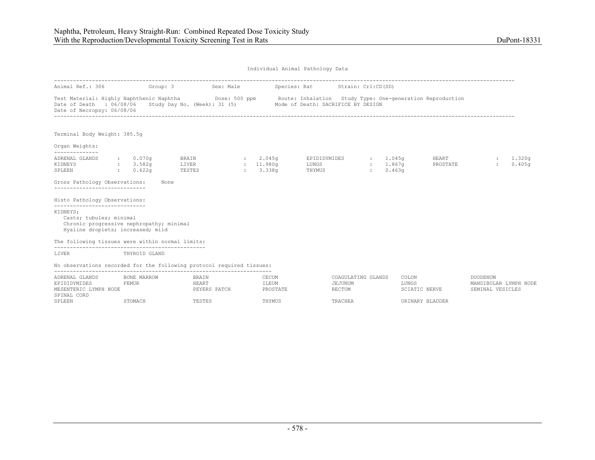| Animal Ref.: 306                                                                                                                                                           |                                                    |                 | Group: 3 Sex: Male                                              |                               |          | Species: Rat Strain: Crl:CD(SD)          |                                         |                         |                          |                              |                       |
|----------------------------------------------------------------------------------------------------------------------------------------------------------------------------|----------------------------------------------------|-----------------|-----------------------------------------------------------------|-------------------------------|----------|------------------------------------------|-----------------------------------------|-------------------------|--------------------------|------------------------------|-----------------------|
| Test Material: Highly Naphthenic Naphtha Dose: 500 ppm Route: Inhalation Study Type: One-generation Reproduction<br>Date of Death : 06/08/06<br>Date of Necropsy: 06/08/06 |                                                    |                 | Study Day No. (Week): 31 (5) Mode of Death: SACRIFICE BY DESIGN |                               |          |                                          |                                         |                         |                          |                              |                       |
| Terminal Body Weight: 385.5q                                                                                                                                               |                                                    |                 |                                                                 |                               |          |                                          |                                         |                         |                          |                              |                       |
| Organ Weights:                                                                                                                                                             |                                                    |                 |                                                                 |                               |          |                                          |                                         |                         |                          |                              |                       |
| --------------<br>ADRENAL GLANDS<br>KIDNEYS<br>$\sim 0.622q$<br>SPLEEN                                                                                                     | $\, \cdot \qquad \, 0.070 \, \text{g}$<br>: 3.582q | LIVER<br>TESTES | <b>BRAIN</b>                                                    | 2.045q<br>: 11.980q<br>3.338q |          | EPIDIDYMIDES : 1.045q<br>LUNGS<br>THYMUS |                                         | $: 1.867$ q<br>: 0.463q | <b>HEART</b><br>PROSTATE | $\mathbf{r}$                 | : 1.320q<br>0.405q    |
| Gross Pathology Observations:<br>------------------------------                                                                                                            |                                                    | None            |                                                                 |                               |          |                                          |                                         |                         |                          |                              |                       |
| Histo Pathology Observations:                                                                                                                                              |                                                    |                 |                                                                 |                               |          |                                          |                                         |                         |                          |                              |                       |
| -----------------------------<br>KIDNEYS;<br>Casts; tubules; minimal<br>Chronic progressive nephropathy; minimal<br>Hyaline droplets; increased; mild                      |                                                    |                 |                                                                 |                               |          |                                          |                                         |                         |                          |                              |                       |
| The following tissues were within normal limits:                                                                                                                           |                                                    |                 |                                                                 |                               |          |                                          |                                         |                         |                          |                              |                       |
| LIVER<br>THYROID GLAND                                                                                                                                                     |                                                    |                 |                                                                 |                               |          |                                          |                                         |                         |                          |                              |                       |
| No observations recorded for the following protocol required tissues:                                                                                                      |                                                    |                 |                                                                 |                               |          |                                          |                                         |                         |                          |                              |                       |
| ADRENAL GLANDS<br><b>FEMUR</b><br>EPIDIDYMIDES<br>MESENTERIC LYMPH NODE                                                                                                    | BONE MARROW                                        |                 | <b>BRATN</b><br>HEART<br>PEYERS PATCH                           | CECUM<br>ILEUM                | PROSTATE |                                          | COAGULATING GLANDS<br>JEJUNUM<br>RECTUM | COLON.<br>LUNGS         | SCIATIC NERVE            | DUODENUM<br>SEMINAL VESICLES | MANDIBULAR LYMPH NODE |
| SPINAL CORD<br>SPLEEN                                                                                                                                                      | STOMACH                                            |                 | TESTES                                                          | THYMUS                        |          |                                          | TRACHEA                                 |                         | URINARY BLADDER          |                              |                       |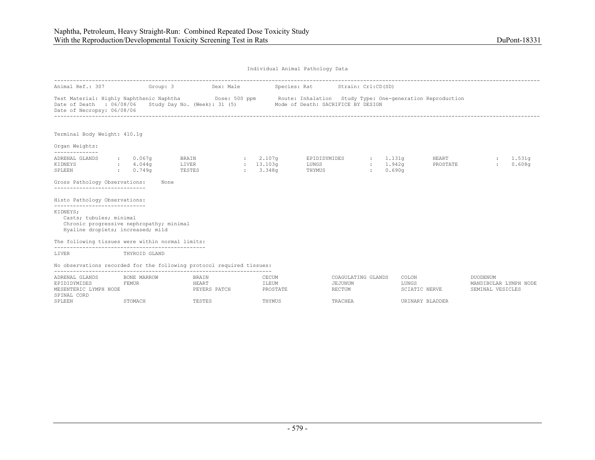Terminal Body Weight: 410.1g

#### Organ Weights: --------------

| ADRENAL GLANDS | $\, \cdot \qquad \, 0.067$ q | BRAIN  | 2.107 <sub>q</sub> | EPIDIDYMIDES | : 1.131q | HEART    | : 1.531q |
|----------------|------------------------------|--------|--------------------|--------------|----------|----------|----------|
| KIDNEYS        | 4.044α                       | LIVER  | 13.103α            | LUNGS        | ⊥.942a   | PROSTATE | 0.608q   |
| SPLEEN         | 0.749 <sub>q</sub>           | TESTES | 3.348a             | THYMUS       | 0.690q   |          |          |

#### Gross Pathology Observations: None

-----------------------------

#### Histo Pathology Observations:

-----------------------------

KIDNEYS;

### Casts; tubules; minimal

Chronic progressive nephropathy; minimal

Hyaline droplets; increased; mild

#### The following tissues were within normal limits:

------------------------------------------------

#### LIVER THYROID GLAND

No observations recorded for the following protocol required tissues:

| ADRENAL GLANDS        | BONE MARROW | <b>BRAIN</b> | CECUM    | COAGULATING GLANDS | COLON           | DUODENUM              |  |  |  |  |
|-----------------------|-------------|--------------|----------|--------------------|-----------------|-----------------------|--|--|--|--|
| EPIDIDYMIDES          | FEMUR       | HEART        | ILEUM    | JEJUNUM            | LUNGS           | MANDIBULAR LYMPH NODE |  |  |  |  |
| MESENTERIC LYMPH NODE |             | PEYERS PATCH | PROSTATE | <b>RECTUM</b>      | SCIATIC NERVE   | SEMINAL VESICLES      |  |  |  |  |
| SPINAL CORD           |             |              |          |                    |                 |                       |  |  |  |  |
| SPLEEN                | STOMACH     | TESTES       | THYMUS   | TRACHEA            | URINARY BLADDER |                       |  |  |  |  |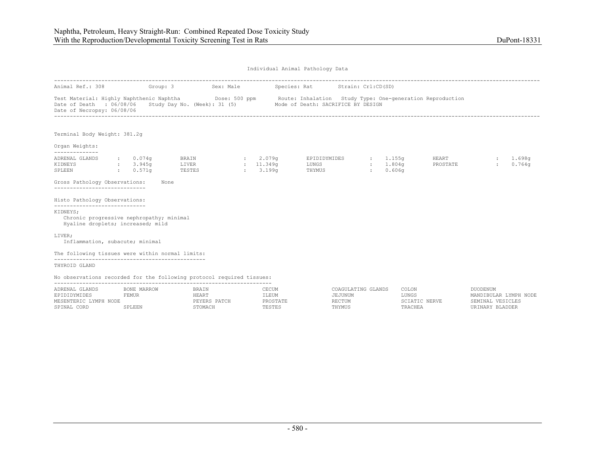| Individual Animal Pathology Data |  |  |
|----------------------------------|--|--|
|                                  |  |  |

| Animal Ref.: 308                                                                                                            | Group: 3                                               | Sex: Male                    |                                 | Species: Rat                                                                                                  | Strain: Crl:CD(SD)             |                |                   |                                          |                  |
|-----------------------------------------------------------------------------------------------------------------------------|--------------------------------------------------------|------------------------------|---------------------------------|---------------------------------------------------------------------------------------------------------------|--------------------------------|----------------|-------------------|------------------------------------------|------------------|
| Test Material: Highly Naphthenic Naphtha<br>Date of Death : 06/08/06<br>Date of Necropsy: 06/08/06                          |                                                        | Study Day No. (Week): 31 (5) |                                 | Dose: 500 ppm Boute: Inhalation Study Type: One-generation Reproduction<br>Mode of Death: SACRIFICE BY DESIGN |                                |                |                   |                                          |                  |
| Terminal Body Weight: 381.2q                                                                                                |                                                        |                              |                                 |                                                                                                               |                                |                |                   |                                          |                  |
| Organ Weights:                                                                                                              |                                                        |                              |                                 |                                                                                                               |                                |                |                   |                                          |                  |
| --------------<br>ADRENAL GLANDS<br>KIDNEYS<br>SPLEEN                                                                       | $\therefore$ 0.074q<br>: 3.945q<br>$\therefore$ 0.571q | BRAIN<br>LIVER<br>TESTES     | 2.079q<br>: 11.349q<br>: 3.199q | EPIDIDYMIDES<br>LUNGS<br>THYMUS                                                                               | $\frac{1}{1.155q}$<br>: 1.804q | 0.606q         | HEART<br>PROSTATE |                                          | 1.698q<br>0.764q |
| Gross Pathology Observations:<br>-----------------------------                                                              | None                                                   |                              |                                 |                                                                                                               |                                |                |                   |                                          |                  |
| Histo Pathology Observations:                                                                                               |                                                        |                              |                                 |                                                                                                               |                                |                |                   |                                          |                  |
| ------------------------------<br>KIDNEYS:<br>Chronic progressive nephropathy; minimal<br>Hyaline droplets; increased; mild |                                                        |                              |                                 |                                                                                                               |                                |                |                   |                                          |                  |
| LIVER:<br>Inflammation, subacute; minimal                                                                                   |                                                        |                              |                                 |                                                                                                               |                                |                |                   |                                          |                  |
| The following tissues were within normal limits:                                                                            |                                                        |                              |                                 |                                                                                                               |                                |                |                   |                                          |                  |
| THYROID GLAND                                                                                                               |                                                        |                              |                                 |                                                                                                               |                                |                |                   |                                          |                  |
| No observations recorded for the following protocol required tissues:                                                       |                                                        |                              |                                 |                                                                                                               |                                |                |                   |                                          |                  |
| ADRENAL GLANDS                                                                                                              | BONE MARROW<br><b>FEMUR</b>                            | BRAIN<br>HEART               | CECUM<br>ILEUM                  | JEJUNUM                                                                                                       | COAGULATING GLANDS             | COLON<br>LUNGS |                   | <b>DUODENUM</b><br>MANDIBULAR LYMPH NODE |                  |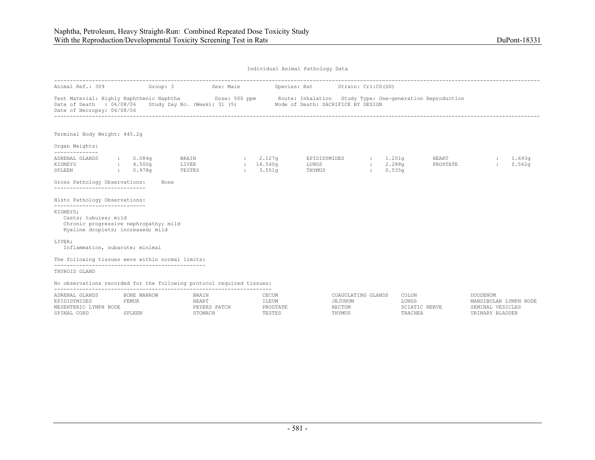| Animal Ref.: 309 Group: 3                                                                                                                                                         |                                                            |                                                                  | Sex: Male |                      | Species: Rat Strain: Crl:CD(SD)                                                                                                                                                      |                    |                   |                    |
|-----------------------------------------------------------------------------------------------------------------------------------------------------------------------------------|------------------------------------------------------------|------------------------------------------------------------------|-----------|----------------------|--------------------------------------------------------------------------------------------------------------------------------------------------------------------------------------|--------------------|-------------------|--------------------|
| Date of Death : 06/08/06<br>Date of Necropsy: 06/08/06                                                                                                                            |                                                            |                                                                  |           |                      | Test Material: Highly Naphthenic Naphtha (Dose: 500 ppm Route: Inhalation Study Type: One-generation Reproduction<br>Study Day No. (Week): 31 (5) Mode of Death: SACRIFICE BY DESIGN |                    |                   |                    |
| Terminal Body Weight: 445.2q                                                                                                                                                      |                                                            |                                                                  |           |                      |                                                                                                                                                                                      |                    |                   |                    |
| Organ Weights:<br>--------------                                                                                                                                                  |                                                            |                                                                  |           |                      |                                                                                                                                                                                      |                    |                   |                    |
| ADRENAL GLANDS<br>KIDNEYS<br>0.978q<br>SPLEEN<br>Gross Pathology Observations:                                                                                                    | $\, \cdot \hspace{1.2cm} 0.084q$<br>$\frac{1}{2}$ : 4.500g | BRAIN $\qquad \qquad : \qquad 2.127q$<br>LIVER<br>TESTES<br>None | : 14.540q | $\frac{1}{2}$ 3.551q | EPIDIDYMIDES : 1.201g<br>LUNGS<br>THYMUS                                                                                                                                             | : 2.288q<br>0.535q | HEART<br>PROSTATE | : 1.693q<br>0.562q |
| ----------------------------                                                                                                                                                      |                                                            |                                                                  |           |                      |                                                                                                                                                                                      |                    |                   |                    |
| Histo Pathology Observations:<br>------------------------------<br>KIDNEYS;<br>Casts; tubules; mild<br>Chronic progressive nephropathy; mild<br>Hyaline droplets; increased; mild |                                                            |                                                                  |           |                      |                                                                                                                                                                                      |                    |                   |                    |
| LIVER;<br>Inflammation, subacute; minimal                                                                                                                                         |                                                            |                                                                  |           |                      |                                                                                                                                                                                      |                    |                   |                    |
| The following tissues were within normal limits:                                                                                                                                  |                                                            |                                                                  |           |                      |                                                                                                                                                                                      |                    |                   |                    |
| THYROID GLAND                                                                                                                                                                     |                                                            |                                                                  |           |                      |                                                                                                                                                                                      |                    |                   |                    |

No observations recorded for the following protocol required tissues:

| ADRENAL GLANDS        | BONE MARROW | BRAIN        | <b>ECUM</b>     | COAGULATING GLANDS | COLON          | itiodentim            |
|-----------------------|-------------|--------------|-----------------|--------------------|----------------|-----------------------|
| EPIDIDYMIDES          | 'EMUR       |              | ILEUM           | EJUNUM             | LUNGS          | LYMPH NODE<br>ס גזוסד |
| MESENTERIC LYMPH NODE |             | PEYERS PATCH | <b>PROSTATE</b> | RECTUM             | SCIATIC NERVE  | SEMINAL VESICLES      |
| SPINAL CORD           | SPLEEN      | 'TOMACH      | PESTES          | THYMUS             | <b>TRACHEA</b> | BLADDER<br>IR TNARY   |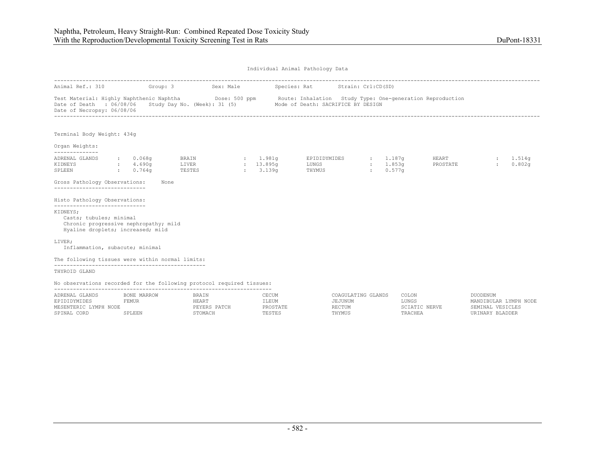| Individual Animal Pathology Data |  |  |
|----------------------------------|--|--|
|                                  |  |  |

|                                                                                                                                                                                      |                                   | Animal Ref.: 310 Group: 3 Sex: Male |                                    | Species: Rat Strain: Crl:CD(SD)                                                                                                                                                                                 |                      |                   |                    |
|--------------------------------------------------------------------------------------------------------------------------------------------------------------------------------------|-----------------------------------|-------------------------------------|------------------------------------|-----------------------------------------------------------------------------------------------------------------------------------------------------------------------------------------------------------------|----------------------|-------------------|--------------------|
| Date of Necropsy: 06/08/06                                                                                                                                                           |                                   |                                     |                                    | Test Material: Highly Naphthenic Naphtha<br>Dose: 500 ppm Route: Inhalation Study Type: One-generation Reproduction<br>Date of Death : 06/08/06 Study Day No. (Week): 31 (5) Mode of Death: SACRIFICE BY DESIGN |                      |                   |                    |
| Terminal Body Weight: 434g                                                                                                                                                           |                                   |                                     |                                    |                                                                                                                                                                                                                 |                      |                   |                    |
| Organ Weights:<br>--------------                                                                                                                                                     |                                   |                                     |                                    |                                                                                                                                                                                                                 |                      |                   |                    |
| ADRENAL GLANDS<br>KIDNEYS<br>SPLEEN<br>Gross Pathology Observations:<br>-----------------------------                                                                                | $\sim 0.068q$<br>4.690g<br>0.764q | LIVER<br>TESTES<br>None             | $\frac{13.895q}{ }$<br>$: 3.139$ q | BRAIN : 1.981g EPIDIDYMIDES : 1.187g<br>LUNGS<br>THYMUS                                                                                                                                                         | : 1.853q<br>: 0.577q | HEART<br>PROSTATE | : 1.514q<br>0.802q |
| Histo Pathology Observations:<br>------------------------------<br>KIDNEYS;<br>Casts; tubules; minimal<br>Chronic progressive nephropathy; mild<br>Hyaline droplets; increased; mild |                                   |                                     |                                    |                                                                                                                                                                                                                 |                      |                   |                    |
| LIVER;<br>Inflammation, subacute; minimal                                                                                                                                            |                                   |                                     |                                    |                                                                                                                                                                                                                 |                      |                   |                    |
| The following tissues were within normal limits:                                                                                                                                     |                                   |                                     |                                    |                                                                                                                                                                                                                 |                      |                   |                    |
| THYROID GLAND                                                                                                                                                                        |                                   |                                     |                                    |                                                                                                                                                                                                                 |                      |                   |                    |

No observations recorded for the following protocol required tissues:

| ADRENAL GLANDS        | BONE MARROW | BRAIN        | <b>ECUM</b>     | COAGULATING GLANDS | COLON          | itiodentim            |
|-----------------------|-------------|--------------|-----------------|--------------------|----------------|-----------------------|
| EPIDIDYMIDES          | 'EMUR       |              | ILEUM           | EJUNUM             | LUNGS          | LYMPH NODE<br>ס גזוסד |
| MESENTERIC LYMPH NODE |             | PEYERS PATCH | <b>PROSTATE</b> | RECTUM             | SCIATIC NERVE  | SEMINAL VESICLES      |
| SPINAL CORD           | SPLEEN      | 'TOMACH      | PESTES          | THYMUS             | <b>TRACHEA</b> | BLADDER<br>IR TNARY   |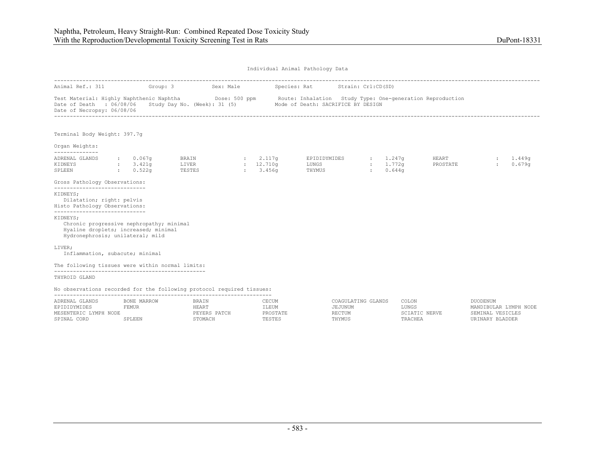| Individual Animal Pathology Data |  |  |
|----------------------------------|--|--|
|                                  |  |  |

| Animal Ref.: 311 Group: 3                                                                                                                                         |                                                                                    |                                             | Sex: Male | Species: Rat Strain: Crl:CD(SD)                                                          |                         |                                                                                                                  |                                    |                  |
|-------------------------------------------------------------------------------------------------------------------------------------------------------------------|------------------------------------------------------------------------------------|---------------------------------------------|-----------|------------------------------------------------------------------------------------------|-------------------------|------------------------------------------------------------------------------------------------------------------|------------------------------------|------------------|
| Date of Necropsy: 06/08/06                                                                                                                                        |                                                                                    |                                             |           | Date of Death : 06/08/06 Study Day No. (Week): 31 (5) Mode of Death: SACRIFICE BY DESIGN |                         | Test Material: Highly Naphthenic Naphtha Dose: 500 ppm Route: Inhalation Study Type: One-generation Reproduction |                                    |                  |
| Terminal Body Weight: 397.7q                                                                                                                                      |                                                                                    |                                             |           |                                                                                          |                         |                                                                                                                  |                                    |                  |
| Organ Weights:                                                                                                                                                    |                                                                                    |                                             |           |                                                                                          |                         |                                                                                                                  |                                    |                  |
| --------------<br>ADRENAL GLANDS<br>KIDNEYS<br>SPLEEN<br>$\sim 0.522$ q                                                                                           | $\, \cdot \hspace{1.2cm}$ $\, 0 \, . \, 067$ q<br>$\frac{1}{2}$ $\frac{3.421q}{2}$ | BRAIN : 2.117q<br>LIVER : 12.710q<br>TESTES | 3.456q    | EPIDIDYMIDES : 1.247q<br><b>LUNGS</b><br>THYMUS                                          | $: 1.772$ q<br>: 0.644q |                                                                                                                  | <b>HEART</b><br>PROSTATE<br>$\sim$ | 1,449q<br>0.679q |
| Gross Pathology Observations:<br>------------------------------                                                                                                   |                                                                                    |                                             |           |                                                                                          |                         |                                                                                                                  |                                    |                  |
| KIDNEYS;<br>Dilatation; right: pelvis<br>Histo Pathology Observations:                                                                                            |                                                                                    |                                             |           |                                                                                          |                         |                                                                                                                  |                                    |                  |
| -----------------------------<br>KIDNEYS:<br>Chronic progressive nephropathy; minimal<br>Hyaline droplets; increased; minimal<br>Hydronephrosis; unilateral; mild |                                                                                    |                                             |           |                                                                                          |                         |                                                                                                                  |                                    |                  |
| LIVER;<br>Inflammation, subacute; minimal                                                                                                                         |                                                                                    |                                             |           |                                                                                          |                         |                                                                                                                  |                                    |                  |
| The following tissues were within normal limits:                                                                                                                  |                                                                                    |                                             |           |                                                                                          |                         |                                                                                                                  |                                    |                  |
| THYROID GLAND                                                                                                                                                     |                                                                                    |                                             |           |                                                                                          |                         |                                                                                                                  |                                    |                  |
| ARC CALLO CONTROL COLORED AND RELEASED RESIDENCE CONTROLLER CONTROL AND A RELEASED                                                                                |                                                                                    |                                             |           |                                                                                          |                         |                                                                                                                  |                                    |                  |

No observations recorded for the following protocol required tissues:

| ADRENAL<br><sup>-</sup> GLANDS | BONE<br>MARROW | BRAIN        | CECUM    | COAGULATING GLANDS | COLON                   | DUODENUM                  |
|--------------------------------|----------------|--------------|----------|--------------------|-------------------------|---------------------------|
| EPIDIDYMIDES                   | FEMUR          | <b>IEART</b> | ILEUM    | .JUNUM             | LUNGS                   | LYMPH NODE<br>MANDIRIILAR |
| '.YMPH<br>NODE.<br>MESENTERIC  |                | PEYERS PATCH | PROSTATE | <b>ECTUM</b>       | NERVE.<br>እጥፐሮ          |                           |
| SPINAL<br>CORD                 |                |              | TESTES   | <b>HYMUS</b>       | $D \Delta \cap \Pi$ $F$ |                           |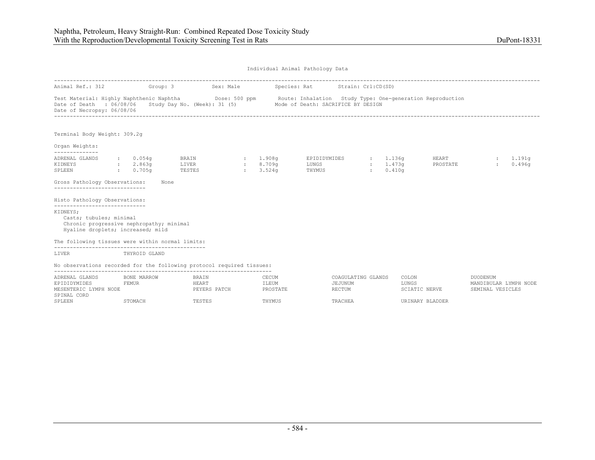Individual Animal Pathology Data ---------------------------------------------------------------------------------------------------------------------------------------------------------- Animal Ref.: 312 Group: 3 Sex: Male Species: Rat Strain: Crl:CD(SD) Test Material: Highly Naphthenic Naphtha Dose: 500 ppm Route: Inhalation Study Type: One-generation Reproduction Date of Death : 06/08/06 Study Day No. (Week): 31 (5) Mode of Death: SACRIFICE BY DESIGN Date of Necropsy: 06/08/06 ---------------------------------------------------------------------------------------------------------------------------------------------------------- Terminal Body Weight: 309.2g Organ Weights: -------------- ADRENAL GLANDS ADRENAL GLANDS : 0.054g BRAIN : 1.908g EPIDIDYMIDES : 1.136g HEART : 1.191g KIDNEYS : 2.863g LIVER : 8.709g LUNGS : 1.473g<br>SPLEEN : 0.705g TESTES : 3.524g THYMUS : 0.410g  $\frac{1}{2}$  0.705g Gross Pathology Observations: None ----------------------------- Histo Pathology Observations: ----------------------------- KIDNEYS; Casts; tubules; minimal Chronic progressive nephropathy; minimal Hyaline droplets; increased; mild The following tissues were within normal limits: ------------------------------------------------ LIVER THYROID GLAND No observations recorded for the following protocol required tissues: --------------------------------------------------------------------- ADRENAL GLANDS BONE MARROW BRAIN CECUM COAGULATING GLANDS COLON DUODENUM EPIDIDYMIDES FEMUR HEART ILEUM JEJUNUM JEJUNUM LUNGS MANDIBULAR LYMPH NODE MESENTERIC LYMPH NODE **EXERS PATCH PROSTATE** PROSTATE RECTUM RECTUM SCIATIC NERVE SEMINAL VESICLES SPINAL CORD SPLEEN STOMACH TESTES THYMUS TRACHEA URINARY BLADDER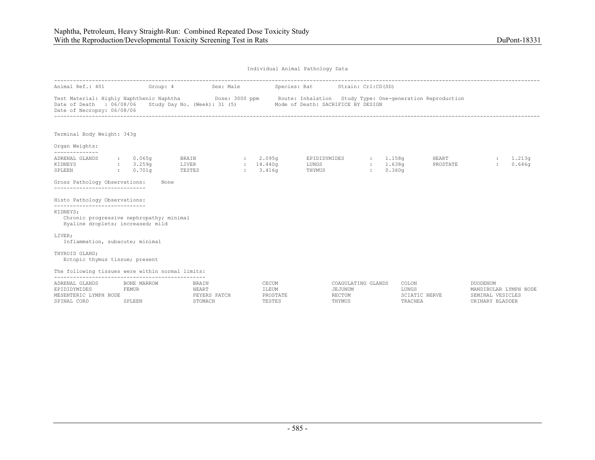|                                                                                                                                                                             | Individual Animal Pathology Data         |                           |              |                                      |                                                                 |                    |                           |                   |                                                                                 |                  |  |  |
|-----------------------------------------------------------------------------------------------------------------------------------------------------------------------------|------------------------------------------|---------------------------|--------------|--------------------------------------|-----------------------------------------------------------------|--------------------|---------------------------|-------------------|---------------------------------------------------------------------------------|------------------|--|--|
| Animal Ref.: 401                                                                                                                                                            |                                          | Group: 4                  | Sex: Male    |                                      | Species: Rat                                                    | Strain: Crl:CD(SD) |                           |                   |                                                                                 |                  |  |  |
| Test Material: Highly Naphthenic Naphtha Dose: 3000 ppm Route: Inhalation Study Type: One-generation Reproduction<br>Date of Death : 06/08/06<br>Date of Necropsy: 06/08/06 |                                          |                           |              |                                      | Study Day No. (Week): 31 (5) Mode of Death: SACRIFICE BY DESIGN |                    |                           |                   |                                                                                 |                  |  |  |
| Terminal Body Weight: 343g                                                                                                                                                  |                                          |                           |              |                                      |                                                                 |                    |                           |                   |                                                                                 |                  |  |  |
| Organ Weights:<br>--------------                                                                                                                                            |                                          |                           |              |                                      |                                                                 |                    |                           |                   |                                                                                 |                  |  |  |
| ADRENAL GLANDS<br>KIDNEYS<br>SPLEEN                                                                                                                                         | : 0.065q<br>: 3.259q<br>0.701q<br>$\sim$ | BRAIN<br>LIVER<br>TESTES  |              | 2.095q<br>: 14.440q<br>: 3.416q      | EPIDIDYMIDES<br>LUNGS<br>THYMUS                                 | 1.158q<br>2.001    | : 1.638q<br>0.360q        | HEART<br>PROSTATE |                                                                                 | 1.213q<br>0.646q |  |  |
| Gross Pathology Observations:<br>-----------------------------                                                                                                              |                                          | None                      |              |                                      |                                                                 |                    |                           |                   |                                                                                 |                  |  |  |
| Histo Pathology Observations:                                                                                                                                               |                                          |                           |              |                                      |                                                                 |                    |                           |                   |                                                                                 |                  |  |  |
| -----------------------------<br>KIDNEYS;<br>Chronic progressive nephropathy; minimal<br>Hyaline droplets; increased; mild                                                  |                                          |                           |              |                                      |                                                                 |                    |                           |                   |                                                                                 |                  |  |  |
| LIVER;<br>Inflammation, subacute; minimal                                                                                                                                   |                                          |                           |              |                                      |                                                                 |                    |                           |                   |                                                                                 |                  |  |  |
| THYROID GLAND:<br>Ectopic thymus tissue; present                                                                                                                            |                                          |                           |              |                                      |                                                                 |                    |                           |                   |                                                                                 |                  |  |  |
| The following tissues were within normal limits:                                                                                                                            |                                          |                           |              |                                      |                                                                 |                    |                           |                   |                                                                                 |                  |  |  |
| ADRENAL GLANDS<br>EPIDIDYMIDES<br>MESENTERIC LYMPH NODE<br>SPINAL CORD                                                                                                      | BONE MARROW<br>FEMUR<br>SPLEEN           | BRAIN<br>HEART<br>STOMACH | PEYERS PATCH | CECUM<br>ILEUM<br>PROSTATE<br>TESTES | JEJUNUM<br>RECTUM<br>THYMUS                                     | COAGULATING GLANDS | COLON<br>LUNGS<br>TRACHEA | SCIATIC NERVE     | <b>DUODENUM</b><br>MANDIBULAR LYMPH NODE<br>SEMINAL VESICLES<br>URINARY BLADDER |                  |  |  |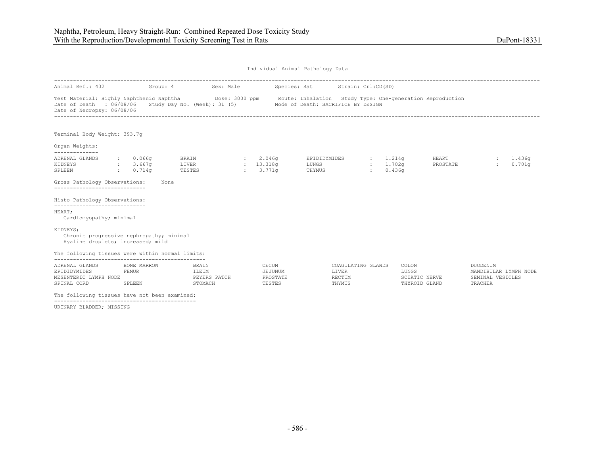|                                                                                                                                                                             | Individual Animal Pathology Data |                                           |                  |                                        |                                          |                                                 |                                      |                                                  |                                                                         |                  |  |  |  |
|-----------------------------------------------------------------------------------------------------------------------------------------------------------------------------|----------------------------------|-------------------------------------------|------------------|----------------------------------------|------------------------------------------|-------------------------------------------------|--------------------------------------|--------------------------------------------------|-------------------------------------------------------------------------|------------------|--|--|--|
| Animal Ref.: 402                                                                                                                                                            | Group: 4                         |                                           | Sex: Male        |                                        | Species: Rat Strain: Crl:CD(SD)          |                                                 |                                      |                                                  |                                                                         |                  |  |  |  |
| Test Material: Highly Naphthenic Naphtha Dose: 3000 ppm Route: Inhalation Study Type: One-generation Reproduction<br>Date of Death : 06/08/06<br>Date of Necropsy: 06/08/06 |                                  | Study Day No. (Week): 31 (5)              |                  | Mode of Death: SACRIFICE BY DESIGN     |                                          |                                                 |                                      |                                                  |                                                                         |                  |  |  |  |
| Terminal Body Weight: 393.7q                                                                                                                                                |                                  |                                           |                  |                                        |                                          |                                                 |                                      |                                                  |                                                                         |                  |  |  |  |
| Organ Weights:                                                                                                                                                              |                                  |                                           |                  |                                        |                                          |                                                 |                                      |                                                  |                                                                         |                  |  |  |  |
| --------------<br>ADRENAL GLANDS<br>KIDNEYS<br>SPLEEN<br>0.714q                                                                                                             | $\cdot$ 0.066q<br>: 3.667q       | <b>BRAIN</b><br>LIVER<br>TESTES           | 2.046q<br>3.771q | : 13.318q                              | EPIDIDYMIDES : 1.214q<br>LUNGS<br>THYMUS |                                                 | : 1.702q<br>0.436q<br><b>British</b> | HEART<br>PROSTATE                                |                                                                         | 1,436g<br>0.701q |  |  |  |
| Gross Pathology Observations:                                                                                                                                               |                                  | None                                      |                  |                                        |                                          |                                                 |                                      |                                                  |                                                                         |                  |  |  |  |
| Histo Pathology Observations:                                                                                                                                               |                                  |                                           |                  |                                        |                                          |                                                 |                                      |                                                  |                                                                         |                  |  |  |  |
| -----------------------------<br>HEART;<br>Cardiomyopathy; minimal                                                                                                          |                                  |                                           |                  |                                        |                                          |                                                 |                                      |                                                  |                                                                         |                  |  |  |  |
| KIDNEYS;<br>Chronic progressive nephropathy; minimal<br>Hyaline droplets; increased; mild                                                                                   |                                  |                                           |                  |                                        |                                          |                                                 |                                      |                                                  |                                                                         |                  |  |  |  |
| The following tissues were within normal limits:                                                                                                                            |                                  |                                           |                  |                                        |                                          |                                                 |                                      |                                                  |                                                                         |                  |  |  |  |
| ADRENAL GLANDS<br>EPIDIDYMIDES<br>MESENTERIC LYMPH NODE<br>SPINAL CORD                                                                                                      | BONE MARROW<br>FEMUR<br>SPLEEN   | BRAIN<br>ILEUM<br>PEYERS PATCH<br>STOMACH |                  | CECUM<br>JEJUNUM<br>PROSTATE<br>TESTES |                                          | COAGULATING GLANDS<br>LIVER<br>RECTUM<br>THYMUS |                                      | COLON<br>LUNGS<br>SCIATIC NERVE<br>THYROID GLAND | <b>DUODENUM</b><br>MANDIBULAR LYMPH NODE<br>SEMINAL VESICLES<br>TRACHEA |                  |  |  |  |
| The following tissues have not been examined:                                                                                                                               |                                  |                                           |                  |                                        |                                          |                                                 |                                      |                                                  |                                                                         |                  |  |  |  |

URINARY BLADDER; MISSING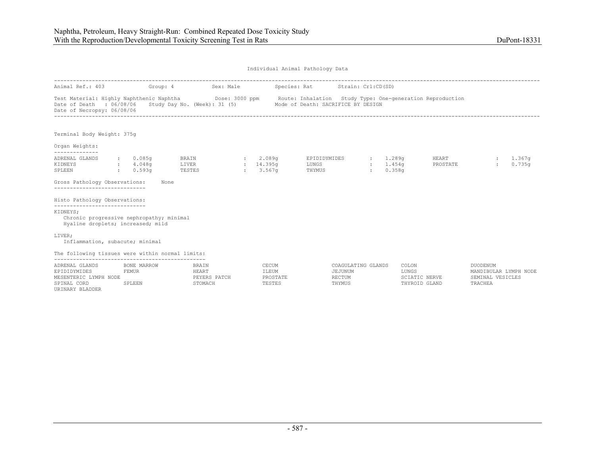| Individual Animal Pathology Data |  |  |
|----------------------------------|--|--|
|                                  |  |  |

| Animal Ref.: 403                                                                                                                                                            |                                   | Group: 4 | Sex: Male                                        |                                      | Species: Rat                       | Strain: Crl:CD(SD)                                |                                |                                                  |                                                                         |                    |
|-----------------------------------------------------------------------------------------------------------------------------------------------------------------------------|-----------------------------------|----------|--------------------------------------------------|--------------------------------------|------------------------------------|---------------------------------------------------|--------------------------------|--------------------------------------------------|-------------------------------------------------------------------------|--------------------|
| Test Material: Highly Naphthenic Naphtha Dose: 3000 ppm Route: Inhalation Study Type: One-generation Reproduction<br>Date of Death : 06/08/06<br>Date of Necropsy: 06/08/06 |                                   |          | Study Day No. (Week): 31 (5)                     |                                      | Mode of Death: SACRIFICE BY DESIGN |                                                   |                                |                                                  |                                                                         |                    |
| Terminal Body Weight: 375g                                                                                                                                                  |                                   |          |                                                  |                                      |                                    |                                                   |                                |                                                  |                                                                         |                    |
| Organ Weights:                                                                                                                                                              |                                   |          |                                                  |                                      |                                    |                                                   |                                |                                                  |                                                                         |                    |
| ADRENAL GLANDS<br>KIDNEYS<br>SPLEEN                                                                                                                                         | : 0.085q<br>4.048q<br>$: 0.593$ q |          | BRAIN<br>LIVER<br>TESTES                         | 2.089q<br>: 14.395q<br>: 3.567q      | EPIDIDYMIDES<br>LUNGS<br>THYMUS    | 1.289q                                            | : 1.454q<br>0.358 <sub>q</sub> | HEART<br>PROSTATE                                |                                                                         | : 1.367q<br>0.735q |
| Gross Pathology Observations:<br>------------------------------                                                                                                             |                                   | None     |                                                  |                                      |                                    |                                                   |                                |                                                  |                                                                         |                    |
| Histo Pathology Observations:                                                                                                                                               |                                   |          |                                                  |                                      |                                    |                                                   |                                |                                                  |                                                                         |                    |
| ------------------------------<br>KIDNEYS;<br>Chronic progressive nephropathy; minimal<br>Hyaline droplets; increased; mild                                                 |                                   |          |                                                  |                                      |                                    |                                                   |                                |                                                  |                                                                         |                    |
| LIVER;<br>Inflammation, subacute; minimal                                                                                                                                   |                                   |          |                                                  |                                      |                                    |                                                   |                                |                                                  |                                                                         |                    |
| The following tissues were within normal limits:                                                                                                                            |                                   |          |                                                  |                                      |                                    |                                                   |                                |                                                  |                                                                         |                    |
| ADRENAL GLANDS<br>EPIDIDYMIDES<br>MESENTERIC LYMPH NODE<br>SPINAL CORD<br>URINARY BLADDER                                                                                   | BONE MARROW<br>FEMUR<br>SPLEEN    |          | <b>BRAIN</b><br>HEART<br>PEYERS PATCH<br>STOMACH | CECUM<br>ILEUM<br>PROSTATE<br>TESTES |                                    | COAGULATING GLANDS<br>JEJUNUM<br>RECTUM<br>THYMUS |                                | COLON<br>LUNGS<br>SCIATIC NERVE<br>THYROID GLAND | <b>DUODENUM</b><br>MANDIBULAR LYMPH NODE<br>SEMINAL VESICLES<br>TRACHEA |                    |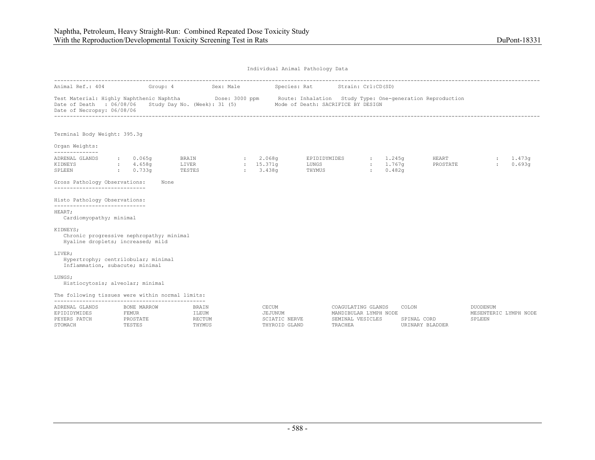|                                                                                                                                                                                                                                                         | Individual Animal Pathology Data |                                            |                                                    |  |                               |                                           |                                 |                                                                            |              |                                |                                |                                                    |                  |
|---------------------------------------------------------------------------------------------------------------------------------------------------------------------------------------------------------------------------------------------------------|----------------------------------|--------------------------------------------|----------------------------------------------------|--|-------------------------------|-------------------------------------------|---------------------------------|----------------------------------------------------------------------------|--------------|--------------------------------|--------------------------------|----------------------------------------------------|------------------|
| Animal Ref.: 404                                                                                                                                                                                                                                        |                                  |                                            | Group: 4 Sex: Male Species: Rat Strain: Crl:CD(SD) |  |                               |                                           |                                 |                                                                            |              |                                |                                |                                                    |                  |
| Test Material: Highly Naphthenic Naphtha <b>Show Dose: 3000 ppm</b> Route: Inhalation Study Type: One-generation Reproduction<br>Date of Death : 06/08/06 Study Day No. (Week): 31 (5) Mode of Death: SACRIFICE BY DESIGN<br>Date of Necropsy: 06/08/06 |                                  |                                            |                                                    |  |                               |                                           |                                 |                                                                            |              |                                |                                |                                                    |                  |
| Terminal Body Weight: 395.3g                                                                                                                                                                                                                            |                                  |                                            |                                                    |  |                               |                                           |                                 |                                                                            |              |                                |                                |                                                    |                  |
| Organ Weights:<br>--------------                                                                                                                                                                                                                        |                                  |                                            |                                                    |  |                               |                                           |                                 |                                                                            |              |                                |                                |                                                    |                  |
| ADRENAL GLANDS<br>KIDNEYS<br>SPLEEN                                                                                                                                                                                                                     |                                  | : 0.065q<br>4.658q<br>0.733q               | BRAIN<br>LIVER<br>TESTES                           |  | 2.068q<br>: 15.371q<br>3.438q |                                           | EPIDIDYMIDES<br>LUNGS<br>THYMUS |                                                                            | $\mathbf{r}$ | : 1.245q<br>: 1.767q<br>0.482q | HEART<br>PROSTATE              | $\mathcal{L}$                                      | 1.473q<br>0.693q |
| Gross Pathology Observations:<br>------------------------                                                                                                                                                                                               |                                  | None                                       |                                                    |  |                               |                                           |                                 |                                                                            |              |                                |                                |                                                    |                  |
| Histo Pathology Observations:                                                                                                                                                                                                                           |                                  |                                            |                                                    |  |                               |                                           |                                 |                                                                            |              |                                |                                |                                                    |                  |
| -----------------------------<br>HEART;<br>Cardiomyopathy; minimal                                                                                                                                                                                      |                                  |                                            |                                                    |  |                               |                                           |                                 |                                                                            |              |                                |                                |                                                    |                  |
| KIDNEYS;<br>Chronic progressive nephropathy; minimal<br>Hyaline droplets; increased; mild                                                                                                                                                               |                                  |                                            |                                                    |  |                               |                                           |                                 |                                                                            |              |                                |                                |                                                    |                  |
| LIVER;<br>Hypertrophy; centrilobular; minimal<br>Inflammation, subacute; minimal                                                                                                                                                                        |                                  |                                            |                                                    |  |                               |                                           |                                 |                                                                            |              |                                |                                |                                                    |                  |
| LUNGS;<br>Histiocytosis; alveolar; minimal                                                                                                                                                                                                              |                                  |                                            |                                                    |  |                               |                                           |                                 |                                                                            |              |                                |                                |                                                    |                  |
| The following tissues were within normal limits:                                                                                                                                                                                                        |                                  |                                            |                                                    |  |                               |                                           |                                 |                                                                            |              |                                |                                |                                                    |                  |
| ADRENAL GLANDS<br>EPIDIDYMIDES<br>PEYERS PATCH<br>STOMACH                                                                                                                                                                                               |                                  | BONE MARROW<br>FEMUR<br>PROSTATE<br>TESTES | BRAIN<br>ILEUM<br>RECTUM<br>THYMUS                 |  | CECUM                         | JEJUNUM<br>SCIATIC NERVE<br>THYROID GLAND |                                 | COAGULATING GLANDS<br>MANDIBULAR LYMPH NODE<br>SEMINAL VESICLES<br>TRACHEA |              | COLON                          | SPINAL CORD<br>URINARY BLADDER | <b>DUODENUM</b><br>MESENTERIC LYMPH NODE<br>SPLEEN |                  |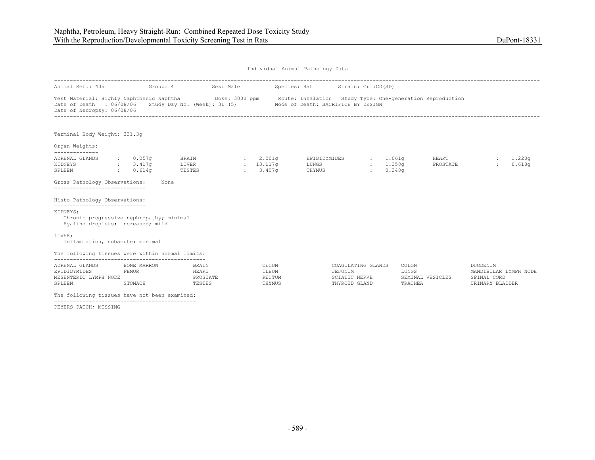|                                                                                                                                                                                         |                                           |                                                                 |                                                | Individual Animal Pathology Data |                                                                 |                           |                   |                                                                     |                    |
|-----------------------------------------------------------------------------------------------------------------------------------------------------------------------------------------|-------------------------------------------|-----------------------------------------------------------------|------------------------------------------------|----------------------------------|-----------------------------------------------------------------|---------------------------|-------------------|---------------------------------------------------------------------|--------------------|
| Animal Ref.: 405                                                                                                                                                                        | Group: 4                                  |                                                                 | Sex: Male                                      | Species: Rat Strain: Crl:CD(SD)  |                                                                 |                           |                   |                                                                     |                    |
| Test Material: Highly Naphthenic Naphtha <b>Show Dose: 3000 ppm</b> Route: Inhalation Study Type: One-generation Reproduction<br>Date of Death : 06/08/06<br>Date of Necropsy: 06/08/06 |                                           | Study Day No. (Week): 31 (5) Mode of Death: SACRIFICE BY DESIGN |                                                |                                  |                                                                 |                           |                   |                                                                     |                    |
| Terminal Body Weight: 331.3q                                                                                                                                                            |                                           |                                                                 |                                                |                                  |                                                                 |                           |                   |                                                                     |                    |
| Organ Weights:<br>--------------                                                                                                                                                        |                                           |                                                                 |                                                |                                  |                                                                 |                           |                   |                                                                     |                    |
| ADRENAL GLANDS<br>KIDNEYS<br>SPLEEN                                                                                                                                                     | $\,:\qquad 0.057$ q<br>: 3.417q<br>0.614q | <b>BRAIN</b><br>LIVER<br>TESTES                                 | 2.001q<br>$: 13.117$ q<br>$\frac{1}{2}$ 3.407q | LUNGS<br>THYMUS                  | EPIDIDYMIDES : 1.061g<br><b>Electric</b>                        | : 1.358q<br>0.348q        | HEART<br>PROSTATE |                                                                     | : 1.220q<br>0.618q |
| Gross Pathology Observations:<br>------------------------------                                                                                                                         | None                                      |                                                                 |                                                |                                  |                                                                 |                           |                   |                                                                     |                    |
| Histo Pathology Observations:                                                                                                                                                           |                                           |                                                                 |                                                |                                  |                                                                 |                           |                   |                                                                     |                    |
| -----------------------------<br>KIDNEYS;<br>Chronic progressive nephropathy; minimal<br>Hyaline droplets; increased; mild                                                              |                                           |                                                                 |                                                |                                  |                                                                 |                           |                   |                                                                     |                    |
| LIVER;<br>Inflammation, subacute; minimal                                                                                                                                               |                                           |                                                                 |                                                |                                  |                                                                 |                           |                   |                                                                     |                    |
| The following tissues were within normal limits:                                                                                                                                        |                                           |                                                                 |                                                |                                  |                                                                 |                           |                   |                                                                     |                    |
| ADRENAL GLANDS<br>EPIDIDYMIDES<br>MESENTERIC LYMPH NODE<br>SPLEEN                                                                                                                       | BONE MARROW<br>FEMUR<br>STOMACH           | BRAIN<br>HEART<br>PROSTATE<br>TESTES                            | CECUM<br>ILEUM<br>RECTUM<br>THYMUS             |                                  | COAGULATING GLANDS<br>JEJUNUM<br>SCIATIC NERVE<br>THYROID GLAND | COLON<br>LUNGS<br>TRACHEA | SEMINAL VESICLES  | DUODENUM<br>MANDIBULAR LYMPH NODE<br>SPINAL CORD<br>URINARY BLADDER |                    |
| The following tissues have not been examined:                                                                                                                                           |                                           |                                                                 |                                                |                                  |                                                                 |                           |                   |                                                                     |                    |

PEYERS PATCH; MISSING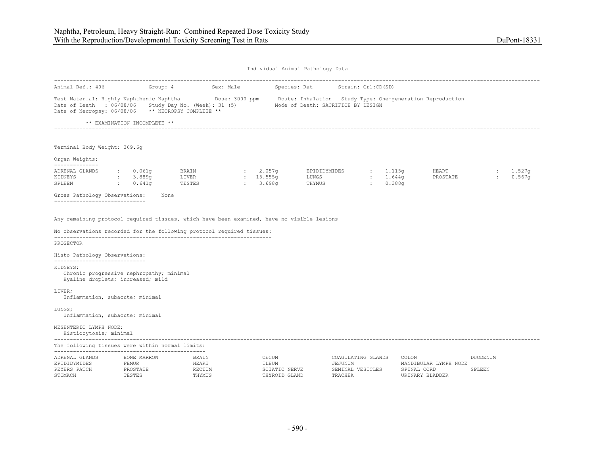Individual Animal Pathology Data

| Animal Ref.: 406                                                                                                           | Group: 4                                                                     | Sex: Male                          |                                                  | Species: Rat Strain: Crl:CD(SD)    |                                                   |                                                                          |                    |                  |
|----------------------------------------------------------------------------------------------------------------------------|------------------------------------------------------------------------------|------------------------------------|--------------------------------------------------|------------------------------------|---------------------------------------------------|--------------------------------------------------------------------------|--------------------|------------------|
| Test Material: Highly Naphthenic Naphtha<br>Date of Death : 06/08/06<br>Date of Necropsy: 06/08/06 ** NECROPSY COMPLETE ** |                                                                              | Study Day No. (Week): 31 (5)       |                                                  | Mode of Death: SACRIFICE BY DESIGN |                                                   | Dose: 3000 ppm Boute: Inhalation Study Type: One-generation Reproduction |                    |                  |
|                                                                                                                            | ** EXAMINATION INCOMPLETE **                                                 |                                    |                                                  |                                    |                                                   |                                                                          |                    |                  |
|                                                                                                                            |                                                                              |                                    |                                                  |                                    |                                                   |                                                                          |                    |                  |
| Terminal Body Weight: 369.6q                                                                                               |                                                                              |                                    |                                                  |                                    |                                                   |                                                                          |                    |                  |
| Organ Weights:<br>_____________                                                                                            |                                                                              |                                    |                                                  |                                    |                                                   |                                                                          |                    |                  |
| ADRENAL GLANDS<br>KIDNEYS<br>SPLEEN                                                                                        | 0.061q<br>$\cdot$ :<br>3.889q<br>$\sim$ .<br>0.641q<br><b>Carl Corporate</b> | BRAIN<br>LIVER<br>TESTES           | : 2.057q<br>: 15.555q<br>: 3.698q                | EPIDIDYMIDES<br>LUNGS<br>THYMUS    | : 1.115q<br>: 1.644q<br>0.388q<br><b>Electric</b> | HEART<br>PROSTATE                                                        | $\cdot$ :          | 1.527q<br>0.567q |
| Gross Pathology Observations:                                                                                              | None                                                                         |                                    |                                                  |                                    |                                                   |                                                                          |                    |                  |
| No observations recorded for the following protocol required tissues:<br>PROSECTOR<br>Histo Pathology Observations:        |                                                                              |                                    |                                                  |                                    |                                                   |                                                                          |                    |                  |
| -----------------------                                                                                                    |                                                                              |                                    |                                                  |                                    |                                                   |                                                                          |                    |                  |
| KIDNEYS;<br>Chronic progressive nephropathy; minimal<br>Hyaline droplets; increased; mild                                  |                                                                              |                                    |                                                  |                                    |                                                   |                                                                          |                    |                  |
| LIVER;<br>Inflammation, subacute; minimal                                                                                  |                                                                              |                                    |                                                  |                                    |                                                   |                                                                          |                    |                  |
| LUNGS;<br>Inflammation, subacute; minimal                                                                                  |                                                                              |                                    |                                                  |                                    |                                                   |                                                                          |                    |                  |
| MESENTERIC LYMPH NODE;<br>Histiocytosis; minimal                                                                           |                                                                              |                                    |                                                  |                                    |                                                   |                                                                          |                    |                  |
| The following tissues were within normal limits:                                                                           |                                                                              |                                    |                                                  |                                    |                                                   |                                                                          |                    |                  |
| ADRENAL GLANDS<br>EPIDIDYMIDES<br>PEYERS PATCH<br>STOMACH                                                                  | BONE MARROW<br>FEMUR<br>PROSTATE<br>TESTES                                   | BRAIN<br>HEART<br>RECTUM<br>THYMUS | CECUM<br>ILEUM<br>SCIATIC NERVE<br>THYROID GLAND | JEJUNUM<br>TRACHEA                 | COAGULATING GLANDS<br>SEMINAL VESICLES            | COLON<br>MANDIBULAR LYMPH NODE<br>SPINAL CORD<br>URINARY BLADDER         | DUODENUM<br>SPLEEN |                  |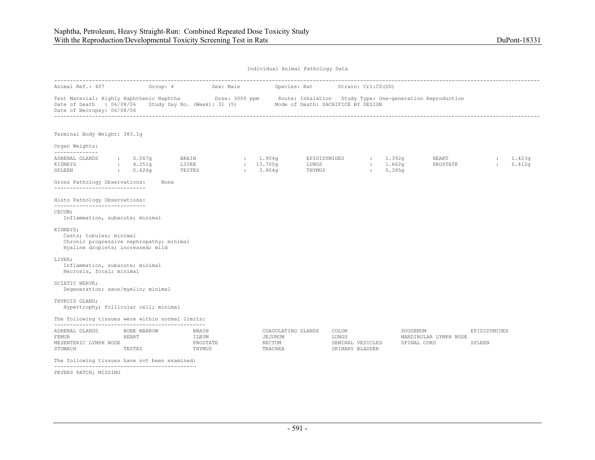|                                                                                                                                                                             |                                                    |                                                                 |                                   |                              | Individual Animal Pathology Data |                                     |                                |                       |              |                  |
|-----------------------------------------------------------------------------------------------------------------------------------------------------------------------------|----------------------------------------------------|-----------------------------------------------------------------|-----------------------------------|------------------------------|----------------------------------|-------------------------------------|--------------------------------|-----------------------|--------------|------------------|
| Animal Ref.: 407                                                                                                                                                            | Group: 4                                           | Sex: Male                                                       |                                   |                              | Species: Rat Strain: Crl:CD(SD)  |                                     |                                |                       |              |                  |
| Test Material: Highly Naphthenic Naphtha Dose: 3000 ppm Route: Inhalation Study Type: One-generation Reproduction<br>Date of Death : 06/08/06<br>Date of Necropsy: 06/08/06 |                                                    | Study Day No. (Week): 31 (5) Mode of Death: SACRIFICE BY DESIGN |                                   |                              |                                  |                                     |                                |                       |              |                  |
| Terminal Body Weight: 383.1q                                                                                                                                                |                                                    |                                                                 |                                   |                              |                                  |                                     |                                |                       |              |                  |
| Organ Weights:<br>--------------                                                                                                                                            |                                                    |                                                                 |                                   |                              |                                  |                                     |                                |                       |              |                  |
| ADRENAL GLANDS<br>KIDNEYS<br>SPLEEN                                                                                                                                         | $\, \cdot \qquad \, 0.067$ q<br>: 4.251g<br>0.626q | BRAIN<br>LIVER<br>TESTES                                        | : 1.904q<br>: 13.700q<br>: 3.904q |                              | EPIDIDYMIDES<br>LUNGS<br>THYMUS  | <b>Barbara</b>                      | : 1.392q<br>: 1.662q<br>0.395q | HEART<br>PROSTATE     | $\cdot$      | 1.423q<br>0.412q |
| Gross Pathology Observations:<br>------------------------------                                                                                                             | None                                               |                                                                 |                                   |                              |                                  |                                     |                                |                       |              |                  |
| Histo Pathology Observations:<br>------------------------------                                                                                                             |                                                    |                                                                 |                                   |                              |                                  |                                     |                                |                       |              |                  |
| CECUM:<br>Inflammation, subacute; minimal                                                                                                                                   |                                                    |                                                                 |                                   |                              |                                  |                                     |                                |                       |              |                  |
| KIDNEYS;<br>Casts; tubules; minimal<br>Chronic progressive nephropathy; minimal<br>Hyaline droplets; increased; mild                                                        |                                                    |                                                                 |                                   |                              |                                  |                                     |                                |                       |              |                  |
| LIVER;<br>Inflammation, subacute; minimal<br>Necrosis, focal; minimal                                                                                                       |                                                    |                                                                 |                                   |                              |                                  |                                     |                                |                       |              |                  |
| SCIATIC NERVE;<br>Degeneration; axon/myelin; minimal                                                                                                                        |                                                    |                                                                 |                                   |                              |                                  |                                     |                                |                       |              |                  |
| THYROID GLAND;<br>Hypertrophy; follicular cell; minimal                                                                                                                     |                                                    |                                                                 |                                   |                              |                                  |                                     |                                |                       |              |                  |
| The following tissues were within normal limits:                                                                                                                            |                                                    |                                                                 |                                   |                              |                                  |                                     |                                |                       |              |                  |
| ADRENAL GLANDS                                                                                                                                                              | BONE MARROW                                        | BRAIN                                                           |                                   | COAGULATING GLANDS           | COLON                            |                                     | DUODENUM                       |                       | EPIDIDYMIDES |                  |
| <b>FEMUR</b><br>MESENTERIC LYMPH NODE<br>STOMACH                                                                                                                            | HEART<br>TESTES                                    | ILEUM<br>PROSTATE<br>THYMUS                                     |                                   | JEJUNUM<br>RECTUM<br>TRACHEA | LUNGS                            | SEMINAL VESICLES<br>URINARY BLADDER | SPINAL CORD                    | MANDIBULAR LYMPH NODE | SPLEEN       |                  |
| The following tissues have not been examined:                                                                                                                               |                                                    |                                                                 |                                   |                              |                                  |                                     |                                |                       |              |                  |
|                                                                                                                                                                             |                                                    |                                                                 |                                   |                              |                                  |                                     |                                |                       |              |                  |

PEYERS PATCH; MISSING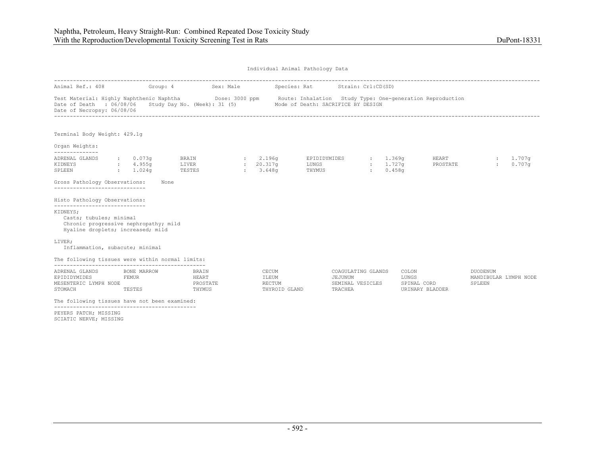|                                                                                                                                                                                                                                   |                                |                                                                 |                                  |                                                  | Individual Animal Pathology Data |                                         |                                                                                                                               |                                                    |
|-----------------------------------------------------------------------------------------------------------------------------------------------------------------------------------------------------------------------------------|--------------------------------|-----------------------------------------------------------------|----------------------------------|--------------------------------------------------|----------------------------------|-----------------------------------------|-------------------------------------------------------------------------------------------------------------------------------|----------------------------------------------------|
| Animal Ref.: 408                                                                                                                                                                                                                  | Group: 4                       |                                                                 | Sex: Male                        |                                                  | Species: Rat Strain: Crl:CD(SD)  |                                         |                                                                                                                               |                                                    |
| Date of Death : 06/08/06<br>Date of Necropsy: 06/08/06                                                                                                                                                                            |                                | Study Day No. (Week): 31 (5) Mode of Death: SACRIFICE BY DESIGN |                                  |                                                  |                                  |                                         | Test Material: Highly Naphthenic Naphtha <b>Show Dose: 3000 ppm</b> Route: Inhalation Study Type: One-generation Reproduction |                                                    |
| Terminal Body Weight: 429.1q                                                                                                                                                                                                      |                                |                                                                 |                                  |                                                  |                                  |                                         |                                                                                                                               |                                                    |
| Organ Weights:                                                                                                                                                                                                                    |                                |                                                                 |                                  |                                                  |                                  |                                         |                                                                                                                               |                                                    |
| --------------<br>ADRENAL GLANDS<br>KIDNEYS<br>: 1.024q<br>SPLEEN                                                                                                                                                                 | : 0.073q<br>: 4.955q           | <b>BRAIN</b><br>LIVER<br>TESTES                                 | 2.196q<br>$: 20.317$ q<br>3.648q |                                                  | EPIDIDYMIDES<br>LUNGS<br>THYMUS  | 1.369q<br>$: 1.727$ q<br><b>British</b> | <b>HEART</b><br>PROSTATE<br>0.458q                                                                                            | 1,707q<br>0.707q                                   |
| Gross Pathology Observations:<br>----------------------------                                                                                                                                                                     |                                | None                                                            |                                  |                                                  |                                  |                                         |                                                                                                                               |                                                    |
| Histo Pathology Observations:                                                                                                                                                                                                     |                                |                                                                 |                                  |                                                  |                                  |                                         |                                                                                                                               |                                                    |
| ------------------------------<br>KIDNEYS;<br>Casts; tubules; minimal<br>Chronic progressive nephropathy; mild<br>Hyaline droplets; increased; mild                                                                               |                                |                                                                 |                                  |                                                  |                                  |                                         |                                                                                                                               |                                                    |
| LIVER;<br>Inflammation, subacute; minimal                                                                                                                                                                                         |                                |                                                                 |                                  |                                                  |                                  |                                         |                                                                                                                               |                                                    |
| The following tissues were within normal limits:                                                                                                                                                                                  |                                |                                                                 |                                  |                                                  |                                  |                                         |                                                                                                                               |                                                    |
| ADRENAL GLANDS<br>EPIDIDYMIDES<br>MESENTERIC LYMPH NODE<br>STOMACH                                                                                                                                                                | BONE MARROW<br>FEMUR<br>TESTES | BRAIN<br>HEART<br>PROSTATE<br>THYMUS                            |                                  | CECUM<br>ILEUM<br><b>RECTUM</b><br>THYROID GLAND | JEJUNUM<br>TRACHEA               | COAGULATING GLANDS<br>SEMINAL VESICLES  | COLON<br>LUNGS<br>SPINAL CORD<br>URINARY BLADDER                                                                              | <b>DUODENUM</b><br>MANDIBULAR LYMPH NODE<br>SPLEEN |
| $\frac{1}{2}$ . A set of the set of the set of the set of the set of the set of the set of the set of the set of the set of the set of the set of the set of the set of the set of the set of the set of the set of the set of th |                                | the contract of the contract of the                             |                                  |                                                  |                                  |                                         |                                                                                                                               |                                                    |

The following tissues have not been examined: ---------------------------------------------

PEYERS PATCH; MISSING SCIATIC NERVE; MISSING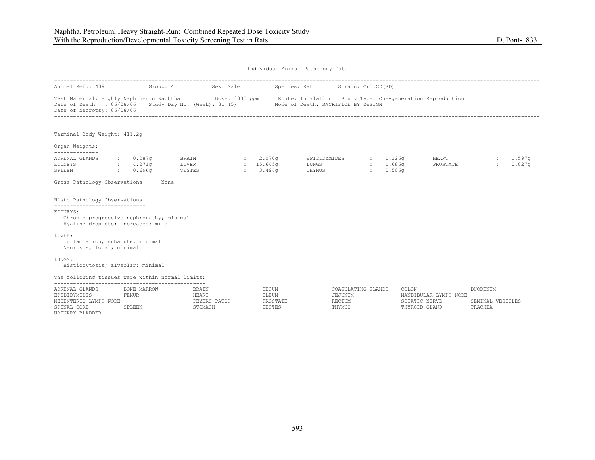| Individual Animal Pathology Data                                                                   |                                       |                          |                                                  |  |                                      |                                    |                                                   |                 |                              |                                                                          |  |                                                |                  |  |
|----------------------------------------------------------------------------------------------------|---------------------------------------|--------------------------|--------------------------------------------------|--|--------------------------------------|------------------------------------|---------------------------------------------------|-----------------|------------------------------|--------------------------------------------------------------------------|--|------------------------------------------------|------------------|--|
| Animal Ref.: 409                                                                                   |                                       | Group: 4                 | Sex: Male                                        |  |                                      | Species: Rat                       | Strain: Crl:CD(SD)                                |                 |                              |                                                                          |  |                                                |                  |  |
| Test Material: Highly Naphthenic Naphtha<br>Date of Death : 06/08/06<br>Date of Necropsy: 06/08/06 |                                       |                          | Study Day No. (Week): 31 (5)                     |  |                                      | Mode of Death: SACRIFICE BY DESIGN |                                                   |                 |                              | Dose: 3000 ppm Boute: Inhalation Study Type: One-generation Reproduction |  |                                                |                  |  |
| Terminal Body Weight: 411.2q                                                                       |                                       |                          |                                                  |  |                                      |                                    |                                                   |                 |                              |                                                                          |  |                                                |                  |  |
| Organ Weights:<br>--------------                                                                   |                                       |                          |                                                  |  |                                      |                                    |                                                   |                 |                              |                                                                          |  |                                                |                  |  |
| ADRENAL GLANDS<br>KIDNEYS<br>SPLEEN                                                                | : 0.087q<br>4.271q<br>: 0.696q        | BRAIN<br>LIVER<br>TESTES |                                                  |  | 2.070q<br>: 15.645q<br>: 3.496q      | EPIDIDYMIDES<br>LUNGS<br>THYMUS    |                                                   | <b>Electric</b> | 1.226q<br>: 1.686q<br>0.506q | HEART<br>PROSTATE                                                        |  | <b>Service</b>                                 | 1.597q<br>0.827q |  |
| Gross Pathology Observations:<br>------------------------------                                    |                                       | None                     |                                                  |  |                                      |                                    |                                                   |                 |                              |                                                                          |  |                                                |                  |  |
| Histo Pathology Observations:<br>------------------------------                                    |                                       |                          |                                                  |  |                                      |                                    |                                                   |                 |                              |                                                                          |  |                                                |                  |  |
| KIDNEYS;<br>Chronic progressive nephropathy; minimal<br>Hyaline droplets; increased; mild          |                                       |                          |                                                  |  |                                      |                                    |                                                   |                 |                              |                                                                          |  |                                                |                  |  |
| LIVER;<br>Inflammation, subacute; minimal<br>Necrosis, focal; minimal                              |                                       |                          |                                                  |  |                                      |                                    |                                                   |                 |                              |                                                                          |  |                                                |                  |  |
| LUNGS;<br>Histiocytosis; alveolar; minimal                                                         |                                       |                          |                                                  |  |                                      |                                    |                                                   |                 |                              |                                                                          |  |                                                |                  |  |
| The following tissues were within normal limits:                                                   |                                       |                          |                                                  |  |                                      |                                    |                                                   |                 |                              |                                                                          |  |                                                |                  |  |
| ADRENAL GLANDS<br>EPIDIDYMIDES<br>MESENTERIC LYMPH NODE<br>SPINAL CORD<br>URINARY BLADDER          | BONE MARROW<br><b>FEMUR</b><br>SPLEEN |                          | <b>BRAIN</b><br>HEART<br>PEYERS PATCH<br>STOMACH |  | CECUM<br>ILEUM<br>PROSTATE<br>TESTES |                                    | COAGULATING GLANDS<br>JEJUNUM<br>RECTUM<br>THYMUS |                 |                              | COLON<br>MANDIBULAR LYMPH NODE<br>SCIATIC NERVE<br>THYROID GLAND         |  | <b>DUODENUM</b><br>SEMINAL VESICLES<br>TRACHEA |                  |  |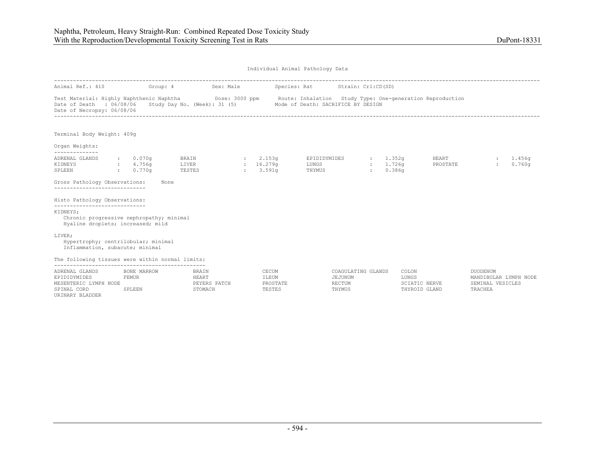| Individual Animal Pathology Data |  |  |
|----------------------------------|--|--|
|                                  |  |  |

|                                                                                                                                                 |                       | Animal Ref.: 410 Group: 4 Sex: Male                                                      |                                      | Species: Rat Strain: Crl:CD(SD)                   |                    |                                |                                                                  |                    |
|-------------------------------------------------------------------------------------------------------------------------------------------------|-----------------------|------------------------------------------------------------------------------------------|--------------------------------------|---------------------------------------------------|--------------------|--------------------------------|------------------------------------------------------------------|--------------------|
| Test Material: Highly Naphthenic Naphtha Dose: 3000 ppm Route: Inhalation Study Type: One-generation Reproduction<br>Date of Necropsy: 06/08/06 |                       | Date of Death : 06/08/06 Study Day No. (Week): 31 (5) Mode of Death: SACRIFICE BY DESIGN |                                      |                                                   |                    |                                |                                                                  |                    |
| Terminal Body Weight: 409g                                                                                                                      |                       |                                                                                          |                                      |                                                   |                    |                                |                                                                  |                    |
| Organ Weights:<br>--------------                                                                                                                |                       |                                                                                          |                                      |                                                   |                    |                                |                                                                  |                    |
| ADRENAL GLANDS<br>$\frac{1}{2}$ : 4.756g<br>KIDNEYS<br>$\sim 0.770q$<br>SPLEEN                                                                  | $\cdot$ 0.070g        | BRAIN<br>LIVER<br>3.591q<br>TESTES                                                       | 2.153q<br>16.279q                    | EPIDIDYMIDES : 1.352g<br>LUNGS<br>THYMUS          | : 1.726q<br>0.386q | HEART<br>PROSTATE              | $\mathbf{L}$                                                     | : 1.456q<br>0.760q |
| Gross Pathology Observations:<br>-----------------------------                                                                                  |                       | None                                                                                     |                                      |                                                   |                    |                                |                                                                  |                    |
| Histo Pathology Observations:                                                                                                                   |                       |                                                                                          |                                      |                                                   |                    |                                |                                                                  |                    |
| -----------------------------<br>KIDNEYS;<br>Chronic progressive nephropathy; minimal<br>Hyaline droplets; increased; mild                      |                       |                                                                                          |                                      |                                                   |                    |                                |                                                                  |                    |
| LIVER;<br>Hypertrophy; centrilobular; minimal<br>Inflammation, subacute; minimal                                                                |                       |                                                                                          |                                      |                                                   |                    |                                |                                                                  |                    |
| The following tissues were within normal limits:                                                                                                |                       |                                                                                          |                                      |                                                   |                    |                                |                                                                  |                    |
| ADRENAL GLANDS<br><b>FEMUR</b><br>EPIDIDYMIDES<br>MESENTERIC LYMPH NODE<br>SPINAL CORD<br>URINARY BLADDER                                       | BONE MARROW<br>SPLEEN | BRAIN<br>HEART<br>PEYERS PATCH<br>STOMACH                                                | CECUM<br>ILEUM<br>PROSTATE<br>TESTES | COAGULATING GLANDS<br>JEJUNUM<br>RECTUM<br>THYMUS | COLON<br>LUNGS     | SCIATIC NERVE<br>THYROID GLAND | DUODENUM<br>MANDIBULAR LYMPH NODE<br>SEMINAL VESICLES<br>TRACHEA |                    |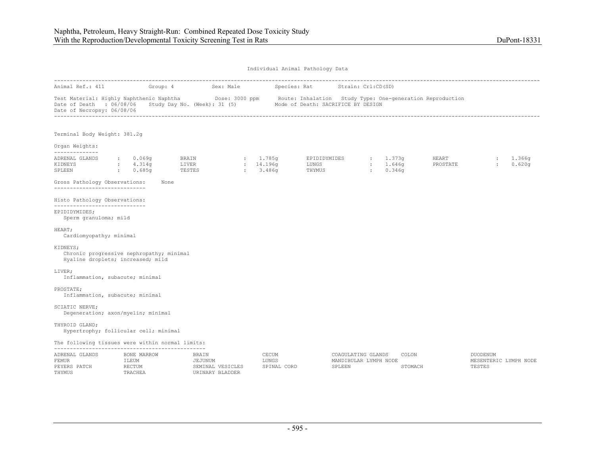THYMUS TRACHEA URINARY BLADDER

| Individual Animal Pathology Data                                                          |                                |          |                                                                                                                                                                                      |                                 |                                 |                                                       |                                |                   |                                                    |                  |  |  |
|-------------------------------------------------------------------------------------------|--------------------------------|----------|--------------------------------------------------------------------------------------------------------------------------------------------------------------------------------------|---------------------------------|---------------------------------|-------------------------------------------------------|--------------------------------|-------------------|----------------------------------------------------|------------------|--|--|
| Animal Ref.: 411                                                                          |                                | Group: 4 | Sex: Male                                                                                                                                                                            |                                 | Species: Rat Strain: Crl:CD(SD) |                                                       |                                |                   |                                                    |                  |  |  |
| Date of Death : 06/08/06<br>Date of Necropsy: 06/08/06                                    |                                |          | Test Material: Highly Naphthenic Naphtha Dose: 3000 ppm Route: Inhalation Study Type: One-generation Reproduction<br>Study Day No. (Week): 31 (5) Mode of Death: SACRIFICE BY DESIGN |                                 |                                 |                                                       |                                |                   |                                                    |                  |  |  |
| Terminal Body Weight: 381.2g                                                              |                                |          |                                                                                                                                                                                      |                                 |                                 |                                                       |                                |                   |                                                    |                  |  |  |
| Organ Weights:                                                                            |                                |          |                                                                                                                                                                                      |                                 |                                 |                                                       |                                |                   |                                                    |                  |  |  |
| --------------<br>ADRENAL GLANDS<br>KIDNEYS<br>SPLEEN                                     | 0.069q<br>4.314q<br>0.685q     |          | BRAIN<br>LIVER<br>TESTES                                                                                                                                                             | : 1.785q<br>: 14.196q<br>3.486q | EPIDIDYMIDES<br>LUNGS<br>THYMUS | <b>Electric</b>                                       | : 1.373g<br>: 1.646q<br>0.346q | HEART<br>PROSTATE | $\ddot{\phantom{a}}$                               | 1.366g<br>0.620q |  |  |
| Gross Pathology Observations:<br>______________________________                           |                                | None     |                                                                                                                                                                                      |                                 |                                 |                                                       |                                |                   |                                                    |                  |  |  |
| Histo Pathology Observations:<br>________________________________                         |                                |          |                                                                                                                                                                                      |                                 |                                 |                                                       |                                |                   |                                                    |                  |  |  |
| EPIDIDYMIDES;<br>Sperm granuloma; mild                                                    |                                |          |                                                                                                                                                                                      |                                 |                                 |                                                       |                                |                   |                                                    |                  |  |  |
| HEART;<br>Cardiomyopathy; minimal                                                         |                                |          |                                                                                                                                                                                      |                                 |                                 |                                                       |                                |                   |                                                    |                  |  |  |
| KIDNEYS;<br>Chronic progressive nephropathy; minimal<br>Hyaline droplets; increased; mild |                                |          |                                                                                                                                                                                      |                                 |                                 |                                                       |                                |                   |                                                    |                  |  |  |
| LIVER;<br>Inflammation, subacute; minimal                                                 |                                |          |                                                                                                                                                                                      |                                 |                                 |                                                       |                                |                   |                                                    |                  |  |  |
| PROSTATE;<br>Inflammation, subacute; minimal                                              |                                |          |                                                                                                                                                                                      |                                 |                                 |                                                       |                                |                   |                                                    |                  |  |  |
| SCIATIC NERVE;<br>Degeneration; axon/myelin; minimal                                      |                                |          |                                                                                                                                                                                      |                                 |                                 |                                                       |                                |                   |                                                    |                  |  |  |
| THYROID GLAND;<br>Hypertrophy; follicular cell; minimal                                   |                                |          |                                                                                                                                                                                      |                                 |                                 |                                                       |                                |                   |                                                    |                  |  |  |
| The following tissues were within normal limits:                                          |                                |          |                                                                                                                                                                                      |                                 |                                 |                                                       |                                |                   |                                                    |                  |  |  |
| ADRENAL GLANDS<br>FEMUR<br>PEYERS PATCH                                                   | BONE MARROW<br>ILEUM<br>RECTUM |          | BRAIN<br>JEJUNUM<br>SEMINAL VESICLES                                                                                                                                                 | CECUM<br>LUNGS                  | SPINAL CORD                     | COAGULATING GLANDS<br>MANDIBULAR LYMPH NODE<br>SPLEEN | COLON<br>STOMACH               |                   | <b>DUODENUM</b><br>MESENTERIC LYMPH NODE<br>TESTES |                  |  |  |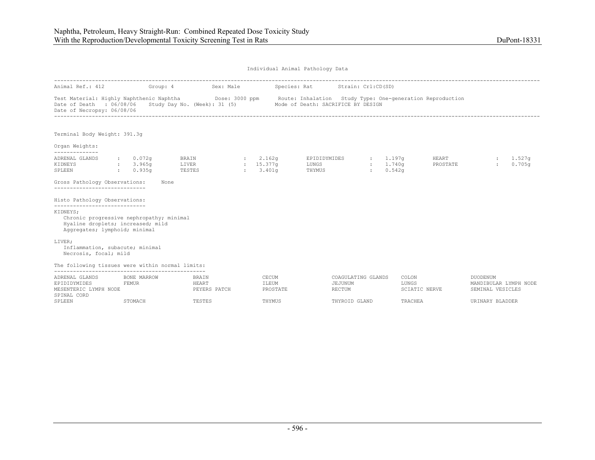|                                                                                                                                                                             | Individual Animal Pathology Data |                                   |                                |           |                                 |                                                                 |                               |                                 |                   |                                                              |                  |
|-----------------------------------------------------------------------------------------------------------------------------------------------------------------------------|----------------------------------|-----------------------------------|--------------------------------|-----------|---------------------------------|-----------------------------------------------------------------|-------------------------------|---------------------------------|-------------------|--------------------------------------------------------------|------------------|
| Animal Ref.: 412                                                                                                                                                            |                                  |                                   | Group: 4                       | Sex: Male |                                 | Species: Rat Strain: Crl:CD(SD)                                 |                               |                                 |                   |                                                              |                  |
| Test Material: Highly Naphthenic Naphtha Dose: 3000 ppm Route: Inhalation Study Type: One-generation Reproduction<br>Date of Death : 06/08/06<br>Date of Necropsy: 06/08/06 |                                  |                                   |                                |           |                                 | Study Day No. (Week): 31 (5) Mode of Death: SACRIFICE BY DESIGN |                               |                                 |                   |                                                              |                  |
| Terminal Body Weight: 391.3g                                                                                                                                                |                                  |                                   |                                |           |                                 |                                                                 |                               |                                 |                   |                                                              |                  |
| Organ Weights:<br>--------------                                                                                                                                            |                                  |                                   |                                |           |                                 |                                                                 |                               |                                 |                   |                                                              |                  |
| ADRENAL GLANDS<br>KIDNEYS<br>SPLEEN                                                                                                                                         | <b>Contractor</b>                | : 0.072q<br>: 3.965q<br>$0.935$ q | BRAIN<br>LIVER<br>TESTES       |           | 2.162q<br>: 15.377q<br>: 3.401q | EPIDIDYMIDES<br>LUNGS<br>THYMUS                                 | 1.197q<br>: 1.740q<br>diam'r. | 0.542q                          | HEART<br>PROSTATE |                                                              | 1.527q<br>0.705q |
| Gross Pathology Observations:<br>-----------------------------                                                                                                              |                                  | None                              |                                |           |                                 |                                                                 |                               |                                 |                   |                                                              |                  |
| Histo Pathology Observations:                                                                                                                                               |                                  |                                   |                                |           |                                 |                                                                 |                               |                                 |                   |                                                              |                  |
| -----------------------------<br>KIDNEYS;<br>Chronic progressive nephropathy; minimal<br>Hyaline droplets; increased; mild<br>Aggregates; lymphoid; minimal                 |                                  |                                   |                                |           |                                 |                                                                 |                               |                                 |                   |                                                              |                  |
| LIVER;<br>Inflammation, subacute; minimal<br>Necrosis, focal; mild                                                                                                          |                                  |                                   |                                |           |                                 |                                                                 |                               |                                 |                   |                                                              |                  |
| The following tissues were within normal limits:                                                                                                                            |                                  |                                   |                                |           |                                 |                                                                 |                               |                                 |                   |                                                              |                  |
| ADRENAL GLANDS<br>EPIDIDYMIDES<br>MESENTERIC LYMPH NODE<br>SPINAL CORD                                                                                                      | FEMUR                            | BONE MARROW                       | BRAIN<br>HEART<br>PEYERS PATCH |           | CECUM<br>ILEUM<br>PROSTATE      | JEJUNUM<br>RECTUM                                               | COAGULATING GLANDS            | COLON<br>LUNGS<br>SCIATIC NERVE |                   | <b>DUODENUM</b><br>MANDIBULAR LYMPH NODE<br>SEMINAL VESICLES |                  |
| SPLEEN                                                                                                                                                                      |                                  | STOMACH                           | TESTES                         |           | THYMUS                          | THYROID GLAND                                                   |                               | TRACHEA                         |                   | URINARY BLADDER                                              |                  |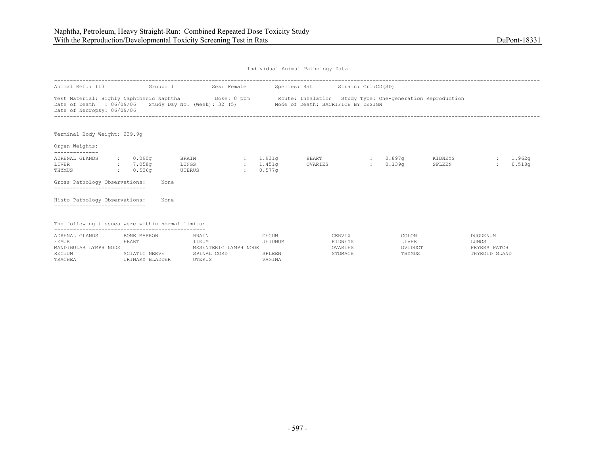| Individual Animal Pathology Data |  |  |
|----------------------------------|--|--|
|                                  |  |  |

| Animal Ref.: 113                                                                                                                                                                                                                                                                                                                                                                                                                                                                                                                                                                                                                                                                                                                                                                                                                                                                              |       |                                |  |                    |                  |                       |  |
|-----------------------------------------------------------------------------------------------------------------------------------------------------------------------------------------------------------------------------------------------------------------------------------------------------------------------------------------------------------------------------------------------------------------------------------------------------------------------------------------------------------------------------------------------------------------------------------------------------------------------------------------------------------------------------------------------------------------------------------------------------------------------------------------------------------------------------------------------------------------------------------------------|-------|--------------------------------|--|--------------------|------------------|-----------------------|--|
| Group: 1<br>Sex: Female<br>Species: Rat<br>Strain: Crl:CD(SD)<br>Test Material: Highly Naphthenic Naphtha Dose: 0 ppm<br>Route: Inhalation Study Type: One-generation Reproduction<br>Date of Death : 06/09/06 Study Day No. (Week): 32 (5) Mode of Death: SACRIFICE BY DESIGN<br>Date of Necropsy: 06/09/06<br>Terminal Body Weight: 239.9q<br>--------------<br>$\cdot$ 0.090q<br>BRAIN<br>: 1.931q<br>HEART<br>$: 0.897$ q<br>KIDNEYS<br>1.962a<br>0.518q<br>1.451q<br>0.139 <sub>q</sub><br>$: 7.058$ q<br>LUNGS<br>OVARIES<br>SPLEEN<br><b>STATE</b><br>$\mathcal{L}$<br>0.506q<br>UTERUS<br>0.577q<br>$\sim$ 100 $\sim$<br>$\sim$<br>Gross Pathology Observations:<br>None<br>--------------------------<br>Histo Pathology Observations:<br>None<br>The following tissues were within normal limits:<br>CECUM<br>CERVIX<br>BONE MARROW<br>BRAIN<br>COLON<br><b>DUODENUM</b><br>JEJUNUM |       |                                |  |                    |                  |                       |  |
| Organ Weights:                                                                                                                                                                                                                                                                                                                                                                                                                                                                                                                                                                                                                                                                                                                                                                                                                                                                                |       |                                |  |                    |                  |                       |  |
| ADRENAL GLANDS<br>LIVER<br>THYMUS                                                                                                                                                                                                                                                                                                                                                                                                                                                                                                                                                                                                                                                                                                                                                                                                                                                             |       |                                |  |                    |                  |                       |  |
|                                                                                                                                                                                                                                                                                                                                                                                                                                                                                                                                                                                                                                                                                                                                                                                                                                                                                               |       |                                |  |                    |                  |                       |  |
|                                                                                                                                                                                                                                                                                                                                                                                                                                                                                                                                                                                                                                                                                                                                                                                                                                                                                               |       |                                |  |                    |                  |                       |  |
|                                                                                                                                                                                                                                                                                                                                                                                                                                                                                                                                                                                                                                                                                                                                                                                                                                                                                               |       |                                |  |                    |                  |                       |  |
| ADRENAL GLANDS<br>FEMUR<br>MANDIBULAR LYMPH NODE                                                                                                                                                                                                                                                                                                                                                                                                                                                                                                                                                                                                                                                                                                                                                                                                                                              | HEART | ILEUM<br>MESENTERIC LYMPH NODE |  | KIDNEYS<br>OVARIES | LIVER<br>OVIDUCT | LUNGS<br>PEYERS PATCH |  |

| ADRENAL GLANDS        | BONE MARROW     | BRAIN                 | CECUM   | CERVIX  | COLON   | DUODENUM      |
|-----------------------|-----------------|-----------------------|---------|---------|---------|---------------|
| FEMUR                 | HEART           | :LEUM                 | JEJUNUM | KIDNEYS | ∟IVER   | LUNGS         |
| MANDIBULAR LYMPH NODE |                 | MESENTERIC LYMPH NODE |         | OVARIES | OVIDUCT | PEYERS PATCH  |
| RECTUM                | SCIATIC NERVE   | SPINAL CORD           | SPLEEN  | STOMACH | THYMUS  | THYROID GLAND |
| TRACHEA               | URINARY BLADDER | UTERUS                | VAGINA  |         |         |               |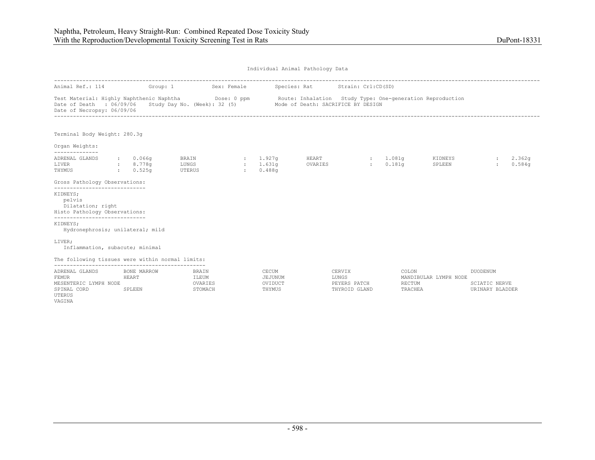| Individual Animal Pathology Data |  |  |
|----------------------------------|--|--|
|                                  |  |  |

| Animal Ref.: 114                                                                                               |                 | Group: 1                       |                                      | Sex: Female               |                                       | Species: Rat     | Strain: Crl:CD(SD)                                                                                                                                                        |                                |                       |                                                     |                  |
|----------------------------------------------------------------------------------------------------------------|-----------------|--------------------------------|--------------------------------------|---------------------------|---------------------------------------|------------------|---------------------------------------------------------------------------------------------------------------------------------------------------------------------------|--------------------------------|-----------------------|-----------------------------------------------------|------------------|
| Test Material: Highly Naphthenic Naphtha Dose: 0 ppm<br>Date of Death : 06/09/06<br>Date of Necropsy: 06/09/06 |                 |                                |                                      |                           |                                       |                  | enic Naphtha       Dose: 0 ppm       Route: Inhalation  Study Type: One-generation Reproduction<br>Study Day No. (Week): 32 (5)        Mode of Death: SACRIFICE BY DESIGN |                                |                       |                                                     |                  |
| Terminal Body Weight: 280.3q                                                                                   |                 |                                |                                      |                           |                                       |                  |                                                                                                                                                                           |                                |                       |                                                     |                  |
| Organ Weights:<br>--------------                                                                               |                 |                                |                                      |                           |                                       |                  |                                                                                                                                                                           |                                |                       |                                                     |                  |
| ADRENAL GLANDS<br>LIVER<br>THYMUS                                                                              |                 | : 0.066q<br>: 8.778q<br>0.525q | BRAIN<br>LUNGS<br>UTERUS             | $\sim 10^{-11}$<br>$\sim$ | : 1.927q<br>1.631q<br>0.488q          | HEART<br>OVARIES | <b>British</b>                                                                                                                                                            | : 1.081q<br>0.181 <sub>q</sub> | KIDNEYS<br>SPLEEN     | $\sim$                                              | 2.362g<br>0.584q |
| Gross Pathology Observations:<br>------------------------------                                                |                 |                                |                                      |                           |                                       |                  |                                                                                                                                                                           |                                |                       |                                                     |                  |
| KIDNEYS;<br>pelvis<br>Dilatation; right<br>Histo Pathology Observations:                                       |                 |                                |                                      |                           |                                       |                  |                                                                                                                                                                           |                                |                       |                                                     |                  |
| ______________________________<br>KIDNEYS;<br>Hydronephrosis; unilateral; mild                                 |                 |                                |                                      |                           |                                       |                  |                                                                                                                                                                           |                                |                       |                                                     |                  |
| LIVER;<br>Inflammation, subacute; minimal                                                                      |                 |                                |                                      |                           |                                       |                  |                                                                                                                                                                           |                                |                       |                                                     |                  |
| The following tissues were within normal limits:                                                               |                 |                                |                                      |                           |                                       |                  |                                                                                                                                                                           |                                |                       |                                                     |                  |
| ADRENAL GLANDS<br><b>FEMUR</b><br>MESENTERIC LYMPH NODE<br>SPINAL CORD<br>UTERUS                               | HEART<br>SPLEEN | BONE MARROW                    | BRAIN<br>ILEUM<br>OVARIES<br>STOMACH |                           | CECUM<br>JEJUNUM<br>OVIDUCT<br>THYMUS |                  | CERVIX<br>LUNGS<br>PEYERS PATCH<br>THYROID GLAND                                                                                                                          | COLON<br>RECTUM<br>TRACHEA     | MANDIBULAR LYMPH NODE | <b>DUODENUM</b><br>SCIATIC NERVE<br>URINARY BLADDER |                  |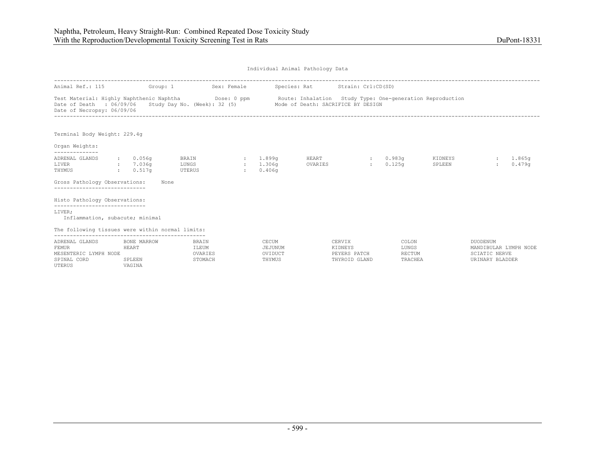| Individual Animal Pathology Data |  |  |
|----------------------------------|--|--|
|                                  |  |  |

| Animal Ref.: 115                                                                                                                                                         |                                                      | Group: 1                             | Sex: Female  |                                       | Species: Rat Strain: Crl:CD(SD)                                 |                                                    |                                     |                   |                                                                              |                  |
|--------------------------------------------------------------------------------------------------------------------------------------------------------------------------|------------------------------------------------------|--------------------------------------|--------------|---------------------------------------|-----------------------------------------------------------------|----------------------------------------------------|-------------------------------------|-------------------|------------------------------------------------------------------------------|------------------|
| Test Material: Highly Naphthenic Naphtha Mose: 0 ppm Route: Inhalation Study Type: One-generation Reproduction<br>Date of Death : 06/09/06<br>Date of Necropsy: 06/09/06 |                                                      |                                      |              |                                       | Study Day No. (Week): 32 (5) Mode of Death: SACRIFICE BY DESIGN |                                                    |                                     |                   |                                                                              |                  |
| Terminal Body Weight: 229.4q                                                                                                                                             |                                                      |                                      |              |                                       |                                                                 |                                                    |                                     |                   |                                                                              |                  |
| Organ Weights:                                                                                                                                                           |                                                      |                                      |              |                                       |                                                                 |                                                    |                                     |                   |                                                                              |                  |
| ADRENAL GLANDS<br>LIVER<br>THYMUS                                                                                                                                        | $\,:\qquad 0.056$ q<br>$\cdot$ 7.036q<br>$: 0.517$ q | BRAIN<br>LUNGS<br>UTERUS             | $\mathbf{r}$ | : 1.899q<br>: 1.306q<br>0.406q        | HEART<br>OVARIES                                                |                                                    | : 0.983q<br>0.125q                  | KIDNEYS<br>SPLEEN |                                                                              | 1.865g<br>0.479q |
| Gross Pathology Observations:                                                                                                                                            |                                                      | None                                 |              |                                       |                                                                 |                                                    |                                     |                   |                                                                              |                  |
| Histo Pathology Observations:                                                                                                                                            |                                                      |                                      |              |                                       |                                                                 |                                                    |                                     |                   |                                                                              |                  |
| -----------------------------<br>LIVER;<br>Inflammation, subacute; minimal                                                                                               |                                                      |                                      |              |                                       |                                                                 |                                                    |                                     |                   |                                                                              |                  |
| The following tissues were within normal limits:                                                                                                                         |                                                      |                                      |              |                                       |                                                                 |                                                    |                                     |                   |                                                                              |                  |
| ADRENAL GLANDS<br><b>FEMUR</b><br>MESENTERIC LYMPH NODE<br>SPINAL CORD<br>UTERUS                                                                                         | BONE MARROW<br>HEART<br>SPLEEN<br>VAGINA             | BRAIN<br>ILEUM<br>OVARIES<br>STOMACH |              | CECUM<br>JEJUNUM<br>OVIDUCT<br>THYMUS |                                                                 | CERVIX<br>KIDNEYS<br>PEYERS PATCH<br>THYROID GLAND | COLON<br>LUNGS<br>RECTUM<br>TRACHEA |                   | DUODENUM<br>MANDIBULAR LYMPH NODE<br><b>SCIATIC NERVE</b><br>URINARY BLADDER |                  |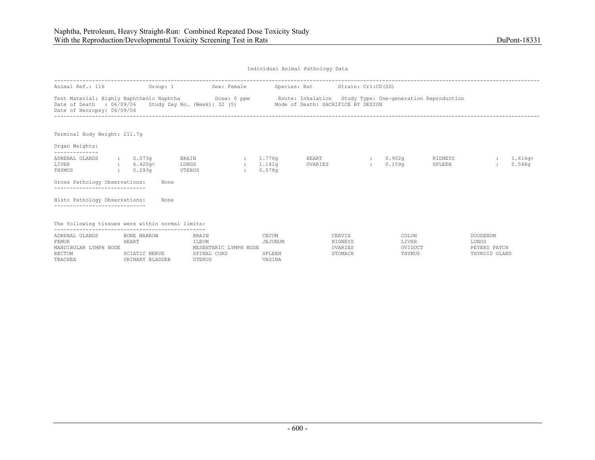| Individual Animal Pathology Data |  |  |
|----------------------------------|--|--|
|                                  |  |  |

| Animal Ref.: 116                                                                                                                                                                                                                                                                                                                                                                                                                                                                                                                                                                                                                                                 | Group: 1                                                        | Sex: Female                                                      |                                      | Species: Rat Strain: Crl:CD(SD)         |                                     |  |                                                    |
|------------------------------------------------------------------------------------------------------------------------------------------------------------------------------------------------------------------------------------------------------------------------------------------------------------------------------------------------------------------------------------------------------------------------------------------------------------------------------------------------------------------------------------------------------------------------------------------------------------------------------------------------------------------|-----------------------------------------------------------------|------------------------------------------------------------------|--------------------------------------|-----------------------------------------|-------------------------------------|--|----------------------------------------------------|
| Test Material: Highly Naphthenic Naphtha Dose: 0 ppm<br>Route: Inhalation Study Type: One-generation Reproduction<br>Study Day No. (Week): 32 (5) Mode of Death: SACRIFICE BY DESIGN<br>Date of Death : 06/09/06<br>Date of Necropsy: 06/09/06<br>Terminal Body Weight: 211.7q<br>Organ Weights:<br>--------------<br>ADRENAL GLANDS<br>: 0.073q<br>BRAIN<br>: 1.776q<br>HEART<br>: 0.902q<br>KIDNEYS<br>0.159 <sub>q</sub><br>0.548q<br>LIVER<br>: 6.420q<<br>LUNGS<br>1.141q<br>OVARIES<br>SPLEEN<br>$\sim$ 100 $\sim$<br>$\sim$<br>0.578q<br>THYMUS<br>: 0.293q<br>UTERUS<br>$\sim$<br>Gross Pathology Observations:<br>None<br>----------------------------- |                                                                 |                                                                  |                                      |                                         |                                     |  |                                                    |
|                                                                                                                                                                                                                                                                                                                                                                                                                                                                                                                                                                                                                                                                  |                                                                 |                                                                  |                                      |                                         |                                     |  |                                                    |
|                                                                                                                                                                                                                                                                                                                                                                                                                                                                                                                                                                                                                                                                  |                                                                 |                                                                  |                                      |                                         |                                     |  |                                                    |
|                                                                                                                                                                                                                                                                                                                                                                                                                                                                                                                                                                                                                                                                  |                                                                 |                                                                  |                                      |                                         |                                     |  | 1.616q <                                           |
|                                                                                                                                                                                                                                                                                                                                                                                                                                                                                                                                                                                                                                                                  |                                                                 |                                                                  |                                      |                                         |                                     |  |                                                    |
| Histo Pathology Observations:                                                                                                                                                                                                                                                                                                                                                                                                                                                                                                                                                                                                                                    | None                                                            |                                                                  |                                      |                                         |                                     |  |                                                    |
| The following tissues were within normal limits:                                                                                                                                                                                                                                                                                                                                                                                                                                                                                                                                                                                                                 |                                                                 |                                                                  |                                      |                                         |                                     |  |                                                    |
| ADRENAL GLANDS<br>FEMUR<br>MANDIBULAR LYMPH NODE<br><b>RECTUM</b><br>TRACHEA                                                                                                                                                                                                                                                                                                                                                                                                                                                                                                                                                                                     | BONE MARROW<br>HEART<br><b>SCIATIC NERVE</b><br>URINARY BLADDER | BRAIN<br>ILEUM<br>MESENTERIC LYMPH NODE<br>SPINAL CORD<br>UTERUS | CECUM<br>JEJUNUM<br>SPLEEN<br>VAGINA | CERVIX<br>KIDNEYS<br>OVARIES<br>STOMACH | COLON<br>LIVER<br>OVIDUCT<br>THYMUS |  | DUODENUM<br>LUNGS<br>PEYERS PATCH<br>THYROID GLAND |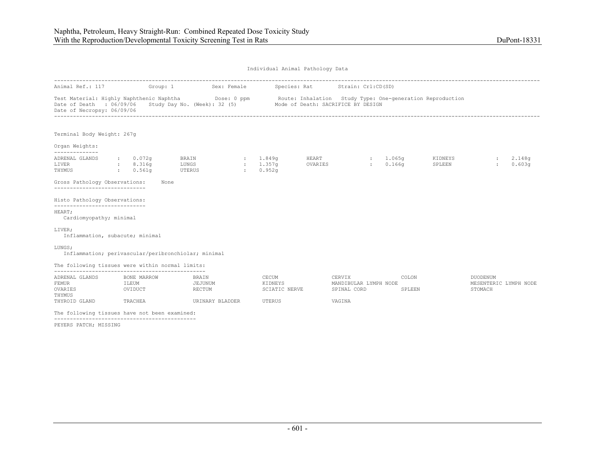| Individual Animal Pathology Data |  |  |
|----------------------------------|--|--|
|                                  |  |  |

| Animal Ref.: 117                                                |                                  | Group: 1                                                                                                                | Sex: Female                |                                   |                  | Species: Rat Strain: Crl:CD(SD)                |                    |                                                           |                                                     |                  |
|-----------------------------------------------------------------|----------------------------------|-------------------------------------------------------------------------------------------------------------------------|----------------------------|-----------------------------------|------------------|------------------------------------------------|--------------------|-----------------------------------------------------------|-----------------------------------------------------|------------------|
| Date of Death : 06/09/06<br>Date of Necropsy: 06/09/06          |                                  | Test Material: Highly Naphthenic Naphtha Dose: 0 ppm<br>Study Day No. (Week): 32 (5) Mode of Death: SACRIFICE BY DESIGN |                            |                                   |                  |                                                |                    | Route: Inhalation Study Type: One-generation Reproduction |                                                     |                  |
| Terminal Body Weight: 267q                                      |                                  |                                                                                                                         |                            |                                   |                  |                                                |                    |                                                           |                                                     |                  |
| Organ Weights:                                                  |                                  |                                                                                                                         |                            |                                   |                  |                                                |                    |                                                           |                                                     |                  |
| --------------<br>ADRENAL GLANDS<br>LIVER<br>THYMUS             | : 0.072q<br>: 8.316q<br>: 0.561q | BRAIN<br>LUNGS<br>UTERUS                                                                                                | $\sim$<br>$\sim$<br>$\sim$ | 1.849q<br>1.357q<br>0.952q        | HEART<br>OVARIES | $\mathcal{L}$                                  | : 1.065q<br>0.166q | KIDNEYS<br>SPLEEN                                         |                                                     | 2.148g<br>0.603q |
| Gross Pathology Observations:<br>------------------------------ |                                  | None                                                                                                                    |                            |                                   |                  |                                                |                    |                                                           |                                                     |                  |
| Histo Pathology Observations:<br>------------------------------ |                                  |                                                                                                                         |                            |                                   |                  |                                                |                    |                                                           |                                                     |                  |
| HEART;<br>Cardiomyopathy; minimal                               |                                  |                                                                                                                         |                            |                                   |                  |                                                |                    |                                                           |                                                     |                  |
| LIVER;                                                          | Inflammation, subacute; minimal  |                                                                                                                         |                            |                                   |                  |                                                |                    |                                                           |                                                     |                  |
| LUNGS;                                                          |                                  | Inflammation; perivascular/peribronchiolar; minimal                                                                     |                            |                                   |                  |                                                |                    |                                                           |                                                     |                  |
| The following tissues were within normal limits:                |                                  |                                                                                                                         |                            |                                   |                  |                                                |                    |                                                           |                                                     |                  |
| ADRENAL GLANDS<br><b>FEMUR</b><br>OVARIES<br>THYMUS             | BONE MARROW<br>ILEUM<br>OVIDUCT  | BRAIN<br>JEJUNUM<br>RECTUM                                                                                              |                            | CECUM<br>KIDNEYS<br>SCIATIC NERVE |                  | CERVIX<br>MANDIBULAR LYMPH NODE<br>SPINAL CORD |                    | COLON<br>SPLEEN                                           | <b>DUODENUM</b><br>MESENTERIC LYMPH NODE<br>STOMACH |                  |
| THYROID GLAND                                                   | TRACHEA                          | URINARY BLADDER                                                                                                         |                            | UTERUS                            |                  | VAGINA                                         |                    |                                                           |                                                     |                  |
| The following tissues have not been examined:                   |                                  |                                                                                                                         |                            |                                   |                  |                                                |                    |                                                           |                                                     |                  |
|                                                                 |                                  |                                                                                                                         |                            |                                   |                  |                                                |                    |                                                           |                                                     |                  |

PEYERS PATCH; MISSING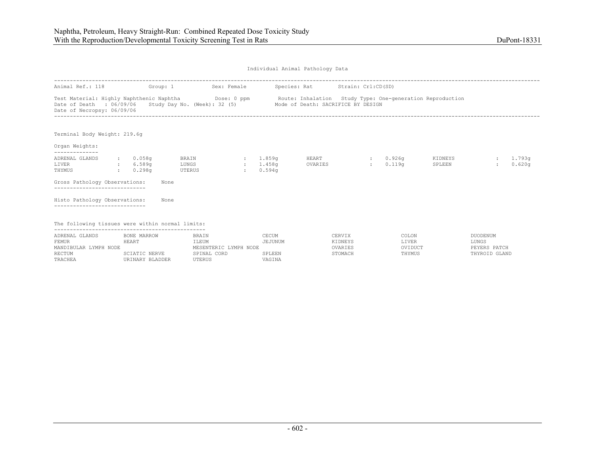| Individual Animal Pathology Data |  |  |
|----------------------------------|--|--|
|                                  |  |  |

| Animal Ref.: 118                                                                    | Group: 1                                                 | Sex: Female                                                                                                             |                                                   |                                      | Species: Rat Strain: Crl:CD(SD)                           |                    |                                     |                   |                                                    |                  |
|-------------------------------------------------------------------------------------|----------------------------------------------------------|-------------------------------------------------------------------------------------------------------------------------|---------------------------------------------------|--------------------------------------|-----------------------------------------------------------|--------------------|-------------------------------------|-------------------|----------------------------------------------------|------------------|
| Date of Death : 06/09/06<br>Date of Necropsy: 06/09/06                              |                                                          | Test Material: Highly Naphthenic Naphtha Dose: 0 ppm<br>Study Day No. (Week): 32 (5) Mode of Death: SACRIFICE BY DESIGN |                                                   |                                      | Route: Inhalation Study Type: One-generation Reproduction |                    |                                     |                   |                                                    |                  |
| Terminal Body Weight: 219.6g                                                        |                                                          |                                                                                                                         |                                                   |                                      |                                                           |                    |                                     |                   |                                                    |                  |
| Organ Weights:<br>--------------                                                    |                                                          |                                                                                                                         |                                                   |                                      |                                                           |                    |                                     |                   |                                                    |                  |
| ADRENAL GLANDS<br>LIVER<br>THYMUS<br>Gross Pathology Observations:                  | $: 0.058$ q<br>: 6.589q<br>: 0.298q                      | BRAIN<br>LUNGS<br>UTERUS<br>None                                                                                        | : 1.859q<br>1.458a<br>$\sim$ 100 $\sim$<br>$\sim$ | 0.594q                               | HEART<br>OVARIES                                          | <b>State State</b> | $0.926$ q<br>0.119 <sub>q</sub>     | KIDNEYS<br>SPLEEN |                                                    | 1,793q<br>0.620q |
| _____________________________<br>Histo Pathology Observations:                      |                                                          | None                                                                                                                    |                                                   |                                      |                                                           |                    |                                     |                   |                                                    |                  |
| The following tissues were within normal limits:                                    |                                                          |                                                                                                                         |                                                   |                                      |                                                           |                    |                                     |                   |                                                    |                  |
| ADRENAL GLANDS<br><b>FEMUR</b><br>MANDIBULAR LYMPH NODE<br><b>RECTUM</b><br>TRACHEA | BONE MARROW<br>HEART<br>SCIATIC NERVE<br>URINARY BLADDER | BRAIN<br>ILEUM<br>MESENTERIC LYMPH NODE<br>SPINAL CORD<br>UTERUS                                                        |                                                   | CECUM<br>JEJUNUM<br>SPLEEN<br>VAGINA | CERVIX<br>KIDNEYS<br>OVARIES<br>STOMACH                   |                    | COLON<br>LIVER<br>OVIDUCT<br>THYMUS |                   | DUODENUM<br>LUNGS<br>PEYERS PATCH<br>THYROID GLAND |                  |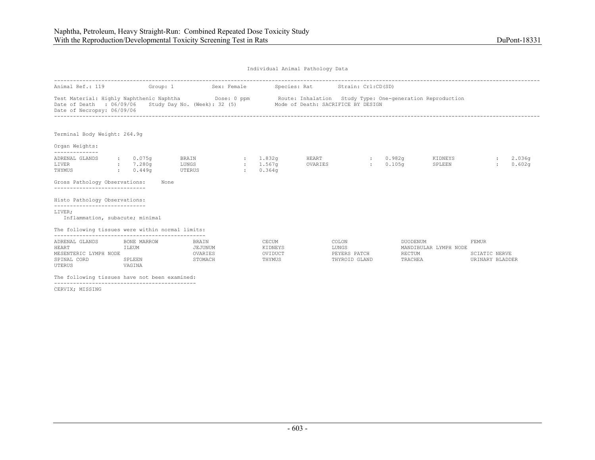| Individual Animal Pathology Data |  |  |
|----------------------------------|--|--|
|                                  |  |  |

| Animal Ref.: 119                                                                                               | Group: 1                                 | Sex: Female                                                     |               |                                          | Species: Rat     | Strain: Crl:CD(SD)                                        |                                      |                       |                                                  |                  |
|----------------------------------------------------------------------------------------------------------------|------------------------------------------|-----------------------------------------------------------------|---------------|------------------------------------------|------------------|-----------------------------------------------------------|--------------------------------------|-----------------------|--------------------------------------------------|------------------|
| Test Material: Highly Naphthenic Naphtha Dose: 0 ppm<br>Date of Death : 06/09/06<br>Date of Necropsy: 06/09/06 |                                          | Study Day No. (Week): 32 (5) Mode of Death: SACRIFICE BY DESIGN |               |                                          |                  | Route: Inhalation Study Type: One-generation Reproduction |                                      |                       |                                                  |                  |
| Terminal Body Weight: 264.9q                                                                                   |                                          |                                                                 |               |                                          |                  |                                                           |                                      |                       |                                                  |                  |
| Organ Weights:<br>--------------                                                                               |                                          |                                                                 |               |                                          |                  |                                                           |                                      |                       |                                                  |                  |
| ADRENAL GLANDS<br>LIVER<br>THYMUS                                                                              | $: 0.075$ q<br>: 7.280q<br>: 0.449q      | BRAIN<br>LUNGS<br>UTERUS                                        | $\mathcal{L}$ | : 1.832q<br>1.567q<br>0.364 <sub>q</sub> | HEART<br>OVARIES | <b>Expertise</b>                                          | : 0.982q<br>0.105 <sub>q</sub>       | KIDNEYS<br>SPLEEN     |                                                  | 2.036q<br>0.602q |
| Gross Pathology Observations:                                                                                  |                                          | None                                                            |               |                                          |                  |                                                           |                                      |                       |                                                  |                  |
| Histo Pathology Observations:<br>------------------------------                                                |                                          |                                                                 |               |                                          |                  |                                                           |                                      |                       |                                                  |                  |
| LIVER;<br>Inflammation, subacute; minimal<br>The following tissues were within normal limits:                  |                                          |                                                                 |               |                                          |                  |                                                           |                                      |                       |                                                  |                  |
| ADRENAL GLANDS<br>HEART<br>MESENTERIC LYMPH NODE<br>SPINAL CORD<br>UTERUS                                      | BONE MARROW<br>ILEUM<br>SPLEEN<br>VAGINA | <b>BRAIN</b><br>JEJUNUM<br>OVARIES<br>STOMACH                   |               | CECUM<br>KIDNEYS<br>OVIDUCT<br>THYMUS    |                  | COLON<br>LUNGS<br>PEYERS PATCH<br>THYROID GLAND           | <b>DUODENUM</b><br>RECTUM<br>TRACHEA | MANDIBULAR LYMPH NODE | <b>FEMUR</b><br>SCIATIC NERVE<br>URINARY BLADDER |                  |
| The following tissues have not been examined:                                                                  |                                          |                                                                 |               |                                          |                  |                                                           |                                      |                       |                                                  |                  |

CERVIX; MISSING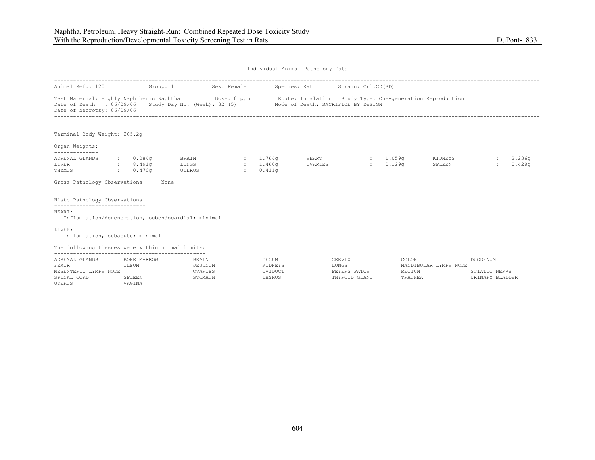UTERUS VAGINA

| Individual Animal Pathology Data |  |  |
|----------------------------------|--|--|
|                                  |  |  |

| Animal Ref.: 120                                                                                               | Group: 1                       | Sex: Female                            |                                 |                                       | Species: Rat     | Strain: Crl:CD(SD)                               |                            |                                                           |                                                     |                  |
|----------------------------------------------------------------------------------------------------------------|--------------------------------|----------------------------------------|---------------------------------|---------------------------------------|------------------|--------------------------------------------------|----------------------------|-----------------------------------------------------------|-----------------------------------------------------|------------------|
| Test Material: Highly Naphthenic Naphtha Dose: 0 ppm<br>Date of Death : 06/09/06<br>Date of Necropsy: 06/09/06 |                                | Study Day No. (Week): 32 (5)           |                                 |                                       |                  | Mode of Death: SACRIFICE BY DESIGN               |                            | Route: Inhalation Study Type: One-generation Reproduction |                                                     |                  |
| Terminal Body Weight: 265.2q                                                                                   |                                |                                        |                                 |                                       |                  |                                                  |                            |                                                           |                                                     |                  |
| Organ Weights:<br>--------------                                                                               |                                |                                        |                                 |                                       |                  |                                                  |                            |                                                           |                                                     |                  |
| ADRENAL GLANDS<br>LIVER<br>THYMUS<br><b>Contract Contract</b>                                                  | : 0.084q<br>8.491q<br>0.470q   | BRAIN<br>LUNGS<br>UTERUS               | $\sim$ $\sim$<br>$\sim 10^{-1}$ | : 1.764q<br>1.460g<br>0.411q          | HEART<br>OVARIES | <b>Expertise</b>                                 | : 1.059q<br>0.129q         | KIDNEYS<br>SPLEEN                                         |                                                     | 2,236q<br>0.428q |
| Gross Pathology Observations:<br>------------------------------                                                | None                           |                                        |                                 |                                       |                  |                                                  |                            |                                                           |                                                     |                  |
| Histo Pathology Observations:<br>------------------------------                                                |                                |                                        |                                 |                                       |                  |                                                  |                            |                                                           |                                                     |                  |
| HEART;<br>Inflammation/degeneration; subendocardial; minimal                                                   |                                |                                        |                                 |                                       |                  |                                                  |                            |                                                           |                                                     |                  |
| LIVER;<br>Inflammation, subacute; minimal                                                                      |                                |                                        |                                 |                                       |                  |                                                  |                            |                                                           |                                                     |                  |
| The following tissues were within normal limits:                                                               |                                |                                        |                                 |                                       |                  |                                                  |                            |                                                           |                                                     |                  |
| ADRENAL GLANDS<br><b>FEMUR</b><br>MESENTERIC LYMPH NODE<br>SPINAL CORD                                         | BONE MARROW<br>ILEUM<br>SPLEEN | BRAIN<br>JEJUNUM<br>OVARIES<br>STOMACH |                                 | CECUM<br>KIDNEYS<br>OVIDUCT<br>THYMUS |                  | CERVIX<br>LUNGS<br>PEYERS PATCH<br>THYROID GLAND | COLON<br>RECTUM<br>TRACHEA | MANDIBULAR LYMPH NODE                                     | DUODENUM<br><b>SCIATIC NERVE</b><br>URINARY BLADDER |                  |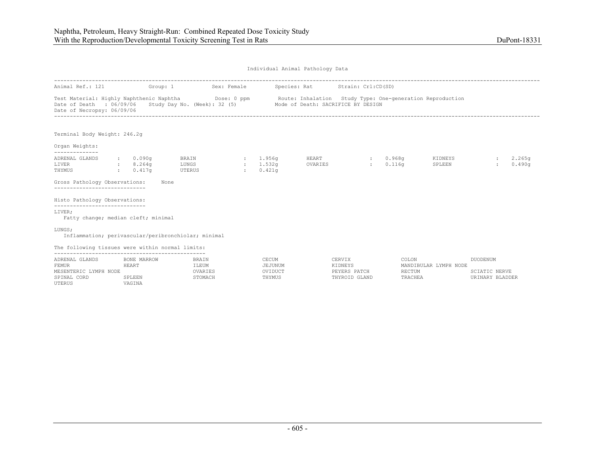| Individual Animal Pathology Data |  |  |
|----------------------------------|--|--|
|                                  |  |  |

| Animal Ref.: 121                                                                                               | Group: 1                                                                  |                                                                 | Sex: Female                    |                                       | Species: Rat     | Strain: Crl:CD(SD)                                 |                            |                                                           |                                                            |                  |
|----------------------------------------------------------------------------------------------------------------|---------------------------------------------------------------------------|-----------------------------------------------------------------|--------------------------------|---------------------------------------|------------------|----------------------------------------------------|----------------------------|-----------------------------------------------------------|------------------------------------------------------------|------------------|
| Test Material: Highly Naphthenic Naphtha Dose: 0 ppm<br>Date of Death : 06/09/06<br>Date of Necropsy: 06/09/06 |                                                                           | Study Day No. (Week): 32 (5) Mode of Death: SACRIFICE BY DESIGN |                                |                                       |                  |                                                    |                            | Route: Inhalation Study Type: One-generation Reproduction |                                                            |                  |
| Terminal Body Weight: 246.2q                                                                                   |                                                                           |                                                                 |                                |                                       |                  |                                                    |                            |                                                           |                                                            |                  |
| Organ Weights:                                                                                                 |                                                                           |                                                                 |                                |                                       |                  |                                                    |                            |                                                           |                                                            |                  |
| --------------<br>ADRENAL GLANDS<br>LIVER<br>THYMUS                                                            | : 0.090q<br>8.264q<br>$\mathbf{L}$<br>0.417 <sub>q</sub><br>$\sim$ $\sim$ | BRAIN<br>LUNGS<br>UTERUS                                        | $\sim$ $\sim$<br>$\mathcal{L}$ | : 1.956q<br>1.532g<br>0.421q          | HEART<br>OVARIES | <b>Expertise</b>                                   | $: 0.968$ q<br>0.116q      | KIDNEYS<br>SPLEEN                                         |                                                            | 2,265q<br>0.490q |
| Gross Pathology Observations:<br>_____________________________                                                 |                                                                           | None                                                            |                                |                                       |                  |                                                    |                            |                                                           |                                                            |                  |
| Histo Pathology Observations:<br>------------------------------                                                |                                                                           |                                                                 |                                |                                       |                  |                                                    |                            |                                                           |                                                            |                  |
| LIVER;<br>Fatty change; median cleft; minimal                                                                  |                                                                           |                                                                 |                                |                                       |                  |                                                    |                            |                                                           |                                                            |                  |
| LUNGS;<br>Inflammation; perivascular/peribronchiolar; minimal                                                  |                                                                           |                                                                 |                                |                                       |                  |                                                    |                            |                                                           |                                                            |                  |
| The following tissues were within normal limits:                                                               |                                                                           |                                                                 |                                |                                       |                  |                                                    |                            |                                                           |                                                            |                  |
| ADRENAL GLANDS<br><b>FEMUR</b><br>MESENTERIC LYMPH NODE<br>SPINAL CORD                                         | BONE MARROW<br>HEART<br>SPLEEN                                            | BRAIN<br>ILEUM<br>OVARIES<br>STOMACH                            |                                | CECUM<br>JEJUNUM<br>OVIDUCT<br>THYMUS |                  | CERVIX<br>KIDNEYS<br>PEYERS PATCH<br>THYROID GLAND | COLON<br>RECTUM<br>TRACHEA | MANDIBULAR LYMPH NODE                                     | <b>DUODENUM</b><br><b>SCIATIC NERVE</b><br>URINARY BLADDER |                  |

UTERUS VAGINA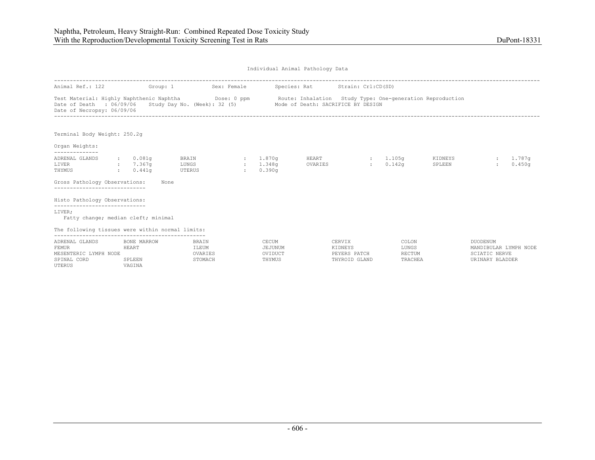| Individual Animal Pathology Data |  |  |
|----------------------------------|--|--|
|                                  |  |  |

| Animal Ref.: 122                                                                                   | Group: 1                                        |                                             | Sex: Female               |                                       | Species: Rat Strain: Crl:CD(SD)                                                                 |                                                    |                                     |                   |                                                                              |                  |
|----------------------------------------------------------------------------------------------------|-------------------------------------------------|---------------------------------------------|---------------------------|---------------------------------------|-------------------------------------------------------------------------------------------------|----------------------------------------------------|-------------------------------------|-------------------|------------------------------------------------------------------------------|------------------|
| Test Material: Highly Naphthenic Naphtha<br>Date of Death : 06/09/06<br>Date of Necropsy: 06/09/06 |                                                 | Dose: 0 ppm<br>Study Day No. (Week): 32 (5) |                           |                                       | Route: Inhalation Study Type: One-generation Reproduction<br>Mode of Death: SACRIFICE BY DESIGN |                                                    |                                     |                   |                                                                              |                  |
| Terminal Body Weight: 250.2q                                                                       |                                                 |                                             |                           |                                       |                                                                                                 |                                                    |                                     |                   |                                                                              |                  |
| Organ Weights:<br>--------------                                                                   |                                                 |                                             |                           |                                       |                                                                                                 |                                                    |                                     |                   |                                                                              |                  |
| ADRENAL GLANDS<br>LIVER<br>THYMUS<br>Gross Pathology Observations:                                 | $\, \cdot \,$ $\, 0.081q$<br>: 7.367q<br>0.441q | BRAIN<br>LUNGS<br>UTERUS<br>None            | $\sim 10^{-11}$<br>$\sim$ | 1.870q<br>1.348q<br>0.390q            | HEART<br>OVARIES                                                                                | $\mathbf{r}$                                       | : 1.105q<br>0.142q                  | KIDNEYS<br>SPLEEN |                                                                              | 1,787q<br>0.450q |
| --------------------------<br>Histo Pathology Observations:<br>-----------------------------       |                                                 |                                             |                           |                                       |                                                                                                 |                                                    |                                     |                   |                                                                              |                  |
| LIVER;<br>Fatty change; median cleft; minimal                                                      |                                                 |                                             |                           |                                       |                                                                                                 |                                                    |                                     |                   |                                                                              |                  |
| The following tissues were within normal limits:                                                   |                                                 |                                             |                           |                                       |                                                                                                 |                                                    |                                     |                   |                                                                              |                  |
| ADRENAL GLANDS<br><b>FEMUR</b><br>MESENTERIC LYMPH NODE<br>SPINAL CORD<br>UTERUS                   | BONE MARROW<br>HEART<br>SPLEEN<br>VAGINA        | BRAIN<br>ILEUM<br>OVARIES<br>STOMACH        |                           | CECUM<br>JEJUNUM<br>OVIDUCT<br>THYMUS |                                                                                                 | CERVIX<br>KIDNEYS<br>PEYERS PATCH<br>THYROID GLAND | COLON<br>LUNGS<br>RECTUM<br>TRACHEA |                   | DUODENUM<br>MANDIBULAR LYMPH NODE<br><b>SCIATIC NERVE</b><br>URINARY BLADDER |                  |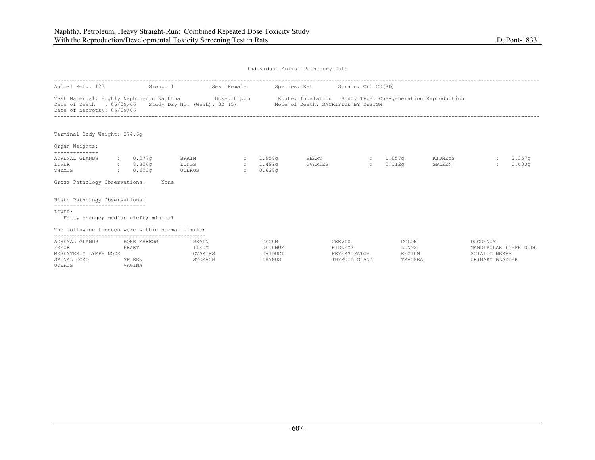| Individual Animal Pathology Data |  |  |
|----------------------------------|--|--|
|                                  |  |  |

| Animal Ref.: 123                                                                 | Group: 1                                 |                                                                                      | Sex: Female |                                       | Species: Rat Strain: Crl:CD(SD)    |                                                    |                                                           |                   |                                                                                     |                              |
|----------------------------------------------------------------------------------|------------------------------------------|--------------------------------------------------------------------------------------|-------------|---------------------------------------|------------------------------------|----------------------------------------------------|-----------------------------------------------------------|-------------------|-------------------------------------------------------------------------------------|------------------------------|
| Date of Death : 06/09/06<br>Date of Necropsy: 06/09/06                           |                                          | Test Material: Highly Naphthenic Naphtha Dose: 0 ppm<br>Study Day No. (Week): 32 (5) |             |                                       | Mode of Death: SACRIFICE BY DESIGN |                                                    | Route: Inhalation Study Type: One-generation Reproduction |                   |                                                                                     |                              |
| Terminal Body Weight: 274.6g                                                     |                                          |                                                                                      |             |                                       |                                    |                                                    |                                                           |                   |                                                                                     |                              |
| Organ Weights:<br>--------------                                                 |                                          |                                                                                      |             |                                       |                                    |                                                    |                                                           |                   |                                                                                     |                              |
| ADRENAL GLANDS<br>LIVER<br>THYMUS<br>Gross Pathology Observations:               | $: 0.077$ q<br>: 8.804q<br>0.603q        | BRAIN<br>LUNGS<br>UTERUS<br>None                                                     | $\sim$      | : 1.958a<br>1.499q<br>0.628q          | HEART<br>OVARIES                   | <b>British</b>                                     | : 1.057q<br>0.112q                                        | KIDNEYS<br>SPLEEN | $\mathbf{r}$                                                                        | 2.357 <sub>q</sub><br>0.600q |
| Histo Pathology Observations:                                                    |                                          |                                                                                      |             |                                       |                                    |                                                    |                                                           |                   |                                                                                     |                              |
| -----------------------------<br>LIVER;<br>Fatty change; median cleft; minimal   |                                          |                                                                                      |             |                                       |                                    |                                                    |                                                           |                   |                                                                                     |                              |
| The following tissues were within normal limits:                                 |                                          |                                                                                      |             |                                       |                                    |                                                    |                                                           |                   |                                                                                     |                              |
| ADRENAL GLANDS<br><b>FEMUR</b><br>MESENTERIC LYMPH NODE<br>SPINAL CORD<br>UTERUS | BONE MARROW<br>HEART<br>SPLEEN<br>VAGINA | <b>BRAIN</b><br>ILEUM<br>OVARIES<br>STOMACH                                          |             | CECUM<br>JEJUNUM<br>OVIDUCT<br>THYMUS |                                    | CERVIX<br>KIDNEYS<br>PEYERS PATCH<br>THYROID GLAND | COLON<br>LUNGS<br>RECTUM<br>TRACHEA                       |                   | <b>DUODENUM</b><br>MANDIBULAR LYMPH NODE<br><b>SCIATIC NERVE</b><br>URINARY BLADDER |                              |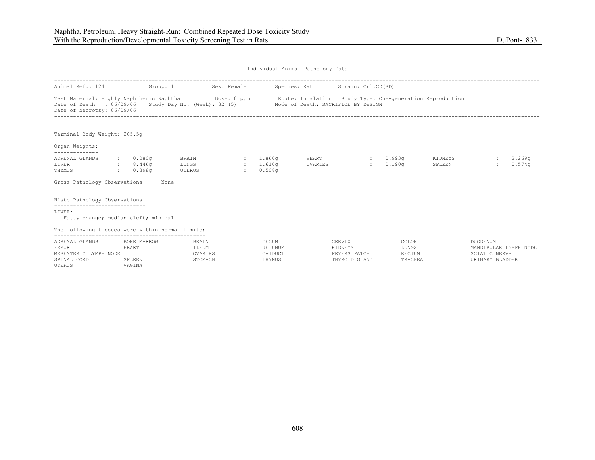| Individual Animal Pathology Data |  |  |
|----------------------------------|--|--|
|                                  |  |  |

| Animal Ref.: 124                                                                                               | Group: 1                                      |                                      | Sex: Female             |                                          |                  | Species: Rat Strain: Crl:CD(SD)                    |                                                           |                   |                                                                              |                  |
|----------------------------------------------------------------------------------------------------------------|-----------------------------------------------|--------------------------------------|-------------------------|------------------------------------------|------------------|----------------------------------------------------|-----------------------------------------------------------|-------------------|------------------------------------------------------------------------------|------------------|
| Test Material: Highly Naphthenic Naphtha Dose: 0 ppm<br>Date of Death : 06/09/06<br>Date of Necropsy: 06/09/06 |                                               | Study Day No. (Week): 32 (5)         |                         |                                          |                  | Mode of Death: SACRIFICE BY DESIGN                 | Route: Inhalation Study Type: One-generation Reproduction |                   |                                                                              |                  |
| Terminal Body Weight: 265.5g                                                                                   |                                               |                                      |                         |                                          |                  |                                                    |                                                           |                   |                                                                              |                  |
| Organ Weights:<br>-------------                                                                                |                                               |                                      |                         |                                          |                  |                                                    |                                                           |                   |                                                                              |                  |
| ADRENAL GLANDS<br>LIVER<br>THYMUS<br>Gross Pathology Observations:                                             | $\,:\qquad 0.080\sigma$<br>: 8.446q<br>0.398q | BRAIN<br>LUNGS<br>UTERUS<br>None     | $\sim$<br>$\mathcal{L}$ | : 1.860 <sub>q</sub><br>1.610g<br>0.508q | HEART<br>OVARIES |                                                    | : 0.993q<br>0.190 <sub>q</sub>                            | KIDNEYS<br>SPLEEN |                                                                              | 2,269q<br>0.574q |
| ----------------------------<br>Histo Pathology Observations:<br>-----------------------------                 |                                               |                                      |                         |                                          |                  |                                                    |                                                           |                   |                                                                              |                  |
| LIVER;<br>Fatty change; median cleft; minimal                                                                  |                                               |                                      |                         |                                          |                  |                                                    |                                                           |                   |                                                                              |                  |
| The following tissues were within normal limits:                                                               |                                               |                                      |                         |                                          |                  |                                                    |                                                           |                   |                                                                              |                  |
| ADRENAL GLANDS<br><b>FEMUR</b><br>MESENTERIC LYMPH NODE<br>SPINAL CORD<br>UTERUS                               | BONE MARROW<br>HEART<br>SPLEEN<br>VAGINA      | BRAIN<br>ILEUM<br>OVARIES<br>STOMACH |                         | CECUM<br>JEJUNUM<br>OVIDUCT<br>THYMUS    |                  | CERVIX<br>KIDNEYS<br>PEYERS PATCH<br>THYROID GLAND | COLON<br>LUNGS<br>RECTUM<br>TRACHEA                       |                   | DUODENUM<br>MANDIBULAR LYMPH NODE<br><b>SCIATIC NERVE</b><br>URINARY BLADDER |                  |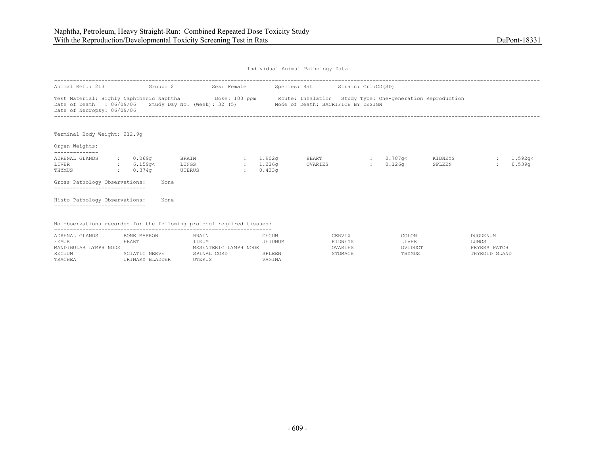| Individual Animal Pathology Data |  |  |
|----------------------------------|--|--|
|                                  |  |  |

| Animal Ref.: 213                                                      | Group: 2           |                          | Sex: Female |                                | Species: Rat Strain: Crl:CD(SD)                                                                                                                                                                              |                     |                   |                    |
|-----------------------------------------------------------------------|--------------------|--------------------------|-------------|--------------------------------|--------------------------------------------------------------------------------------------------------------------------------------------------------------------------------------------------------------|---------------------|-------------------|--------------------|
| Date of Necropsy: 06/09/06                                            |                    |                          |             |                                | Test Material: Highly Naphthenic Naphtha Dose: 100 ppm Route: Inhalation Study Type: One-generation Reproduction<br>Date of Death : 06/09/06 Study Day No. (Week): 32 (5) Mode of Death: SACRIFICE BY DESIGN |                     |                   |                    |
| Terminal Body Weight: 212.9q                                          |                    |                          |             |                                |                                                                                                                                                                                                              |                     |                   |                    |
| Organ Weights:                                                        |                    |                          |             |                                |                                                                                                                                                                                                              |                     |                   |                    |
| ADRENAL GLANDS<br>LIVER<br>6.159q<<br>THYMUS                          | 0.069q<br>: 0.374q | BRAIN<br>LUNGS<br>UTERUS | $\sim$      | : 1.902q<br>: 1.226q<br>0.433q | HEART<br>OVARIES                                                                                                                                                                                             | : 0.787q<<br>0.126q | KIDNEYS<br>SPLEEN | 1.592q <<br>0.539q |
| Gross Pathology Observations:<br>---------------------------          |                    | None                     |             |                                |                                                                                                                                                                                                              |                     |                   |                    |
| Histo Pathology Observations:                                         |                    | None                     |             |                                |                                                                                                                                                                                                              |                     |                   |                    |
| No observations recorded for the following protocol required tissues: |                    |                          |             |                                |                                                                                                                                                                                                              |                     |                   |                    |

| ADRENAL GLANDS        | BONE MARROW     | <b>BRAIN</b>          | CECUM   | CERVIX  | COLON   | DUODENUM      |
|-----------------------|-----------------|-----------------------|---------|---------|---------|---------------|
| FEMUR                 | HEART           | LEUM                  | JEJUNUM | KIDNEYS | LIVER   | LUNGS         |
| MANDIBULAR LYMPH NODE |                 | MESENTERIC LYMPH NODE |         | OVARIES | OVIDUCT | PEYERS PATCH  |
| RECTUM                | SCIATIC NERVE   | SPINAL CORD           | SPLEEN  | STOMACH | THYMUS  | THYROID GLAND |
| TRACHEA               | URINARY BLADDER | UTERUS                | VAGINA  |         |         |               |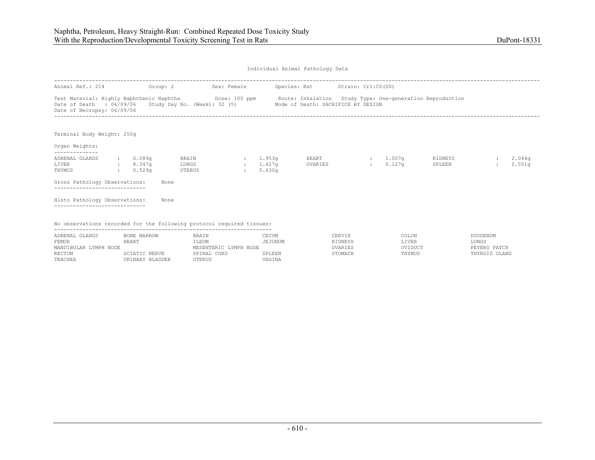| Individual Animal Pathology Data |  |  |
|----------------------------------|--|--|
|                                  |  |  |

| Animal Ref.: 214                                                                                                                                                                                                                           |               |                       | Group: 2 |                          | Sex: Female             |                                 | Species: Rat     | Strain: Crl:CD(SD) |                                   |                   |                  |
|--------------------------------------------------------------------------------------------------------------------------------------------------------------------------------------------------------------------------------------------|---------------|-----------------------|----------|--------------------------|-------------------------|---------------------------------|------------------|--------------------|-----------------------------------|-------------------|------------------|
| Test Material: Highly Naphthenic Naphtha Dose: 100 ppm Route: Inhalation Study Type: One-generation Reproduction<br>Date of Death : 06/09/06 Study Day No. (Week): 32 (5) Mode of Death: SACRIFICE BY DESIGN<br>Date of Necropsy: 06/09/06 |               |                       |          |                          |                         |                                 |                  |                    |                                   |                   |                  |
| Terminal Body Weight: 250g<br>Organ Weights:                                                                                                                                                                                               |               |                       |          |                          |                         |                                 |                  |                    |                                   |                   |                  |
| --------------<br>ADRENAL GLANDS<br>LIVER<br>8.347q<br>THYMUS                                                                                                                                                                              | $\sim$ $\sim$ | : 0.089q<br>$0.529$ q |          | BRAIN<br>LUNGS<br>UTERUS | $\sim$<br>$\mathcal{L}$ | 1.953q<br>$: 1.427$ q<br>0.630q | HEART<br>OVARIES | 100000             | $: 1.007$ q<br>0.127 <sub>q</sub> | KIDNEYS<br>SPLEEN | 2.044q<br>0.551q |
| Gross Pathology Observations:<br>-----------------------------                                                                                                                                                                             |               |                       | None     |                          |                         |                                 |                  |                    |                                   |                   |                  |
| Histo Pathology Observations:                                                                                                                                                                                                              |               |                       | None     |                          |                         |                                 |                  |                    |                                   |                   |                  |
| No observations recorded for the following protocol required tissues:                                                                                                                                                                      |               |                       |          |                          |                         |                                 |                  |                    |                                   |                   |                  |

| ADRENAL GLANDS        | BONE MARROW     | <b>BRAIN</b>          | CECUM   | CERVIX  | COLON   | DUODENUM         |
|-----------------------|-----------------|-----------------------|---------|---------|---------|------------------|
| FEMUR                 | HEART           | LEUM                  | JEJUNUM | KIDNEYS | LIVER   | LUNGS            |
| MANDIBULAR LYMPH NODE |                 | MESENTERIC LYMPH NODE |         | OVARIES | OVIDUCT | PEYERS PATCH     |
| RECTUM                | IATIC NERVE     | CORD<br>SPINAL        | SPLEEN  | STOMACH | THYMUS  | GLAND<br>THYROID |
| TRACHEA               | URINARY BLADDER | UTERUS                | VAGTNA  |         |         |                  |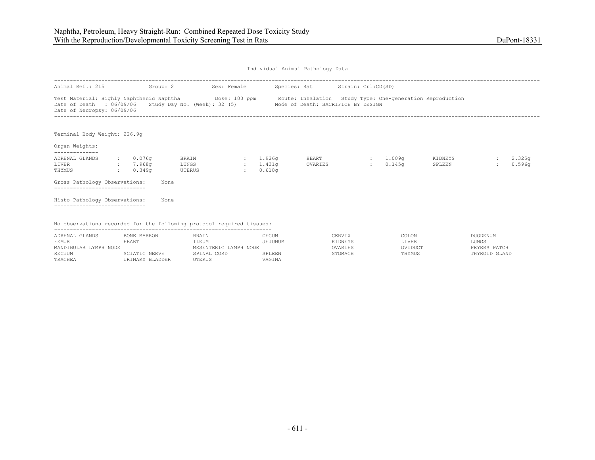| Individual Animal Pathology Data |  |  |
|----------------------------------|--|--|
|                                  |  |  |

| Animal Ref.: 215                                                      |              | Group: 2                             |                          | Sex: Female |                                | Species: Rat Strain: Crl:CD(SD)                                                                                                                                                                              |                    |                   |                  |
|-----------------------------------------------------------------------|--------------|--------------------------------------|--------------------------|-------------|--------------------------------|--------------------------------------------------------------------------------------------------------------------------------------------------------------------------------------------------------------|--------------------|-------------------|------------------|
| Date of Necropsy: 06/09/06                                            |              |                                      |                          |             |                                | Test Material: Highly Naphthenic Naphtha Dose: 100 ppm Route: Inhalation Study Type: One-generation Reproduction<br>Date of Death : 06/09/06 Study Day No. (Week): 32 (5) Mode of Death: SACRIFICE BY DESIGN |                    |                   |                  |
| Terminal Body Weight: 226.9q                                          |              |                                      |                          |             |                                |                                                                                                                                                                                                              |                    |                   |                  |
| Organ Weights:                                                        |              |                                      |                          |             |                                |                                                                                                                                                                                                              |                    |                   |                  |
| ADRENAL GLANDS<br>LIVER<br>THYMUS                                     | $\mathbf{1}$ | $\cdot$ 0.076q<br>: 7.968q<br>0.349q | BRAIN<br>LUNGS<br>UTERUS | $\sim$      | : 1.926q<br>: 1.431q<br>0.610q | HEART<br>OVARIES                                                                                                                                                                                             | : 1.009q<br>0.145q | KIDNEYS<br>SPLEEN | 2.325g<br>0.596q |
| Gross Pathology Observations:<br>---------------------------          |              |                                      | None                     |             |                                |                                                                                                                                                                                                              |                    |                   |                  |
| Histo Pathology Observations:                                         |              |                                      | None                     |             |                                |                                                                                                                                                                                                              |                    |                   |                  |
| No observations recorded for the following protocol required tissues: |              |                                      |                          |             |                                |                                                                                                                                                                                                              |                    |                   |                  |

| ADRENAL GLANDS        | BONE MARROW     | BRAIN                   | CECUM  | `ERVIX  | COLON   | <b>DUODENUM</b> |
|-----------------------|-----------------|-------------------------|--------|---------|---------|-----------------|
| FEMUR                 | 4F.ART          | ILEUM                   | ≟JUNUM | KIDNEYS | LIVER   | LUNGS           |
| MANDIBULAR LYMPH NODE |                 | YMPH NODE<br>MESENTERIC |        |         | OVIDUCT | PEYERS PATCH    |
| <b>RECTUM</b>         | SCIATIC NERVE   | CORD<br>SPINAL          | SPLEEN |         | THYMUS  | THYROID GLAND   |
| TRACHEA               | URINARY BLADDER | UTERUS                  | VAGINA |         |         |                 |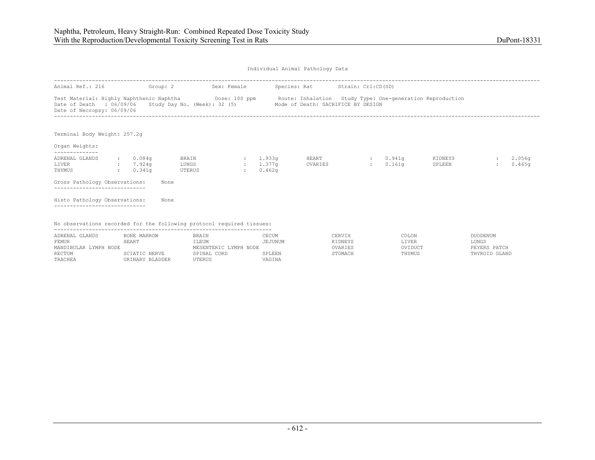| Individual Animal Pathology Data |  |  |
|----------------------------------|--|--|
|                                  |  |  |

| Animal Ref.: 216                                                                                                                                                                                                                                  |                |                                             | Group: 2                 | Sex: Female |                                   |                            | Species: Rat     | Strain: Crl:CD(SD) |                          |                   |                  |
|---------------------------------------------------------------------------------------------------------------------------------------------------------------------------------------------------------------------------------------------------|----------------|---------------------------------------------|--------------------------|-------------|-----------------------------------|----------------------------|------------------|--------------------|--------------------------|-------------------|------------------|
| Test Material: Highly Naphthenic Naphtha <b>Dose:</b> 100 ppm Route: Inhalation Study Type: One-generation Reproduction<br>Date of Death : 06/09/06 Study Day No. (Week): 32 (5) Mode of Death: SACRIFICE BY DESIGN<br>Date of Necropsy: 06/09/06 |                |                                             |                          |             |                                   |                            |                  |                    |                          |                   |                  |
| Terminal Body Weight: 257.2q<br>Organ Weights:                                                                                                                                                                                                    |                |                                             |                          |             |                                   |                            |                  |                    |                          |                   |                  |
| --------------<br>ADRENAL GLANDS<br>7.924q<br>LIVER<br>THYMUS                                                                                                                                                                                     | <b>COLLEGE</b> | $\, \cdot \hspace{1.2cm} 0.084$ q<br>0.341q | BRAIN<br>LUNGS<br>UTERUS |             | $\sim$<br>$\sim$<br>$\mathcal{L}$ | 1.933q<br>1.377q<br>0.462q | HEART<br>OVARIES | $\sim$             | $\cdot$ 0.941q<br>0.161q | KIDNEYS<br>SPLEEN | 2.056q<br>0.465q |
| Gross Pathology Observations:<br>-----------------------------                                                                                                                                                                                    |                |                                             | None                     |             |                                   |                            |                  |                    |                          |                   |                  |
| Histo Pathology Observations:                                                                                                                                                                                                                     |                |                                             | None                     |             |                                   |                            |                  |                    |                          |                   |                  |
| No observations recorded for the following protocol required tissues:                                                                                                                                                                             |                |                                             |                          |             |                                   |                            |                  |                    |                          |                   |                  |

| ADRENAL GLANDS        | BONE MARROW     | BRAIN                 | CECUM   | CERVIX  | COLON   | DUODENUM      |
|-----------------------|-----------------|-----------------------|---------|---------|---------|---------------|
| FEMUR                 | HEART           | <b>LEUM</b>           | JEJUNUM | KIDNEYS | LIVER   | LUNGS         |
| MANDIBULAR LYMPH NODE |                 | MESENTERIC LYMPH NODE |         | OVARIES | OVIDUCT | PEYERS PATCH  |
| RECTUM                | SCIATIC NERVE   | SPINAL CORD           | SPLEEN  | STOMACH | THYMUS  | THYROID GLAND |
| TRACHEA               | URINARY BLADDER | UTERUS                | VAGINA  |         |         |               |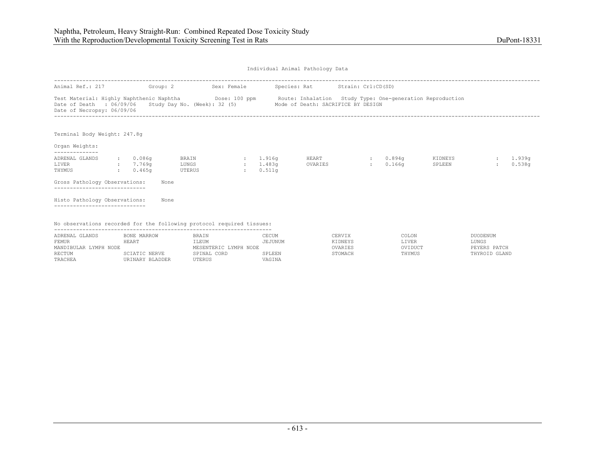| Individual Animal Pathology Data |  |  |
|----------------------------------|--|--|
|                                  |  |  |

| Test Material: Highly Naphthenic Naphtha Dose: 100 ppm | Route: Inhalation Study Type: One-generation Reproduction<br>Date of Death : 06/09/06 Study Day No. (Week): 32 (5) Mode of Death: SACRIFICE BY DESIGN |                               |                              |                  |
|--------------------------------------------------------|-------------------------------------------------------------------------------------------------------------------------------------------------------|-------------------------------|------------------------------|------------------|
|                                                        |                                                                                                                                                       |                               |                              |                  |
|                                                        |                                                                                                                                                       |                               |                              |                  |
| 1.916g<br>$\sim$<br>: 1.483q<br>0.511q<br>$\sim$       | HEART<br>OVARIES                                                                                                                                      | $\mathcal{L}$<br>$\mathbf{r}$ | KIDNEYS<br>SPLEEN            | 1.939q<br>0.538q |
|                                                        |                                                                                                                                                       |                               |                              |                  |
|                                                        |                                                                                                                                                       |                               |                              |                  |
|                                                        | No observations recorded for the following protocol required tissues:                                                                                 |                               | 0.894a<br>0.166 <sub>q</sub> |                  |

| ADRENAL GLANDS        | BONE MARROW     | <b>BRAIN</b>          | CECUM   | CERVIX  | COLON   | DUODENUM      |
|-----------------------|-----------------|-----------------------|---------|---------|---------|---------------|
| FEMUR                 | HEART           | ILEUM                 | JEJUNUM | KIDNEYS | LIVER   | <b>JUNGS</b>  |
| MANDIBULAR LYMPH NODE |                 | MESENTERIC LYMPH NODE |         | OVARIES | OVIDUCT | PEYERS PATCH  |
| RECTUM                | SCIATIC NERVE   | SPINAL CORD           | SPLEEN  | STOMACH | THYMUS  | THYROID GLAND |
| TRACHEA               | URINARY BLADDER | UTERUS                | VAGINA  |         |         |               |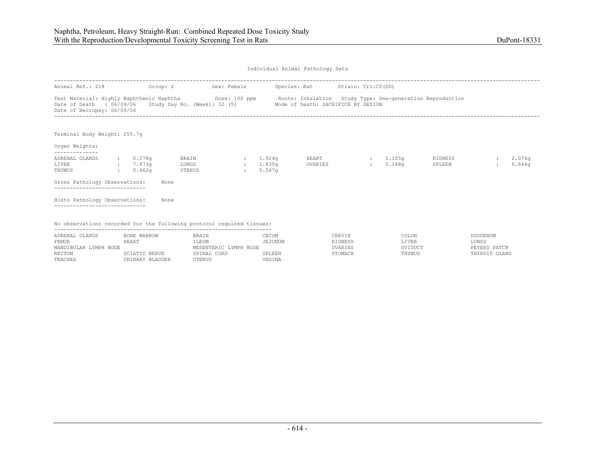| Individual Animal Pathology Data |  |  |
|----------------------------------|--|--|
|                                  |  |  |

| Animal Ref.: 218                                                      | Group: 2                                                   |                          | Sex: Female |                                | Species: Rat Strain: Crl:CD(SD)                                                                                                                                                                              |                    |                   |                  |
|-----------------------------------------------------------------------|------------------------------------------------------------|--------------------------|-------------|--------------------------------|--------------------------------------------------------------------------------------------------------------------------------------------------------------------------------------------------------------|--------------------|-------------------|------------------|
| Date of Necropsy: 06/09/06                                            |                                                            |                          |             |                                | Test Material: Highly Naphthenic Naphtha Dose: 100 ppm Route: Inhalation Study Type: One-generation Reproduction<br>Date of Death : 06/09/06 Study Day No. (Week): 32 (5) Mode of Death: SACRIFICE BY DESIGN |                    |                   |                  |
| Terminal Body Weight: 255.7q                                          |                                                            |                          |             |                                |                                                                                                                                                                                                              |                    |                   |                  |
| Organ Weights:                                                        |                                                            |                          |             |                                |                                                                                                                                                                                                              |                    |                   |                  |
| ADRENAL GLANDS<br>LIVER<br>THYMUS                                     | $\, \cdot \qquad \, 0.078$ q<br>: 7.873q<br>$\cdot$ 0.462q | BRAIN<br>LUNGS<br>UTERUS | $\sim$      | : 1.924q<br>: 1.830q<br>0.567q | HEART<br>OVARIES                                                                                                                                                                                             | : 1.105q<br>0.188q | KIDNEYS<br>SPLEEN | 2.076q<br>0.644q |
| Gross Pathology Observations:<br>---------------------------          |                                                            | None                     |             |                                |                                                                                                                                                                                                              |                    |                   |                  |
| Histo Pathology Observations:                                         |                                                            | None                     |             |                                |                                                                                                                                                                                                              |                    |                   |                  |
| No observations recorded for the following protocol required tissues: |                                                            |                          |             |                                |                                                                                                                                                                                                              |                    |                   |                  |

| ADRENAL GLANDS        | BONE MARROW     | <b>BRAIN</b>          | CECUM   | CERVIX  | COLON   | DUODENUM      |
|-----------------------|-----------------|-----------------------|---------|---------|---------|---------------|
| FEMUR                 | <b>HEART</b>    | LEUM)                 | JEJUNUM | KIDNEYS | LIVER   | LUNGS         |
| MANDIBULAR LYMPH NODE |                 | MESENTERIC LYMPH NODE |         | OVARIES | OVIDUCT | PEYERS PATCH  |
| RECTUM                | SCIATIC NERVE   | SPINAL CORD           | SPLEEN  | STOMACH | THYMUS  | THYROID GLAND |
| TRACHEA               | URINARY BLADDER | UTERUS                | VAGINA  |         |         |               |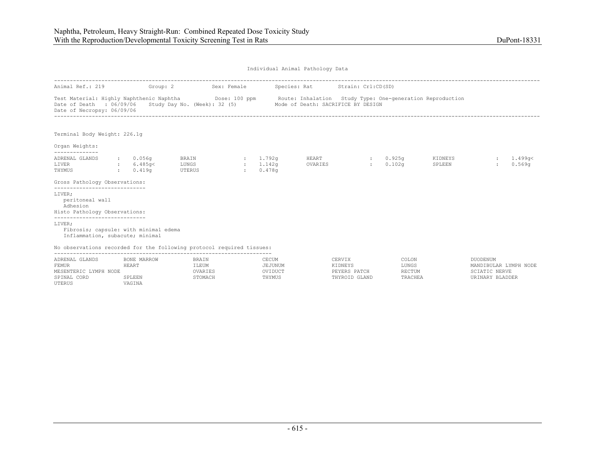UTERUS VAGINA

Individual Animal Pathology Data

| Animal Ref.: 219                                                                                                                                                           | Group: 2                          |                                                                 | Sex: Female |                                            | Species: Rat Strain: Crl:CD(SD) |                                   |                                   |                   |                                                    |                   |
|----------------------------------------------------------------------------------------------------------------------------------------------------------------------------|-----------------------------------|-----------------------------------------------------------------|-------------|--------------------------------------------|---------------------------------|-----------------------------------|-----------------------------------|-------------------|----------------------------------------------------|-------------------|
| Test Material: Highly Naphthenic Naphtha Dose: 100 ppm Route: Inhalation Study Type: One-generation Reproduction<br>Date of Death : 06/09/06<br>Date of Necropsy: 06/09/06 |                                   | Study Day No. (Week): 32 (5) Mode of Death: SACRIFICE BY DESIGN |             |                                            |                                 |                                   |                                   |                   |                                                    |                   |
| Terminal Body Weight: 226.1q                                                                                                                                               |                                   |                                                                 |             |                                            |                                 |                                   |                                   |                   |                                                    |                   |
| Organ Weights:<br>--------------                                                                                                                                           |                                   |                                                                 |             |                                            |                                 |                                   |                                   |                   |                                                    |                   |
| ADRENAL GLANDS<br>LIVER<br>THYMUS                                                                                                                                          | : 0.056q<br>: 6.485q<<br>: 0.419q | BRAIN<br>LUNGS<br>UTERUS                                        | $\sim$      | : 1.792q<br>: 1.142q<br>0.478 <sub>q</sub> | HEART<br>OVARIES                | <b>British</b>                    | $: 0.925$ q<br>0.102 <sub>q</sub> | KIDNEYS<br>SPLEEN | $\sim$                                             | 1.499q<<br>0.569q |
| Gross Pathology Observations:<br>-----------------------------                                                                                                             |                                   |                                                                 |             |                                            |                                 |                                   |                                   |                   |                                                    |                   |
| LIVER;<br>peritoneal wall<br>Adhesion<br>Histo Pathology Observations:<br>-----------------------------                                                                    |                                   |                                                                 |             |                                            |                                 |                                   |                                   |                   |                                                    |                   |
| LIVER;<br>Fibrosis; capsule: with minimal edema<br>Inflammation, subacute; minimal                                                                                         |                                   |                                                                 |             |                                            |                                 |                                   |                                   |                   |                                                    |                   |
| No observations recorded for the following protocol required tissues:                                                                                                      |                                   |                                                                 |             |                                            |                                 |                                   |                                   |                   |                                                    |                   |
| ADRENAL GLANDS<br>FEMUR<br>MESENTERIC LYMPH NODE                                                                                                                           | BONE MARROW<br>HEART              | BRAIN<br>ILEUM<br>OVARIES                                       |             | CECUM<br>JEJUNUM<br>OVIDUCT                |                                 | CERVIX<br>KIDNEYS<br>PEYERS PATCH | COLON<br>LUNGS<br>RECTUM          |                   | DUODENUM<br>MANDIBULAR LYMPH NODE<br>SCIATIC NERVE |                   |

SPINAL CORD SPLEEN STOMACH THYMUS THYROID GLAND TRACHEA URINARY BLADDER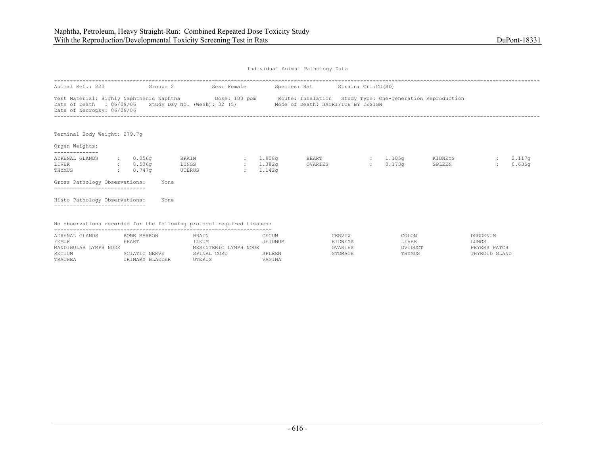| Individual Animal Pathology Data |  |  |
|----------------------------------|--|--|
|                                  |  |  |

| Animal Ref.: 220                                                      | Group: 2                      |                          | Sex: Female      |          | Species: Rat Strain: Crl:CD(SD)                                                                                                                                                                              |                         |                   |                              |
|-----------------------------------------------------------------------|-------------------------------|--------------------------|------------------|----------|--------------------------------------------------------------------------------------------------------------------------------------------------------------------------------------------------------------|-------------------------|-------------------|------------------------------|
| Date of Necropsy: 06/09/06                                            |                               |                          |                  |          | Test Material: Highly Naphthenic Naphtha Dose: 100 ppm Route: Inhalation Study Type: One-generation Reproduction<br>Date of Death : 06/09/06 Study Day No. (Week): 32 (5) Mode of Death: SACRIFICE BY DESIGN |                         |                   |                              |
| Terminal Body Weight: 279.7q                                          |                               |                          |                  |          |                                                                                                                                                                                                              |                         |                   |                              |
| Organ Weights:                                                        |                               |                          |                  |          |                                                                                                                                                                                                              |                         |                   |                              |
| --------------<br>ADRENAL GLANDS<br>LIVER<br>8.536q<br>THYMUS         | $\cdot$ 0.056q<br>$: 0.747$ q | BRAIN<br>LUNGS<br>UTERUS | 1.908q<br>1.382q | : 1.142q | <b>HEART</b><br>OVARIES                                                                                                                                                                                      | $: 1.105$ q<br>: 0.173q | KIDNEYS<br>SPLEEN | 2.117 <sub>q</sub><br>0.635q |
| Gross Pathology Observations:                                         |                               | None                     |                  |          |                                                                                                                                                                                                              |                         |                   |                              |
| Histo Pathology Observations:                                         |                               | None                     |                  |          |                                                                                                                                                                                                              |                         |                   |                              |
| No observations recorded for the following protocol required tissues: |                               |                          |                  |          |                                                                                                                                                                                                              |                         |                   |                              |

| ADRENAL GLANDS        | BONE MARROW     | <b>BRAIN</b>          | CECUM   | CERVIX  | COLON   | DUODENUM      |
|-----------------------|-----------------|-----------------------|---------|---------|---------|---------------|
| FEMUR                 | HEART           | LEUM                  | JEJUNUM | KIDNEYS | LIVER   | LUNGS         |
| MANDIBULAR LYMPH NODE |                 | MESENTERIC LYMPH NODE |         | OVARIES | OVIDUCT | PEYERS PATCH  |
| RECTUM                | SCIATIC NERVE   | SPINAL CORD           | SPLEEN  | STOMACH | THYMUS  | THYROID GLAND |
| TRACHEA               | URINARY BLADDER | UTERUS                | VAGINA  |         |         |               |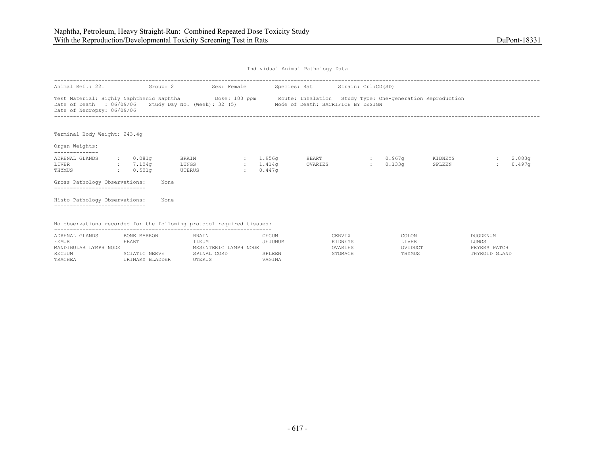| Individual Animal Pathology Data |  |  |
|----------------------------------|--|--|
|                                  |  |  |

| Animal Ref.: 221 Group: 2                                             |                                 |                                 | Sex: Female             |                           | Species: Rat Strain: Crl:CD(SD)                                                                                                                                                                                          |              |                      |                   |                  |
|-----------------------------------------------------------------------|---------------------------------|---------------------------------|-------------------------|---------------------------|--------------------------------------------------------------------------------------------------------------------------------------------------------------------------------------------------------------------------|--------------|----------------------|-------------------|------------------|
| Date of Necropsy: 06/09/06                                            |                                 |                                 |                         |                           | Test Material: Highly Naphthenic Naphtha <b>Show Dose:</b> 100 ppm Route: Inhalation Study Type: One-generation Reproduction<br>Date of Death : 06/09/06 Study Day No. (Week): 32 (5) Mode of Death: SACRIFICE BY DESIGN |              |                      |                   |                  |
| Terminal Body Weight: 243.4q                                          |                                 |                                 |                         |                           |                                                                                                                                                                                                                          |              |                      |                   |                  |
| Organ Weights:                                                        |                                 |                                 |                         |                           |                                                                                                                                                                                                                          |              |                      |                   |                  |
| ADRENAL GLANDS<br>LIVER<br>$\sim 7.104q$<br>THYMUS                    | $\therefore$ 0.081q<br>: 0.501q | BRAIN<br>LUNGS<br><b>UTERUS</b> | $\sim 1.956q$<br>1.414q | 0.447q<br><b>Contract</b> | OVARIES                                                                                                                                                                                                                  | <b>HEART</b> | : 0.967q<br>: 0.133q | KIDNEYS<br>SPLEEN | 2.083q<br>0.497q |
| Gross Pathology Observations:<br>---------------------------          |                                 | None                            |                         |                           |                                                                                                                                                                                                                          |              |                      |                   |                  |
| Histo Pathology Observations:                                         |                                 | None                            |                         |                           |                                                                                                                                                                                                                          |              |                      |                   |                  |
| No observations recorded for the following protocol required tissues: |                                 |                                 |                         |                           |                                                                                                                                                                                                                          |              |                      |                   |                  |

| ADRENAL GLANDS        | BONE MARROW     | BRAIN                 | CECUM   | CERVIX  | COLON   | DUODENUM      |
|-----------------------|-----------------|-----------------------|---------|---------|---------|---------------|
| FEMUR                 | HEART           | LEUM:                 | JEJUNUM | YIDNEYS | LIVER   | LUNGS         |
| MANDIBULAR LYMPH NODE |                 | MESENTERIC LYMPH NODE |         | OVARIES | OVIDUCT | PEYERS PATCH  |
| RECTUM                | SCIATIC NERVE   | SPINAL CORD           | SPLEEN  | STOMACH | THYMUS  | THYROID GLAND |
| TRACHEA               | URINARY BLADDER | UTERUS                | VAGINA  |         |         |               |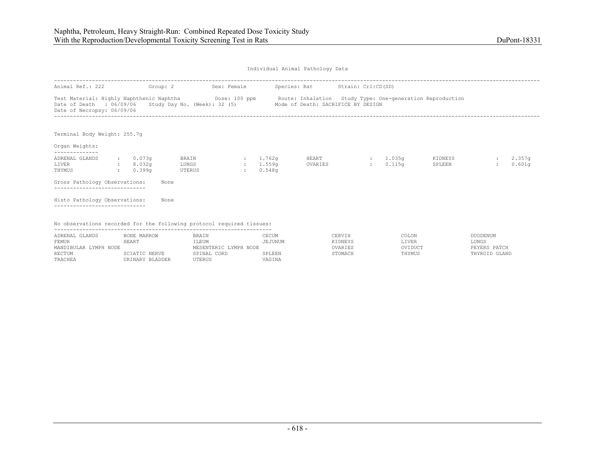| Individual Animal Pathology Data |  |  |
|----------------------------------|--|--|
|                                  |  |  |

| Animal Ref.: 222                                                      | Group: 2                               |                          | Sex: Female  |                                | Species: Rat Strain: Crl:CD(SD)                                                                                                                                                                              |                    |                   |                  |
|-----------------------------------------------------------------------|----------------------------------------|--------------------------|--------------|--------------------------------|--------------------------------------------------------------------------------------------------------------------------------------------------------------------------------------------------------------|--------------------|-------------------|------------------|
| Date of Necropsy: 06/09/06                                            |                                        |                          |              |                                | Test Material: Highly Naphthenic Naphtha Dose: 100 ppm Route: Inhalation Study Type: One-generation Reproduction<br>Date of Death : 06/09/06 Study Day No. (Week): 32 (5) Mode of Death: SACRIFICE BY DESIGN |                    |                   |                  |
| Terminal Body Weight: 255.7q                                          |                                        |                          |              |                                |                                                                                                                                                                                                              |                    |                   |                  |
| Organ Weights:                                                        |                                        |                          |              |                                |                                                                                                                                                                                                              |                    |                   |                  |
| ADRENAL GLANDS<br>LIVER<br>THYMUS                                     | $\cdot$ 0.073q<br>: 8.032q<br>: 0.399q | BRAIN<br>LUNGS<br>UTERUS | $\mathbf{r}$ | : 1.762q<br>: 1.559q<br>0.548q | HEART<br>OVARIES                                                                                                                                                                                             | : 1.035q<br>0.115q | KIDNEYS<br>SPLEEN | 2.357g<br>0.601q |
| Gross Pathology Observations:<br>---------------------------          |                                        | None                     |              |                                |                                                                                                                                                                                                              |                    |                   |                  |
| Histo Pathology Observations:                                         |                                        | None                     |              |                                |                                                                                                                                                                                                              |                    |                   |                  |
| No observations recorded for the following protocol required tissues: |                                        |                          |              |                                |                                                                                                                                                                                                              |                    |                   |                  |

| ADRENAL GLANDS        | BONE MARROW     | <b>BRAIN</b>          | CECUM   | CERVIX  | COLON   | DUODENUM      |
|-----------------------|-----------------|-----------------------|---------|---------|---------|---------------|
| FEMUR                 | HEART           | LEUM                  | JEJUNUM | KIDNEYS | LIVER   | LUNGS         |
| MANDIBULAR LYMPH NODE |                 | MESENTERIC LYMPH NODE |         | OVARIES | OVIDUCT | PEYERS PATCH  |
| RECTUM                | SCIATIC NERVE   | SPINAL CORD           | SPLEEN  | STOMACH | THYMUS  | THYROID GLAND |
| TRACHEA               | URINARY BLADDER | UTERUS                | VAGINA  |         |         |               |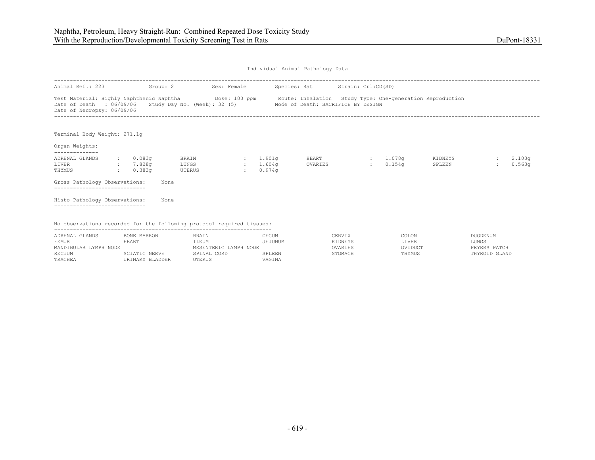| Individual Animal Pathology Data |  |  |
|----------------------------------|--|--|
|                                  |  |  |

| Animal Ref.: 223                                                      |              | Group: 2                     |                          | Sex: Female |                                | Species: Rat Strain: Crl:CD(SD)                                                                                                                                                                              |                    |                   |                  |
|-----------------------------------------------------------------------|--------------|------------------------------|--------------------------|-------------|--------------------------------|--------------------------------------------------------------------------------------------------------------------------------------------------------------------------------------------------------------|--------------------|-------------------|------------------|
| Date of Necropsy: 06/09/06                                            |              |                              |                          |             |                                | Test Material: Highly Naphthenic Naphtha Dose: 100 ppm Route: Inhalation Study Type: One-generation Reproduction<br>Date of Death : 06/09/06 Study Day No. (Week): 32 (5) Mode of Death: SACRIFICE BY DESIGN |                    |                   |                  |
| Terminal Body Weight: 271.1q                                          |              |                              |                          |             |                                |                                                                                                                                                                                                              |                    |                   |                  |
| Organ Weights:                                                        |              |                              |                          |             |                                |                                                                                                                                                                                                              |                    |                   |                  |
| ADRENAL GLANDS<br>LIVER<br>THYMUS                                     | $\mathbf{L}$ | 0.083q<br>: 7.828q<br>0.383q | BRAIN<br>LUNGS<br>UTERUS | $\sim$      | : 1.901q<br>: 1.604q<br>0.974q | HEART<br>OVARIES                                                                                                                                                                                             | : 1.078q<br>0.154q | KIDNEYS<br>SPLEEN | 2.103q<br>0.563q |
| Gross Pathology Observations:<br>---------------------------          |              |                              | None                     |             |                                |                                                                                                                                                                                                              |                    |                   |                  |
| Histo Pathology Observations:                                         |              |                              | None                     |             |                                |                                                                                                                                                                                                              |                    |                   |                  |
| No observations recorded for the following protocol required tissues: |              |                              |                          |             |                                |                                                                                                                                                                                                              |                    |                   |                  |

| ADRENAL GLANDS        | BONE MARROW     | BRAIN                   | CECUM  | `ERVIX  | COLON   | <b>DUODENUM</b> |
|-----------------------|-----------------|-------------------------|--------|---------|---------|-----------------|
| FEMUR                 | 4F.ART          | ILEUM                   | ≟JUNUM | KIDNEYS | LIVER   | LUNGS           |
| MANDIBULAR LYMPH NODE |                 | YMPH NODE<br>MESENTERIC |        |         | OVIDUCT | PEYERS PATCH    |
| <b>RECTUM</b>         | SCIATIC NERVE   | CORD<br>SPINAL          | SPLEEN |         | THYMUS  | THYROID GLAND   |
| TRACHEA               | URINARY BLADDER | UTERUS                  | VAGINA |         |         |                 |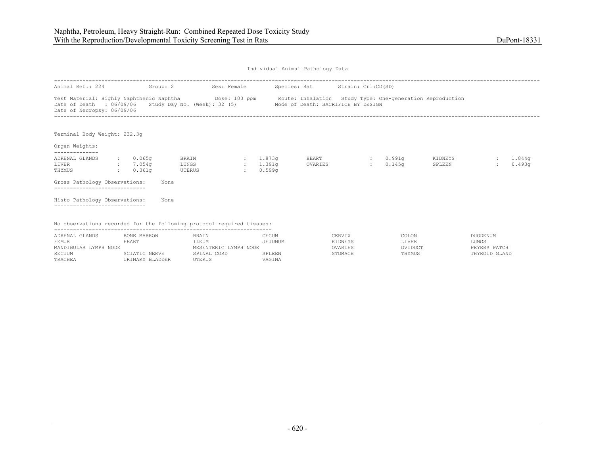| Individual Animal Pathology Data |  |  |
|----------------------------------|--|--|
|                                  |  |  |

| Animal Ref.: 224                                                      | Group: 2                                     |                          | Sex: Female             |                    | Species: Rat Strain: Crl:CD(SD)                                                          |                                                                                                                  |                   |                  |
|-----------------------------------------------------------------------|----------------------------------------------|--------------------------|-------------------------|--------------------|------------------------------------------------------------------------------------------|------------------------------------------------------------------------------------------------------------------|-------------------|------------------|
| Date of Necropsy: 06/09/06                                            |                                              |                          |                         |                    | Date of Death : 06/09/06 Study Day No. (Week): 32 (5) Mode of Death: SACRIFICE BY DESIGN | Test Material: Highly Naphthenic Naphtha Dose: 100 ppm Route: Inhalation Study Type: One-generation Reproduction |                   |                  |
| Terminal Body Weight: 232.3q                                          |                                              |                          |                         |                    |                                                                                          |                                                                                                                  |                   |                  |
| Organ Weights:                                                        |                                              |                          |                         |                    |                                                                                          |                                                                                                                  |                   |                  |
| ADRENAL GLANDS<br>LIVER<br>THYMUS                                     | $\cdot$ 0.065q<br>$\cdot$ 7.054q<br>: 0.361q | BRAIN<br>LUNGS<br>UTERUS | 1.873q<br>$\mathcal{L}$ | : 1.391q<br>0.599q | HEART<br>OVARIES                                                                         | : 0.991q<br>0.145q<br><b>British</b>                                                                             | KIDNEYS<br>SPLEEN | 1.844g<br>0.493q |
| Gross Pathology Observations:<br>---------------------------          |                                              | None                     |                         |                    |                                                                                          |                                                                                                                  |                   |                  |
| Histo Pathology Observations:                                         |                                              | None                     |                         |                    |                                                                                          |                                                                                                                  |                   |                  |
| No observations recorded for the following protocol required tissues: |                                              |                          |                         |                    |                                                                                          |                                                                                                                  |                   |                  |

| ADRENAL GLANDS        | BONE MARROW     | BRAIN                 | CECUM   | CERVIX  | COLON   | DUODENUM      |
|-----------------------|-----------------|-----------------------|---------|---------|---------|---------------|
| FEMUR                 | HEART           | LEUM                  | JEJUNUM | KIDNEYS | LIVER   | LUNGS         |
| MANDIBULAR LYMPH NODE |                 | MESENTERIC LYMPH NODE |         | OVARIES | OVIDUCT | PEYERS PATCH  |
| RECTUM                | SCIATIC NERVE   | SPINAL CORD           | SPLEEN  | STOMACH | THYMUS  | THYROID GLAND |
| TRACHEA               | URINARY BLADDER | UTERUS                | VAGINA  |         |         |               |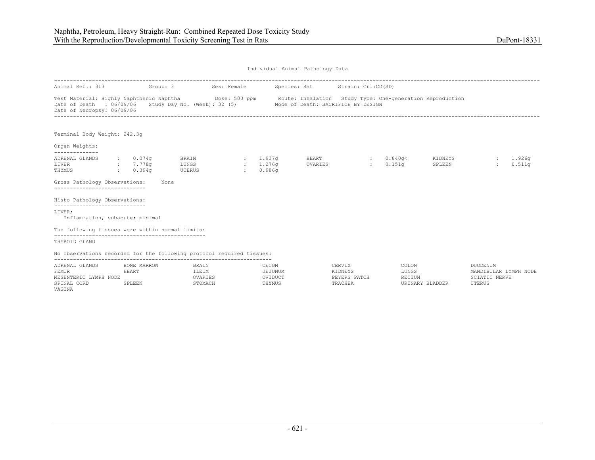| Animal Ref.: 313 Group: 3                                                                                                                                                  |                                                                           |                                 | Sex: Female  |                                | Species: Rat Strain: Crl:CD(SD)                                 |        |                     |                   |          |                  |
|----------------------------------------------------------------------------------------------------------------------------------------------------------------------------|---------------------------------------------------------------------------|---------------------------------|--------------|--------------------------------|-----------------------------------------------------------------|--------|---------------------|-------------------|----------|------------------|
| Test Material: Highly Naphthenic Naphtha Mose: 500 ppm Route: Inhalation Study Type: One-generation Reproduction<br>Date of Death : 06/09/06<br>Date of Necropsy: 06/09/06 |                                                                           |                                 |              |                                | Study Day No. (Week): 32 (5) Mode of Death: SACRIFICE BY DESIGN |        |                     |                   |          |                  |
| Terminal Body Weight: 242.3q                                                                                                                                               |                                                                           |                                 |              |                                |                                                                 |        |                     |                   |          |                  |
| Organ Weights:                                                                                                                                                             |                                                                           |                                 |              |                                |                                                                 |        |                     |                   |          |                  |
| --------------<br>ADRENAL GLANDS<br>LIVER<br>THYMUS<br>Gross Pathology Observations:<br>------------------------------                                                     | $\, \cdot \qquad \, 0.074 \, \text{g}$<br>: 7.778q<br>$: 0.394$ q<br>None | BRAIN<br>LUNGS<br><b>UTERUS</b> | $\mathbf{r}$ | : 1.937q<br>: 1.276q<br>0.986q | HEART<br>OVARIES                                                |        | : 0.840q<<br>0.151q | KIDNEYS<br>SPLEEN |          | 1.926q<br>0.511q |
| Histo Pathology Observations:                                                                                                                                              |                                                                           |                                 |              |                                |                                                                 |        |                     |                   |          |                  |
| -----------------------------<br>LIVER;<br>Inflammation, subacute; minimal                                                                                                 |                                                                           |                                 |              |                                |                                                                 |        |                     |                   |          |                  |
| The following tissues were within normal limits:                                                                                                                           |                                                                           |                                 |              |                                |                                                                 |        |                     |                   |          |                  |
| THYROID GLAND                                                                                                                                                              |                                                                           |                                 |              |                                |                                                                 |        |                     |                   |          |                  |
| No observations recorded for the following protocol required tissues:                                                                                                      |                                                                           |                                 |              |                                |                                                                 |        |                     |                   |          |                  |
| ADRENAL GLANDS                                                                                                                                                             | BONE MARROW                                                               | BRAIN                           |              | CECUM                          |                                                                 | CERVIX | COLON               |                   | DUODENUM |                  |

| ADRENAL GLANDS           | BONE MARROW | <b>BRAIN</b> | CECUM   | CERVIX       | COLON           | <b>NUODENUM</b>       |
|--------------------------|-------------|--------------|---------|--------------|-----------------|-----------------------|
| FEMUR                    | HEART       | ILEUM        | JEJUNUM | KIDNEYS      | LUNGS           | MANDIBULAR LYMPH NODE |
| MESENTERIC<br>LYMPH NODE |             | OVARIES      | OVIDUCT | PEYERS PATCH | <b>RECTUM</b>   | SCIATIC NERVE         |
| SPINAL CORD              | SPLEEN      | STOMACH      | THYMUS  | TRACHEA      | URINARY BLADDER | UTERUS                |
| VAGINA                   |             |              |         |              |                 |                       |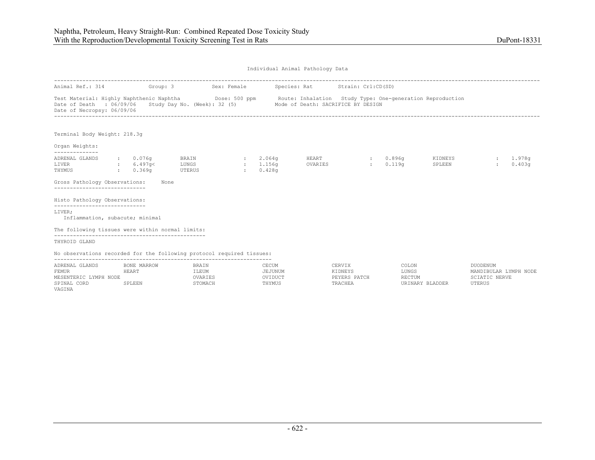UTERUS

Individual Animal Pathology Data

| Animal Ref.: 314                                                                                                                                                           |       | Group: 3               |                                  | Sex: Female                             |                              | Species: Rat Strain: Crl:CD(SD)                                 |                                   |                                      |                   |                                                    |                    |
|----------------------------------------------------------------------------------------------------------------------------------------------------------------------------|-------|------------------------|----------------------------------|-----------------------------------------|------------------------------|-----------------------------------------------------------------|-----------------------------------|--------------------------------------|-------------------|----------------------------------------------------|--------------------|
| Test Material: Highly Naphthenic Naphtha Dose: 500 ppm Route: Inhalation Study Type: One-generation Reproduction<br>Date of Death : 06/09/06<br>Date of Necropsy: 06/09/06 |       |                        |                                  |                                         |                              | Study Day No. (Week): 32 (5) Mode of Death: SACRIFICE BY DESIGN |                                   |                                      |                   |                                                    |                    |
| Terminal Body Weight: 218.3q                                                                                                                                               |       |                        |                                  |                                         |                              |                                                                 |                                   |                                      |                   |                                                    |                    |
| Organ Weights:                                                                                                                                                             |       |                        |                                  |                                         |                              |                                                                 |                                   |                                      |                   |                                                    |                    |
| --------------<br>ADRENAL GLANDS<br>6.497q<<br>LIVER<br>0.369q<br>THYMUS<br>Gross Pathology Observations:<br>------------------------------                                |       | $\cdot$ 0.076q<br>None | BRAIN<br>LUNGS<br>UTERUS         | <b>Carl Corporation</b><br>$\mathbf{1}$ | 2.064q<br>: 1.156q<br>0.428q | HEART<br>OVARIES                                                | <b>British</b>                    | $\cdot$ 0.896a<br>0.119 <sub>q</sub> | KIDNEYS<br>SPLEEN |                                                    | : 1.978q<br>0.403q |
| Histo Pathology Observations:<br>-----------------------------<br>LIVER:                                                                                                   |       |                        |                                  |                                         |                              |                                                                 |                                   |                                      |                   |                                                    |                    |
| Inflammation, subacute; minimal                                                                                                                                            |       |                        |                                  |                                         |                              |                                                                 |                                   |                                      |                   |                                                    |                    |
| The following tissues were within normal limits:                                                                                                                           |       |                        |                                  |                                         |                              |                                                                 |                                   |                                      |                   |                                                    |                    |
| THYROID GLAND                                                                                                                                                              |       |                        |                                  |                                         |                              |                                                                 |                                   |                                      |                   |                                                    |                    |
| No observations recorded for the following protocol required tissues:                                                                                                      |       |                        |                                  |                                         |                              |                                                                 |                                   |                                      |                   |                                                    |                    |
| ADRENAL GLANDS<br>FEMUR<br>MESENTERIC LYMPH NODE                                                                                                                           | HEART | BONE MARROW            | <b>BRAIN</b><br>ILEUM<br>OVARIES |                                         | CECUM<br>JEJUNUM<br>OVIDUCT  |                                                                 | CERVIX<br>KIDNEYS<br>PEYERS PATCH | COLON<br>LUNGS<br>RECTUM             |                   | DUODENUM<br>MANDIBULAR LYMPH NODE<br>SCIATIC NERVE |                    |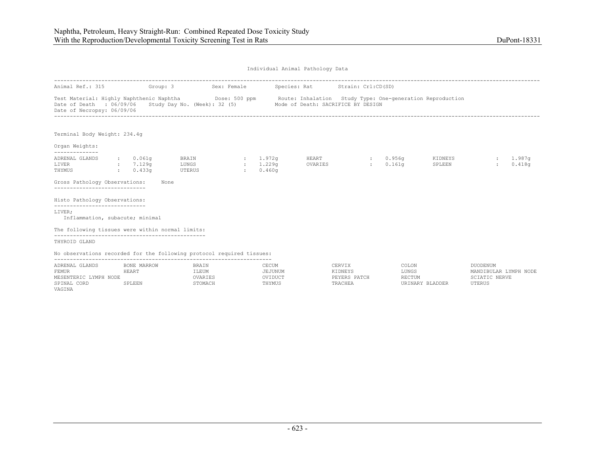UTERUS

Individual Animal Pathology Data

| Animal Ref.: 315                                                                                                                                                            | Group: 3             |                                 | Sex: Female                     |                    | Species: Rat Strain: Crl:CD(SD)    |                   |                                      |                   |                                          |                  |
|-----------------------------------------------------------------------------------------------------------------------------------------------------------------------------|----------------------|---------------------------------|---------------------------------|--------------------|------------------------------------|-------------------|--------------------------------------|-------------------|------------------------------------------|------------------|
| Test Material: Highly Naphthenic Naphtha (Dose: 500 ppm Route: Inhalation Study Type: One-generation Reproduction<br>Date of Death : 06/09/06<br>Date of Necropsy: 06/09/06 |                      | Study Day No. (Week): 32 (5)    |                                 |                    | Mode of Death: SACRIFICE BY DESIGN |                   |                                      |                   |                                          |                  |
| Terminal Body Weight: 234.4g                                                                                                                                                |                      |                                 |                                 |                    |                                    |                   |                                      |                   |                                          |                  |
| Organ Weights:<br>--------------                                                                                                                                            |                      |                                 |                                 |                    |                                    |                   |                                      |                   |                                          |                  |
| ADRENAL GLANDS<br>LIVER<br>7.129q<br>THYMUS<br>0.433q                                                                                                                       | $\cdot$ 0.061q       | BRAIN<br><b>LUNGS</b><br>UTERUS | $\sim 1.972$ q<br>$\sim$ $\sim$ | : 1.229q<br>0.460q | HEART<br>OVARIES                   |                   | : 0.956a<br>0.161q<br><b>Barbara</b> | KIDNEYS<br>SPLEEN |                                          | 1.987q<br>0.418q |
| Gross Pathology Observations:                                                                                                                                               | None                 |                                 |                                 |                    |                                    |                   |                                      |                   |                                          |                  |
| Histo Pathology Observations:                                                                                                                                               |                      |                                 |                                 |                    |                                    |                   |                                      |                   |                                          |                  |
| -----------------------------<br>LIVER;<br>Inflammation, subacute; minimal                                                                                                  |                      |                                 |                                 |                    |                                    |                   |                                      |                   |                                          |                  |
| The following tissues were within normal limits:                                                                                                                            |                      |                                 |                                 |                    |                                    |                   |                                      |                   |                                          |                  |
| THYROID GLAND                                                                                                                                                               |                      |                                 |                                 |                    |                                    |                   |                                      |                   |                                          |                  |
| No observations recorded for the following protocol required tissues:                                                                                                       |                      |                                 |                                 |                    |                                    |                   |                                      |                   |                                          |                  |
| ADRENAL GLANDS<br>FEMUR                                                                                                                                                     | BONE MARROW<br>HEART | BRAIN<br>ILEUM                  |                                 | CECUM<br>JEJUNUM   |                                    | CERVIX<br>KIDNEYS | COLON<br>LUNGS                       |                   | <b>DUODENUM</b><br>MANDIBULAR LYMPH NODE |                  |

MESENTERIC LYMPH NODE OVARIES OVIDUCT PEYERS PATCH RECTUM SCIATIC NERVE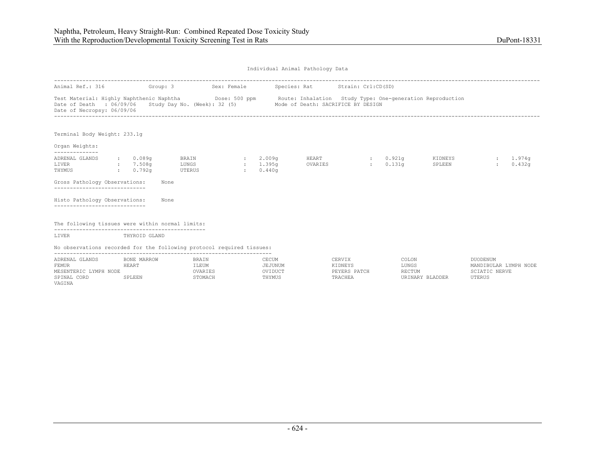| Individual Animal Pathology Data |  |  |
|----------------------------------|--|--|
|                                  |  |  |

| Animal Ref.: 316                                                      | Group: 3                                     |                                 | Sex: Female   |                                   | Species: Rat Strain: Crl:CD(SD)                                                                                                                                                     |                   |                                      |                   |                   |                              |
|-----------------------------------------------------------------------|----------------------------------------------|---------------------------------|---------------|-----------------------------------|-------------------------------------------------------------------------------------------------------------------------------------------------------------------------------------|-------------------|--------------------------------------|-------------------|-------------------|------------------------------|
| Date of Death : 06/09/06<br>Date of Necropsy: 06/09/06                |                                              |                                 |               |                                   | Test Material: Highly Naphthenic Naphtha Dose: 500 ppm Route: Inhalation Study Type: One-generation Reproduction<br>Study Day No. (Week): 32 (5) Mode of Death: SACRIFICE BY DESIGN |                   |                                      |                   |                   |                              |
| Terminal Body Weight: 233.1q                                          |                                              |                                 |               |                                   |                                                                                                                                                                                     |                   |                                      |                   |                   |                              |
| Organ Weights:<br>--------------                                      |                                              |                                 |               |                                   |                                                                                                                                                                                     |                   |                                      |                   |                   |                              |
| ADRENAL GLANDS<br>LIVER<br>THYMUS                                     | $\sim 0.089$ q<br>: 7.508q<br>$\cdot$ 0.792q | <b>BRAIN</b><br>LUNGS<br>UTERUS | $\mathcal{L}$ | : 2.009q<br>$: 1.395$ q<br>0.440q | <b>HEART</b><br>OVARIES                                                                                                                                                             | <b>STATISTICS</b> | $\cdot$ 0.921q<br>0.131 <sub>q</sub> | KIDNEYS<br>SPLEEN |                   | 1.974 <sub>q</sub><br>0.432q |
| Gross Pathology Observations:<br>------------------------------       | None                                         |                                 |               |                                   |                                                                                                                                                                                     |                   |                                      |                   |                   |                              |
| Histo Pathology Observations:<br>---------------------------          | None                                         |                                 |               |                                   |                                                                                                                                                                                     |                   |                                      |                   |                   |                              |
| The following tissues were within normal limits:                      |                                              |                                 |               |                                   |                                                                                                                                                                                     |                   |                                      |                   |                   |                              |
| LIVER                                                                 | THYROID GLAND                                |                                 |               |                                   |                                                                                                                                                                                     |                   |                                      |                   |                   |                              |
| No observations recorded for the following protocol required tissues: |                                              |                                 |               |                                   |                                                                                                                                                                                     |                   |                                      |                   |                   |                              |
| A PRAIL CLANDS RONE MAPPOM DE REPAIN                                  |                                              |                                 |               | <b>CECIM</b>                      |                                                                                                                                                                                     |                   |                                      | CERVIY COLON      | <b>DIJODENIJM</b> |                              |

| ADRENAL GLANDS              | BONE MARROW | BRAIN          | CECUM   | CERVIX       | COLON           | <b>DUODENUM</b>       |
|-----------------------------|-------------|----------------|---------|--------------|-----------------|-----------------------|
| FEMUR                       | HEART       | ILEUM          | JEJUNUM | KIDNEYS      | LUNGS           | MANDIBULAR LYMPH NODE |
| LYMPH<br>MESENTERIC<br>NODE |             | OVARIES        | OVIDUCT | PEYERS PATCH | RECTUM          | NERVE                 |
| SPINAL CORD                 | SPLEEN      | <b>STOMACH</b> | THYMUS  | TRACHEA      | URINARY BLADDER | UTERUS                |
| VAGINA                      |             |                |         |              |                 |                       |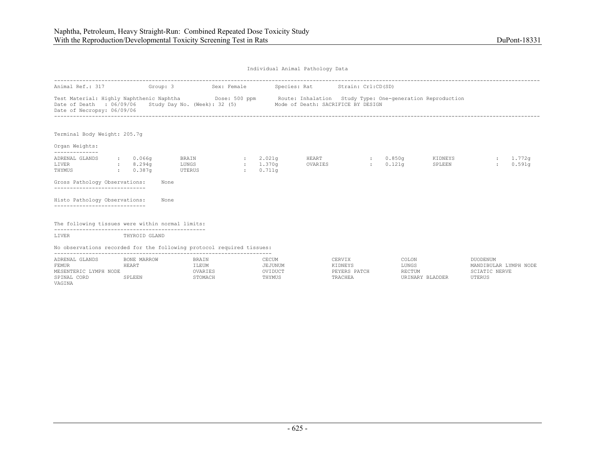| Individual Animal Pathology Data |  |  |
|----------------------------------|--|--|
|                                  |  |  |

| Animal Ref.: 317 Group: 3                                                                                                                                                                                                                              |                                                     |                                 | Sex: Female                   |                                          | Species: Rat Strain: Crl:CD(SD) |          |                             |                    |
|--------------------------------------------------------------------------------------------------------------------------------------------------------------------------------------------------------------------------------------------------------|-----------------------------------------------------|---------------------------------|-------------------------------|------------------------------------------|---------------------------------|----------|-----------------------------|--------------------|
| Test Material: Highly Naphthenic Naphtha <b>Show Dose: 500 ppm</b> Route: Inhalation Study Type: One-generation Reproduction<br>Date of Death : 06/09/06 Study Day No. (Week): 32 (5) Mode of Death: SACRIFICE BY DESIGN<br>Date of Necropsy: 06/09/06 |                                                     |                                 |                               |                                          |                                 |          |                             |                    |
| Terminal Body Weight: 205.7g                                                                                                                                                                                                                           |                                                     |                                 |                               |                                          |                                 |          |                             |                    |
| Organ Weights:<br>--------------                                                                                                                                                                                                                       |                                                     |                                 |                               |                                          |                                 |          |                             |                    |
| ADRENAL GLANDS<br>LIVER<br>8.294q<br>THYMUS                                                                                                                                                                                                            | $\,:\qquad 0.066$ q<br>0.387 <sub>q</sub><br>$\sim$ | <b>BRAIN</b><br>LUNGS<br>UTERUS | <b>State</b><br>$\mathcal{L}$ | 2.021 <sub>q</sub><br>: 1.370q<br>0.711q | HEART<br>OVARIES                | : 0.850q | KIDNEYS<br>0.121q<br>SPLEEN | 1.772q<br>0.591q   |
| Gross Pathology Observations:<br>-----------------------------                                                                                                                                                                                         |                                                     | None                            |                               |                                          |                                 |          |                             |                    |
| Histo Pathology Observations:                                                                                                                                                                                                                          |                                                     | None                            |                               |                                          |                                 |          |                             |                    |
| The following tissues were within normal limits:                                                                                                                                                                                                       |                                                     |                                 |                               |                                          |                                 |          |                             |                    |
| LIVER                                                                                                                                                                                                                                                  | THYROID GLAND                                       |                                 |                               |                                          |                                 |          |                             |                    |
| No observations recorded for the following protocol required tissues:                                                                                                                                                                                  |                                                     |                                 |                               |                                          |                                 |          |                             |                    |
| A DOMET CLANDS OF BOND MADDOM AND THE STATE OF CHAIN                                                                                                                                                                                                   |                                                     |                                 |                               |                                          |                                 |          | $\alpha$                    | <b>DISODEMILLE</b> |

| ADRENAL GLANDS              | BONE MARROW | BRAIN          | CECUM   | CERVIX       | COLON           | <b>NUODENUM</b>       |
|-----------------------------|-------------|----------------|---------|--------------|-----------------|-----------------------|
| FEMUR                       | HEART       | ILEUM          | JEJUNUM | KIDNEYS      | LUNGS           | MANDIBULAR LYMPH NODE |
| LYMPH<br>MESENTERIC<br>NODE |             | <b>VARIES</b>  | OVIDUCT | PEYERS PATCH | RECTUM          | CIATIC NERVE          |
| SPINAL CORD                 | SPLEEN      | <b>STOMACH</b> | THYMUS  | TRACHEA      | URINARY BLADDER | UTERUS                |
| VAGINA                      |             |                |         |              |                 |                       |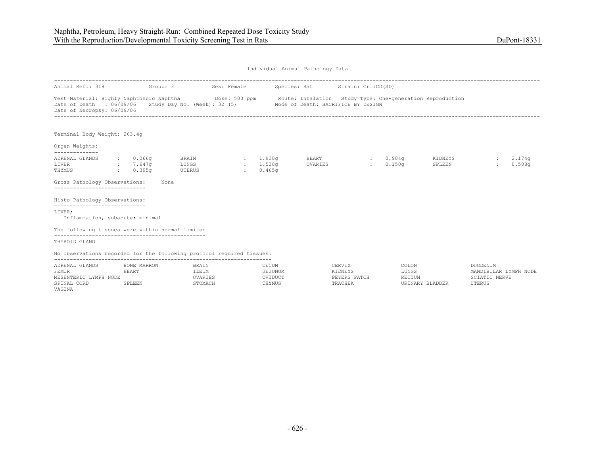UTERUS

Individual Animal Pathology Data

| Animal Ref.: 318                                                                                                                                                                  |                   |                                      | Group: 3                                                        | Sex: Female                     |                              | Species: Rat     | Strain: Crl:CD(SD)                |                                      |                   |                                                           |                    |
|-----------------------------------------------------------------------------------------------------------------------------------------------------------------------------------|-------------------|--------------------------------------|-----------------------------------------------------------------|---------------------------------|------------------------------|------------------|-----------------------------------|--------------------------------------|-------------------|-----------------------------------------------------------|--------------------|
| Test Material: Highly Naphthenic Naphtha <b>Dose: 500 ppm</b> Route: Inhalation Study Type: One-generation Reproduction<br>Date of Death : 06/09/06<br>Date of Necropsy: 06/09/06 |                   |                                      | Study Day No. (Week): 32 (5) Mode of Death: SACRIFICE BY DESIGN |                                 |                              |                  |                                   |                                      |                   |                                                           |                    |
| Terminal Body Weight: 263.4g                                                                                                                                                      |                   |                                      |                                                                 |                                 |                              |                  |                                   |                                      |                   |                                                           |                    |
| Organ Weights:                                                                                                                                                                    |                   |                                      |                                                                 |                                 |                              |                  |                                   |                                      |                   |                                                           |                    |
| --------------<br>ADRENAL GLANDS<br>LIVER<br>THYMUS                                                                                                                               | $\sim$ 100 $\sim$ | : 0.066q<br>$: 7.647$ q<br>$0.395$ q | BRAIN<br>LUNGS<br><b>UTERUS</b>                                 | $\sim 10^{-11}$<br>$\mathbf{r}$ | : 1.930q<br>1.530a<br>0.465q | HEART<br>OVARIES | <b>British</b>                    | $\cdot$ 0.984q<br>0.150 <sub>q</sub> | KIDNEYS<br>SPLEEN |                                                           | : 2.174q<br>0.508q |
| Gross Pathology Observations:<br>------------------------------                                                                                                                   |                   |                                      | None                                                            |                                 |                              |                  |                                   |                                      |                   |                                                           |                    |
| Histo Pathology Observations:<br>-----------------------------                                                                                                                    |                   |                                      |                                                                 |                                 |                              |                  |                                   |                                      |                   |                                                           |                    |
| LIVER;<br>Inflammation, subacute; minimal                                                                                                                                         |                   |                                      |                                                                 |                                 |                              |                  |                                   |                                      |                   |                                                           |                    |
| The following tissues were within normal limits:                                                                                                                                  |                   |                                      |                                                                 |                                 |                              |                  |                                   |                                      |                   |                                                           |                    |
| THYROID GLAND                                                                                                                                                                     |                   |                                      |                                                                 |                                 |                              |                  |                                   |                                      |                   |                                                           |                    |
| No observations recorded for the following protocol required tissues:                                                                                                             |                   |                                      |                                                                 |                                 |                              |                  |                                   |                                      |                   |                                                           |                    |
| -------------------<br>ADRENAL GLANDS<br><b>FEMUR</b><br>MESENTERIC LYMPH NODE                                                                                                    | HEART             | BONE MARROW                          | BRAIN<br>ILEUM<br>OVARIES                                       |                                 | CECUM<br>JEJUNUM<br>OVIDUCT  |                  | CERVIX<br>KIDNEYS<br>PEYERS PATCH | COLON<br>LUNGS<br>RECTUM             |                   | DUODENUM<br>MANDIBULAR LYMPH NODE<br><b>SCIATIC NERVE</b> |                    |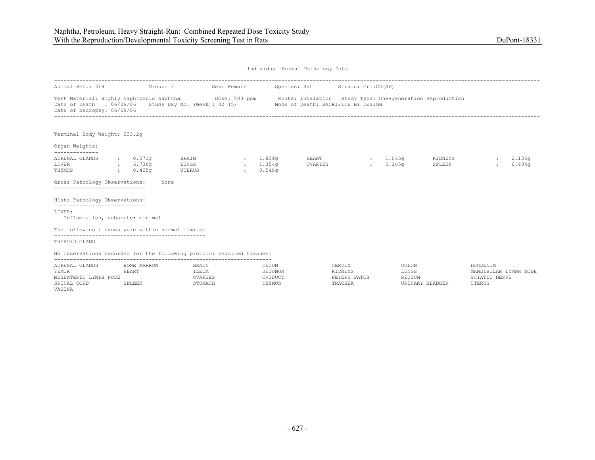| Animal Ref.: 319 Group: 3                                                                                                                                                  |                                  |                                        | Sex: Female                                   |                         | Species: Rat Strain: Crl:CD(SD)    |                   |                                                       |                   |                                   |                  |
|----------------------------------------------------------------------------------------------------------------------------------------------------------------------------|----------------------------------|----------------------------------------|-----------------------------------------------|-------------------------|------------------------------------|-------------------|-------------------------------------------------------|-------------------|-----------------------------------|------------------|
| Test Material: Highly Naphthenic Naphtha Mose: 500 ppm Route: Inhalation Study Type: One-generation Reproduction<br>Date of Death : 06/09/06<br>Date of Necropsy: 06/09/06 |                                  | Study Day No. (Week): 32 (5)           |                                               |                         | Mode of Death: SACRIFICE BY DESIGN |                   |                                                       |                   |                                   |                  |
| Terminal Body Weight: 233.2q                                                                                                                                               |                                  |                                        |                                               |                         |                                    |                   |                                                       |                   |                                   |                  |
| Organ Weights:<br>--------------                                                                                                                                           |                                  |                                        |                                               |                         |                                    |                   |                                                       |                   |                                   |                  |
| ADRENAL GLANDS<br>LIVER<br>THYMUS                                                                                                                                          | : 0.071q<br>: 6.736q<br>: 0.405q | <b>BRAIN</b><br><b>LUNGS</b><br>UTERUS | $\sim 1.809$ a<br>$\sim$ 100 $\sim$<br>$\sim$ | 1.354q<br>0.548q        | HEART<br>OVARIES                   |                   | $: 1.045$ q<br>0.165 <sub>q</sub><br><b>Expertise</b> | KIDNEYS<br>SPLEEN | $\mathcal{L}$                     | 2.135q<br>0.484q |
| Gross Pathology Observations:                                                                                                                                              |                                  | None                                   |                                               |                         |                                    |                   |                                                       |                   |                                   |                  |
| Histo Pathology Observations:<br>------------------------------                                                                                                            |                                  |                                        |                                               |                         |                                    |                   |                                                       |                   |                                   |                  |
| LIVER;<br>Inflammation, subacute; minimal                                                                                                                                  |                                  |                                        |                                               |                         |                                    |                   |                                                       |                   |                                   |                  |
| The following tissues were within normal limits:                                                                                                                           |                                  |                                        |                                               |                         |                                    |                   |                                                       |                   |                                   |                  |
| THYROID GLAND                                                                                                                                                              |                                  |                                        |                                               |                         |                                    |                   |                                                       |                   |                                   |                  |
| No observations recorded for the following protocol required tissues:                                                                                                      |                                  |                                        |                                               |                         |                                    |                   |                                                       |                   |                                   |                  |
| ADRENAL GLANDS<br>FEMUR                                                                                                                                                    | BONE MARROW<br>HEART             | BRAIN<br>ILEUM                         |                                               | CECUM<br><b>JEJUNUM</b> |                                    | CERVIX<br>KIDNEYS | COLON<br>LUNGS                                        |                   | DUODENUM<br>MANDIBULAR LYMPH NODE |                  |

| ADRENAL GLANDS           | BONE MARROW   | <b>BRAIN</b>  | CECUM   | CERVIX       | COLON           | <b>NODENUM</b>        |
|--------------------------|---------------|---------------|---------|--------------|-----------------|-----------------------|
| FEMUR                    | HEART         | ILEUM         | JEJUNUM | KIDNEYS      | LUNGS           | MANDIBULAR LYMPH NODE |
| LYMPH NODE<br>MESENTERIC |               | <b>VARIES</b> | OVIDUCT | PEYERS PATCH | RECTUM          | NERVE                 |
| SPINAL CORD              | <b>SPLEEN</b> | <b>TOMACH</b> | THYMUS  | TRACHEA      | URINARY BLADDER | <b>UTERUS</b>         |
| VAGINA                   |               |               |         |              |                 |                       |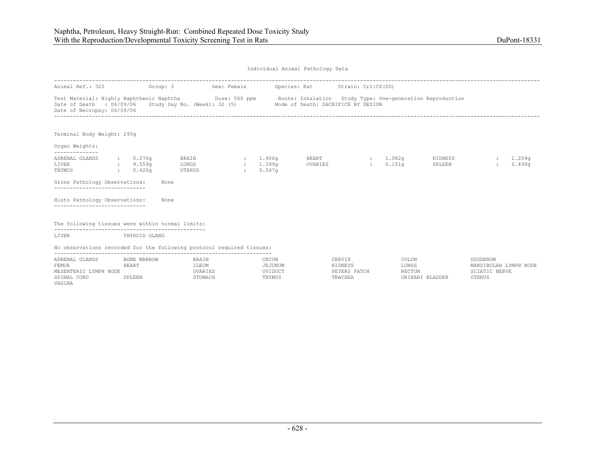| Individual Animal Pathology Data |  |  |
|----------------------------------|--|--|
|                                  |  |  |

| Animal Ref.: 320                                                                                                                                                                                                                | Group: 3               |                | Sex: Female   |                    | Species: Rat Strain: Crl:CD(SD)                                                                                                                                                     |         |                    |                   |              |                  |
|---------------------------------------------------------------------------------------------------------------------------------------------------------------------------------------------------------------------------------|------------------------|----------------|---------------|--------------------|-------------------------------------------------------------------------------------------------------------------------------------------------------------------------------------|---------|--------------------|-------------------|--------------|------------------|
| Date of Death : 06/09/06<br>Date of Necropsy: 06/09/06                                                                                                                                                                          |                        |                |               |                    | Test Material: Highly Naphthenic Naphtha Dose: 500 ppm Route: Inhalation Study Type: One-generation Reproduction<br>Study Day No. (Week): 32 (5) Mode of Death: SACRIFICE BY DESIGN |         |                    |                   |              |                  |
| Terminal Body Weight: 293g<br>Organ Weights:                                                                                                                                                                                    |                        |                |               |                    |                                                                                                                                                                                     |         |                    |                   |              |                  |
| --------------                                                                                                                                                                                                                  |                        |                |               |                    |                                                                                                                                                                                     |         |                    |                   |              |                  |
| ADRENAL GLANDS<br>LIVER<br>9.559q                                                                                                                                                                                               | : 0.070q               | BRAIN<br>LUNGS | $\sim$ $\sim$ | 1.906q<br>: 1.399q | HEART<br>OVARIES                                                                                                                                                                    | diam'r. | : 1.082q<br>0.151q | KIDNEYS<br>SPLEEN |              | 2.209q<br>0.490q |
| THYMUS                                                                                                                                                                                                                          | $\cdot$ 0.420 $\sigma$ | UTERUS         | $\mathbf{1}$  | 0.567q             |                                                                                                                                                                                     |         |                    |                   |              |                  |
| Gross Pathology Observations:<br>------------------------------                                                                                                                                                                 |                        | None           |               |                    |                                                                                                                                                                                     |         |                    |                   |              |                  |
| Histo Pathology Observations:<br>-----------------------------                                                                                                                                                                  |                        | None           |               |                    |                                                                                                                                                                                     |         |                    |                   |              |                  |
| The following tissues were within normal limits:                                                                                                                                                                                |                        |                |               |                    |                                                                                                                                                                                     |         |                    |                   |              |                  |
| -----------------------------<br>LIVER                                                                                                                                                                                          | THYROID GLAND          |                |               |                    |                                                                                                                                                                                     |         |                    |                   |              |                  |
| No observations recorded for the following protocol required tissues:                                                                                                                                                           |                        |                |               |                    |                                                                                                                                                                                     |         |                    |                   |              |                  |
| $\sim$ . The set of the set of the set of the set of the set of the set of the set of the set of the set of the set of the set of the set of the set of the set of the set of the set of the set of the set of the set of the s |                        |                |               |                    | ---------                                                                                                                                                                           |         | .                  |                   | ____________ |                  |

| ADRENAL GLANDS                | BONE MARROW | BRAIN   | CECUM          | CERVIX       | COLON           | <b>JUODENUM</b>       |
|-------------------------------|-------------|---------|----------------|--------------|-----------------|-----------------------|
| FEMUR                         | HEART       | ILEUM   | <b>JEJUNUM</b> | KIDNEYS      | LUNGS           | MANDIBULAR LYMPH NODE |
| LYMPH<br>MESENTERIC 1<br>NODE |             | OVARIES | OVIDUCT        | PEYERS PATCH | RECTUM          | SCIATIC NERVE         |
| SPINAL CORD                   | SPLEEN      | STOMACH | THYMUS         | TRACHEA      | URINARY BLADDER | UTERUS                |
| VAGINA                        |             |         |                |              |                 |                       |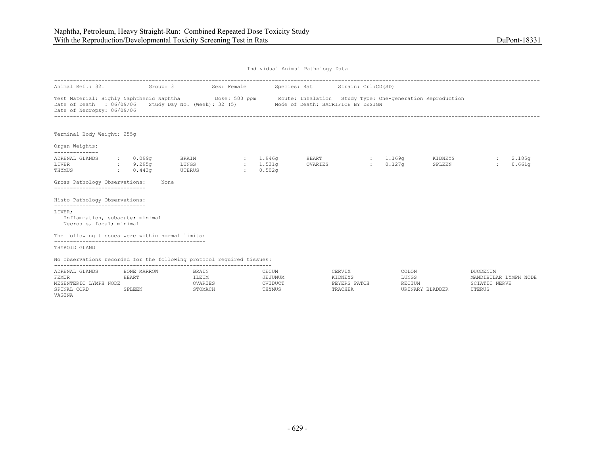| Animal Ref.: 321 Group: 3                                                                                                                                                  |             |                              |                                         | Sex: Female             |                    | Species: Rat Strain: Crl:CD(SD)    |                         |                   |                  |
|----------------------------------------------------------------------------------------------------------------------------------------------------------------------------|-------------|------------------------------|-----------------------------------------|-------------------------|--------------------|------------------------------------|-------------------------|-------------------|------------------|
| Test Material: Highly Naphthenic Naphtha Mose: 500 ppm Route: Inhalation Study Type: One-generation Reproduction<br>Date of Death : 06/09/06<br>Date of Necropsy: 06/09/06 |             |                              | Study Day No. (Week): 32 (5)            |                         |                    | Mode of Death: SACRIFICE BY DESIGN |                         |                   |                  |
| Terminal Body Weight: 255g                                                                                                                                                 |             |                              |                                         |                         |                    |                                    |                         |                   |                  |
| Organ Weights:                                                                                                                                                             |             |                              |                                         |                         |                    |                                    |                         |                   |                  |
| --------------<br>ADRENAL GLANDS<br>LIVER<br>THYMUS<br>Gross Pathology Observations:<br>-----------------------------                                                      | <b>CENT</b> | : 0.099q<br>9.295q<br>0.443q | BRAIN<br>LUNGS<br><b>UTERUS</b><br>None | 1.946q<br><b>CENTER</b> | : 1.531q<br>0.502q | HEART<br>OVARIES                   | : 1.169q<br>$: 0.127$ q | KIDNEYS<br>SPLEEN | 2.185q<br>0.661q |
| Histo Pathology Observations:                                                                                                                                              |             |                              |                                         |                         |                    |                                    |                         |                   |                  |
| -----------------------------<br>LIVER;<br>Inflammation, subacute; minimal<br>Necrosis, focal; minimal                                                                     |             |                              |                                         |                         |                    |                                    |                         |                   |                  |
| The following tissues were within normal limits:                                                                                                                           |             |                              |                                         |                         |                    |                                    |                         |                   |                  |
| THYROID GLAND                                                                                                                                                              |             |                              |                                         |                         |                    |                                    |                         |                   |                  |
| No observations recorded for the following protocol required tissues:                                                                                                      |             |                              |                                         |                         |                    |                                    |                         |                   |                  |

| GLANDS<br>ADRENAL                | MARROW<br>BONE | BRAIN          | CECIM<br>لالمال سانتلاب | CERVIX                               | COLON  | <b>DUODENUM</b>          |
|----------------------------------|----------------|----------------|-------------------------|--------------------------------------|--------|--------------------------|
| FEMUR                            | HEART          | ILEUM          | EJUNUM                  | <b><i>KT DNEVC</i></b><br>NI DNE I S | LUNGS  | LYMPH NODE<br>MANDIBULAR |
| VMDH<br>NODE<br><b>MESENTERI</b> |                | TFS<br>UVANIBO | $\bigcap$<br>'V 1 DUC 1 | PATCH<br><b>DEVED C</b><br>.         | RECTUM | <b>NERVE</b>             |
| SPINAL<br>CORD                   | SPLEEN         | <b>TOMACH</b>  | THYMUS                  | <b>TRACHE</b>                        |        | <b>UTERUS</b>            |
| VAGINA                           |                |                |                         |                                      |        |                          |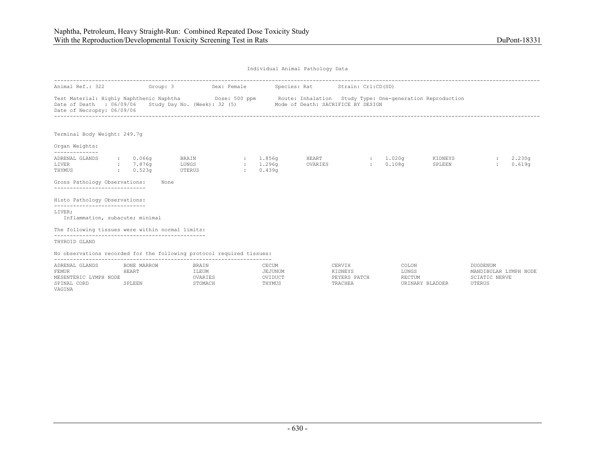UTERUS

Individual Animal Pathology Data

| Animal Ref.: 322 Group: 3                                                                                                                                                  |                                              |                                       | Sex: Female |                                              |                  | Species: Rat Strain: Crl:CD(SD)                                 |                   |                  |                                   |                   |                                   |                  |
|----------------------------------------------------------------------------------------------------------------------------------------------------------------------------|----------------------------------------------|---------------------------------------|-------------|----------------------------------------------|------------------|-----------------------------------------------------------------|-------------------|------------------|-----------------------------------|-------------------|-----------------------------------|------------------|
| Test Material: Highly Naphthenic Naphtha Mose: 500 ppm Route: Inhalation Study Type: One-generation Reproduction<br>Date of Death : 06/09/06<br>Date of Necropsy: 06/09/06 |                                              |                                       |             |                                              |                  | Study Day No. (Week): 32 (5) Mode of Death: SACRIFICE BY DESIGN |                   |                  |                                   |                   |                                   |                  |
| Terminal Body Weight: 249.7q                                                                                                                                               |                                              |                                       |             |                                              |                  |                                                                 |                   |                  |                                   |                   |                                   |                  |
| Organ Weights:<br>--------------                                                                                                                                           |                                              |                                       |             |                                              |                  |                                                                 |                   |                  |                                   |                   |                                   |                  |
| ADRENAL GLANDS<br>LIVER<br>THYMUS                                                                                                                                          | $\cdot$ 0.066q<br>: 7.876q<br>$\cdot$ 0.523q | $BRAIN$ : $1.856q$<br>LUNGS<br>UTERUS |             | 1.296q<br>$\sim$ 100 $\sim$<br>$\mathcal{L}$ | 0.439q           | <b>HEART</b><br>OVARIES                                         |                   | <b>Expertise</b> | $: 1.020$ q<br>0.108 <sub>q</sub> | KIDNEYS<br>SPLEEN |                                   | 2.230q<br>0.619q |
| Gross Pathology Observations:                                                                                                                                              | None                                         |                                       |             |                                              |                  |                                                                 |                   |                  |                                   |                   |                                   |                  |
| Histo Pathology Observations:<br>_____________________________                                                                                                             |                                              |                                       |             |                                              |                  |                                                                 |                   |                  |                                   |                   |                                   |                  |
| LIVER;<br>Inflammation, subacute; minimal                                                                                                                                  |                                              |                                       |             |                                              |                  |                                                                 |                   |                  |                                   |                   |                                   |                  |
| The following tissues were within normal limits:                                                                                                                           |                                              |                                       |             |                                              |                  |                                                                 |                   |                  |                                   |                   |                                   |                  |
| THYROID GLAND                                                                                                                                                              |                                              |                                       |             |                                              |                  |                                                                 |                   |                  |                                   |                   |                                   |                  |
| No observations recorded for the following protocol required tissues:                                                                                                      |                                              |                                       |             |                                              |                  |                                                                 |                   |                  |                                   |                   |                                   |                  |
| ADRENAL GLANDS<br>FEMUR                                                                                                                                                    | BONE MARROW<br>HEART                         | BRAIN<br>ILEUM                        |             |                                              | CECUM<br>JEJUNUM |                                                                 | CERVIX<br>KIDNEYS |                  | COLON<br>LUNGS                    |                   | DUODENUM<br>MANDIBULAR LYMPH NODE |                  |

MESENTERIC LYMPH NODE OVARIES OVIDUCT PEYERS PATCH RECTUM SCIATIC NERVE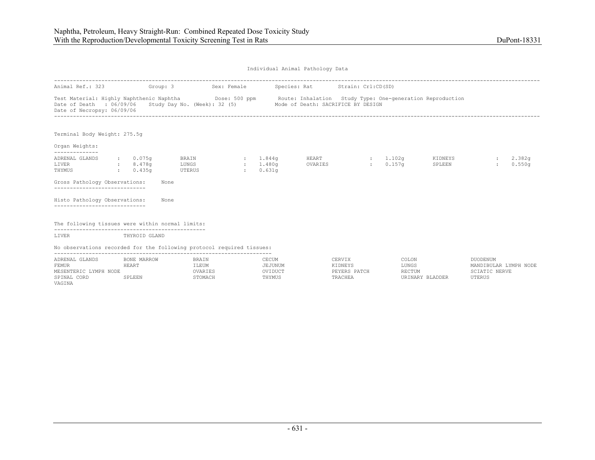| Individual Animal Pathology Data |  |  |
|----------------------------------|--|--|
|                                  |  |  |

| Animal Ref.: 323                                                      |              | Group: 3                                         |                                 | Sex: Female |                                            | Species: Rat Strain: Crl:CD(SD)                                                                                                                                                     |                 |                                |                   |                    |                  |
|-----------------------------------------------------------------------|--------------|--------------------------------------------------|---------------------------------|-------------|--------------------------------------------|-------------------------------------------------------------------------------------------------------------------------------------------------------------------------------------|-----------------|--------------------------------|-------------------|--------------------|------------------|
|                                                                       |              |                                                  |                                 |             |                                            |                                                                                                                                                                                     |                 |                                |                   |                    |                  |
| Date of Death : 06/09/06<br>Date of Necropsy: 06/09/06                |              |                                                  |                                 |             |                                            | Test Material: Highly Naphthenic Naphtha Dose: 500 ppm Route: Inhalation Study Type: One-generation Reproduction<br>Study Day No. (Week): 32 (5) Mode of Death: SACRIFICE BY DESIGN |                 |                                |                   |                    |                  |
| Terminal Body Weight: 275.5g                                          |              |                                                  |                                 |             |                                            |                                                                                                                                                                                     |                 |                                |                   |                    |                  |
|                                                                       |              |                                                  |                                 |             |                                            |                                                                                                                                                                                     |                 |                                |                   |                    |                  |
| Organ Weights:<br>--------------                                      |              |                                                  |                                 |             |                                            |                                                                                                                                                                                     |                 |                                |                   |                    |                  |
| ADRENAL GLANDS<br>LIVER<br>THYMUS                                     | <b>State</b> | $\cdot$ 0.075q<br>: 8.478q<br>0.435 <sub>q</sub> | <b>BRAIN</b><br>LUNGS<br>UTERUS | $\pm$       | : 1.844q<br>: 1.480 <sub>q</sub><br>0.631q | HEART<br>OVARIES                                                                                                                                                                    | <b>Electric</b> | : 1.102q<br>0.157 <sub>q</sub> | KIDNEYS<br>SPLEEN |                    | 2.382q<br>0.550q |
| Gross Pathology Observations:                                         |              | None                                             |                                 |             |                                            |                                                                                                                                                                                     |                 |                                |                   |                    |                  |
| Histo Pathology Observations:                                         |              | None                                             |                                 |             |                                            |                                                                                                                                                                                     |                 |                                |                   |                    |                  |
| The following tissues were within normal limits:                      |              |                                                  |                                 |             |                                            |                                                                                                                                                                                     |                 |                                |                   |                    |                  |
| LIVER                                                                 |              | THYROID GLAND                                    |                                 |             |                                            |                                                                                                                                                                                     |                 |                                |                   |                    |                  |
| No observations recorded for the following protocol required tissues: |              |                                                  |                                 |             |                                            |                                                                                                                                                                                     |                 |                                |                   |                    |                  |
| A DOMET CLANDS OF BOND MADDOM AND THE STATE OF CHAIN                  |              |                                                  |                                 |             |                                            |                                                                                                                                                                                     |                 |                                | $\alpha$          | <b>DISODEMILLE</b> |                  |

| GLANDS<br>ADRENAL           | BONE MARROW  | BRAIN          | CECUM   | CERVIX       | COLON           | <b>DUODENUM</b>            |
|-----------------------------|--------------|----------------|---------|--------------|-----------------|----------------------------|
| FEMUR                       | <b>HEART</b> | ILEUM          | EJUNUM  | KTDNEYS      | LUNGS           | LYMPH NODE<br>MANDIBULAR I |
| LYMPH<br>MESENTERIC<br>NODE |              | <b>VARIES</b>  | OVIDUCT | PEYERS PATCH | <b>RECTUM</b>   | NERVE                      |
| SPINAL<br>CORD              | SPLEEN       | <b>STOMACH</b> | THYMUS  | TRACHEA      | URINARY BLADDER | UTERUS                     |
| VAGINA                      |              |                |         |              |                 |                            |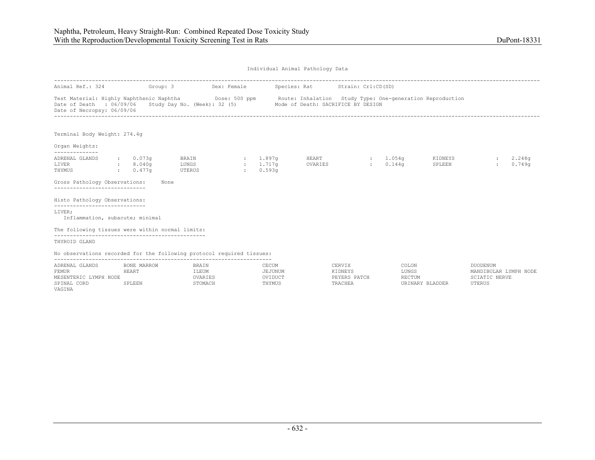| Animal Ref.: 324 Group: 3                                                                                             |                               |                                       |                                  | Sex: Female |                                   | Species: Rat Strain: Crl:CD(SD)                                                                                                            |        |                                                  |                   |          |                              |
|-----------------------------------------------------------------------------------------------------------------------|-------------------------------|---------------------------------------|----------------------------------|-------------|-----------------------------------|--------------------------------------------------------------------------------------------------------------------------------------------|--------|--------------------------------------------------|-------------------|----------|------------------------------|
| Test Material: Highly Naphthenic Naphtha<br>Date of Death<br>Date of Necropsy: 06/09/06                               | : 06/09/06                    |                                       |                                  |             |                                   | Dose: 500 ppm Boute: Inhalation Study Type: One-generation Reproduction<br>Study Day No. (Week): 32 (5) Mode of Death: SACRIFICE BY DESIGN |        |                                                  |                   |          |                              |
| Terminal Body Weight: 274.4g                                                                                          |                               |                                       |                                  |             |                                   |                                                                                                                                            |        |                                                  |                   |          |                              |
| Organ Weights:                                                                                                        |                               |                                       |                                  |             |                                   |                                                                                                                                            |        |                                                  |                   |          |                              |
| --------------<br>ADRENAL GLANDS<br>LIVER<br>THYMUS<br>Gross Pathology Observations:<br>----------------------------- | $\sim$ $\sim$<br>$\mathbf{r}$ | $\cdot$ 0.073q<br>8.040a<br>$0.477$ q | BRAIN<br>LUNGS<br>UTERUS<br>None | $\sim$      | : 1.897q<br>$: 1.717$ q<br>0.593q | HEART<br>OVARIES                                                                                                                           |        | : 1.054q<br>0.144 <sub>q</sub><br><b>British</b> | KIDNEYS<br>SPLEEN |          | 2.248 <sub>q</sub><br>0.749q |
| Histo Pathology Observations:<br>-----------------------------                                                        |                               |                                       |                                  |             |                                   |                                                                                                                                            |        |                                                  |                   |          |                              |
| LIVER;<br>Inflammation, subacute; minimal                                                                             |                               |                                       |                                  |             |                                   |                                                                                                                                            |        |                                                  |                   |          |                              |
| The following tissues were within normal limits:                                                                      |                               |                                       |                                  |             |                                   |                                                                                                                                            |        |                                                  |                   |          |                              |
| THYROID GLAND                                                                                                         |                               |                                       |                                  |             |                                   |                                                                                                                                            |        |                                                  |                   |          |                              |
| No observations recorded for the following protocol required tissues:                                                 |                               |                                       |                                  |             |                                   |                                                                                                                                            |        |                                                  |                   |          |                              |
| ADRENAL GLANDS                                                                                                        |                               | BONE MARROW                           | BRAIN                            |             | CECUM                             |                                                                                                                                            | CERVIX | COLON                                            |                   | DUODENUM |                              |

| ADRENAL GLANDS           | BONE MARROW | <b>BRAIN</b> | CECUM   | CERVIX       | COLON           | <b>NUODENUM</b>       |
|--------------------------|-------------|--------------|---------|--------------|-----------------|-----------------------|
| FEMUR                    | HEART       | ILEUM        | JEJUNUM | KIDNEYS      | LUNGS           | MANDIBULAR LYMPH NODE |
| MESENTERIC<br>LYMPH NODE |             | OVARIES      | OVIDUCT | PEYERS PATCH | <b>RECTUM</b>   | SCIATIC NERVE         |
| SPINAL CORD              | SPLEEN      | STOMACH      | THYMUS  | TRACHEA      | URINARY BLADDER | UTERUS                |
| VAGINA                   |             |              |         |              |                 |                       |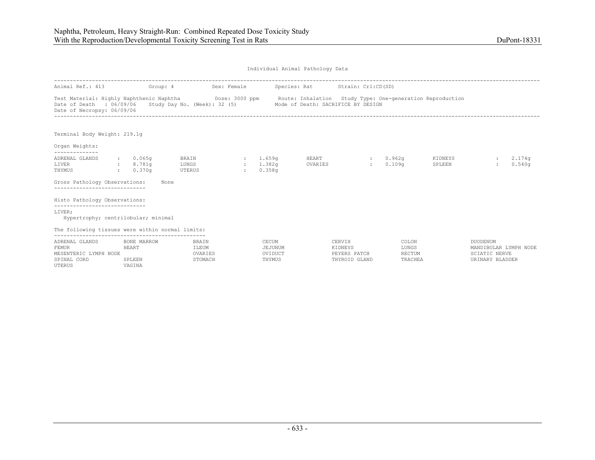| Individual Animal Pathology Data |  |  |
|----------------------------------|--|--|
|                                  |  |  |

| Animal Ref.: 413                                                                                   | Group: 4                                    |                                      | Sex: Female                        |                                       | Species: Rat Strain: Crl:CD(SD)                                                                                |                                                    |                                     |                   |                                                                              |                  |
|----------------------------------------------------------------------------------------------------|---------------------------------------------|--------------------------------------|------------------------------------|---------------------------------------|----------------------------------------------------------------------------------------------------------------|----------------------------------------------------|-------------------------------------|-------------------|------------------------------------------------------------------------------|------------------|
| Test Material: Highly Naphthenic Naphtha<br>Date of Death : 06/09/06<br>Date of Necropsy: 06/09/06 |                                             | Study Day No. (Week): 32 (5)         |                                    |                                       | Dose: 3000 ppm Boute: Inhalation Study Type: One-generation Reproduction<br>Mode of Death: SACRIFICE BY DESIGN |                                                    |                                     |                   |                                                                              |                  |
| Terminal Body Weight: 219.1q                                                                       |                                             |                                      |                                    |                                       |                                                                                                                |                                                    |                                     |                   |                                                                              |                  |
| Organ Weights:<br>--------------                                                                   |                                             |                                      |                                    |                                       |                                                                                                                |                                                    |                                     |                   |                                                                              |                  |
| ADRENAL GLANDS<br>LIVER<br>THYMUS                                                                  | $\cdot$ 0.065q<br>: 8.781q<br>$0.370\sigma$ | BRAIN<br>LUNGS<br>UTERUS             | $\sim$ 100 $\sim$<br>$\mathcal{L}$ | 1.659a<br>1.382q<br>0.358q            | HEART<br>OVARIES                                                                                               | <b>State Street</b><br>$\mathcal{L}$               | 0.962q<br>0.109q                    | KIDNEYS<br>SPLEEN |                                                                              | 2.174q<br>0.540q |
| Gross Pathology Observations:                                                                      |                                             | None                                 |                                    |                                       |                                                                                                                |                                                    |                                     |                   |                                                                              |                  |
| Histo Pathology Observations:<br>-----------------------------                                     |                                             |                                      |                                    |                                       |                                                                                                                |                                                    |                                     |                   |                                                                              |                  |
| LIVER;<br>Hypertrophy; centrilobular; minimal                                                      |                                             |                                      |                                    |                                       |                                                                                                                |                                                    |                                     |                   |                                                                              |                  |
| The following tissues were within normal limits:                                                   |                                             |                                      |                                    |                                       |                                                                                                                |                                                    |                                     |                   |                                                                              |                  |
| ADRENAL GLANDS<br><b>FEMUR</b><br>MESENTERIC LYMPH NODE<br>SPINAL CORD<br>UTERUS                   | BONE MARROW<br>HEART<br>SPLEEN<br>VAGINA    | BRAIN<br>ILEUM<br>OVARIES<br>STOMACH |                                    | CECUM<br>JEJUNUM<br>OVIDUCT<br>THYMUS |                                                                                                                | CERVIX<br>KIDNEYS<br>PEYERS PATCH<br>THYROID GLAND | COLON<br>LUNGS<br>RECTUM<br>TRACHEA |                   | DUODENUM<br>MANDIBULAR LYMPH NODE<br><b>SCIATIC NERVE</b><br>URINARY BLADDER |                  |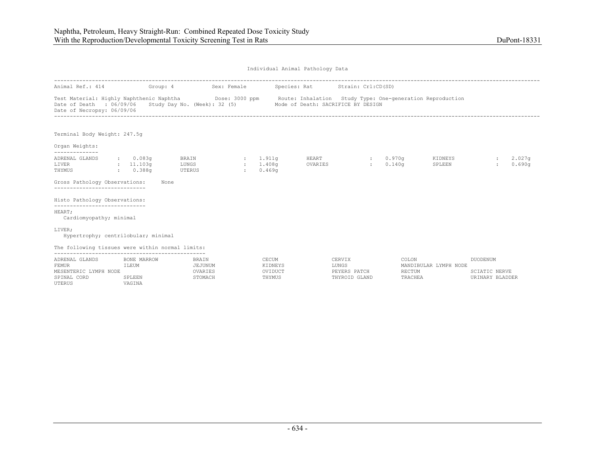UTERUS VAGINA

| Individual Animal Pathology Data |  |  |
|----------------------------------|--|--|
|                                  |  |  |

| Animal Ref.: 414 Group: 4                                                                                                                                                                                                                          |                                         |                                        | Sex: Female                          |                                       | Species: Rat     | Strain: Crl:CD(SD)                               |                            |                       |                                              |                    |
|----------------------------------------------------------------------------------------------------------------------------------------------------------------------------------------------------------------------------------------------------|-----------------------------------------|----------------------------------------|--------------------------------------|---------------------------------------|------------------|--------------------------------------------------|----------------------------|-----------------------|----------------------------------------------|--------------------|
| Test Material: Highly Naphthenic Naphtha <b>Dose: 3000 ppm</b> Route: Inhalation Study Type: One-generation Reproduction<br>Date of Death : 06/09/06 Study Day No. (Week): 32 (5) Mode of Death: SACRIFICE BY DESIGN<br>Date of Necropsy: 06/09/06 |                                         |                                        |                                      |                                       |                  |                                                  |                            |                       |                                              |                    |
| Terminal Body Weight: 247.5q                                                                                                                                                                                                                       |                                         |                                        |                                      |                                       |                  |                                                  |                            |                       |                                              |                    |
| Organ Weights:                                                                                                                                                                                                                                     |                                         |                                        |                                      |                                       |                  |                                                  |                            |                       |                                              |                    |
| --------------<br>ADRENAL GLANDS<br>LIVER<br>THYMUS                                                                                                                                                                                                | $\cdot$ 0.083q<br>: 11.103q<br>: 0.388q | <b>BRAIN</b><br>LUNGS<br>UTERUS        | : 1.911q<br>: 1.408q<br>$\mathbf{r}$ | 0.469q                                | HEART<br>OVARIES | $\mathbf{1}$ and $\mathbf{1}$                    | : 0.970q<br>0.140q         | KIDNEYS<br>SPLEEN     |                                              | : 2.027q<br>0.690q |
| Gross Pathology Observations:<br>------------------------------                                                                                                                                                                                    |                                         | None                                   |                                      |                                       |                  |                                                  |                            |                       |                                              |                    |
| Histo Pathology Observations:<br>-----------------------------                                                                                                                                                                                     |                                         |                                        |                                      |                                       |                  |                                                  |                            |                       |                                              |                    |
| HEART;<br>Cardiomyopathy; minimal                                                                                                                                                                                                                  |                                         |                                        |                                      |                                       |                  |                                                  |                            |                       |                                              |                    |
| LIVER;<br>Hypertrophy; centrilobular; minimal                                                                                                                                                                                                      |                                         |                                        |                                      |                                       |                  |                                                  |                            |                       |                                              |                    |
| The following tissues were within normal limits:                                                                                                                                                                                                   |                                         |                                        |                                      |                                       |                  |                                                  |                            |                       |                                              |                    |
| ADRENAL GLANDS<br><b>FEMUR</b><br>MESENTERIC LYMPH NODE<br>SPINAL CORD                                                                                                                                                                             | BONE MARROW<br>ILEUM<br>SPLEEN          | BRAIN<br>JEJUNUM<br>OVARIES<br>STOMACH |                                      | CECUM<br>KIDNEYS<br>OVIDUCT<br>THYMUS |                  | CERVIX<br>LUNGS<br>PEYERS PATCH<br>THYROID GLAND | COLON<br>RECTUM<br>TRACHEA | MANDIBULAR LYMPH NODE | DUODENUM<br>SCIATIC NERVE<br>URINARY BLADDER |                    |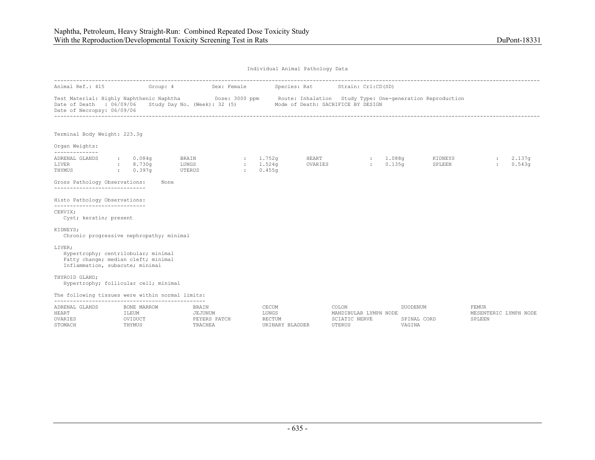| Individual Animal Pathology Data |  |  |
|----------------------------------|--|--|

| Animal Ref.: 415                                                                                                                                                            |                                                   | Group: 4 | Sex: Female                                 |                          |                                 | Species: Rat                       | Strain: Crl:CD(SD)                                        |                                           |                                   |                   |                                                 |                  |
|-----------------------------------------------------------------------------------------------------------------------------------------------------------------------------|---------------------------------------------------|----------|---------------------------------------------|--------------------------|---------------------------------|------------------------------------|-----------------------------------------------------------|-------------------------------------------|-----------------------------------|-------------------|-------------------------------------------------|------------------|
| Test Material: Highly Naphthenic Naphtha Dose: 3000 ppm Route: Inhalation Study Type: One-generation Reproduction<br>Date of Death : 06/09/06<br>Date of Necropsy: 06/09/06 |                                                   |          | Study Day No. (Week): 32 (5)                |                          |                                 | Mode of Death: SACRIFICE BY DESIGN |                                                           |                                           |                                   |                   |                                                 |                  |
| Terminal Body Weight: 223.3q                                                                                                                                                |                                                   |          |                                             |                          |                                 |                                    |                                                           |                                           |                                   |                   |                                                 |                  |
| Organ Weights:                                                                                                                                                              |                                                   |          |                                             |                          |                                 |                                    |                                                           |                                           |                                   |                   |                                                 |                  |
| --------------<br>ADRENAL GLANDS<br>LIVER<br>THYMUS                                                                                                                         | $\therefore$ 0.084g<br>: 8.730q<br>$\sim 0.397$ q |          | BRAIN<br>LUNGS<br>UTERUS                    | <b>Contract Contract</b> | 1.752q<br>: 1.524q<br>0.455q    | HEART<br>OVARIES                   |                                                           | : 1.088q<br>0.135q<br><b>State Street</b> |                                   | KIDNEYS<br>SPLEEN | <b>Barbara</b><br>$\sim$                        | 2.137q<br>0.543q |
| Gross Pathology Observations:                                                                                                                                               |                                                   | None     |                                             |                          |                                 |                                    |                                                           |                                           |                                   |                   |                                                 |                  |
| ------------------------------<br>Histo Pathology Observations:<br>-----------------------------                                                                            |                                                   |          |                                             |                          |                                 |                                    |                                                           |                                           |                                   |                   |                                                 |                  |
| CERVIX;<br>Cyst; keratin; present                                                                                                                                           |                                                   |          |                                             |                          |                                 |                                    |                                                           |                                           |                                   |                   |                                                 |                  |
| KIDNEYS;<br>Chronic progressive nephropathy; minimal                                                                                                                        |                                                   |          |                                             |                          |                                 |                                    |                                                           |                                           |                                   |                   |                                                 |                  |
| LIVER:<br>Hypertrophy; centrilobular; minimal<br>Fatty change; median cleft; minimal<br>Inflammation, subacute; minimal                                                     |                                                   |          |                                             |                          |                                 |                                    |                                                           |                                           |                                   |                   |                                                 |                  |
| THYROID GLAND;<br>Hypertrophy; follicular cell; minimal                                                                                                                     |                                                   |          |                                             |                          |                                 |                                    |                                                           |                                           |                                   |                   |                                                 |                  |
| The following tissues were within normal limits:                                                                                                                            |                                                   |          |                                             |                          |                                 |                                    |                                                           |                                           |                                   |                   |                                                 |                  |
| ADRENAL GLANDS<br>HEART<br>OVARIES<br>STOMACH                                                                                                                               | BONE MARROW<br>ILEUM<br>OVIDUCT<br>THYMUS         |          | BRAIN<br>JEJUNUM<br>PEYERS PATCH<br>TRACHEA |                          | CECUM<br>LUNGS<br><b>RECTUM</b> | URINARY BLADDER                    | COLON<br>MANDIBULAR LYMPH NODE<br>SCIATIC NERVE<br>UTERUS |                                           | DUODENUM<br>SPINAL CORD<br>VAGINA |                   | <b>FEMUR</b><br>MESENTERIC LYMPH NODE<br>SPLEEN |                  |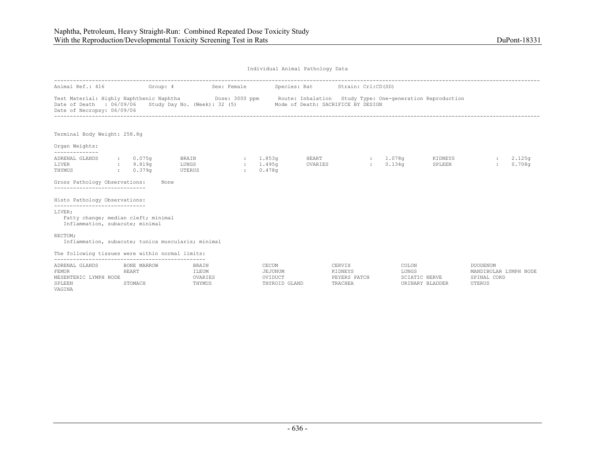| Animal Ref.: 416                                                  |                                     |                                                                                                                                                                                                               | Sex: Female |                                              |                                 |                         |                         |                                  |                                                                   |                              |
|-------------------------------------------------------------------|-------------------------------------|---------------------------------------------------------------------------------------------------------------------------------------------------------------------------------------------------------------|-------------|----------------------------------------------|---------------------------------|-------------------------|-------------------------|----------------------------------|-------------------------------------------------------------------|------------------------------|
|                                                                   | Group: 4                            |                                                                                                                                                                                                               |             |                                              | Species: Rat Strain: Crl:CD(SD) |                         |                         |                                  |                                                                   |                              |
| Date of Necropsy: 06/09/06                                        |                                     | Test Material: Highly Naphthenic Naphtha Dose: 3000 ppm Route: Inhalation Study Type: One-generation Reproduction<br>Date of Death : 06/09/06 Study Day No. (Week): 32 (5) Mode of Death: SACRIFICE BY DESIGN |             |                                              |                                 |                         |                         |                                  |                                                                   |                              |
| Terminal Body Weight: 258.8q                                      |                                     |                                                                                                                                                                                                               |             |                                              |                                 |                         |                         |                                  |                                                                   |                              |
| Organ Weights:<br>--------------                                  |                                     |                                                                                                                                                                                                               |             |                                              |                                 |                         |                         |                                  |                                                                   |                              |
| ADRENAL GLANDS<br>LIVER<br>THYMUS                                 | $: 0.075$ q<br>9.819q<br>0.379q     | BRAIN : 1.853q<br>LUNGS<br>UTERUS                                                                                                                                                                             | 1.495q      | 0.478q                                       | <b>HEART</b><br>OVARIES         |                         | $: 1.078$ q<br>: 0.134q | KIDNEYS<br>SPLEEN                | $\mathbf{L}$                                                      | 2.125 <sub>q</sub><br>0.708q |
| Gross Pathology Observations:<br>-----------------------------    |                                     | None                                                                                                                                                                                                          |             |                                              |                                 |                         |                         |                                  |                                                                   |                              |
| Histo Pathology Observations:<br>-----------------------------    |                                     |                                                                                                                                                                                                               |             |                                              |                                 |                         |                         |                                  |                                                                   |                              |
| LIVER;<br>Inflammation, subacute; minimal                         | Fatty change; median cleft; minimal |                                                                                                                                                                                                               |             |                                              |                                 |                         |                         |                                  |                                                                   |                              |
| RECTUM;                                                           |                                     | Inflammation, subacute; tunica muscularis; minimal                                                                                                                                                            |             |                                              |                                 |                         |                         |                                  |                                                                   |                              |
| The following tissues were within normal limits:                  |                                     |                                                                                                                                                                                                               |             |                                              |                                 |                         |                         |                                  |                                                                   |                              |
| ADRENAL GLANDS<br><b>FEMUR</b><br>MESENTERIC LYMPH NODE<br>SPLEEN | BONE MARROW<br>HEART<br>STOMACH     | BRAIN<br>ILEUM<br>OVARIES<br>THYMUS                                                                                                                                                                           |             | CECUM<br>JEJUNUM<br>OVIDUCT<br>THYROID GLAND | CERVIX<br>KIDNEYS               | PEYERS PATCH<br>TRACHEA | COLON<br>LUNGS          | SCIATIC NERVE<br>URINARY BLADDER | <b>DUODENUM</b><br>MANDIBULAR LYMPH NODE<br>SPINAL CORD<br>UTERUS |                              |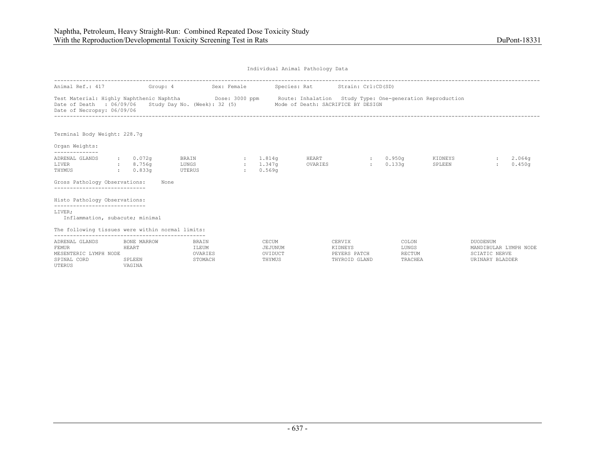| Individual Animal Pathology Data |  |  |
|----------------------------------|--|--|
|                                  |  |  |

| Animal Ref.: 417 Group: 4                                                                                                                                                          |                                              |                                  | Sex: Female                          |              |                                       | Species: Rat Strain: Crl:CD(SD)    |                                                    |                                     |                   |                                                                              |                  |
|------------------------------------------------------------------------------------------------------------------------------------------------------------------------------------|----------------------------------------------|----------------------------------|--------------------------------------|--------------|---------------------------------------|------------------------------------|----------------------------------------------------|-------------------------------------|-------------------|------------------------------------------------------------------------------|------------------|
| Test Material: Highly Naphthenic Naphtha <b>Dose: 3000 ppm</b> Route: Inhalation Study Type: One-generation Reproduction<br>Date of Death : 06/09/06<br>Date of Necropsy: 06/09/06 |                                              |                                  | Study Day No. (Week): 32 (5)         |              |                                       | Mode of Death: SACRIFICE BY DESIGN |                                                    |                                     |                   |                                                                              |                  |
| Terminal Body Weight: 228.7q                                                                                                                                                       |                                              |                                  |                                      |              |                                       |                                    |                                                    |                                     |                   |                                                                              |                  |
| Organ Weights:<br>--------------                                                                                                                                                   |                                              |                                  |                                      |              |                                       |                                    |                                                    |                                     |                   |                                                                              |                  |
| ADRENAL GLANDS<br>LIVER<br>THYMUS<br>Gross Pathology Observations:                                                                                                                 | : 0.072q<br>$\frac{1}{2}$ 8.756q<br>: 0.833q | BRAIN<br>LUNGS<br>UTERUS<br>None |                                      | $\mathbf{r}$ | : 1.814q<br>$: 1.347$ q<br>0.569q     | HEART<br>OVARIES                   |                                                    | : 0.950q<br>0.133q                  | KIDNEYS<br>SPLEEN |                                                                              | 2.064q<br>0.450q |
| -----------------------                                                                                                                                                            |                                              |                                  |                                      |              |                                       |                                    |                                                    |                                     |                   |                                                                              |                  |
| Histo Pathology Observations:<br>-----------------------------                                                                                                                     |                                              |                                  |                                      |              |                                       |                                    |                                                    |                                     |                   |                                                                              |                  |
| LIVER;<br>Inflammation, subacute; minimal                                                                                                                                          |                                              |                                  |                                      |              |                                       |                                    |                                                    |                                     |                   |                                                                              |                  |
| The following tissues were within normal limits:                                                                                                                                   |                                              |                                  |                                      |              |                                       |                                    |                                                    |                                     |                   |                                                                              |                  |
| ADRENAL GLANDS<br><b>FEMUR</b><br>MESENTERIC LYMPH NODE<br>SPINAL CORD<br>UTERUS                                                                                                   | BONE MARROW<br>HEART<br>SPLEEN<br>VAGINA     |                                  | BRAIN<br>ILEUM<br>OVARIES<br>STOMACH |              | CECUM<br>JEJUNUM<br>OVIDUCT<br>THYMUS |                                    | CERVIX<br>KIDNEYS<br>PEYERS PATCH<br>THYROID GLAND | COLON<br>LUNGS<br>RECTUM<br>TRACHEA |                   | DUODENUM<br>MANDIBULAR LYMPH NODE<br><b>SCIATIC NERVE</b><br>URINARY BLADDER |                  |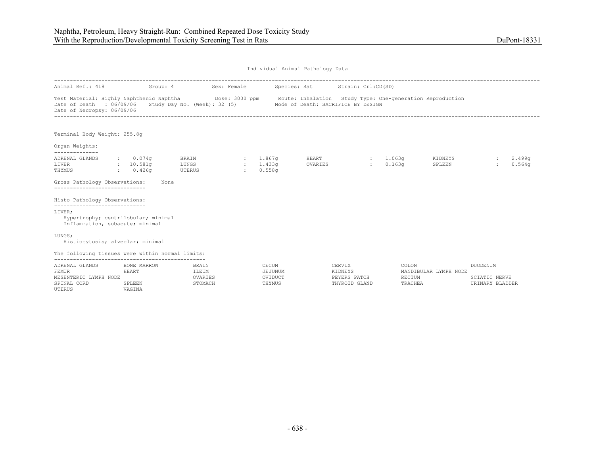| Individual Animal Pathology Data |  |  |
|----------------------------------|--|--|
|                                  |  |  |

| Animal Ref.: 418                                                                                                                                                            |                                          | Group: 4                             | Sex: Female   |                                       | Species: Rat                                                    | Strain: Crl:CD(SD)                                 |                                   |                       |                                                     |
|-----------------------------------------------------------------------------------------------------------------------------------------------------------------------------|------------------------------------------|--------------------------------------|---------------|---------------------------------------|-----------------------------------------------------------------|----------------------------------------------------|-----------------------------------|-----------------------|-----------------------------------------------------|
| Test Material: Highly Naphthenic Naphtha Dose: 3000 ppm Route: Inhalation Study Type: One-generation Reproduction<br>Date of Death : 06/09/06<br>Date of Necropsy: 06/09/06 |                                          |                                      |               |                                       | Study Day No. (Week): 32 (5) Mode of Death: SACRIFICE BY DESIGN |                                                    |                                   |                       |                                                     |
| Terminal Body Weight: 255.8q                                                                                                                                                |                                          |                                      |               |                                       |                                                                 |                                                    |                                   |                       |                                                     |
| Organ Weights:                                                                                                                                                              |                                          |                                      |               |                                       |                                                                 |                                                    |                                   |                       |                                                     |
| --------------<br>ADRENAL GLANDS<br>LIVER<br>THYMUS                                                                                                                         | $\cdot$ 0.074q<br>: 10.581q<br>: 0.426q  | BRAIN<br>LUNGS<br>UTERUS             | $\mathcal{L}$ | $: 1.867$ q<br>: 1.433q<br>0.558q     | HEART<br>OVARIES                                                | <b>Electric</b>                                    | $: 1.063$ q<br>0.163 <sub>q</sub> | KIDNEYS<br>SPLEEN     | 2.499q<br>0.564q                                    |
| Gross Pathology Observations:<br>------------------------------                                                                                                             |                                          | None                                 |               |                                       |                                                                 |                                                    |                                   |                       |                                                     |
| Histo Pathology Observations:<br>------------------------------                                                                                                             |                                          |                                      |               |                                       |                                                                 |                                                    |                                   |                       |                                                     |
| LIVER;<br>Hypertrophy; centrilobular; minimal<br>Inflammation, subacute; minimal                                                                                            |                                          |                                      |               |                                       |                                                                 |                                                    |                                   |                       |                                                     |
| LUNGS;<br>Histiocytosis; alveolar; minimal                                                                                                                                  |                                          |                                      |               |                                       |                                                                 |                                                    |                                   |                       |                                                     |
| The following tissues were within normal limits:                                                                                                                            |                                          |                                      |               |                                       |                                                                 |                                                    |                                   |                       |                                                     |
| ADRENAL GLANDS<br><b>FEMUR</b><br>MESENTERIC LYMPH NODE<br>SPINAL CORD<br><b>UTERUS</b>                                                                                     | BONE MARROW<br>HEART<br>SPLEEN<br>VAGINA | BRAIN<br>ILEUM<br>OVARIES<br>STOMACH |               | CECUM<br>JEJUNUM<br>OVIDUCT<br>THYMUS |                                                                 | CERVIX<br>KIDNEYS<br>PEYERS PATCH<br>THYROID GLAND | COLON<br>RECTUM<br>TRACHEA        | MANDIBULAR LYMPH NODE | <b>DUODENUM</b><br>SCIATIC NERVE<br>URINARY BLADDER |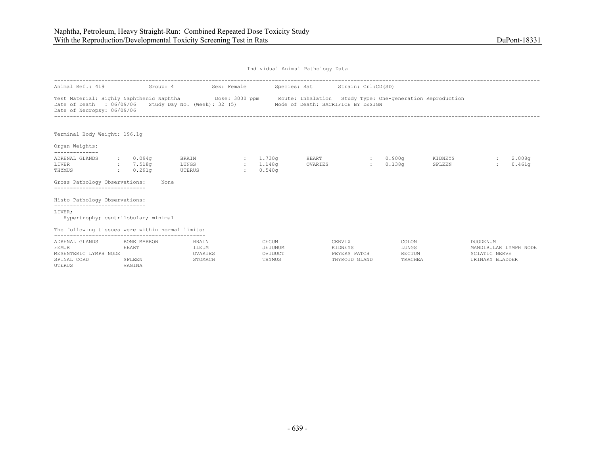| Individual Animal Pathology Data |  |  |
|----------------------------------|--|--|
|                                  |  |  |

| Animal Ref.: 419                                                                                   | Group: 4                                 |                                      | Sex: Female                     |                                       | Species: Rat Strain: Crl:CD(SD)                                                                                |                                                    |                                     |                   |                                                                              |                  |
|----------------------------------------------------------------------------------------------------|------------------------------------------|--------------------------------------|---------------------------------|---------------------------------------|----------------------------------------------------------------------------------------------------------------|----------------------------------------------------|-------------------------------------|-------------------|------------------------------------------------------------------------------|------------------|
| Test Material: Highly Naphthenic Naphtha<br>Date of Death : 06/09/06<br>Date of Necropsy: 06/09/06 |                                          | Study Day No. (Week): 32 (5)         |                                 |                                       | Dose: 3000 ppm Boute: Inhalation Study Type: One-generation Reproduction<br>Mode of Death: SACRIFICE BY DESIGN |                                                    |                                     |                   |                                                                              |                  |
| Terminal Body Weight: 196.1q                                                                       |                                          |                                      |                                 |                                       |                                                                                                                |                                                    |                                     |                   |                                                                              |                  |
| Organ Weights:<br>--------------                                                                   |                                          |                                      |                                 |                                       |                                                                                                                |                                                    |                                     |                   |                                                                              |                  |
| ADRENAL GLANDS<br>LIVER<br>THYMUS                                                                  | $\cdot$ 0.094q<br>: 7.518q<br>0.291q     | BRAIN<br>LUNGS<br>UTERUS             | $\sim 10^{-1}$<br>$\mathcal{L}$ | 1.730q<br>1.148q<br>0.540q            | HEART<br>OVARIES                                                                                               | <b>State Street</b><br>$\mathcal{L}$               | 0.900q<br>0.138q                    | KIDNEYS<br>SPLEEN |                                                                              | 2.008q<br>0.461q |
| Gross Pathology Observations:                                                                      |                                          | None                                 |                                 |                                       |                                                                                                                |                                                    |                                     |                   |                                                                              |                  |
| Histo Pathology Observations:                                                                      |                                          |                                      |                                 |                                       |                                                                                                                |                                                    |                                     |                   |                                                                              |                  |
| -----------------------------<br>LIVER;<br>Hypertrophy; centrilobular; minimal                     |                                          |                                      |                                 |                                       |                                                                                                                |                                                    |                                     |                   |                                                                              |                  |
| The following tissues were within normal limits:                                                   |                                          |                                      |                                 |                                       |                                                                                                                |                                                    |                                     |                   |                                                                              |                  |
| ADRENAL GLANDS<br><b>FEMUR</b><br>MESENTERIC LYMPH NODE<br>SPINAL CORD<br>UTERUS                   | BONE MARROW<br>HEART<br>SPLEEN<br>VAGINA | BRAIN<br>ILEUM<br>OVARIES<br>STOMACH |                                 | CECUM<br>JEJUNUM<br>OVIDUCT<br>THYMUS |                                                                                                                | CERVIX<br>KIDNEYS<br>PEYERS PATCH<br>THYROID GLAND | COLON<br>LUNGS<br>RECTUM<br>TRACHEA |                   | DUODENUM<br>MANDIBULAR LYMPH NODE<br><b>SCIATIC NERVE</b><br>URINARY BLADDER |                  |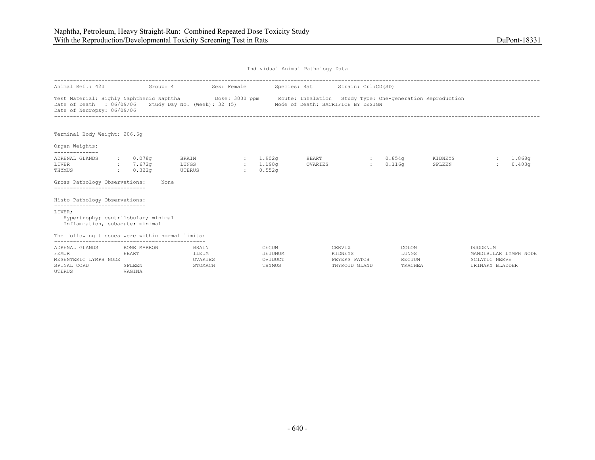| Animal Ref.: 420                                                                 | Group: 4                                 |                                                                                                                                                   | Sex: Female                      |                                       | Species: Rat Strain: Crl:CD(SD)    |                                                    |                                     |                   |                                                                       |                  |
|----------------------------------------------------------------------------------|------------------------------------------|---------------------------------------------------------------------------------------------------------------------------------------------------|----------------------------------|---------------------------------------|------------------------------------|----------------------------------------------------|-------------------------------------|-------------------|-----------------------------------------------------------------------|------------------|
| Date of Death : 06/09/06<br>Date of Necropsy: 06/09/06                           |                                          | Test Material: Highly Naphthenic Naphtha Dose: 3000 ppm Route: Inhalation Study Type: One-generation Reproduction<br>Study Day No. (Week): 32 (5) |                                  |                                       | Mode of Death: SACRIFICE BY DESIGN |                                                    |                                     |                   |                                                                       |                  |
| Terminal Body Weight: 206.6g                                                     |                                          |                                                                                                                                                   |                                  |                                       |                                    |                                                    |                                     |                   |                                                                       |                  |
| Organ Weights:<br>--------------                                                 |                                          |                                                                                                                                                   |                                  |                                       |                                    |                                                    |                                     |                   |                                                                       |                  |
| ADRENAL GLANDS<br>LIVER<br>THYMUS                                                | $: 0.078$ q<br>7.672q<br>: 0.322q        | BRAIN<br>LUNGS<br>UTERUS                                                                                                                          | $\sim 10^{-11}$<br>$\mathcal{L}$ | : 1.902q<br>1.190a<br>0.552q          | HEART<br>OVARIES                   | <b>CENTER</b><br>$\mathbf{1}$                      | $0.854$ a<br>0.116q                 | KIDNEYS<br>SPLEEN |                                                                       | 1.868q<br>0.403q |
| Gross Pathology Observations:                                                    |                                          | None                                                                                                                                              |                                  |                                       |                                    |                                                    |                                     |                   |                                                                       |                  |
| Histo Pathology Observations:<br>------------------------------                  |                                          |                                                                                                                                                   |                                  |                                       |                                    |                                                    |                                     |                   |                                                                       |                  |
| LIVER;<br>Hypertrophy; centrilobular; minimal<br>Inflammation, subacute; minimal |                                          |                                                                                                                                                   |                                  |                                       |                                    |                                                    |                                     |                   |                                                                       |                  |
| The following tissues were within normal limits:                                 |                                          |                                                                                                                                                   |                                  |                                       |                                    |                                                    |                                     |                   |                                                                       |                  |
| ADRENAL GLANDS<br>FEMUR<br>MESENTERIC LYMPH NODE<br>SPINAL CORD<br>UTERUS        | BONE MARROW<br>HEART<br>SPLEEN<br>VAGINA | BRAIN<br>ILEUM<br>OVARIES<br>STOMACH                                                                                                              |                                  | CECUM<br>JEJUNUM<br>OVIDUCT<br>THYMUS |                                    | CERVIX<br>KIDNEYS<br>PEYERS PATCH<br>THYROID GLAND | COLON<br>LUNGS<br>RECTUM<br>TRACHEA |                   | DUODENUM<br>MANDIBULAR LYMPH NODE<br>SCIATIC NERVE<br>URINARY BLADDER |                  |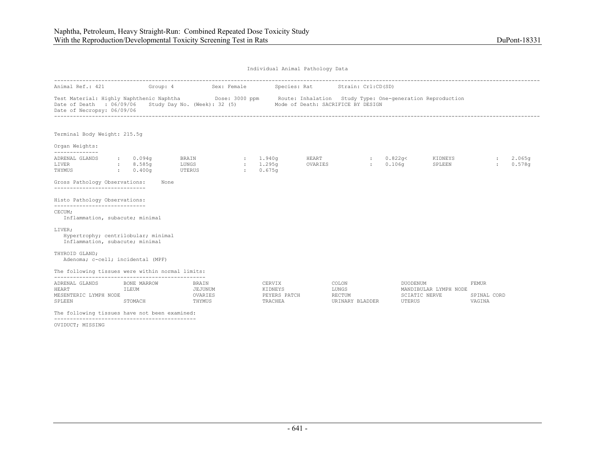| Animal Ref.: 421                                                                                   |                                        |                                                               |                         |                                              |              |                                                                                                                       |                                     |                       |                                       |        |
|----------------------------------------------------------------------------------------------------|----------------------------------------|---------------------------------------------------------------|-------------------------|----------------------------------------------|--------------|-----------------------------------------------------------------------------------------------------------------------|-------------------------------------|-----------------------|---------------------------------------|--------|
| Test Material: Highly Naphthenic Naphtha<br>Date of Death : 06/09/06<br>Date of Necropsy: 06/09/06 | Group: 4                               | Sex: Female<br>Dose: 3000 ppm<br>Study Day No. (Week): 32 (5) |                         |                                              | Species: Rat | Strain: Crl:CD(SD)<br>Route: Inhalation Study Type: One-generation Reproduction<br>Mode of Death: SACRIFICE BY DESIGN |                                     |                       |                                       |        |
| Terminal Body Weight: 215.5q                                                                       |                                        |                                                               |                         |                                              |              |                                                                                                                       |                                     |                       |                                       |        |
| Organ Weights:<br>--------------<br>ADRENAL GLANDS                                                 | $\cdot$ 0.094q                         | BRAIN                                                         | : 1.940q                |                                              | HEART        |                                                                                                                       | : 0.822q<                           | KIDNEYS               |                                       | 2.065q |
| LIVER<br>THYMUS                                                                                    | : 8.585q<br>: 0.400q                   | LUNGS<br>UTERUS                                               | $\sim$<br>$\mathcal{L}$ | 1,295q<br>0.675q                             | OVARIES      | $\mathbf{r}$                                                                                                          | 0.106q                              | SPLEEN                |                                       | 0.578q |
| Gross Pathology Observations:<br>-----------------------------                                     | None                                   |                                                               |                         |                                              |              |                                                                                                                       |                                     |                       |                                       |        |
| Histo Pathology Observations:                                                                      |                                        |                                                               |                         |                                              |              |                                                                                                                       |                                     |                       |                                       |        |
| ------------------------------<br>CECUM;<br>Inflammation, subacute; minimal                        |                                        |                                                               |                         |                                              |              |                                                                                                                       |                                     |                       |                                       |        |
| LIVER;<br>Hypertrophy; centrilobular; minimal<br>Inflammation, subacute; minimal                   |                                        |                                                               |                         |                                              |              |                                                                                                                       |                                     |                       |                                       |        |
| THYROID GLAND;<br>Adenoma; c-cell; incidental (MPF)                                                |                                        |                                                               |                         |                                              |              |                                                                                                                       |                                     |                       |                                       |        |
| The following tissues were within normal limits:                                                   |                                        |                                                               |                         |                                              |              |                                                                                                                       |                                     |                       |                                       |        |
| ADRENAL GLANDS<br><b>HEART</b><br>MESENTERIC LYMPH NODE<br>SPLEEN                                  | BONE MARROW<br><b>ILEUM</b><br>STOMACH | BRAIN<br>JEJUNUM<br>OVARIES<br>THYMUS                         |                         | CERVIX<br>KIDNEYS<br>PEYERS PATCH<br>TRACHEA |              | COLON<br>LUNGS<br>RECTUM<br>URINARY BLADDER                                                                           | DUODENUM<br>SCIATIC NERVE<br>UTERUS | MANDIBULAR LYMPH NODE | <b>FEMUR</b><br>SPINAL CORD<br>VAGINA |        |
| The following tissues have not been examined:                                                      |                                        |                                                               |                         |                                              |              |                                                                                                                       |                                     |                       |                                       |        |

OVIDUCT; MISSING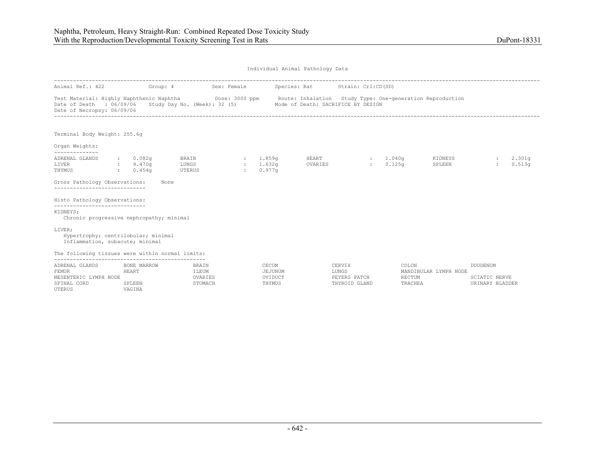| Individual Animal Pathology Data |  |  |
|----------------------------------|--|--|
|                                  |  |  |

| Animal Ref.: 422                                                                                                                                                                        |                           |                                      | Group: 4                               | Sex: Female |               |                                          | Species: Rat     | Strain: Crl:CD(SD)                                              |                                   |                       |                                                     |                  |  |
|-----------------------------------------------------------------------------------------------------------------------------------------------------------------------------------------|---------------------------|--------------------------------------|----------------------------------------|-------------|---------------|------------------------------------------|------------------|-----------------------------------------------------------------|-----------------------------------|-----------------------|-----------------------------------------------------|------------------|--|
| Test Material: Highly Naphthenic Naphtha <b>Show Dose: 3000 ppm</b> Route: Inhalation Study Type: One-generation Reproduction<br>Date of Death : 06/09/06<br>Date of Necropsy: 06/09/06 |                           |                                      |                                        |             |               |                                          |                  | Study Day No. (Week): 32 (5) Mode of Death: SACRIFICE BY DESIGN |                                   |                       |                                                     |                  |  |
| Terminal Body Weight: 255.6q                                                                                                                                                            |                           |                                      |                                        |             |               |                                          |                  |                                                                 |                                   |                       |                                                     |                  |  |
| Organ Weights:<br>--------------                                                                                                                                                        |                           |                                      |                                        |             |               |                                          |                  |                                                                 |                                   |                       |                                                     |                  |  |
| ADRENAL GLANDS<br>LIVER<br>THYMUS                                                                                                                                                       |                           | $\cdot$ 0.082q<br>9.470q<br>: 0.454q | <b>BRAIN</b><br>LUNGS<br><b>UTERUS</b> |             | $\sim$ $\sim$ | $\frac{1.859q}{r}$<br>: 1.632q<br>0.977q | HEART<br>OVARIES | <b>Expertise</b>                                                | $: 1.040$ q<br>0.125 <sub>q</sub> | KIDNEYS<br>SPLEEN     |                                                     | 2.301q<br>0.513q |  |
| Gross Pathology Observations:<br>------------------------------                                                                                                                         |                           | None                                 |                                        |             |               |                                          |                  |                                                                 |                                   |                       |                                                     |                  |  |
| Histo Pathology Observations:                                                                                                                                                           |                           |                                      |                                        |             |               |                                          |                  |                                                                 |                                   |                       |                                                     |                  |  |
| ------------------------------<br>KIDNEYS;<br>Chronic progressive nephropathy; minimal                                                                                                  |                           |                                      |                                        |             |               |                                          |                  |                                                                 |                                   |                       |                                                     |                  |  |
| LIVER;<br>Hypertrophy; centrilobular; minimal<br>Inflammation, subacute; minimal                                                                                                        |                           |                                      |                                        |             |               |                                          |                  |                                                                 |                                   |                       |                                                     |                  |  |
| The following tissues were within normal limits:                                                                                                                                        |                           |                                      |                                        |             |               |                                          |                  |                                                                 |                                   |                       |                                                     |                  |  |
| ADRENAL GLANDS<br><b>FEMUR</b><br>MESENTERIC LYMPH NODE<br>SPINAL CORD<br>UTERUS                                                                                                        | HEART<br>SPLEEN<br>VAGINA | BONE MARROW                          | BRAIN<br>ILEUM<br>OVARIES<br>STOMACH   |             |               | CECUM<br>JEJUNUM<br>OVIDUCT<br>THYMUS    |                  | CERVIX<br>LUNGS<br>PEYERS PATCH<br>THYROID GLAND                | COLON<br>RECTUM<br>TRACHEA        | MANDIBULAR LYMPH NODE | <b>DUODENUM</b><br>SCIATIC NERVE<br>URINARY BLADDER |                  |  |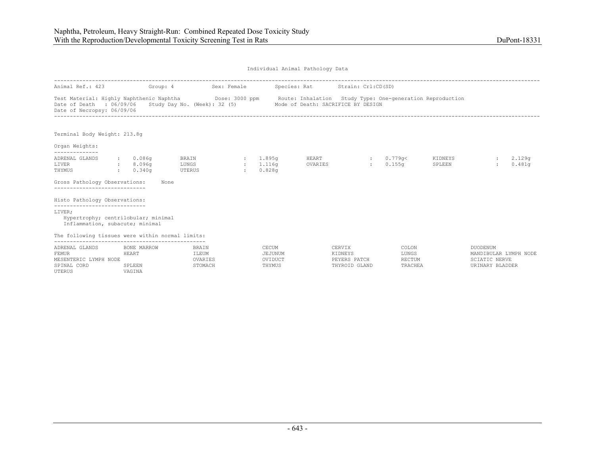| Animal Ref.: 423                                                                                                                                                            | Group: 4                                 |                                      | Sex: Female                 |                                       | Species: Rat Strain: Crl:CD(SD)    |                               |                                     |                   |                                                                       |
|-----------------------------------------------------------------------------------------------------------------------------------------------------------------------------|------------------------------------------|--------------------------------------|-----------------------------|---------------------------------------|------------------------------------|-------------------------------|-------------------------------------|-------------------|-----------------------------------------------------------------------|
| Test Material: Highly Naphthenic Naphtha Dose: 3000 ppm Route: Inhalation Study Type: One-generation Reproduction<br>Date of Death : 06/09/06<br>Date of Necropsy: 06/09/06 |                                          | Study Day No. (Week): 32 (5)         |                             |                                       | Mode of Death: SACRIFICE BY DESIGN |                               |                                     |                   |                                                                       |
| Terminal Body Weight: 213.8q                                                                                                                                                |                                          |                                      |                             |                                       |                                    |                               |                                     |                   |                                                                       |
| Organ Weights:<br>--------------                                                                                                                                            |                                          |                                      |                             |                                       |                                    |                               |                                     |                   |                                                                       |
| ADRENAL GLANDS<br>LIVER<br>THYMUS<br>0.340q                                                                                                                                 | : 0.086q<br>$\,:\qquad 8.096q$           | BRAIN<br>LUNGS<br>UTERUS             | $\sim 200$<br>$\mathcal{L}$ | : 1.895q<br>1.116q<br>0.828q          | HEART<br>OVARIES                   | <b>State State</b>            | 0.779q<<br>$0.155\sigma$            | KIDNEYS<br>SPLEEN | 2.129q<br>0.481q                                                      |
| Gross Pathology Observations:<br>--------------------                                                                                                                       |                                          | None                                 |                             |                                       |                                    |                               |                                     |                   |                                                                       |
| Histo Pathology Observations:<br>------------------------------                                                                                                             |                                          |                                      |                             |                                       |                                    |                               |                                     |                   |                                                                       |
| LIVER;<br>Hypertrophy; centrilobular; minimal<br>Inflammation, subacute; minimal                                                                                            |                                          |                                      |                             |                                       |                                    |                               |                                     |                   |                                                                       |
| The following tissues were within normal limits:                                                                                                                            |                                          |                                      |                             |                                       |                                    |                               |                                     |                   |                                                                       |
| ADRENAL GLANDS<br>FEMUR<br>MESENTERIC LYMPH NODE<br>SPINAL CORD<br>UTERUS                                                                                                   | BONE MARROW<br>HEART<br>SPLEEN<br>VAGINA | BRAIN<br>ILEUM<br>OVARIES<br>STOMACH |                             | CECUM<br>JEJUNUM<br>OVIDUCT<br>THYMUS | CERVIX<br>KIDNEYS                  | PEYERS PATCH<br>THYROID GLAND | COLON<br>LUNGS<br>RECTUM<br>TRACHEA |                   | DUODENUM<br>MANDIBULAR LYMPH NODE<br>SCIATIC NERVE<br>URINARY BLADDER |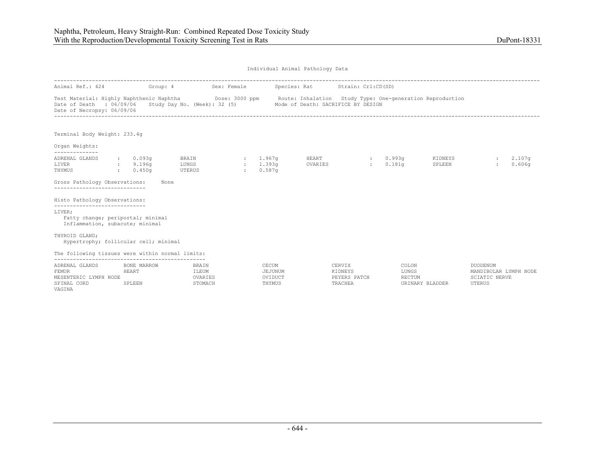| Individual Animal Pathology Data |  |  |
|----------------------------------|--|--|
|                                  |  |  |

| Animal Ref.: 424                                                                                                                                                            | Group: 4                              | Sex: Female                                                     |                |                                       | Species: Rat Strain: Crl:CD(SD) |              |                            |                   |                                                                            |
|-----------------------------------------------------------------------------------------------------------------------------------------------------------------------------|---------------------------------------|-----------------------------------------------------------------|----------------|---------------------------------------|---------------------------------|--------------|----------------------------|-------------------|----------------------------------------------------------------------------|
| Test Material: Highly Naphthenic Naphtha Dose: 3000 ppm Route: Inhalation Study Type: One-generation Reproduction<br>Date of Death : 06/09/06<br>Date of Necropsy: 06/09/06 |                                       | Study Day No. (Week): 32 (5) Mode of Death: SACRIFICE BY DESIGN |                |                                       |                                 |              |                            |                   |                                                                            |
| Terminal Body Weight: 233.4g                                                                                                                                                |                                       |                                                                 |                |                                       |                                 |              |                            |                   |                                                                            |
| Organ Weights:<br>--------------                                                                                                                                            |                                       |                                                                 |                |                                       |                                 |              |                            |                   |                                                                            |
| ADRENAL GLANDS<br>LIVER<br>THYMUS<br>0.450q                                                                                                                                 | $: 0.093$ q<br>9.196q                 | BRAIN<br>LUNGS<br><b>UTERUS</b>                                 | <b>British</b> | : 1.967a<br>: 1.393q<br>0.587q        | HEART<br>OVARIES                |              | $\cdot$ 0.993q<br>: 0.181q | KIDNEYS<br>SPLEEN | 2.107 <sub>q</sub><br>0.606q<br>$\mathbf{r}$                               |
| Gross Pathology Observations:                                                                                                                                               | None                                  |                                                                 |                |                                       |                                 |              |                            |                   |                                                                            |
| Histo Pathology Observations:                                                                                                                                               |                                       |                                                                 |                |                                       |                                 |              |                            |                   |                                                                            |
| -----------------------------<br>LIVER;<br>Fatty change; periportal; minimal<br>Inflammation, subacute; minimal                                                             |                                       |                                                                 |                |                                       |                                 |              |                            |                   |                                                                            |
| THYROID GLAND:<br>Hypertrophy; follicular cell; minimal                                                                                                                     |                                       |                                                                 |                |                                       |                                 |              |                            |                   |                                                                            |
| The following tissues were within normal limits:                                                                                                                            |                                       |                                                                 |                |                                       |                                 |              |                            |                   |                                                                            |
| ADRENAL GLANDS<br><b>FEMUR</b><br>MESENTERIC LYMPH NODE<br>SPINAL CORD<br>VAGINA                                                                                            | BONE MARROW<br>HEART<br><b>SPLEEN</b> | BRAIN<br>ILEUM<br>OVARIES<br>STOMACH                            |                | CECUM<br>JEJUNUM<br>OVIDUCT<br>THYMUS | CERVIX<br>KIDNEYS<br>TRACHEA    | PEYERS PATCH | COLON<br>LUNGS<br>RECTUM   | URINARY BLADDER   | <b>DUODENUM</b><br>MANDIBULAR LYMPH NODE<br><b>SCIATIC NERVE</b><br>UTERUS |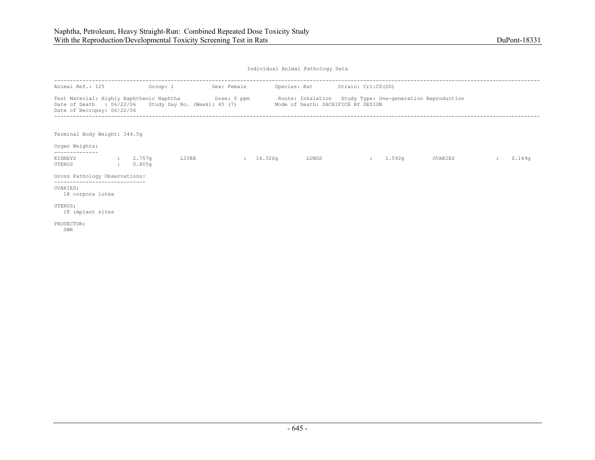| Animal Ref.: 125                                                                                                                                                               | Group: 1 |       | Sex: Female |       | Species: Rat Strain: Crl:CD(SD) |          |                                                           |        |
|--------------------------------------------------------------------------------------------------------------------------------------------------------------------------------|----------|-------|-------------|-------|---------------------------------|----------|-----------------------------------------------------------|--------|
| Test Material: Highly Naphthenic Naphtha Dose: 0 ppm<br>Date of Death : 06/22/06 Study Day No. (Week): 45 (7) Mode of Death: SACRIFICE BY DESIGN<br>Date of Necropsy: 06/22/06 |          |       |             |       |                                 |          | Route: Inhalation Study Type: One-generation Reproduction |        |
| Terminal Body Weight: 344.5q<br>Organ Weights:                                                                                                                                 |          |       |             |       |                                 |          |                                                           |        |
| -------------<br>KIDNEYS                                                                                                                                                       | : 2.757g | LIVER | 16.326q     | LUNGS |                                 | : 1.592q | OVARIES                                                   | 0.149q |
| UTERUS                                                                                                                                                                         | : 0.805q |       |             |       |                                 |          |                                                           |        |
| Gross Pathology Observations:                                                                                                                                                  |          |       |             |       |                                 |          |                                                           |        |
| -----------------------------<br>OVARIES:<br>18 corpora lutea                                                                                                                  |          |       |             |       |                                 |          |                                                           |        |
| UTERUS;<br>18 implant sites                                                                                                                                                    |          |       |             |       |                                 |          |                                                           |        |
| PROSECTOR;<br>SWR                                                                                                                                                              |          |       |             |       |                                 |          |                                                           |        |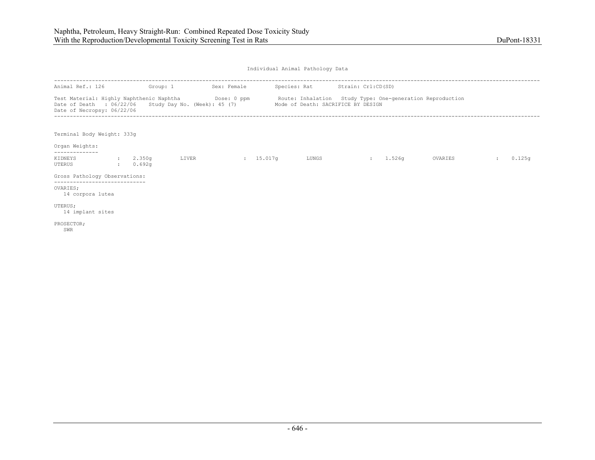| Animal Ref.: 126<br>Group: 1                                                                                                                                                                                                             |  |                      | Sex: Female | Species: Rat Strain: Crl:CD(SD) |  |       |                |        |         |        |
|------------------------------------------------------------------------------------------------------------------------------------------------------------------------------------------------------------------------------------------|--|----------------------|-------------|---------------------------------|--|-------|----------------|--------|---------|--------|
| Test Material: Highly Naphthenic Naphtha Mose: 0 ppm Route: Inhalation Study Type: One-generation Reproduction<br>Date of Death : 06/22/06 Study Day No. (Week): 45 (7) Mode of Death: SACRIFICE BY DESIGN<br>Date of Necropsy: 06/22/06 |  |                      |             |                                 |  |       |                |        |         |        |
| Terminal Body Weight: 333g<br>Organ Weights:                                                                                                                                                                                             |  |                      |             |                                 |  |       |                |        |         |        |
| . _ _ _ _ _ _ _ _ _ _ _ _<br>KIDNEYS<br>UTERUS                                                                                                                                                                                           |  | : 2.350q<br>: 0.692q | LIVER       | $\frac{15.017q}{ }$             |  | LUNGS | <b>British</b> | 1.526q | OVARIES | 0.125q |
| Gross Pathology Observations:                                                                                                                                                                                                            |  |                      |             |                                 |  |       |                |        |         |        |
| OVARIES:<br>14 corpora lutea                                                                                                                                                                                                             |  |                      |             |                                 |  |       |                |        |         |        |
| UTERUS;<br>14 implant sites                                                                                                                                                                                                              |  |                      |             |                                 |  |       |                |        |         |        |
| PROSECTOR;<br>SWR                                                                                                                                                                                                                        |  |                      |             |                                 |  |       |                |        |         |        |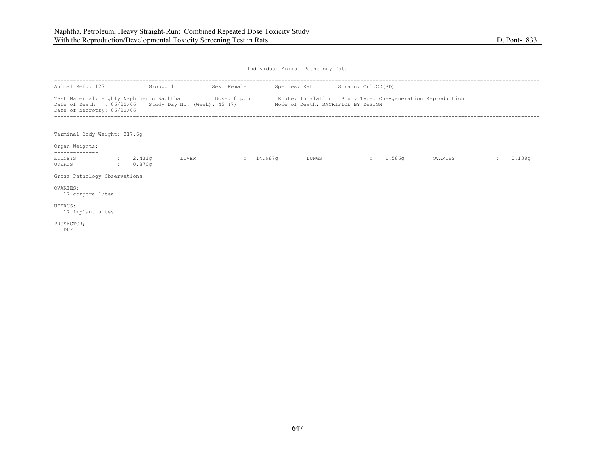| Animal Ref.: 127                                                                                                                                                                                                                         | Group: 1             |       | Sex: Female | Species: Rat Strain: Crl:CD(SD) |          |         |        |
|------------------------------------------------------------------------------------------------------------------------------------------------------------------------------------------------------------------------------------------|----------------------|-------|-------------|---------------------------------|----------|---------|--------|
| Test Material: Highly Naphthenic Naphtha Mose: 0 ppm Route: Inhalation Study Type: One-generation Reproduction<br>Date of Death : 06/22/06 Study Day No. (Week): 45 (7) Mode of Death: SACRIFICE BY DESIGN<br>Date of Necropsy: 06/22/06 |                      |       |             |                                 |          |         |        |
| Terminal Body Weight: 317.6q<br>Organ Weights:                                                                                                                                                                                           |                      |       |             |                                 |          |         |        |
| -------------<br>KIDNEYS<br>UTERUS                                                                                                                                                                                                       | : 2.431q<br>: 0.870q | LIVER | 14.987q     | LUNGS                           | : 1.586q | OVARIES | 0.138q |
| Gross Pathology Observations:                                                                                                                                                                                                            |                      |       |             |                                 |          |         |        |
| -----------------------------<br>OVARIES:<br>17 corpora lutea                                                                                                                                                                            |                      |       |             |                                 |          |         |        |
| UTERUS;<br>17 implant sites                                                                                                                                                                                                              |                      |       |             |                                 |          |         |        |
| PROSECTOR;<br>DPF                                                                                                                                                                                                                        |                      |       |             |                                 |          |         |        |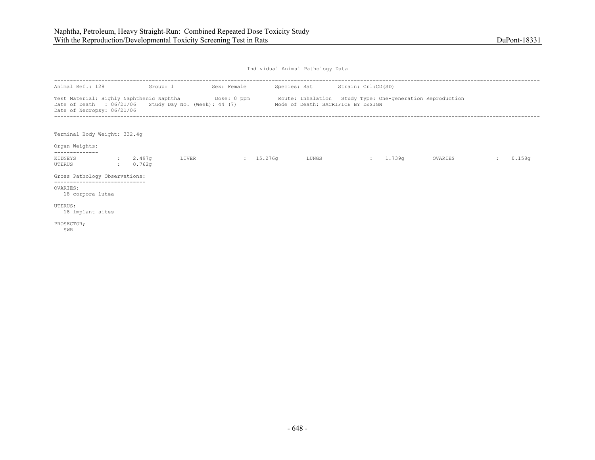| Animal Ref.: 128                                                                                                                                                               | Group: 1           |       | Sex: Female         | Species: Rat Strain: Crl:CD(SD) |                |        |                                                           |        |
|--------------------------------------------------------------------------------------------------------------------------------------------------------------------------------|--------------------|-------|---------------------|---------------------------------|----------------|--------|-----------------------------------------------------------|--------|
| Test Material: Highly Naphthenic Naphtha Dose: 0 ppm<br>Date of Death : 06/21/06 Study Day No. (Week): 44 (7) Mode of Death: SACRIFICE BY DESIGN<br>Date of Necropsy: 06/21/06 |                    |       |                     |                                 |                |        | Route: Inhalation Study Type: One-generation Reproduction |        |
| Terminal Body Weight: 332.4g<br>Organ Weights:                                                                                                                                 |                    |       |                     |                                 |                |        |                                                           |        |
| . _ _ _ _ _ _ _ _ _ _ _ _<br>KIDNEYS<br>UTERUS                                                                                                                                 | 2.497q<br>: 0.762q | LIVER | $\frac{15.276q}{ }$ | LUNGS                           | <b>British</b> | 1.739g | OVARIES                                                   | 0.158q |
| Gross Pathology Observations:                                                                                                                                                  |                    |       |                     |                                 |                |        |                                                           |        |
| ---------------------------<br>OVARIES;<br>18 corpora lutea                                                                                                                    |                    |       |                     |                                 |                |        |                                                           |        |
| UTERUS;<br>18 implant sites                                                                                                                                                    |                    |       |                     |                                 |                |        |                                                           |        |
| PROSECTOR;<br>SWR                                                                                                                                                              |                    |       |                     |                                 |                |        |                                                           |        |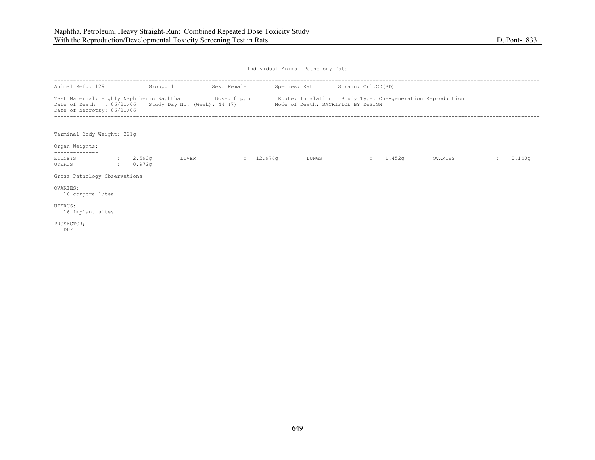| Animal Ref.: 129<br>Group: 1                                                                                                                                                                                                             |  |                      | Sex: Female |         | Species: Rat Strain: Crl:CD(SD) |       |  |          |         |        |        |
|------------------------------------------------------------------------------------------------------------------------------------------------------------------------------------------------------------------------------------------|--|----------------------|-------------|---------|---------------------------------|-------|--|----------|---------|--------|--------|
| Test Material: Highly Naphthenic Naphtha Mose: 0 ppm Route: Inhalation Study Type: One-generation Reproduction<br>Date of Death : 06/21/06 Study Day No. (Week): 44 (7) Mode of Death: SACRIFICE BY DESIGN<br>Date of Necropsy: 06/21/06 |  |                      |             |         |                                 |       |  |          |         |        |        |
| Terminal Body Weight: 321g<br>Organ Weights:                                                                                                                                                                                             |  |                      |             |         |                                 |       |  |          |         |        |        |
| -------------<br>KIDNEYS<br>UTERUS                                                                                                                                                                                                       |  | : 2.593q<br>: 0.972q | LIVER       | 12.976q |                                 | LUNGS |  | : 1.452q | OVARIES | $\sim$ | 0.140q |
| Gross Pathology Observations:                                                                                                                                                                                                            |  |                      |             |         |                                 |       |  |          |         |        |        |
| -----------------------------<br>OVARIES:<br>16 corpora lutea                                                                                                                                                                            |  |                      |             |         |                                 |       |  |          |         |        |        |
| UTERUS;<br>16 implant sites                                                                                                                                                                                                              |  |                      |             |         |                                 |       |  |          |         |        |        |
| PROSECTOR;<br>DPF                                                                                                                                                                                                                        |  |                      |             |         |                                 |       |  |          |         |        |        |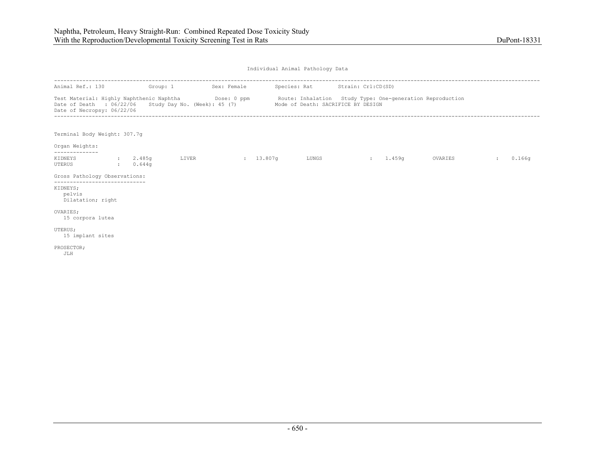| Animal Ref.: 130 Group: 1                                      |                | Sex: Female                                                     |       | Species: Rat Strain: Crl:CD(SD) |                                                                                                                |               |        |
|----------------------------------------------------------------|----------------|-----------------------------------------------------------------|-------|---------------------------------|----------------------------------------------------------------------------------------------------------------|---------------|--------|
| Date of Death : 06/22/06<br>Date of Necropsy: 06/22/06         |                | Study Day No. (Week): 45 (7) Mode of Death: SACRIFICE BY DESIGN |       |                                 | Test Material: Highly Naphthenic Naphtha Dose: 0 ppm Route: Inhalation Study Type: One-generation Reproduction |               |        |
| Terminal Body Weight: 307.7g                                   |                |                                                                 |       |                                 |                                                                                                                |               |        |
| Organ Weights:<br>--------------                               |                |                                                                 |       |                                 |                                                                                                                |               |        |
| KIDNEYS : 2.485q<br>UTERUS                                     | $\sim 0.644$ q | LIVER : 13.807q                                                 | LUNGS | $: 1.459$ q                     | OVARIES                                                                                                        | $\mathcal{L}$ | 0.166q |
| Gross Pathology Observations:<br>----------------------------- |                |                                                                 |       |                                 |                                                                                                                |               |        |
| KIDNEYS;<br>pelvis<br>Dilatation; right                        |                |                                                                 |       |                                 |                                                                                                                |               |        |
| OVARIES:<br>15 corpora lutea                                   |                |                                                                 |       |                                 |                                                                                                                |               |        |
| UTERUS;<br>15 implant sites                                    |                |                                                                 |       |                                 |                                                                                                                |               |        |
| PROSECTOR;<br>JLH                                              |                |                                                                 |       |                                 |                                                                                                                |               |        |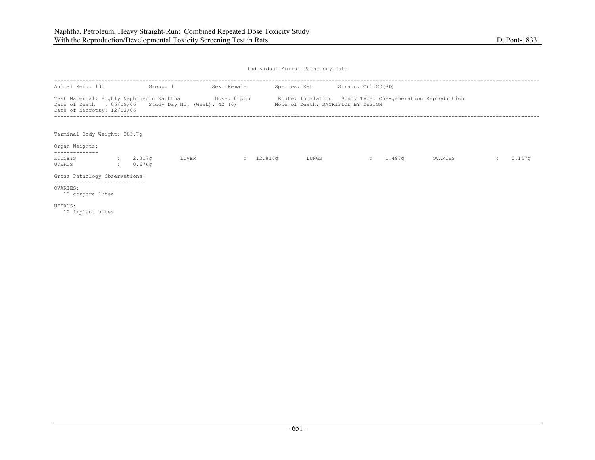| Animal Ref.: 131                                                                                                                            | Group: 1                |       | Sex: Female |           | Species: Rat Strain: Crl:CD(SD)    |          |                                                           |        |
|---------------------------------------------------------------------------------------------------------------------------------------------|-------------------------|-------|-------------|-----------|------------------------------------|----------|-----------------------------------------------------------|--------|
| Test Material: Highly Naphthenic Naphtha Dose: 0 ppm<br>Date of Death : 06/19/06 Study Day No. (Week): 42 (6)<br>Date of Necropsy: 12/13/06 |                         |       |             |           | Mode of Death: SACRIFICE BY DESIGN |          | Route: Inhalation Study Type: One-generation Reproduction |        |
| Terminal Body Weight: 283.7q<br>Organ Weights:                                                                                              |                         |       |             |           |                                    |          |                                                           |        |
| --------------<br>KIDNEYS<br>UTERUS                                                                                                         | : 2.317q<br>$: 0.676$ q | LIVER |             | : 12.816q | LUNGS                              | : 1.497q | OVARIES                                                   | 0.147q |
| Gross Pathology Observations:                                                                                                               |                         |       |             |           |                                    |          |                                                           |        |
| OVARIES;<br>13 corpora lutea                                                                                                                |                         |       |             |           |                                    |          |                                                           |        |
| UTERUS;<br>12 implant sites                                                                                                                 |                         |       |             |           |                                    |          |                                                           |        |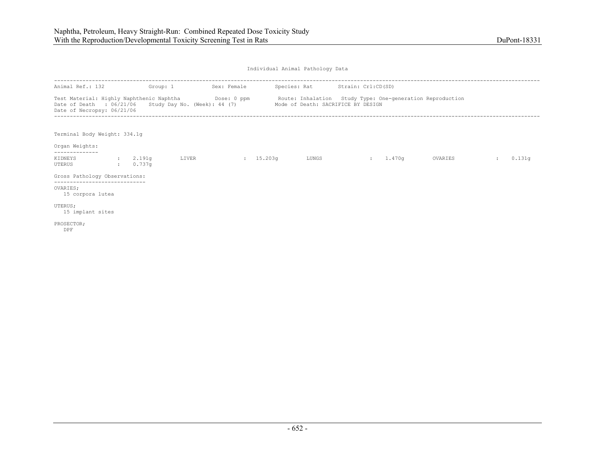| Animal Ref.: 132                                                                                                                                                                                                                         | Group: 1                   |       | Sex: Female         | Species: Rat Strain: Crl:CD(SD) |          |         |        |
|------------------------------------------------------------------------------------------------------------------------------------------------------------------------------------------------------------------------------------------|----------------------------|-------|---------------------|---------------------------------|----------|---------|--------|
| Test Material: Highly Naphthenic Naphtha Mose: 0 ppm Route: Inhalation Study Type: One-generation Reproduction<br>Date of Death : 06/21/06 Study Day No. (Week): 44 (7) Mode of Death: SACRIFICE BY DESIGN<br>Date of Necropsy: 06/21/06 |                            |       |                     |                                 |          |         |        |
| Terminal Body Weight: 334.1q<br>Organ Weights:                                                                                                                                                                                           |                            |       |                     |                                 |          |         |        |
| -------------<br>KIDNEYS<br>UTERUS                                                                                                                                                                                                       | : 2.191q<br>$\cdot$ 0.737q | LIVER | $\frac{15.203q}{ }$ | LUNGS                           | : 1.470q | OVARIES | 0.131q |
| Gross Pathology Observations:                                                                                                                                                                                                            |                            |       |                     |                                 |          |         |        |
| -----------------------------<br>OVARIES:<br>15 corpora lutea                                                                                                                                                                            |                            |       |                     |                                 |          |         |        |
| UTERUS;<br>15 implant sites                                                                                                                                                                                                              |                            |       |                     |                                 |          |         |        |
| PROSECTOR;<br>DPF                                                                                                                                                                                                                        |                            |       |                     |                                 |          |         |        |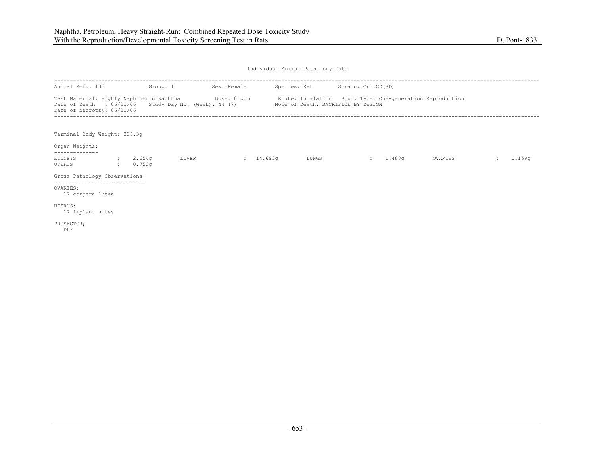| Animal Ref.: 133                                                                                                                                                                                                                         | Group: 1           |       | Sex: Female | Species: Rat Strain: Crl:CD(SD) |          |         |        |
|------------------------------------------------------------------------------------------------------------------------------------------------------------------------------------------------------------------------------------------|--------------------|-------|-------------|---------------------------------|----------|---------|--------|
| Test Material: Highly Naphthenic Naphtha Mose: 0 ppm Route: Inhalation Study Type: One-generation Reproduction<br>Date of Death : 06/21/06 Study Day No. (Week): 44 (7) Mode of Death: SACRIFICE BY DESIGN<br>Date of Necropsy: 06/21/06 |                    |       |             |                                 |          |         |        |
| Terminal Body Weight: 336.3q<br>Organ Weights:                                                                                                                                                                                           |                    |       |             |                                 |          |         |        |
| KIDNEYS<br>UTERUS                                                                                                                                                                                                                        | 2.654q<br>: 0.753q | LIVER | 14.693q     | LUNGS                           | : 1.488q | OVARIES | 0.159q |
| Gross Pathology Observations:                                                                                                                                                                                                            |                    |       |             |                                 |          |         |        |
| --------------------------<br>OVARIES:<br>17 corpora lutea                                                                                                                                                                               |                    |       |             |                                 |          |         |        |
| UTERUS;<br>17 implant sites                                                                                                                                                                                                              |                    |       |             |                                 |          |         |        |
| PROSECTOR;<br>DPF                                                                                                                                                                                                                        |                    |       |             |                                 |          |         |        |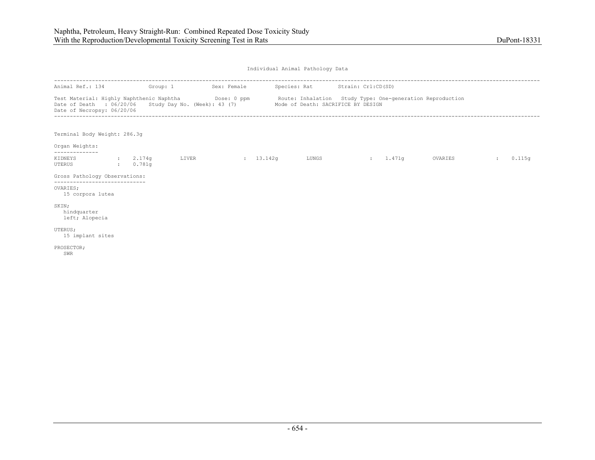| Animal Ref.: 134 Group: 1                                                                                                                                                       |                                                                 | Sex: Female |       | Species: Rat Strain: Crl:CD(SD) |          |         |              |        |
|---------------------------------------------------------------------------------------------------------------------------------------------------------------------------------|-----------------------------------------------------------------|-------------|-------|---------------------------------|----------|---------|--------------|--------|
| Test Material: Highly Naphthenic Naphtha <b>Dose: 0 ppm</b> Route: Inhalation Study Type: One-generation Reproduction<br>Date of Death : 06/20/06<br>Date of Necropsy: 06/20/06 | Study Day No. (Week): 43 (7) Mode of Death: SACRIFICE BY DESIGN |             |       |                                 |          |         |              |        |
| Terminal Body Weight: 286.3g                                                                                                                                                    |                                                                 |             |       |                                 |          |         |              |        |
| Organ Weights:<br>--------------                                                                                                                                                |                                                                 |             |       |                                 |          |         |              |        |
| KIDNEYS : 2.174q<br>UTERUS<br>$\sim$ 0.781q                                                                                                                                     | LIVER                                                           | 13.142q     | LUNGS |                                 | : 1.471q | OVARIES | $\mathbf{r}$ | 0.115q |
| Gross Pathology Observations:<br>-----------------------------                                                                                                                  |                                                                 |             |       |                                 |          |         |              |        |
| OVARIES:<br>15 corpora lutea                                                                                                                                                    |                                                                 |             |       |                                 |          |         |              |        |
| SKIN:<br>hindquarter<br>left; Alopecia                                                                                                                                          |                                                                 |             |       |                                 |          |         |              |        |
| UTERUS;<br>15 implant sites                                                                                                                                                     |                                                                 |             |       |                                 |          |         |              |        |
| PROSECTOR;<br>SWR                                                                                                                                                               |                                                                 |             |       |                                 |          |         |              |        |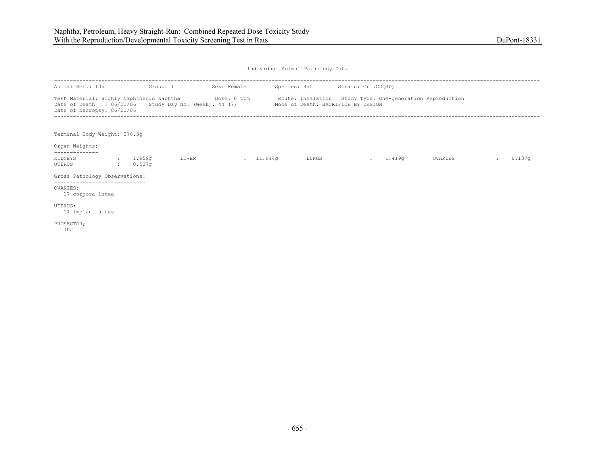| Animal Ref.: 135                                                                                                                                                                                                                         | Group: 1             |       | Sex: Female         | Species: Rat Strain: Crl:CD(SD) |          |         |        |
|------------------------------------------------------------------------------------------------------------------------------------------------------------------------------------------------------------------------------------------|----------------------|-------|---------------------|---------------------------------|----------|---------|--------|
| Test Material: Highly Naphthenic Naphtha Mose: 0 ppm Route: Inhalation Study Type: One-generation Reproduction<br>Date of Death : 06/21/06 Study Day No. (Week): 44 (7) Mode of Death: SACRIFICE BY DESIGN<br>Date of Necropsy: 06/21/06 |                      |       |                     |                                 |          |         |        |
| Terminal Body Weight: 276.3q<br>Organ Weights:                                                                                                                                                                                           |                      |       |                     |                                 |          |         |        |
| KIDNEYS<br>UTERUS                                                                                                                                                                                                                        | : 1.959q<br>: 0.527q | LIVER | $\frac{11.944q}{r}$ | LUNGS                           | : 1.419q | OVARIES | 0.137q |
| Gross Pathology Observations:                                                                                                                                                                                                            |                      |       |                     |                                 |          |         |        |
| ______________________________<br>OVARIES:<br>17 corpora lutea                                                                                                                                                                           |                      |       |                     |                                 |          |         |        |
| UTERUS;<br>17 implant sites                                                                                                                                                                                                              |                      |       |                     |                                 |          |         |        |
| PROSECTOR;<br>JPJ                                                                                                                                                                                                                        |                      |       |                     |                                 |          |         |        |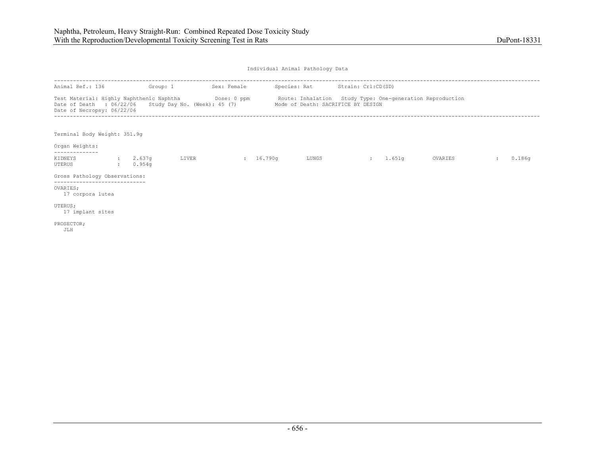|                                                                                                                                               |                      |       | ----------------- |                                    |          |                                                           |               |        |
|-----------------------------------------------------------------------------------------------------------------------------------------------|----------------------|-------|-------------------|------------------------------------|----------|-----------------------------------------------------------|---------------|--------|
| Animal Ref.: 136                                                                                                                              | Group: 1             |       | Sex: Female       | Species: Rat Strain: Crl:CD(SD)    |          |                                                           |               |        |
| Test Material: Highly Naphthenic Naphtha Dose: 0 ppm<br>Date of Death : $06/22/06$ Study Day No. (Week): 45 (7)<br>Date of Necropsy: 06/22/06 |                      |       |                   | Mode of Death: SACRIFICE BY DESIGN |          | Route: Inhalation Study Type: One-generation Reproduction |               |        |
| Terminal Body Weight: 351.9q<br>Organ Weights:                                                                                                |                      |       |                   |                                    |          |                                                           |               |        |
| KIDNEYS<br>UTERUS                                                                                                                             | : 2.637q<br>: 0.954q | LIVER | 16.790q           | LUNGS                              | : 1.651q | OVARIES                                                   | $\mathcal{L}$ | 0.186q |
| Gross Pathology Observations:                                                                                                                 |                      |       |                   |                                    |          |                                                           |               |        |
| -----------------------------<br>OVARIES:<br>17 corpora lutea                                                                                 |                      |       |                   |                                    |          |                                                           |               |        |
| UTERUS;<br>17 implant sites                                                                                                                   |                      |       |                   |                                    |          |                                                           |               |        |
| PROSECTOR;<br>JLH                                                                                                                             |                      |       |                   |                                    |          |                                                           |               |        |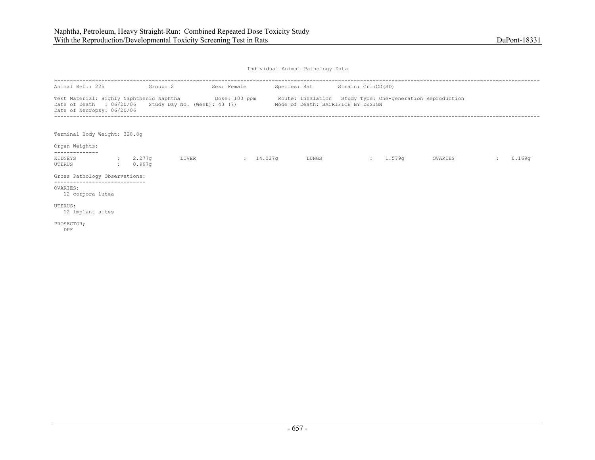| Animal Ref.: 225                                                                                                                                                                                                      | Group: 2 |       | Sex: Female         | Species: Rat Strain: Crl:CD(SD)    |          |         |        |
|-----------------------------------------------------------------------------------------------------------------------------------------------------------------------------------------------------------------------|----------|-------|---------------------|------------------------------------|----------|---------|--------|
| Test Material: Highly Naphthenic Naphtha <b>Show Contact 100 ppm</b> Route: Inhalation Study Type: One-generation Reproduction<br>Date of Death : 06/20/06 Study Day No. (Week): 43 (7)<br>Date of Necropsy: 06/20/06 |          |       |                     | Mode of Death: SACRIFICE BY DESIGN |          |         |        |
| Terminal Body Weight: 328.8q<br>Organ Weights:                                                                                                                                                                        |          |       |                     |                                    |          |         |        |
| . _ _ _ _ _ _ _ _ _ _ _ _<br>KIDNEYS : 2.277q<br>UTERUS                                                                                                                                                               | : 0.997q | LIVER | $\frac{14.027q}{ }$ | LUNGS                              | : 1.579q | OVARIES | 0.169q |
| Gross Pathology Observations:                                                                                                                                                                                         |          |       |                     |                                    |          |         |        |
| OVARIES:<br>12 corpora lutea                                                                                                                                                                                          |          |       |                     |                                    |          |         |        |
| UTERUS;<br>12 implant sites                                                                                                                                                                                           |          |       |                     |                                    |          |         |        |
| PROSECTOR;<br>DPF                                                                                                                                                                                                     |          |       |                     |                                    |          |         |        |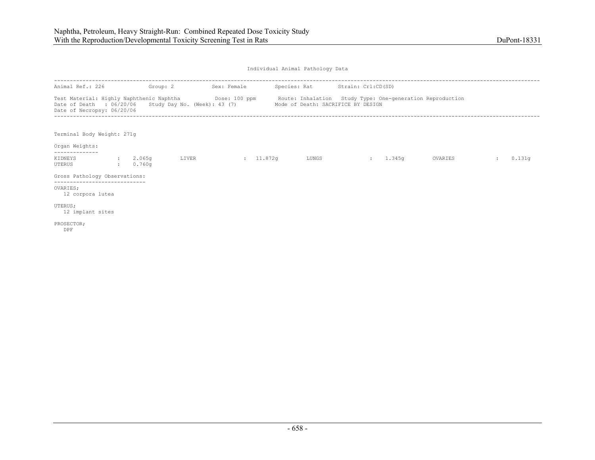| Animal Ref.: 226                                                                                                                                                                                                                                         | Group: 2             |       | Sex: Female | Species: Rat Strain: Crl:CD(SD) |                    |        |         |              |        |
|----------------------------------------------------------------------------------------------------------------------------------------------------------------------------------------------------------------------------------------------------------|----------------------|-------|-------------|---------------------------------|--------------------|--------|---------|--------------|--------|
| Test Material: Highly Naphthenic Naphtha <b>Show Contact 100 ppm</b> Route: Inhalation Study Type: One-generation Reproduction<br>Date of Death : 06/20/06 Study Day No. (Week): 43 (7) Mode of Death: SACRIFICE BY DESIGN<br>Date of Necropsy: 06/20/06 |                      |       |             |                                 |                    |        |         |              |        |
| Terminal Body Weight: 271g<br>Organ Weights:                                                                                                                                                                                                             |                      |       |             |                                 |                    |        |         |              |        |
| KIDNEYS<br>UTERUS                                                                                                                                                                                                                                        | : 2.065q<br>: 0.760q | LIVER | : 11.872q   | LUNGS                           | <b>State State</b> | 1.345g | OVARIES | $\mathbf{r}$ | 0.131q |
| Gross Pathology Observations:                                                                                                                                                                                                                            |                      |       |             |                                 |                    |        |         |              |        |
| OVARIES:<br>12 corpora lutea                                                                                                                                                                                                                             |                      |       |             |                                 |                    |        |         |              |        |
| UTERUS;<br>12 implant sites                                                                                                                                                                                                                              |                      |       |             |                                 |                    |        |         |              |        |
| PROSECTOR;<br>DPF                                                                                                                                                                                                                                        |                      |       |             |                                 |                    |        |         |              |        |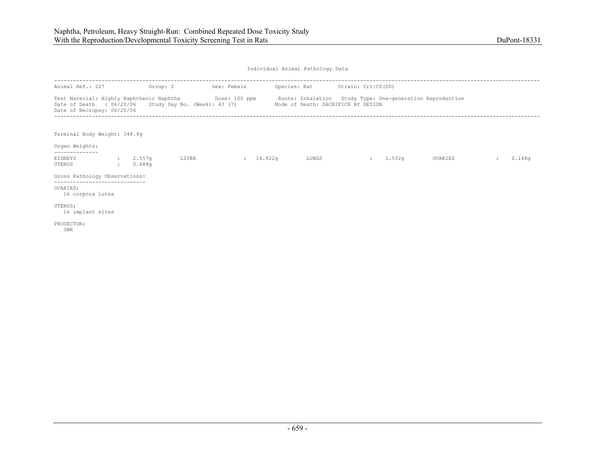| Animal Ref.: 227                                                                                                                                                                                                      | Group: 2             |       | Sex: Female        | Species: Rat Strain: Crl:CD(SD)    |                |        |         |        |
|-----------------------------------------------------------------------------------------------------------------------------------------------------------------------------------------------------------------------|----------------------|-------|--------------------|------------------------------------|----------------|--------|---------|--------|
| Test Material: Highly Naphthenic Naphtha <b>Show Contact 100 ppm</b> Route: Inhalation Study Type: One-generation Reproduction<br>Date of Death : 06/20/06 Study Day No. (Week): 43 (7)<br>Date of Necropsy: 06/20/06 |                      |       |                    | Mode of Death: SACRIFICE BY DESIGN |                |        |         |        |
| Terminal Body Weight: 348.9q<br>Organ Weights:                                                                                                                                                                        |                      |       |                    |                                    |                |        |         |        |
|                                                                                                                                                                                                                       |                      |       |                    |                                    |                |        |         |        |
| KIDNEYS<br>UTERUS                                                                                                                                                                                                     | : 2.557q<br>: 0.688q | LIVER | $\frac{1}{4.822q}$ | LUNGS                              | <b>British</b> | 1.532g | OVARIES | 0.148q |
| Gross Pathology Observations:<br>-------------------------                                                                                                                                                            |                      |       |                    |                                    |                |        |         |        |
| OVARIES;<br>16 corpora lutea                                                                                                                                                                                          |                      |       |                    |                                    |                |        |         |        |
| UTERUS;<br>16 implant sites                                                                                                                                                                                           |                      |       |                    |                                    |                |        |         |        |
| PROSECTOR;<br>SWR                                                                                                                                                                                                     |                      |       |                    |                                    |                |        |         |        |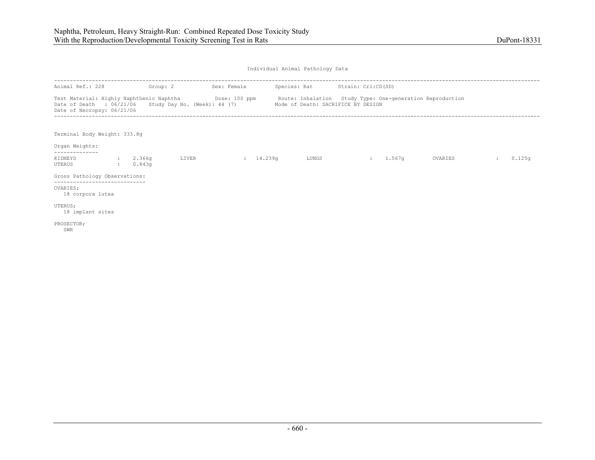| Animal Ref.: 228                                                                                                                                                                                                      | Group: 2             |       | Sex: Female |       | Species: Rat Strain: Crl:CD(SD)    |        |         |        |
|-----------------------------------------------------------------------------------------------------------------------------------------------------------------------------------------------------------------------|----------------------|-------|-------------|-------|------------------------------------|--------|---------|--------|
| Test Material: Highly Naphthenic Naphtha <b>Show Contact 100 ppm</b> Route: Inhalation Study Type: One-generation Reproduction<br>Date of Death : 06/21/06 Study Day No. (Week): 44 (7)<br>Date of Necropsy: 06/21/06 |                      |       |             |       | Mode of Death: SACRIFICE BY DESIGN |        |         |        |
| Terminal Body Weight: 333.8q<br>Organ Weights:                                                                                                                                                                        |                      |       |             |       |                                    |        |         |        |
| KIDNEYS<br>UTERUS                                                                                                                                                                                                     | : 2.366q<br>: 0.843q | LIVER | 14.239q     | LUNGS | <b>State Street</b>                | 1.567q | OVARIES | 0.125q |
| Gross Pathology Observations:                                                                                                                                                                                         |                      |       |             |       |                                    |        |         |        |
| ------------------------<br>OVARIES:<br>18 corpora lutea                                                                                                                                                              |                      |       |             |       |                                    |        |         |        |
| UTERUS;<br>18 implant sites                                                                                                                                                                                           |                      |       |             |       |                                    |        |         |        |
| PROSECTOR;<br>SWR                                                                                                                                                                                                     |                      |       |             |       |                                    |        |         |        |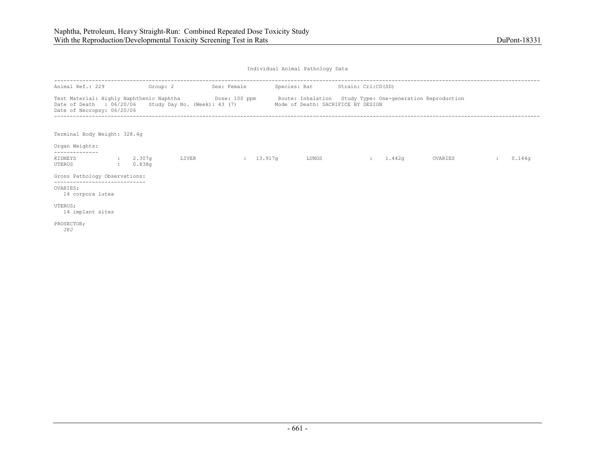| Animal Ref.: 229                                                                                                                                                                                                      | Group: 2             |       | Sex: Female         | Species: Rat Strain: Crl:CD(SD)    |                |        |         |        |
|-----------------------------------------------------------------------------------------------------------------------------------------------------------------------------------------------------------------------|----------------------|-------|---------------------|------------------------------------|----------------|--------|---------|--------|
| Test Material: Highly Naphthenic Naphtha <b>Show Contact 100 ppm</b> Route: Inhalation Study Type: One-generation Reproduction<br>Date of Death : 06/20/06 Study Day No. (Week): 43 (7)<br>Date of Necropsy: 06/20/06 |                      |       |                     | Mode of Death: SACRIFICE BY DESIGN |                |        |         |        |
| Terminal Body Weight: 328.4g<br>Organ Weights:                                                                                                                                                                        |                      |       |                     |                                    |                |        |         |        |
| KIDNEYS<br>UTERUS                                                                                                                                                                                                     | : 2.307q<br>: 0.838q | LIVER | $\frac{13.917q}{ }$ | LUNGS                              | <b>British</b> | 1.442q | OVARIES | 0.144q |
| Gross Pathology Observations:                                                                                                                                                                                         |                      |       |                     |                                    |                |        |         |        |
| --------------------------<br>OVARIES;<br>14 corpora lutea                                                                                                                                                            |                      |       |                     |                                    |                |        |         |        |
| UTERUS;<br>14 implant sites                                                                                                                                                                                           |                      |       |                     |                                    |                |        |         |        |
| PROSECTOR;<br>JPJ                                                                                                                                                                                                     |                      |       |                     |                                    |                |        |         |        |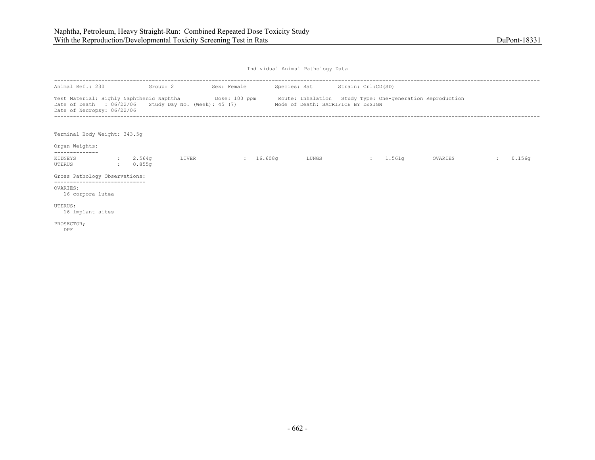| Animal Ref.: 230                                                                                                                                                                                                        | Group: 2             |       | Sex: Female | Species: Rat Strain: Crl:CD(SD)    |                    |        |         |        |
|-------------------------------------------------------------------------------------------------------------------------------------------------------------------------------------------------------------------------|----------------------|-------|-------------|------------------------------------|--------------------|--------|---------|--------|
| Test Material: Highly Naphthenic Naphtha <b>Show Contact 100 ppm</b> Route: Inhalation Study Type: One-generation Reproduction<br>Date of Death : $06/22/06$ Study Day No. (Week): 45 (7)<br>Date of Necropsy: 06/22/06 |                      |       |             | Mode of Death: SACRIFICE BY DESIGN |                    |        |         |        |
| Terminal Body Weight: 343.5q<br>Organ Weights:                                                                                                                                                                          |                      |       |             |                                    |                    |        |         |        |
| KIDNEYS<br>UTERUS                                                                                                                                                                                                       | : 2.564q<br>: 0.855q | LIVER | 16.608q     | LUNGS                              | <b>State State</b> | 1.561q | OVARIES | 0.156q |
| Gross Pathology Observations:<br>OVARIES;<br>16 corpora lutea                                                                                                                                                           |                      |       |             |                                    |                    |        |         |        |
| UTERUS;<br>16 implant sites                                                                                                                                                                                             |                      |       |             |                                    |                    |        |         |        |
| PROSECTOR;<br>DPF                                                                                                                                                                                                       |                      |       |             |                                    |                    |        |         |        |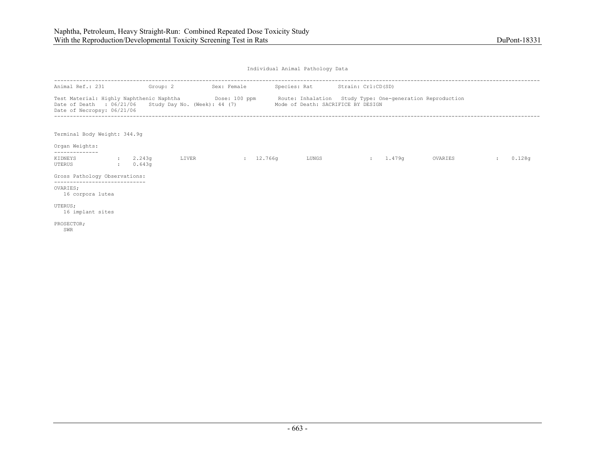| Animal Ref.: 231                                                                                                                                                                                                        | Group: 2             |       | Sex: Female | Species: Rat Strain: Crl:CD(SD)    |              |        |         |        |
|-------------------------------------------------------------------------------------------------------------------------------------------------------------------------------------------------------------------------|----------------------|-------|-------------|------------------------------------|--------------|--------|---------|--------|
| Test Material: Highly Naphthenic Naphtha <b>Show Contact 100 ppm</b> Route: Inhalation Study Type: One-generation Reproduction<br>Date of Death : $06/21/06$ Study Day No. (Week): 44 (7)<br>Date of Necropsy: 06/21/06 |                      |       |             | Mode of Death: SACRIFICE BY DESIGN |              |        |         |        |
| Terminal Body Weight: 344.9q<br>Organ Weights:                                                                                                                                                                          |                      |       |             |                                    |              |        |         |        |
| KIDNEYS<br>UTERUS                                                                                                                                                                                                       | : 2.243q<br>: 0.643q | LIVER | 12.766q     | LUNGS                              | <b>State</b> | 1.479q | OVARIES | 0.128q |
| Gross Pathology Observations:<br>OVARIES;<br>16 corpora lutea                                                                                                                                                           |                      |       |             |                                    |              |        |         |        |
| UTERUS;<br>16 implant sites<br>PROSECTOR;<br>SWR                                                                                                                                                                        |                      |       |             |                                    |              |        |         |        |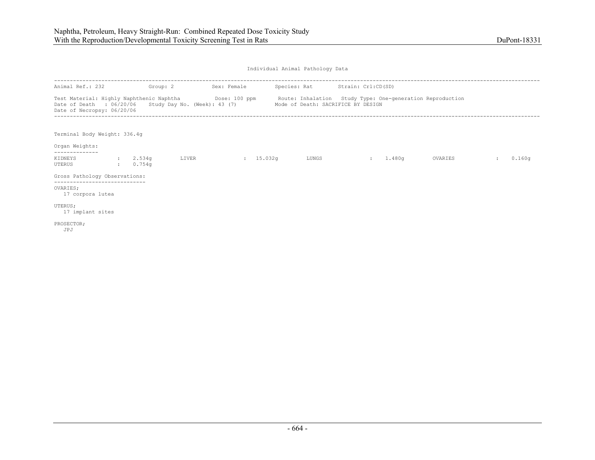| Animal Ref.: 232                                                                                                                                                                                                      | Group: 2             |       | Sex: Female         | Species: Rat Strain: Crl:CD(SD)    |                |        |         |        |
|-----------------------------------------------------------------------------------------------------------------------------------------------------------------------------------------------------------------------|----------------------|-------|---------------------|------------------------------------|----------------|--------|---------|--------|
| Test Material: Highly Naphthenic Naphtha <b>Show Contact 100 ppm</b> Route: Inhalation Study Type: One-generation Reproduction<br>Date of Death : 06/20/06 Study Day No. (Week): 43 (7)<br>Date of Necropsy: 06/20/06 |                      |       |                     | Mode of Death: SACRIFICE BY DESIGN |                |        |         |        |
| Terminal Body Weight: 336.4g<br>Organ Weights:                                                                                                                                                                        |                      |       |                     |                                    |                |        |         |        |
| KIDNEYS<br>UTERUS                                                                                                                                                                                                     | : 2.534q<br>: 0.754q | LIVER | $\frac{15.032q}{r}$ | LUNGS                              | <b>SECTION</b> | 1.480q | OVARIES | 0.160q |
| Gross Pathology Observations:                                                                                                                                                                                         |                      |       |                     |                                    |                |        |         |        |
| ------------------------<br>OVARIES:<br>17 corpora lutea                                                                                                                                                              |                      |       |                     |                                    |                |        |         |        |
| UTERUS;<br>17 implant sites                                                                                                                                                                                           |                      |       |                     |                                    |                |        |         |        |
| PROSECTOR;<br>JPJ                                                                                                                                                                                                     |                      |       |                     |                                    |                |        |         |        |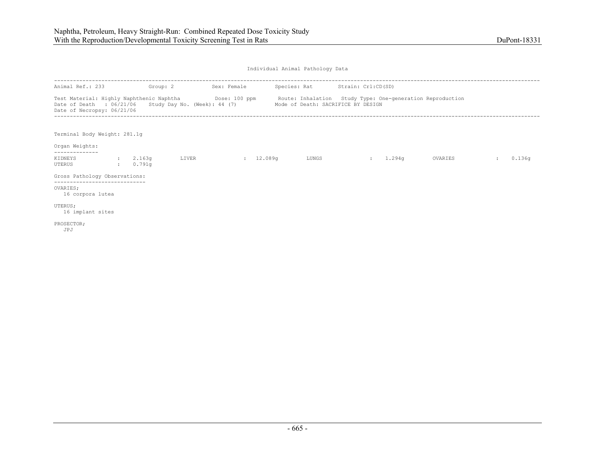| Animal Ref.: 233                                                                                                                                                                                                                           | Group: 2             |       | Sex: Female | Species: Rat Strain: Crl:CD(SD) |          |         |        |
|--------------------------------------------------------------------------------------------------------------------------------------------------------------------------------------------------------------------------------------------|----------------------|-------|-------------|---------------------------------|----------|---------|--------|
| Test Material: Highly Naphthenic Naphtha Dose: 100 ppm Route: Inhalation Study Type: One-generation Reproduction<br>Date of Death : 06/21/06 Study Day No. (Week): 44 (7) Mode of Death: SACRIFICE BY DESIGN<br>Date of Necropsy: 06/21/06 |                      |       |             |                                 |          |         |        |
| Terminal Body Weight: 281.1q<br>Organ Weights:                                                                                                                                                                                             |                      |       |             |                                 |          |         |        |
| -------------<br>KIDNEYS<br>UTERUS                                                                                                                                                                                                         | : 2.163q<br>: 0.791q | LIVER | 12.089q     | LUNGS                           | : 1.294q | OVARIES | 0.136q |
| Gross Pathology Observations:                                                                                                                                                                                                              |                      |       |             |                                 |          |         |        |
| -----------------------------<br>OVARIES:<br>16 corpora lutea                                                                                                                                                                              |                      |       |             |                                 |          |         |        |
| UTERUS;<br>16 implant sites                                                                                                                                                                                                                |                      |       |             |                                 |          |         |        |
| PROSECTOR;<br>JPJ                                                                                                                                                                                                                          |                      |       |             |                                 |          |         |        |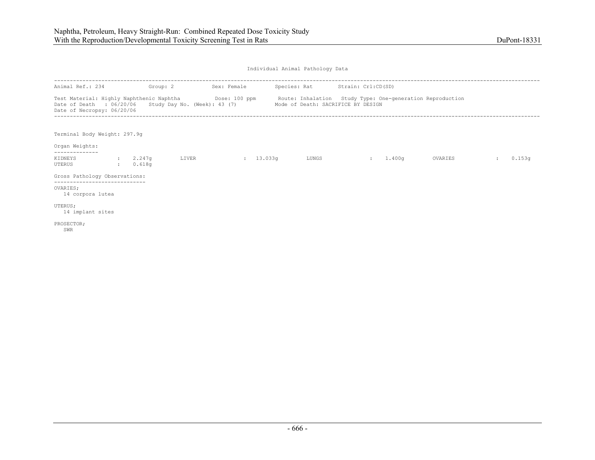| Animal Ref.: 234                                                                                                                                                                                                      | Group: 2             |       | Sex: Female         | Species: Rat Strain: Crl:CD(SD)    |                |        |         |        |
|-----------------------------------------------------------------------------------------------------------------------------------------------------------------------------------------------------------------------|----------------------|-------|---------------------|------------------------------------|----------------|--------|---------|--------|
| Test Material: Highly Naphthenic Naphtha <b>Show Contact 100 ppm</b> Route: Inhalation Study Type: One-generation Reproduction<br>Date of Death : 06/20/06 Study Day No. (Week): 43 (7)<br>Date of Necropsy: 06/20/06 |                      |       |                     | Mode of Death: SACRIFICE BY DESIGN |                |        |         |        |
| Terminal Body Weight: 297.9q<br>Organ Weights:                                                                                                                                                                        |                      |       |                     |                                    |                |        |         |        |
| KIDNEYS<br>UTERUS                                                                                                                                                                                                     | : 2.247q<br>: 0.618q | LIVER | $\frac{13.033q}{r}$ | LUNGS                              | <b>SECTION</b> | 1.400q | OVARIES | 0.153q |
| Gross Pathology Observations:                                                                                                                                                                                         |                      |       |                     |                                    |                |        |         |        |
| ------------------------<br>OVARIES:<br>14 corpora lutea                                                                                                                                                              |                      |       |                     |                                    |                |        |         |        |
| UTERUS;<br>14 implant sites                                                                                                                                                                                           |                      |       |                     |                                    |                |        |         |        |
| PROSECTOR;<br>SWR                                                                                                                                                                                                     |                      |       |                     |                                    |                |        |         |        |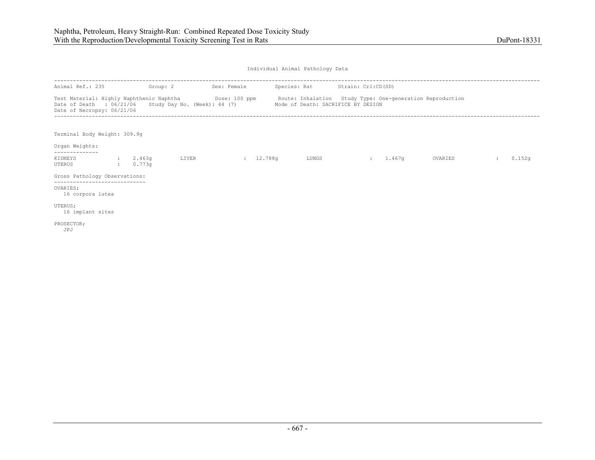| Animal Ref.: 235                                                                                                                                                                                                        | Group: 2           |       | Sex: Female | Species: Rat Strain: Crl:CD(SD)    |                |        |         |        |
|-------------------------------------------------------------------------------------------------------------------------------------------------------------------------------------------------------------------------|--------------------|-------|-------------|------------------------------------|----------------|--------|---------|--------|
| Test Material: Highly Naphthenic Naphtha <b>Show Contact 100 ppm</b> Route: Inhalation Study Type: One-generation Reproduction<br>Date of Death : $06/21/06$ Study Day No. (Week): 44 (7)<br>Date of Necropsy: 06/21/06 |                    |       |             | Mode of Death: SACRIFICE BY DESIGN |                |        |         |        |
| Terminal Body Weight: 309.9g<br>Organ Weights:                                                                                                                                                                          |                    |       |             |                                    |                |        |         |        |
| KIDNEYS<br>UTERUS                                                                                                                                                                                                       | 2.463q<br>: 0.773q | LIVER | 12.788q     | LUNGS                              | <b>British</b> | 1.467q | OVARIES | 0.152q |
| Gross Pathology Observations:                                                                                                                                                                                           |                    |       |             |                                    |                |        |         |        |
| --------------------------<br>OVARIES;<br>16 corpora lutea                                                                                                                                                              |                    |       |             |                                    |                |        |         |        |
| UTERUS;<br>16 implant sites                                                                                                                                                                                             |                    |       |             |                                    |                |        |         |        |
| PROSECTOR;<br>JPJ                                                                                                                                                                                                       |                    |       |             |                                    |                |        |         |        |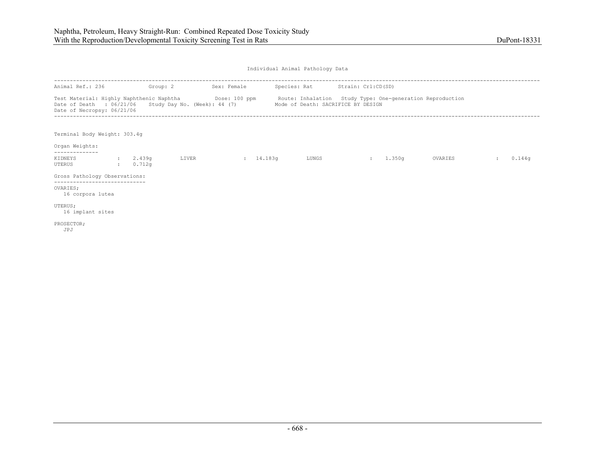| Animal Ref.: 236                                         | Group: 2           |       | Sex: Female |       | Species: Rat Strain: Crl:CD(SD)                                                                                                                                                                                            |                               |         |        |
|----------------------------------------------------------|--------------------|-------|-------------|-------|----------------------------------------------------------------------------------------------------------------------------------------------------------------------------------------------------------------------------|-------------------------------|---------|--------|
| Date of Necropsy: 06/21/06                               |                    |       |             |       | Test Material: Highly Naphthenic Naphtha <b>Show Contact 100 ppm</b> Route: Inhalation Study Type: One-generation Reproduction<br>Date of Death : 06/21/06 Study Day No. (Week): 44 (7) Mode of Death: SACRIFICE BY DESIGN |                               |         |        |
| Terminal Body Weight: 303.4g<br>Organ Weights:           |                    |       |             |       |                                                                                                                                                                                                                            |                               |         |        |
| KIDNEYS<br>UTERUS                                        | 2.439q<br>: 0.712q | LIVER | 14.183q     | LUNGS |                                                                                                                                                                                                                            | 1.350q<br><b>State Street</b> | OVARIES | 0.144q |
| Gross Pathology Observations:                            |                    |       |             |       |                                                                                                                                                                                                                            |                               |         |        |
| ------------------------<br>OVARIES:<br>16 corpora lutea |                    |       |             |       |                                                                                                                                                                                                                            |                               |         |        |
| UTERUS;<br>16 implant sites                              |                    |       |             |       |                                                                                                                                                                                                                            |                               |         |        |
| PROSECTOR;<br>JPJ                                        |                    |       |             |       |                                                                                                                                                                                                                            |                               |         |        |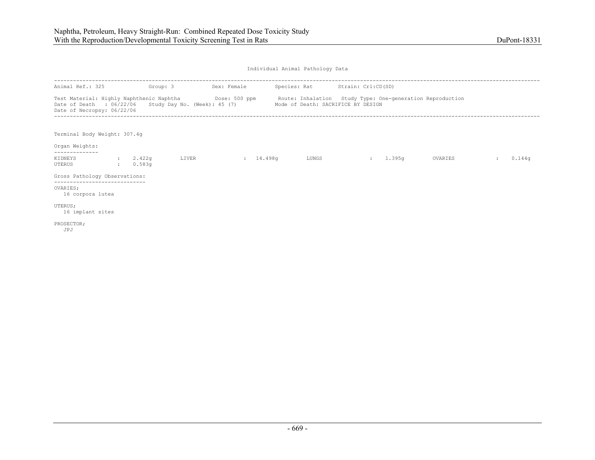| Animal Ref.: 325                               | Group: 3             |       | Sex: Female |                                                                                          | Species: Rat Strain: Crl:CD(SD)                                                                                              |         |        |
|------------------------------------------------|----------------------|-------|-------------|------------------------------------------------------------------------------------------|------------------------------------------------------------------------------------------------------------------------------|---------|--------|
| Date of Necropsy: 06/22/06                     |                      |       |             | Date of Death : 06/22/06 Study Day No. (Week): 45 (7) Mode of Death: SACRIFICE BY DESIGN | Test Material: Highly Naphthenic Naphtha <b>Show Bose: 500 ppm</b> Route: Inhalation Study Type: One-generation Reproduction |         |        |
| Terminal Body Weight: 307.4g<br>Organ Weights: |                      |       |             |                                                                                          |                                                                                                                              |         |        |
| KIDNEYS<br>UTERUS                              | : 2.422q<br>: 0.583q | LIVER | 14.498q     | LUNGS                                                                                    | 1.395q<br><b>State Street</b>                                                                                                | OVARIES | 0.144q |
| Gross Pathology Observations:                  |                      |       |             |                                                                                          |                                                                                                                              |         |        |
| OVARIES:<br>16 corpora lutea                   |                      |       |             |                                                                                          |                                                                                                                              |         |        |
| UTERUS;<br>16 implant sites                    |                      |       |             |                                                                                          |                                                                                                                              |         |        |
| PROSECTOR;<br>JPJ                              |                      |       |             |                                                                                          |                                                                                                                              |         |        |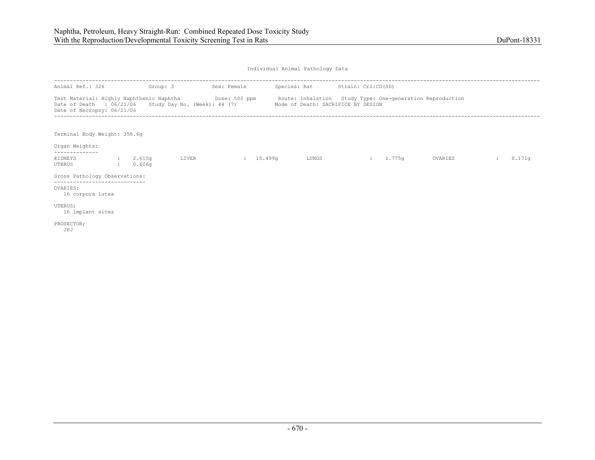| Animal Ref.: 326                                                                                                                                                                                                      | Group: 3             |       | Sex: Female               | Species: Rat Strain: Crl:CD(SD)    |                |        |         |        |
|-----------------------------------------------------------------------------------------------------------------------------------------------------------------------------------------------------------------------|----------------------|-------|---------------------------|------------------------------------|----------------|--------|---------|--------|
| Test Material: Highly Naphthenic Naphtha <b>Show Bose: 500 ppm</b> Route: Inhalation Study Type: One-generation Reproduction<br>Date of Death : $06/21/06$ Study Day No. (Week): 44 (7)<br>Date of Necropsy: 06/21/06 |                      |       |                           | Mode of Death: SACRIFICE BY DESIGN |                |        |         |        |
| Terminal Body Weight: 358.6g<br>Organ Weights:                                                                                                                                                                        |                      |       |                           |                                    |                |        |         |        |
|                                                                                                                                                                                                                       |                      |       |                           |                                    |                |        |         |        |
| KIDNEYS<br>UTERUS                                                                                                                                                                                                     | : 2.610q<br>: 0.606q | LIVER | $\frac{15.499q}{15.499q}$ | LUNGS                              | <b>British</b> | 1.775q | OVARIES | 0.171q |
| Gross Pathology Observations:<br>--------------------------                                                                                                                                                           |                      |       |                           |                                    |                |        |         |        |
| OVARIES;<br>16 corpora lutea                                                                                                                                                                                          |                      |       |                           |                                    |                |        |         |        |
| UTERUS;<br>16 implant sites                                                                                                                                                                                           |                      |       |                           |                                    |                |        |         |        |
| PROSECTOR;<br>JPJ                                                                                                                                                                                                     |                      |       |                           |                                    |                |        |         |        |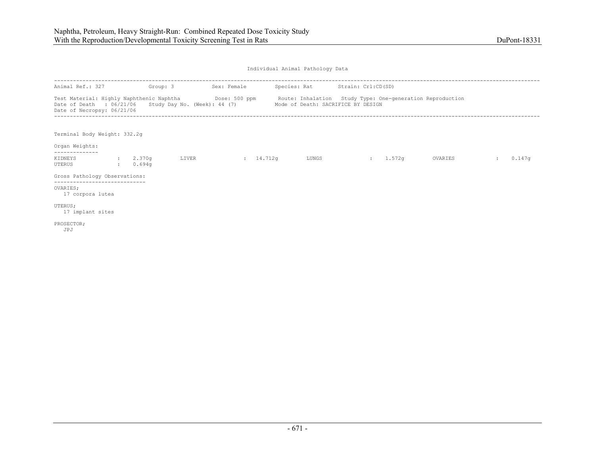| Animal Ref.: 327                                                                                                                                                                                          | Group: 3 |       | Sex: Female |       | Species: Rat Strain: Crl:CD(SD)    |          |         |        |
|-----------------------------------------------------------------------------------------------------------------------------------------------------------------------------------------------------------|----------|-------|-------------|-------|------------------------------------|----------|---------|--------|
| Test Material: Highly Naphthenic Naphtha Dose: 500 ppm Route: Inhalation Study Type: One-generation Reproduction<br>Date of Death : $06/21/06$ Study Day No. (Week): 44 (7)<br>Date of Necropsy: 06/21/06 |          |       |             |       | Mode of Death: SACRIFICE BY DESIGN |          |         |        |
| Terminal Body Weight: 332.2q<br>Organ Weights:                                                                                                                                                            |          |       |             |       |                                    |          |         |        |
| KIDNEYS : 2.370q<br>UTERUS                                                                                                                                                                                | : 0.694q | LIVER | : 14.712q   | LUNGS |                                    | : 1.572q | OVARIES | 0.147q |
| Gross Pathology Observations:                                                                                                                                                                             |          |       |             |       |                                    |          |         |        |
| OVARIES:<br>17 corpora lutea                                                                                                                                                                              |          |       |             |       |                                    |          |         |        |
| UTERUS;<br>17 implant sites                                                                                                                                                                               |          |       |             |       |                                    |          |         |        |
| PROSECTOR;<br>JPJ                                                                                                                                                                                         |          |       |             |       |                                    |          |         |        |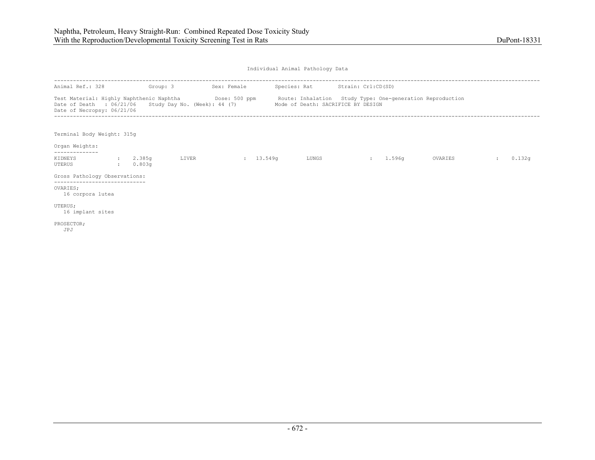| Animal Ref.: 328                                                                                                                                                                                                                                       | Group: 3             |       | Sex: Female         |       | Species: Rat Strain: Crl:CD(SD) |        |         |        |
|--------------------------------------------------------------------------------------------------------------------------------------------------------------------------------------------------------------------------------------------------------|----------------------|-------|---------------------|-------|---------------------------------|--------|---------|--------|
| Test Material: Highly Naphthenic Naphtha <b>Show Bose: 500 ppm</b> Route: Inhalation Study Type: One-generation Reproduction<br>Date of Death : 06/21/06 Study Day No. (Week): 44 (7) Mode of Death: SACRIFICE BY DESIGN<br>Date of Necropsy: 06/21/06 |                      |       |                     |       |                                 |        |         |        |
| Terminal Body Weight: 315g<br>Organ Weights:                                                                                                                                                                                                           |                      |       |                     |       |                                 |        |         |        |
| KIDNEYS<br>UTERUS                                                                                                                                                                                                                                      | : 2.385q<br>: 0.803q | LIVER | $\frac{13.549q}{r}$ | LUNGS | <b>SECTION</b>                  | 1.596q | OVARIES | 0.132q |
| Gross Pathology Observations:                                                                                                                                                                                                                          |                      |       |                     |       |                                 |        |         |        |
| OVARIES:<br>16 corpora lutea                                                                                                                                                                                                                           |                      |       |                     |       |                                 |        |         |        |
| UTERUS;<br>16 implant sites                                                                                                                                                                                                                            |                      |       |                     |       |                                 |        |         |        |
| PROSECTOR;<br>JPJ                                                                                                                                                                                                                                      |                      |       |                     |       |                                 |        |         |        |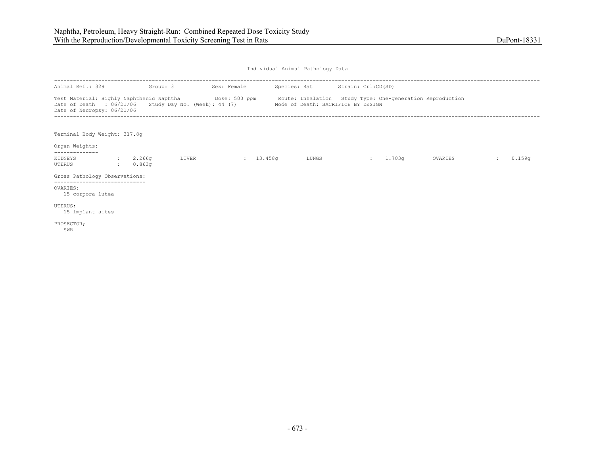| Animal Ref.: 329                                                                                                                                                                                                      | Group: 3           |       | Sex: Female         | Species: Rat Strain: Crl:CD(SD)    |                     |        |         |        |
|-----------------------------------------------------------------------------------------------------------------------------------------------------------------------------------------------------------------------|--------------------|-------|---------------------|------------------------------------|---------------------|--------|---------|--------|
| Test Material: Highly Naphthenic Naphtha <b>Show Bose: 500 ppm</b> Route: Inhalation Study Type: One-generation Reproduction<br>Date of Death : $06/21/06$ Study Day No. (Week): 44 (7)<br>Date of Necropsy: 06/21/06 |                    |       |                     | Mode of Death: SACRIFICE BY DESIGN |                     |        |         |        |
| Terminal Body Weight: 317.8q<br>Organ Weights:                                                                                                                                                                        |                    |       |                     |                                    |                     |        |         |        |
| KIDNEYS<br>UTERUS                                                                                                                                                                                                     | 2.266q<br>: 0.863q | LIVER | $\frac{13.458q}{ }$ | LUNGS                              | <b>State Street</b> | 1.703q | OVARIES | 0.159q |
| Gross Pathology Observations:                                                                                                                                                                                         |                    |       |                     |                                    |                     |        |         |        |
| OVARIES;<br>15 corpora lutea                                                                                                                                                                                          |                    |       |                     |                                    |                     |        |         |        |
| UTERUS;<br>15 implant sites                                                                                                                                                                                           |                    |       |                     |                                    |                     |        |         |        |
| PROSECTOR;<br>SWR                                                                                                                                                                                                     |                    |       |                     |                                    |                     |        |         |        |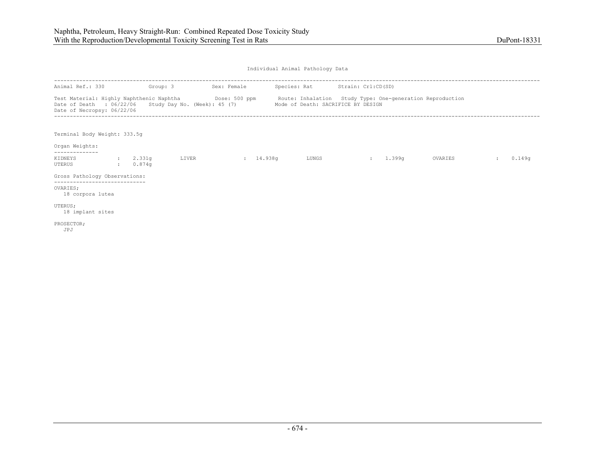| Animal Ref.: 330                                                                                                                                                                                                      | Group: 3             |       | Sex: Female | Species: Rat Strain: Crl:CD(SD)    |                     |        |         |        |
|-----------------------------------------------------------------------------------------------------------------------------------------------------------------------------------------------------------------------|----------------------|-------|-------------|------------------------------------|---------------------|--------|---------|--------|
| Test Material: Highly Naphthenic Naphtha <b>Show Bose: 500 ppm</b> Route: Inhalation Study Type: One-generation Reproduction<br>Date of Death : $06/22/06$ Study Day No. (Week): 45 (7)<br>Date of Necropsy: 06/22/06 |                      |       |             | Mode of Death: SACRIFICE BY DESIGN |                     |        |         |        |
| Terminal Body Weight: 333.5q<br>Organ Weights:                                                                                                                                                                        |                      |       |             |                                    |                     |        |         |        |
| KIDNEYS<br>UTERUS                                                                                                                                                                                                     | : 2.331q<br>: 0.874q | LIVER | 14.938q     | LUNGS                              | <b>State Street</b> | 1.399q | OVARIES | 0.149q |
| Gross Pathology Observations:                                                                                                                                                                                         |                      |       |             |                                    |                     |        |         |        |
| OVARIES:<br>18 corpora lutea                                                                                                                                                                                          |                      |       |             |                                    |                     |        |         |        |
| UTERUS;<br>18 implant sites                                                                                                                                                                                           |                      |       |             |                                    |                     |        |         |        |
| PROSECTOR;<br>JPJ                                                                                                                                                                                                     |                      |       |             |                                    |                     |        |         |        |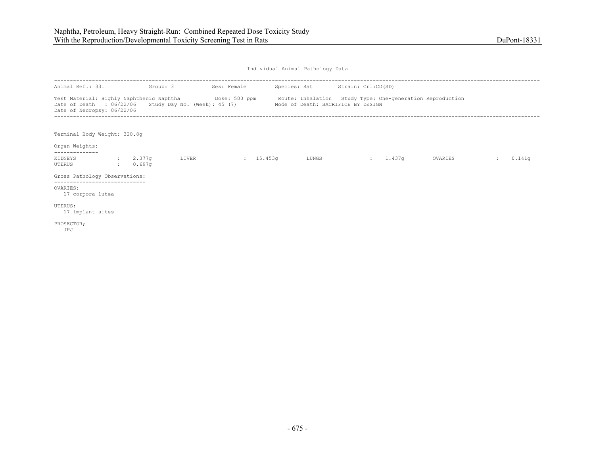| Animal Ref.: 331                               | Group: 3 |       | Sex: Female         |                                                                                          | Species: Rat Strain: Crl:CD(SD)                                                                                  |         |        |
|------------------------------------------------|----------|-------|---------------------|------------------------------------------------------------------------------------------|------------------------------------------------------------------------------------------------------------------|---------|--------|
| Date of Necropsy: 06/22/06                     |          |       |                     | Date of Death : 06/22/06 Study Day No. (Week): 45 (7) Mode of Death: SACRIFICE BY DESIGN | Test Material: Highly Naphthenic Naphtha Dose: 500 ppm Route: Inhalation Study Type: One-generation Reproduction |         |        |
| Terminal Body Weight: 320.8q<br>Organ Weights: |          |       |                     |                                                                                          |                                                                                                                  |         |        |
| KIDNEYS : 2.377q<br>UTERUS                     | : 0.697q | LIVER | $\frac{15.453q}{ }$ | LUNGS                                                                                    | 1.437q<br><b>State State</b>                                                                                     | OVARIES | 0.141q |
| Gross Pathology Observations:                  |          |       |                     |                                                                                          |                                                                                                                  |         |        |
| OVARIES:<br>17 corpora lutea                   |          |       |                     |                                                                                          |                                                                                                                  |         |        |
| UTERUS;<br>17 implant sites                    |          |       |                     |                                                                                          |                                                                                                                  |         |        |
| PROSECTOR;<br>JPJ                              |          |       |                     |                                                                                          |                                                                                                                  |         |        |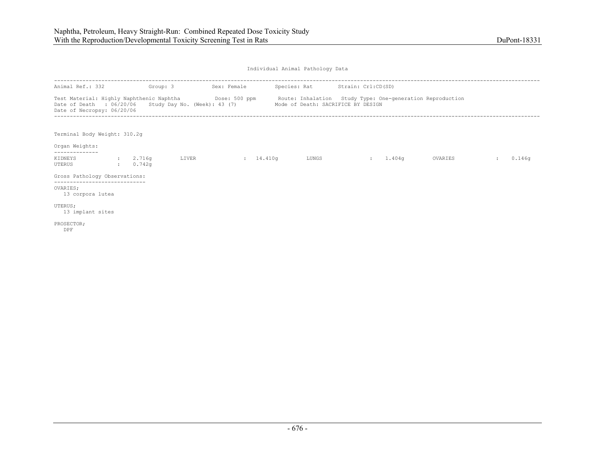| Animal Ref.: 332                                       |              | Group: 3           |                              | Sex: Female |                                    | Species: Rat Strain: Crl:CD(SD)                                                                                              |         |        |
|--------------------------------------------------------|--------------|--------------------|------------------------------|-------------|------------------------------------|------------------------------------------------------------------------------------------------------------------------------|---------|--------|
| Date of Death : 06/20/06<br>Date of Necropsy: 06/20/06 |              |                    | Study Day No. (Week): 43 (7) |             | Mode of Death: SACRIFICE BY DESIGN | Test Material: Highly Naphthenic Naphtha <b>Show Bose: 500 ppm</b> Route: Inhalation Study Type: One-generation Reproduction |         |        |
| Terminal Body Weight: 310.2q<br>Organ Weights:         |              |                    |                              |             |                                    |                                                                                                                              |         |        |
| -------------<br>KIDNEYS<br>UTERUS                     | $\mathbf{r}$ | : 2.716q<br>0.742q | LIVER                        | : 14.410q   | LUNGS                              | 1.404q<br>$\sim 100$                                                                                                         | OVARIES | 0.146q |
| Gross Pathology Observations:                          |              |                    |                              |             |                                    |                                                                                                                              |         |        |
| OVARIES;<br>13 corpora lutea                           |              |                    |                              |             |                                    |                                                                                                                              |         |        |
| UTERUS;<br>13 implant sites                            |              |                    |                              |             |                                    |                                                                                                                              |         |        |
| PROSECTOR;<br>DPF                                      |              |                    |                              |             |                                    |                                                                                                                              |         |        |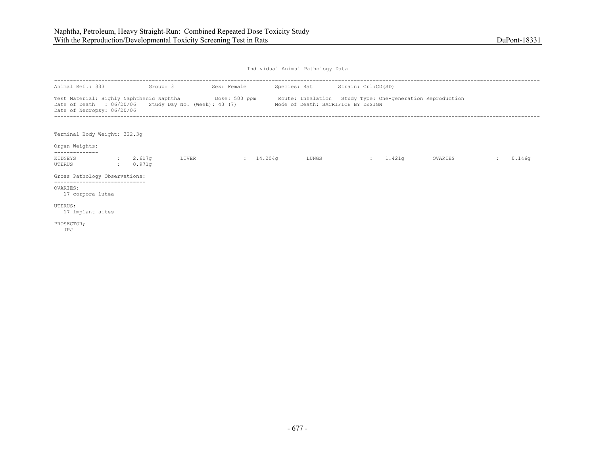| Animal Ref.: 333                                         | Group: 3             |       | Sex: Female |                                                                                          | Species: Rat Strain: Crl:CD(SD)                                                                                              |         |        |
|----------------------------------------------------------|----------------------|-------|-------------|------------------------------------------------------------------------------------------|------------------------------------------------------------------------------------------------------------------------------|---------|--------|
| Date of Necropsy: 06/20/06                               |                      |       |             | Date of Death : 06/20/06 Study Day No. (Week): 43 (7) Mode of Death: SACRIFICE BY DESIGN | Test Material: Highly Naphthenic Naphtha <b>Show Bose: 500 ppm</b> Route: Inhalation Study Type: One-generation Reproduction |         |        |
| Terminal Body Weight: 322.3q<br>Organ Weights:           |                      |       |             |                                                                                          |                                                                                                                              |         |        |
| KIDNEYS<br>UTERUS                                        | : 2.617q<br>: 0.971q | LIVER | : 14.204q   | LUNGS                                                                                    | 1.421q<br><b>State State</b>                                                                                                 | OVARIES | 0.146q |
| Gross Pathology Observations:                            |                      |       |             |                                                                                          |                                                                                                                              |         |        |
| ------------------------<br>OVARIES:<br>17 corpora lutea |                      |       |             |                                                                                          |                                                                                                                              |         |        |
| UTERUS;<br>17 implant sites                              |                      |       |             |                                                                                          |                                                                                                                              |         |        |
| PROSECTOR;<br>JPJ                                        |                      |       |             |                                                                                          |                                                                                                                              |         |        |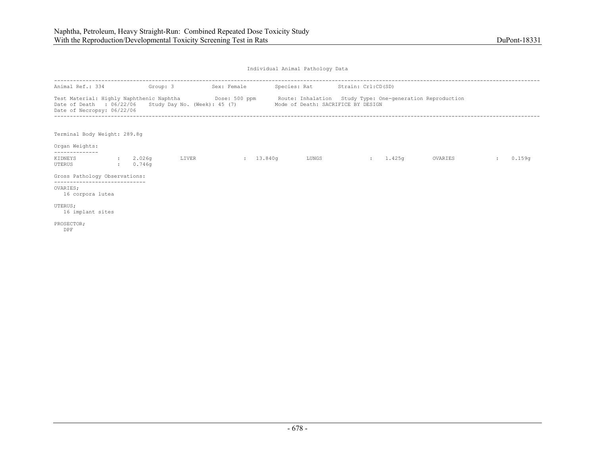| Animal Ref.: 334                                                                                                                                                                                                      | Group: 3             |       | Sex: Female         | Species: Rat Strain: Crl:CD(SD)    |                |        |         |        |
|-----------------------------------------------------------------------------------------------------------------------------------------------------------------------------------------------------------------------|----------------------|-------|---------------------|------------------------------------|----------------|--------|---------|--------|
| Test Material: Highly Naphthenic Naphtha <b>Show Bose: 500 ppm</b> Route: Inhalation Study Type: One-generation Reproduction<br>Date of Death : $06/22/06$ Study Day No. (Week): 45 (7)<br>Date of Necropsy: 06/22/06 |                      |       |                     | Mode of Death: SACRIFICE BY DESIGN |                |        |         |        |
| Terminal Body Weight: 289.8g<br>Organ Weights:                                                                                                                                                                        |                      |       |                     |                                    |                |        |         |        |
|                                                                                                                                                                                                                       |                      |       |                     |                                    |                |        |         |        |
| KIDNEYS<br>UTERUS                                                                                                                                                                                                     | : 2.026q<br>: 0.746q | LIVER | $\frac{13.840q}{ }$ | LUNGS                              | <b>British</b> | 1.425g | OVARIES | 0.159q |
| Gross Pathology Observations:<br>-------------------------                                                                                                                                                            |                      |       |                     |                                    |                |        |         |        |
| OVARIES;<br>16 corpora lutea                                                                                                                                                                                          |                      |       |                     |                                    |                |        |         |        |
| UTERUS;<br>16 implant sites                                                                                                                                                                                           |                      |       |                     |                                    |                |        |         |        |
| PROSECTOR;<br>DPF                                                                                                                                                                                                     |                      |       |                     |                                    |                |        |         |        |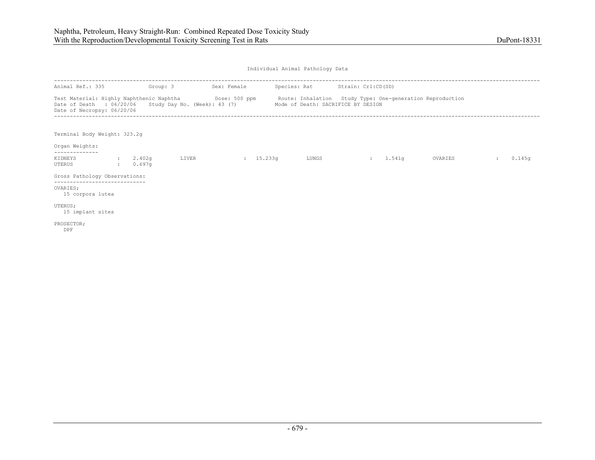| Animal Ref.: 335                                                                                                                                                                                                                           | Group: 3             |       | Sex: Female |       | Species: Rat Strain: Crl:CD(SD) |          |         |        |
|--------------------------------------------------------------------------------------------------------------------------------------------------------------------------------------------------------------------------------------------|----------------------|-------|-------------|-------|---------------------------------|----------|---------|--------|
| Test Material: Highly Naphthenic Naphtha Mose: 500 ppm Route: Inhalation Study Type: One-generation Reproduction<br>Date of Death : 06/20/06 Study Day No. (Week): 43 (7) Mode of Death: SACRIFICE BY DESIGN<br>Date of Necropsy: 06/20/06 |                      |       |             |       |                                 |          |         |        |
| Terminal Body Weight: 323.2q<br>Organ Weights:                                                                                                                                                                                             |                      |       |             |       |                                 |          |         |        |
| KIDNEYS<br>UTERUS                                                                                                                                                                                                                          | : 2.402q<br>: 0.697q | LIVER | 15.233q     | LUNGS |                                 | : 1.541q | OVARIES | 0.145q |
| Gross Pathology Observations:                                                                                                                                                                                                              |                      |       |             |       |                                 |          |         |        |
| -----------------------------<br>OVARIES:<br>15 corpora lutea                                                                                                                                                                              |                      |       |             |       |                                 |          |         |        |
| UTERUS;<br>15 implant sites                                                                                                                                                                                                                |                      |       |             |       |                                 |          |         |        |
| PROSECTOR;<br>DPF                                                                                                                                                                                                                          |                      |       |             |       |                                 |          |         |        |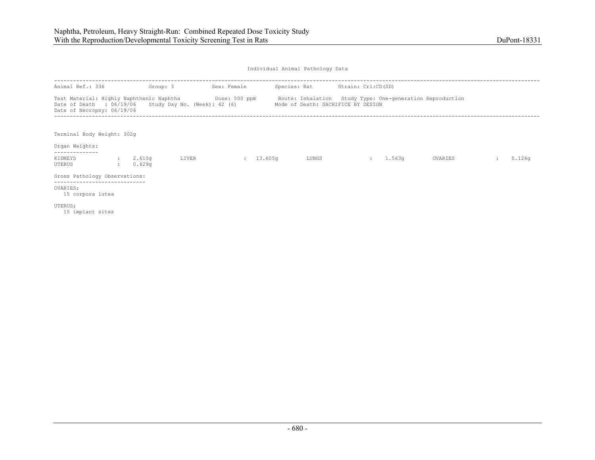| Animal Ref.: 336                                                                    | Group: 3             |       | Sex: Female |                                    | Species: Rat Strain: Crl:CD(SD)                                                                                   |         |        |
|-------------------------------------------------------------------------------------|----------------------|-------|-------------|------------------------------------|-------------------------------------------------------------------------------------------------------------------|---------|--------|
| Date of Death : 06/19/06 Study Day No. (Week): 42 (6)<br>Date of Necropsy: 06/19/06 |                      |       |             | Mode of Death: SACRIFICE BY DESIGN | Test Material: Highly Naphthenic Naphtha (Dose: 500 ppm Route: Inhalation Study Type: One-generation Reproduction |         |        |
| Terminal Body Weight: 302g<br>Organ Weights:                                        |                      |       |             |                                    |                                                                                                                   |         |        |
| --------------                                                                      |                      |       |             |                                    |                                                                                                                   |         |        |
| KIDNEYS<br>UTERUS                                                                   | : 2.610q<br>: 0.629q | LIVER | : 13.605q   | LUNGS                              | : 1.563q                                                                                                          | OVARIES | 0.126q |
| Gross Pathology Observations:                                                       |                      |       |             |                                    |                                                                                                                   |         |        |
| OVARIES;<br>15 corpora lutea                                                        |                      |       |             |                                    |                                                                                                                   |         |        |
| UTERUS;<br>15 implant sites                                                         |                      |       |             |                                    |                                                                                                                   |         |        |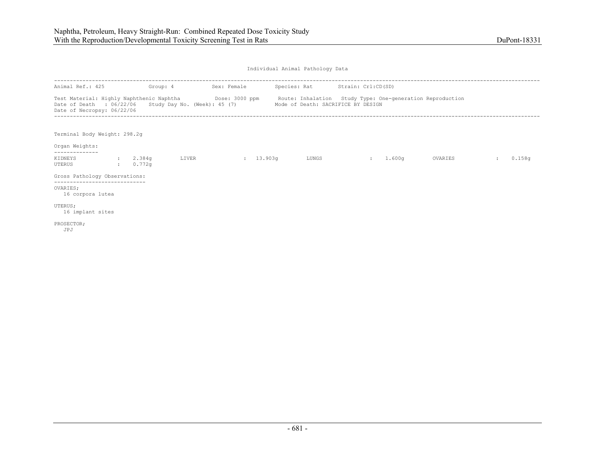| Animal Ref.: 425                                                                    | Group: 4             |       | Sex: Female |                                    | Species: Rat Strain: Crl:CD(SD)                                                                                               |         |        |
|-------------------------------------------------------------------------------------|----------------------|-------|-------------|------------------------------------|-------------------------------------------------------------------------------------------------------------------------------|---------|--------|
| Date of Death : 06/22/06 Study Day No. (Week): 45 (7)<br>Date of Necropsy: 06/22/06 |                      |       |             | Mode of Death: SACRIFICE BY DESIGN | Test Material: Highly Naphthenic Naphtha <b>Show Dose: 3000 ppm</b> Route: Inhalation Study Type: One-generation Reproduction |         |        |
| Terminal Body Weight: 298.2g<br>Organ Weights:                                      |                      |       |             |                                    |                                                                                                                               |         |        |
| KIDNEYS<br>UTERUS                                                                   | : 2.384q<br>: 0.772q | LIVER | 13.903q     | LUNGS                              | 1.600q<br><b>State State</b>                                                                                                  | OVARIES | 0.158q |
| Gross Pathology Observations:                                                       |                      |       |             |                                    |                                                                                                                               |         |        |
| -----------------------------<br>OVARIES:<br>16 corpora lutea                       |                      |       |             |                                    |                                                                                                                               |         |        |
| UTERUS;<br>16 implant sites                                                         |                      |       |             |                                    |                                                                                                                               |         |        |
| PROSECTOR;<br>JPJ                                                                   |                      |       |             |                                    |                                                                                                                               |         |        |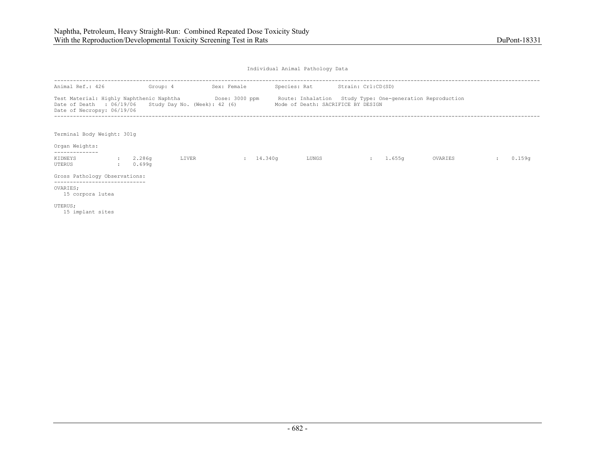| Animal Ref.: 426                                                                                                                                 |                        | Group: 4         |       | Sex: Female |                                    | Species: Rat Strain: Crl:CD(SD) |                                                           |        |
|--------------------------------------------------------------------------------------------------------------------------------------------------|------------------------|------------------|-------|-------------|------------------------------------|---------------------------------|-----------------------------------------------------------|--------|
| Test Material: Highly Naphthenic Naphtha Dose: 3000 ppm<br>Date of Death : $06/19/06$ Study Day No. (Week): 42 (6)<br>Date of Necropsy: 06/19/06 |                        |                  |       |             | Mode of Death: SACRIFICE BY DESIGN |                                 | Route: Inhalation Study Type: One-generation Reproduction |        |
| Terminal Body Weight: 301g<br>Organ Weights:                                                                                                     |                        |                  |       |             |                                    |                                 |                                                           |        |
| --------------<br>KIDNEYS<br>UTERUS                                                                                                              | <b>State</b><br>$\sim$ | 2.286q<br>0.699q | LIVER | : 14.340q   | LUNGS                              | <b>British</b>                  | 1.655q<br>OVARIES                                         | 0.159q |
| Gross Pathology Observations:                                                                                                                    |                        |                  |       |             |                                    |                                 |                                                           |        |
| -----------------------------<br>OVARIES;<br>15 corpora lutea                                                                                    |                        |                  |       |             |                                    |                                 |                                                           |        |
| UTERUS;<br>15 implant sites                                                                                                                      |                        |                  |       |             |                                    |                                 |                                                           |        |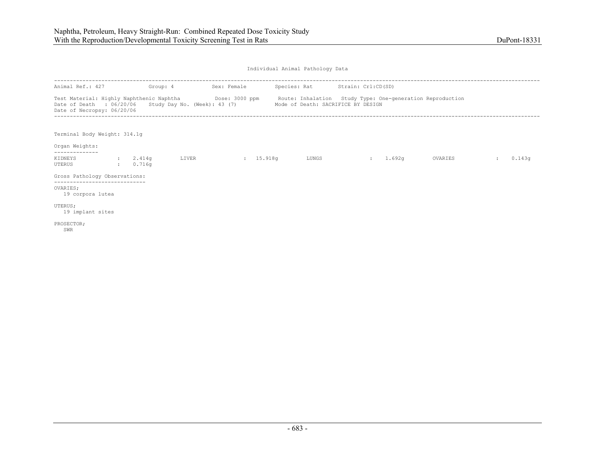| Animal Ref.: 427                                                                    | Group: 4           |       | Sex: Female               |                                    | Species: Rat Strain: Crl:CD(SD)                                                                                               |         |               |        |
|-------------------------------------------------------------------------------------|--------------------|-------|---------------------------|------------------------------------|-------------------------------------------------------------------------------------------------------------------------------|---------|---------------|--------|
| Date of Death : 06/20/06 Study Day No. (Week): 43 (7)<br>Date of Necropsy: 06/20/06 |                    |       |                           | Mode of Death: SACRIFICE BY DESIGN | Test Material: Highly Naphthenic Naphtha <b>Show Bose: 3000 ppm</b> Route: Inhalation Study Type: One-generation Reproduction |         |               |        |
| Terminal Body Weight: 314.1q<br>Organ Weights:                                      |                    |       |                           |                                    |                                                                                                                               |         |               |        |
| KIDNEYS<br>UTERUS                                                                   | 2.414q<br>: 0.716q | LIVER | $\frac{15.918q}{15.918q}$ | LUNGS                              | 1.692q<br><b>State Street</b>                                                                                                 | OVARIES | $\mathcal{L}$ | 0.143q |
| Gross Pathology Observations:                                                       |                    |       |                           |                                    |                                                                                                                               |         |               |        |
| ------------------------<br>OVARIES:<br>19 corpora lutea                            |                    |       |                           |                                    |                                                                                                                               |         |               |        |
| UTERUS;<br>19 implant sites                                                         |                    |       |                           |                                    |                                                                                                                               |         |               |        |
| PROSECTOR;<br>SWR                                                                   |                    |       |                           |                                    |                                                                                                                               |         |               |        |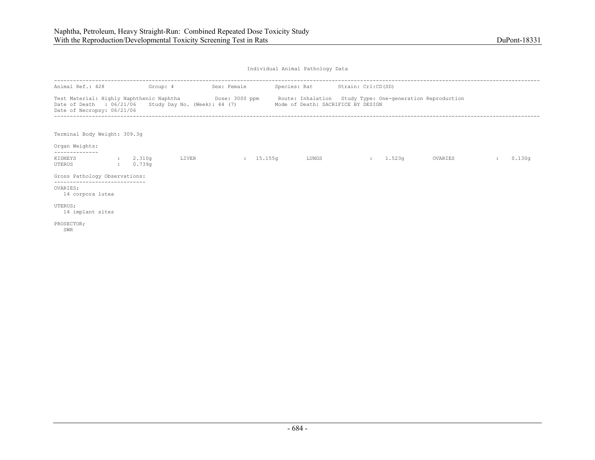| Animal Ref.: 428                                                                                                                                                                                                     | Group: 4             |       | Sex: Female         | Species: Rat Strain: Crl:CD(SD)    |          |         |        |
|----------------------------------------------------------------------------------------------------------------------------------------------------------------------------------------------------------------------|----------------------|-------|---------------------|------------------------------------|----------|---------|--------|
| Test Material: Highly Naphthenic Naphtha <b>Show Dose: 3000 ppm</b> Route: Inhalation Study Type: One-generation Reproduction<br>Date of Death : 06/21/06 Study Day No. (Week): 44 (7)<br>Date of Necropsy: 06/21/06 |                      |       |                     | Mode of Death: SACRIFICE BY DESIGN |          |         |        |
| Terminal Body Weight: 309.3q<br>Organ Weights:                                                                                                                                                                       |                      |       |                     |                                    |          |         |        |
| -------------<br>KIDNEYS<br>UTERUS                                                                                                                                                                                   | : 2.310q<br>: 0.739q | LIVER | $\frac{15.155q}{ }$ | LUNGS                              | : 1.523q | OVARIES | 0.130q |
| Gross Pathology Observations:                                                                                                                                                                                        |                      |       |                     |                                    |          |         |        |
| ------------------------------<br>OVARIES:<br>14 corpora lutea                                                                                                                                                       |                      |       |                     |                                    |          |         |        |
| UTERUS;<br>14 implant sites                                                                                                                                                                                          |                      |       |                     |                                    |          |         |        |
| PROSECTOR;<br>SWR                                                                                                                                                                                                    |                      |       |                     |                                    |          |         |        |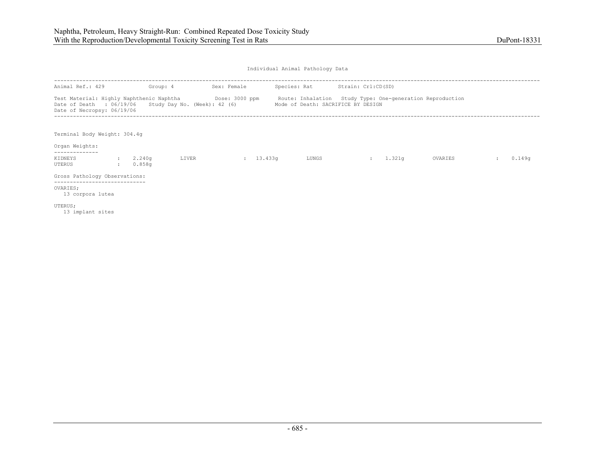| Animal Ref.: 429                                                                    | Group: 4                 |       | Sex: Female |                                    | Species: Rat Strain: Crl:CD(SD)                                                                                    |         |        |
|-------------------------------------------------------------------------------------|--------------------------|-------|-------------|------------------------------------|--------------------------------------------------------------------------------------------------------------------|---------|--------|
| Date of Death : 06/19/06 Study Day No. (Week): 42 (6)<br>Date of Necropsy: 06/19/06 |                          |       |             | Mode of Death: SACRIFICE BY DESIGN | Test Material: Highly Naphthenic Naphtha (Dose: 3000 ppm Route: Inhalation Study Type: One-generation Reproduction |         |        |
| Terminal Body Weight: 304.4g<br>Organ Weights:                                      |                          |       |             |                                    |                                                                                                                    |         |        |
| --------------                                                                      |                          |       |             |                                    |                                                                                                                    |         |        |
| KIDNEYS<br>UTERUS                                                                   | 2.240q<br>$\cdot$ 0.858q | LIVER | : 13.433q   | LUNGS                              | : 1.321q                                                                                                           | OVARIES | 0.149q |
| Gross Pathology Observations:                                                       |                          |       |             |                                    |                                                                                                                    |         |        |
| OVARIES;<br>13 corpora lutea                                                        |                          |       |             |                                    |                                                                                                                    |         |        |
| UTERUS;<br>13 implant sites                                                         |                          |       |             |                                    |                                                                                                                    |         |        |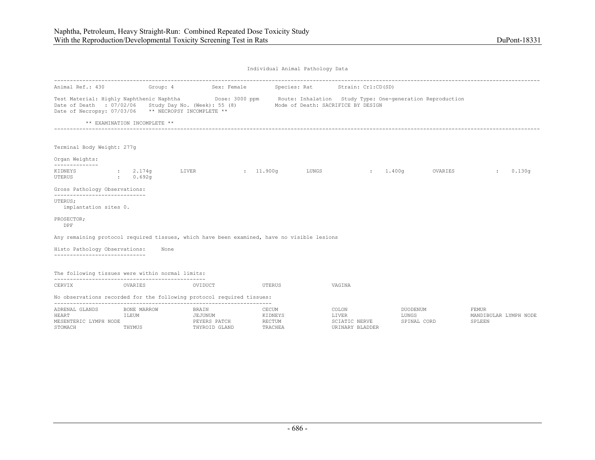| Animal Ref.: 430                                                                                              |                                |                  | Group: 4 Sex: Female          |                                       | Species: Rat Strain: Crl:CD(SD)                    |                                                                                                                               |                                                 |
|---------------------------------------------------------------------------------------------------------------|--------------------------------|------------------|-------------------------------|---------------------------------------|----------------------------------------------------|-------------------------------------------------------------------------------------------------------------------------------|-------------------------------------------------|
| Date of Death : 07/02/06 Study Day No. (Week): 55 (8)<br>Date of Necropsy: 07/03/06 ** NECROPSY INCOMPLETE ** |                                |                  |                               |                                       | Mode of Death: SACRIFICE BY DESIGN                 | Test Material: Highly Naphthenic Naphtha <b>Show Contact State: Soute: Inhalation</b> Study Type: One-generation Reproduction |                                                 |
|                                                                                                               | ** EXAMINATION INCOMPLETE **   |                  |                               |                                       |                                                    |                                                                                                                               |                                                 |
| Terminal Body Weight: 277g                                                                                    |                                |                  |                               |                                       |                                                    |                                                                                                                               |                                                 |
| Organ Weights:<br>--------------                                                                              |                                |                  |                               |                                       |                                                    |                                                                                                                               |                                                 |
| KIDNEYS<br>UTERUS                                                                                             | 2.174q<br>$\therefore$ 0.692g  | LIVER            | : 11.900q                     | LUNGS                                 | 1.400q<br><b>State State</b>                       | OVARIES                                                                                                                       | 0.130q                                          |
| Gross Pathology Observations:                                                                                 |                                |                  |                               |                                       |                                                    |                                                                                                                               |                                                 |
| ------------------------------<br>UTERUS;<br>implantation sites 0.                                            |                                |                  |                               |                                       |                                                    |                                                                                                                               |                                                 |
| PROSECTOR;<br>DPF                                                                                             |                                |                  |                               |                                       |                                                    |                                                                                                                               |                                                 |
| Any remaining protocol required tissues, which have been examined, have no visible lesions                    |                                |                  |                               |                                       |                                                    |                                                                                                                               |                                                 |
| Histo Pathology Observations:                                                                                 |                                | None             |                               |                                       |                                                    |                                                                                                                               |                                                 |
| -----------------------------                                                                                 |                                |                  |                               |                                       |                                                    |                                                                                                                               |                                                 |
| The following tissues were within normal limits:                                                              |                                |                  |                               |                                       |                                                    |                                                                                                                               |                                                 |
| CERVIX                                                                                                        | OVARIES                        | OVIDUCT          |                               | UTERUS                                | VAGINA                                             |                                                                                                                               |                                                 |
| No observations recorded for the following protocol required tissues:                                         |                                |                  |                               |                                       |                                                    |                                                                                                                               |                                                 |
| ADRENAL GLANDS<br>HEART<br>MESENTERIC LYMPH NODE<br>STOMACH                                                   | BONE MARROW<br>ILEUM<br>THYMUS | BRAIN<br>JEJUNUM | PEYERS PATCH<br>THYROID GLAND | CECUM<br>KIDNEYS<br>RECTUM<br>TRACHEA | COLON<br>LIVER<br>SCIATIC NERVE<br>URINARY BLADDER | DUODENUM<br>LUNGS<br>SPINAL CORD                                                                                              | <b>FEMUR</b><br>MANDIBULAR LYMPH NODE<br>SPLEEN |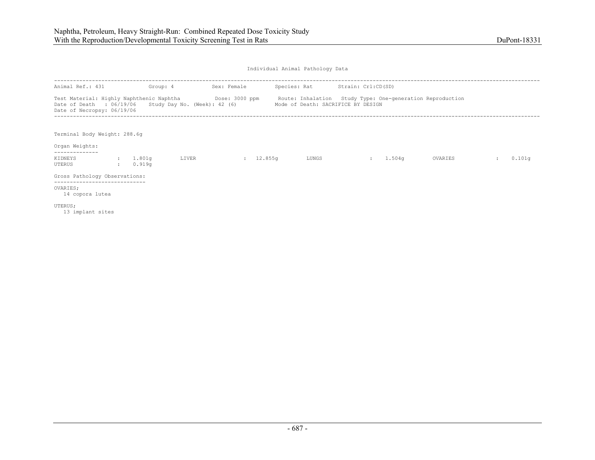| Animal Ref.: 431                                                                    | Group: 4             |       | Sex: Female | Species: Rat Strain: Crl:CD(SD)    |                                                                                                                    |         |        |
|-------------------------------------------------------------------------------------|----------------------|-------|-------------|------------------------------------|--------------------------------------------------------------------------------------------------------------------|---------|--------|
| Date of Death : 06/19/06 Study Day No. (Week): 42 (6)<br>Date of Necropsy: 06/19/06 |                      |       |             | Mode of Death: SACRIFICE BY DESIGN | Test Material: Highly Naphthenic Naphtha (Dose: 3000 ppm Route: Inhalation Study Type: One-generation Reproduction |         |        |
| Terminal Body Weight: 288.6q<br>Organ Weights:                                      |                      |       |             |                                    |                                                                                                                    |         |        |
| --------------                                                                      |                      |       |             |                                    |                                                                                                                    |         |        |
| KIDNEYS<br>UTERUS                                                                   | : 1.801q<br>: 0.919q | LIVER | : 12.855q   | LUNGS                              | $: 1.504$ q                                                                                                        | OVARIES | 0.101q |
| Gross Pathology Observations:                                                       |                      |       |             |                                    |                                                                                                                    |         |        |
| OVARIES;<br>14 copora lutea                                                         |                      |       |             |                                    |                                                                                                                    |         |        |
| UTERUS;<br>13 implant sites                                                         |                      |       |             |                                    |                                                                                                                    |         |        |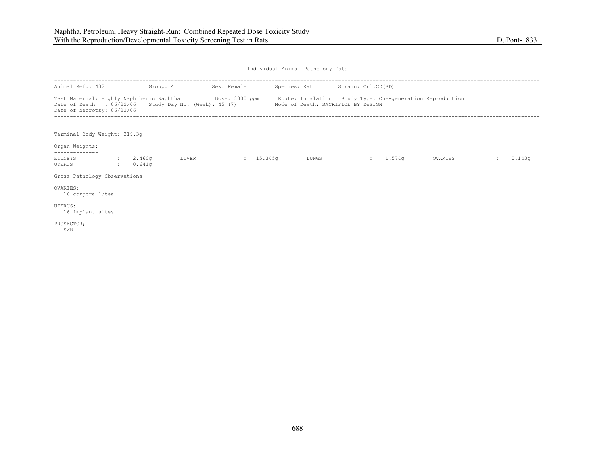| Animal Ref.: 432                                                                                                                                                                                                     | Group: 4           |       | Sex: Female | Species: Rat Strain: Crl:CD(SD)    |             |         |        |
|----------------------------------------------------------------------------------------------------------------------------------------------------------------------------------------------------------------------|--------------------|-------|-------------|------------------------------------|-------------|---------|--------|
| Test Material: Highly Naphthenic Naphtha <b>Show Dose: 3000 ppm</b> Route: Inhalation Study Type: One-generation Reproduction<br>Date of Death : 06/22/06 Study Day No. (Week): 45 (7)<br>Date of Necropsy: 06/22/06 |                    |       |             | Mode of Death: SACRIFICE BY DESIGN |             |         |        |
| Terminal Body Weight: 319.3q<br>Organ Weights:                                                                                                                                                                       |                    |       |             |                                    |             |         |        |
| -------------<br>KIDNEYS<br>UTERUS                                                                                                                                                                                   | 2.460q<br>: 0.641q | LIVER | 15.345q     | LUNGS                              | $: 1.574$ q | OVARIES | 0.143q |
| Gross Pathology Observations:                                                                                                                                                                                        |                    |       |             |                                    |             |         |        |
| ------------------------------<br>OVARIES:<br>16 corpora lutea                                                                                                                                                       |                    |       |             |                                    |             |         |        |
| UTERUS;<br>16 implant sites                                                                                                                                                                                          |                    |       |             |                                    |             |         |        |
| PROSECTOR;<br>SWR                                                                                                                                                                                                    |                    |       |             |                                    |             |         |        |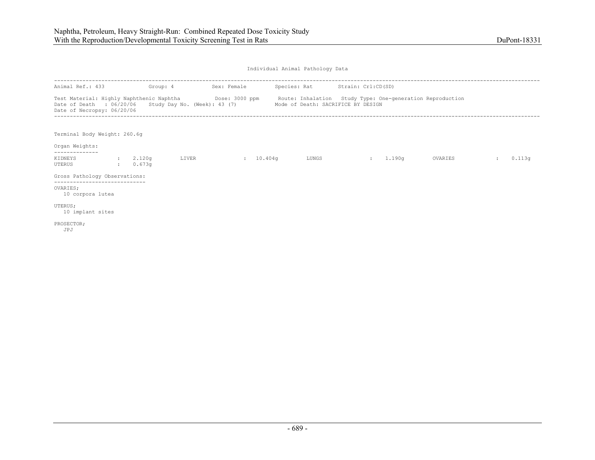| Animal Ref.: 433                                                                      | Group: 4             |       | Sex: Female |       | Species: Rat Strain: Crl:CD(SD)                                                                                                                                     |        |         |        |
|---------------------------------------------------------------------------------------|----------------------|-------|-------------|-------|---------------------------------------------------------------------------------------------------------------------------------------------------------------------|--------|---------|--------|
| Date of Death : $06/20/06$ Study Day No. (Week): 43 (7)<br>Date of Necropsy: 06/20/06 |                      |       |             |       | Test Material: Highly Naphthenic Naphtha <b>Show Bose: 3000 ppm</b> Route: Inhalation Study Type: One-generation Reproduction<br>Mode of Death: SACRIFICE BY DESIGN |        |         |        |
| Terminal Body Weight: 260.6g<br>Organ Weights:                                        |                      |       |             |       |                                                                                                                                                                     |        |         |        |
| . _ _ _ _ _ _ _ _ _ _ _ _<br>KIDNEYS<br>UTERUS                                        | : 2.120q<br>: 0.673q | LIVER | : 10.404q   | LUNGS | <b>State State</b>                                                                                                                                                  | 1.190q | OVARIES | 0.113q |
| Gross Pathology Observations:<br>---------------------------                          |                      |       |             |       |                                                                                                                                                                     |        |         |        |
| OVARIES;<br>10 corpora lutea                                                          |                      |       |             |       |                                                                                                                                                                     |        |         |        |
| UTERUS;<br>10 implant sites                                                           |                      |       |             |       |                                                                                                                                                                     |        |         |        |
| PROSECTOR;<br>JPJ                                                                     |                      |       |             |       |                                                                                                                                                                     |        |         |        |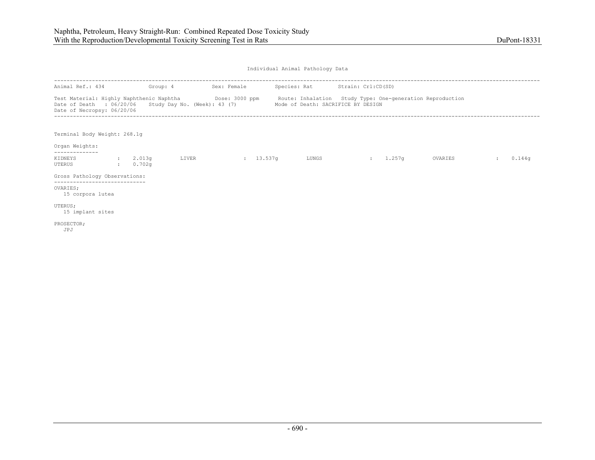| Animal Ref.: 434                                                                                                                                                                                                       | Group: 4             |       | Sex: Female         | Species: Rat Strain: Crl:CD(SD)    |                |        |         |        |
|------------------------------------------------------------------------------------------------------------------------------------------------------------------------------------------------------------------------|----------------------|-------|---------------------|------------------------------------|----------------|--------|---------|--------|
| Test Material: Highly Naphthenic Naphtha <b>Show Bose: 3000 ppm</b> Route: Inhalation Study Type: One-generation Reproduction<br>Date of Death : $06/20/06$ Study Day No. (Week): 43 (7)<br>Date of Necropsy: 06/20/06 |                      |       |                     | Mode of Death: SACRIFICE BY DESIGN |                |        |         |        |
| Terminal Body Weight: 268.1g<br>Organ Weights:                                                                                                                                                                         |                      |       |                     |                                    |                |        |         |        |
| . _ _ _ _ _ _ _ _ _ _ _ _                                                                                                                                                                                              |                      |       |                     |                                    |                |        |         |        |
| KIDNEYS<br>UTERUS                                                                                                                                                                                                      | : 2.013q<br>: 0.702q | LIVER | $\frac{13.537q}{ }$ | LUNGS                              | <b>British</b> | 1.257g | OVARIES | 0.144q |
| Gross Pathology Observations:<br>---------------------------                                                                                                                                                           |                      |       |                     |                                    |                |        |         |        |
| OVARIES;<br>15 corpora lutea                                                                                                                                                                                           |                      |       |                     |                                    |                |        |         |        |
| UTERUS;<br>15 implant sites                                                                                                                                                                                            |                      |       |                     |                                    |                |        |         |        |
| PROSECTOR;<br>JPJ                                                                                                                                                                                                      |                      |       |                     |                                    |                |        |         |        |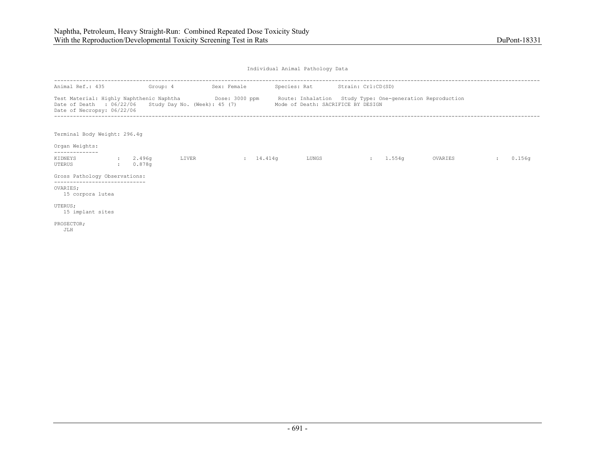| Animal Ref.: 435                                                                                                                                                                                                     |              |                    | Group: 4 | Sex: Female | Species: Rat Strain: Crl:CD(SD)    |          |         |        |
|----------------------------------------------------------------------------------------------------------------------------------------------------------------------------------------------------------------------|--------------|--------------------|----------|-------------|------------------------------------|----------|---------|--------|
| Test Material: Highly Naphthenic Naphtha <b>Show Dose: 3000 ppm</b> Route: Inhalation Study Type: One-generation Reproduction<br>Date of Death : 06/22/06 Study Day No. (Week): 45 (7)<br>Date of Necropsy: 06/22/06 |              |                    |          |             | Mode of Death: SACRIFICE BY DESIGN |          |         |        |
| Terminal Body Weight: 296.4q<br>Organ Weights:                                                                                                                                                                       |              |                    |          |             |                                    |          |         |        |
|                                                                                                                                                                                                                      |              |                    |          |             |                                    |          |         |        |
| KIDNEYS<br>UTERUS                                                                                                                                                                                                    | <b>State</b> | : 2.496q<br>0.878q | LIVER    | : 14.414q   | LUNGS                              | : 1.554q | OVARIES | 0.156q |
| Gross Pathology Observations:                                                                                                                                                                                        |              |                    |          |             |                                    |          |         |        |
| -------------------------<br>OVARIES:<br>15 corpora lutea                                                                                                                                                            |              |                    |          |             |                                    |          |         |        |
| UTERUS;<br>15 implant sites                                                                                                                                                                                          |              |                    |          |             |                                    |          |         |        |
| PROSECTOR;<br>JLH                                                                                                                                                                                                    |              |                    |          |             |                                    |          |         |        |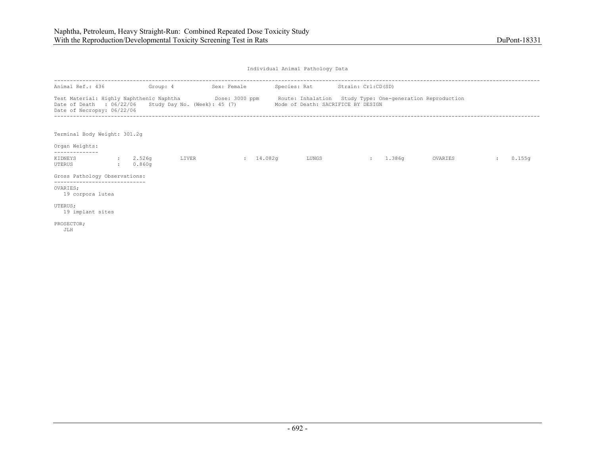| Animal Ref.: 436                                                                                                                                                                                                     | Group: 4             |       | Sex: Female         |       | Species: Rat Strain: Crl:CD(SD)    |        |         |        |
|----------------------------------------------------------------------------------------------------------------------------------------------------------------------------------------------------------------------|----------------------|-------|---------------------|-------|------------------------------------|--------|---------|--------|
| Test Material: Highly Naphthenic Naphtha <b>Show Bose: 3000 ppm</b> Route: Inhalation Study Type: One-generation Reproduction<br>Date of Death : 06/22/06 Study Day No. (Week): 45 (7)<br>Date of Necropsy: 06/22/06 |                      |       |                     |       | Mode of Death: SACRIFICE BY DESIGN |        |         |        |
| Terminal Body Weight: 301.2q<br>Organ Weights:                                                                                                                                                                       |                      |       |                     |       |                                    |        |         |        |
| KIDNEYS<br>UTERUS                                                                                                                                                                                                    | : 2.526q<br>: 0.860q | LIVER | $\frac{14.082q}{ }$ | LUNGS | <b>SECTION</b>                     | 1.386g | OVARIES | 0.155q |
| Gross Pathology Observations:                                                                                                                                                                                        |                      |       |                     |       |                                    |        |         |        |
| ------------------------<br>OVARIES:<br>19 corpora lutea                                                                                                                                                             |                      |       |                     |       |                                    |        |         |        |
| UTERUS;<br>19 implant sites                                                                                                                                                                                          |                      |       |                     |       |                                    |        |         |        |
| PROSECTOR;<br>JLH                                                                                                                                                                                                    |                      |       |                     |       |                                    |        |         |        |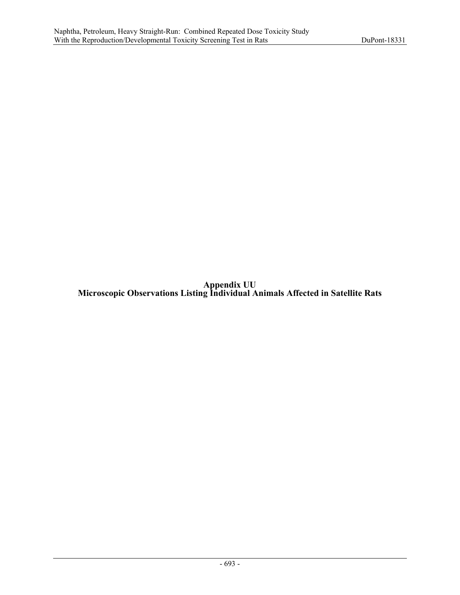**Appendix UU Microscopic Observations Listing Individual Animals Affected in Satellite Rats**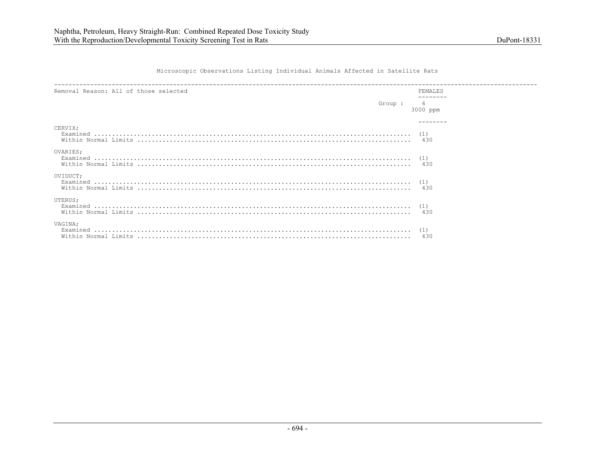Microscopic Observations Listing Individual Animals Affected in Satellite Rats

| Removal Reason: All of those selected | <b>FEMALES</b> |
|---------------------------------------|----------------|
| Group :                               | 3000 ppm       |
| CERVIX;                               |                |
| OVARIES;<br>Examined                  |                |
| OVIDUCT;                              | (1)<br>430     |
| UTERUS;                               | 430            |
| VAGINA:<br>Examined                   | 430            |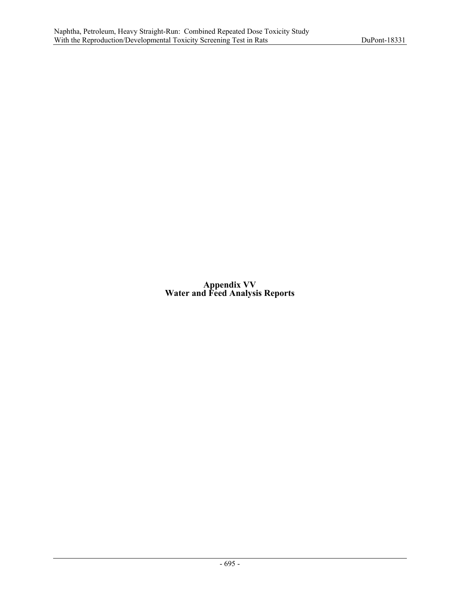**Appendix VV Water and Feed Analysis Reports**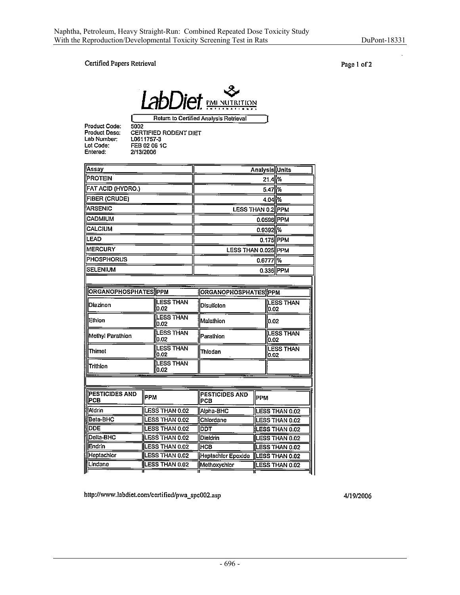$\overline{a}$ 

#### Certified Papers Retrieval

Page 1 of 2



Return to Certified Analysis Retrieval

**Product Code:**<br>Product Desc: Lab Number: Lot Code:<br>Entered:

r.

**CONSERVANCE CONSERVANCE CONSERVANCE CONSERVANCE CONSERVANCE CONSERVANCE CONSERVANCE CONSERVANCE CONSERVANCE CONSERVANCE CONSERVANCE CONSERVANCE CONSERVANCE CONSERVANCE CONSERVANCE CONSERVANCE CONSERVANCE CONSERVANCE CONSE** 

|                             |                              | 21.4<br>5.47 %<br>4.04 %       |                                                                                                                                               |  |  |
|-----------------------------|------------------------------|--------------------------------|-----------------------------------------------------------------------------------------------------------------------------------------------|--|--|
|                             |                              |                                |                                                                                                                                               |  |  |
|                             |                              |                                |                                                                                                                                               |  |  |
|                             |                              |                                |                                                                                                                                               |  |  |
|                             |                              | <b>LESS THAN 0.2 PPM</b>       |                                                                                                                                               |  |  |
|                             |                              | $0.0596$ PPM                   |                                                                                                                                               |  |  |
|                             |                              | $0.9392$ %                     |                                                                                                                                               |  |  |
|                             |                              |                                |                                                                                                                                               |  |  |
|                             |                              |                                |                                                                                                                                               |  |  |
|                             |                              |                                |                                                                                                                                               |  |  |
|                             |                              |                                |                                                                                                                                               |  |  |
|                             |                              |                                |                                                                                                                                               |  |  |
| <b>ORGANOPHOSPHATES PPM</b> |                              |                                |                                                                                                                                               |  |  |
| <b>LESS THAN</b><br>0.02    | Disulfoton                   |                                | LESS THAN                                                                                                                                     |  |  |
| <b>LESS THAN</b><br>0.02    | Malathion                    |                                |                                                                                                                                               |  |  |
| <b>LESS THAN</b><br>0.02    | Parathion                    |                                |                                                                                                                                               |  |  |
| LESS THAN<br>0.02           | Thiodan                      |                                | <b>LESS THAN</b>                                                                                                                              |  |  |
| LESS THAN<br>0.02           |                              |                                |                                                                                                                                               |  |  |
|                             |                              |                                |                                                                                                                                               |  |  |
| РРМ                         | <b>PESTICIDES AND</b><br>PCB | <b>PPM</b>                     |                                                                                                                                               |  |  |
| LESS THAN 0.02              | Alpha-BHC                    |                                | <b>LESS THAN 0.02</b>                                                                                                                         |  |  |
| LESS THAN 0.02              | Chiordane                    |                                | <b>LESS THAN 0.02</b>                                                                                                                         |  |  |
| LESS THAN 0.02              | DDT                          |                                | LESS THAN 0.02                                                                                                                                |  |  |
| <b>LESS THAN 0.02</b>       | Dieldrin                     |                                | <b>LESS THAN 0.02</b>                                                                                                                         |  |  |
| LESS THAN 0.02              | Інсв                         |                                | LESS THAN 0.02                                                                                                                                |  |  |
| LESS THAN 0.02              | Heptachlor Epoxide           | <b>LESS THAN 0.02</b>          |                                                                                                                                               |  |  |
|                             |                              | Methoxychlor<br>LESS THAN 0.02 |                                                                                                                                               |  |  |
|                             | LESS THAN 0.02               |                                | 0.175 PPM<br>LESS THAN 0.025 PPM<br>0.6777 %<br>0.336 PPM<br><b>ORGANOPHOSPHATES PPM</b><br>0.02<br>10.02<br><b>LESS THAN</b><br>0.02<br>0.02 |  |  |

http://www.labdiet.com/certified/pwa\_spc002.asp

4/19/2006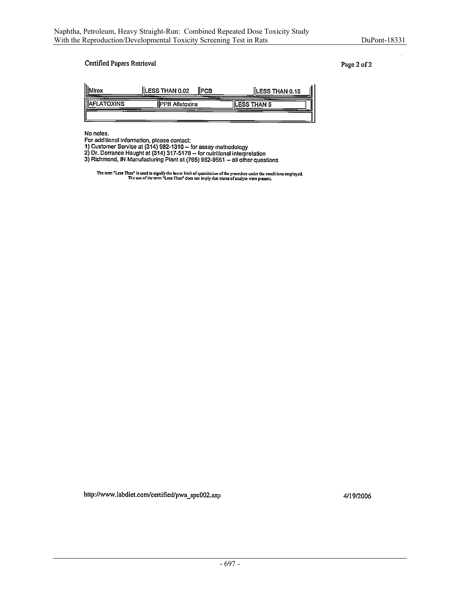$\bar{z}$ 

#### Certified Papers Retrieval

Page 2 of 2

| lirex            | ILESS THAN 0.02<br>llPCB               | <b>ILESS THAN 0.15</b> |
|------------------|----------------------------------------|------------------------|
| <b>FLATOXINS</b> | ----<br><b>IIPPB Aflatoxins</b><br>$-$ | ILESS THAN 5           |
|                  |                                        |                        |

No notes.

No ficies.<br>
For additional information, please contact:<br>
1) Customer Service at (314) 982-1310 -- for assay methodology<br>
2) Dr. Dorrance Haught at (314) 317-5178 -- for nutritional interpretation<br>
3) Richmond, IN Manufactu

The term "Less Than" is used to signify the lower limit of quantitation of the procedure under the conditions employed.<br>The use of the term "Less Than" does not imply that traces of analyte were present.

http://www.labdiet.com/certified/pwa\_spc002.asp

4/19/2006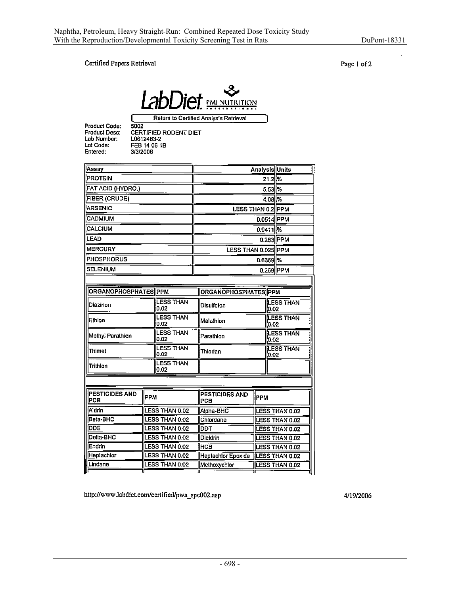#### Certified Papers Retrieval

Page 1 of 2



Product Code:<br>Product Desc: Lab Number: Lot Code: Entered:

5002<br>CERTIFIED RODENT DIET L0612463-2 FEB 14 06 1B 3/3/2006

| Assay                 |            |                           |  |                                    | Analysis Units    |                          |
|-----------------------|------------|---------------------------|--|------------------------------------|-------------------|--------------------------|
| <b>PROTEIN</b>        |            |                           |  |                                    | 21.2 %            |                          |
| FAT ACID (HYDRO.)     |            |                           |  |                                    | 5.53 %            |                          |
| FIBER (CRUDE)         |            |                           |  |                                    | 4.08 %            |                          |
| <b>ARSENIC</b>        |            |                           |  |                                    | LESS THAN 0.2 PPM |                          |
| CADMIUM               |            |                           |  |                                    |                   | 0.0514 PPM               |
| CALCIUM               |            |                           |  |                                    |                   | $0.9411$ %               |
| LEAD                  |            |                           |  |                                    |                   | 0.263 PPM                |
| <b>MERCURY</b>        |            |                           |  | LESS THAN 0.025 PPM                |                   |                          |
| <b>PHOSPHORUS</b>     |            |                           |  |                                    |                   | $0.6669$ %               |
| <b>SELENIUM</b>       |            |                           |  |                                    |                   | 0.269 PPM                |
|                       |            |                           |  |                                    |                   |                          |
| ORGANOPHOSPHATES PPM  |            |                           |  | ORGANOPHOSPHATES PPM               |                   |                          |
| Diazinon              |            | <b>LESS THAN</b><br>lo.o2 |  | Disulfoton                         |                   | <b>LESS THAN</b><br>0.02 |
| Ethion                |            | <b>LESS THAN</b><br>0.02  |  | Malathion                          | LESS THAN<br>0.02 |                          |
| Methyl Parathion      |            | <b>LESS THAN</b><br>0.02  |  | Parathion                          |                   | <b>LESS THAN</b><br>0.02 |
| Thimet                |            | <b>LESS THAN</b><br>0.02  |  | Thiodan                            | LESS THAN<br>0.02 |                          |
| Trithlon              |            | <b>LESS THAN</b><br>0.02  |  |                                    |                   |                          |
|                       |            |                           |  |                                    |                   |                          |
| PESTICIDES AND<br>PCB | <b>РРМ</b> |                           |  | PESTICIDES AND<br>PCB              | <b>PPM</b>        |                          |
| Aldrin                |            | LESS THAN 0.02            |  | Alpha-BHC                          |                   | LESS THAN 0.02           |
| Beta-BHC              |            | LESS THAN 0.02            |  | Chlordane                          |                   | LESS THAN 0.02           |
| DDE                   |            | LESS THAN 0.02            |  | DDT                                |                   | <b>LESS THAN 0.02</b>    |
| Delta-BHC             |            | LESS THAN 0.02            |  | Dieldrin                           |                   | LESS THAN 0.02           |
| Endrin                |            | LESS THAN 0.02            |  | Інсв                               | LESS THAN 0.02    |                          |
| Heptachlor            |            | LESS THAN 0.02            |  | Heptachlor Epoxide  LESS THAN 0.02 |                   |                          |

http://www.labdiet.com/certified/pwa\_spc002.asp

LESS THAN 0.02

Lindane

4/19/2006

Methoxychlor

LESS THAN 0.02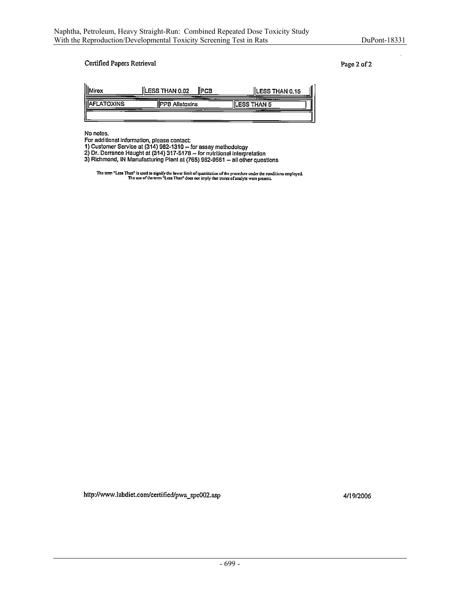÷.

#### Certified Papers Retrieval

Page 2 of 2

| lh.<br>irex       | <b>ILESS THAN 0.02</b><br><b>IPCB</b> | ILESS THAN 0.15       |
|-------------------|---------------------------------------|-----------------------|
| <b>\FLATOXINS</b> | <b>IPPB Aflatoxins</b><br>__          | ____<br>llLESS THAN 5 |
|                   |                                       |                       |

No notes.

No houes.<br>
For additional information, please contact:<br>
1) Customer Service at (314) 982-1310 -- for assay methodology<br>
2) Dr. Dorrance Haught at (314) 317-5178 -- for nutritional interpretation<br>
3) Richmond, IN Manufactur

The term "Less Than" is used to signify the lower limit of quantitation of the procedure under the conditions employed.<br>The use of the term "Less Than" does not imply that traces of analyte were present.

http://www.labdiet.com/certified/pwa\_spc002.asp

4/19/2006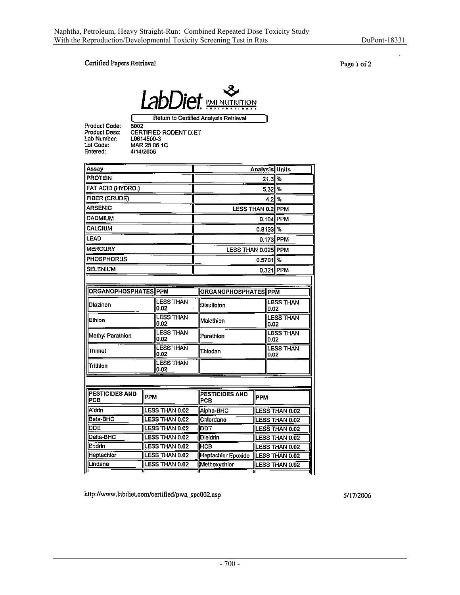### Certified Papers Retrieval

Page 1 of 2



Product Code:<br>Product Desc: Lab Number: Lot Code:

Entered:

 $5002$ **CERTIFIED RODENT DIET<br>L0614500-3<br>MAR 25 06 1C** 4/14/2006

| Assay                       |                |                          |  |                                    |                          | Analysis Units           |  |
|-----------------------------|----------------|--------------------------|--|------------------------------------|--------------------------|--------------------------|--|
| <b>PROTEIN</b>              |                |                          |  |                                    |                          | $21.3$ $\%$              |  |
| FAT ACID (HYDRO.)           |                |                          |  |                                    |                          | $5.32$ %                 |  |
| FIBER (CRUDE)               |                |                          |  |                                    | $4.2\%$                  |                          |  |
| <b>ARSENIC</b>              |                |                          |  |                                    | LESS THAN 0.2 PPM        |                          |  |
| <b>CADMIUM</b>              |                |                          |  |                                    |                          | $0.104$  PPM             |  |
| <b>CALCIUM</b>              |                |                          |  |                                    |                          | $0.8133$ %               |  |
| <b>LEAD</b>                 |                |                          |  |                                    |                          | 0.173 PPM                |  |
| <b>MERCURY</b>              |                |                          |  | LESS THAN 0.025 PPM                |                          |                          |  |
| <b>PHOSPHORUS</b>           |                |                          |  |                                    |                          | $0.5701$ %               |  |
| <b>SELENIUM</b>             |                |                          |  |                                    |                          | 0.321 PPM                |  |
|                             |                |                          |  |                                    |                          |                          |  |
| <b>ORGANOPHOSPHATES PPM</b> |                |                          |  | ORGANOPHOSPHATES PPM               |                          |                          |  |
|                             |                |                          |  |                                    |                          |                          |  |
| Diazinon                    |                | <b>LESS THAN</b><br>0.02 |  | Disulfoton                         |                          | <b>LESS THAN</b><br>0.02 |  |
| Ethion                      |                | <b>LESS THAN</b><br>0.02 |  | Malathion                          | <b>LESS THAN</b><br>0.02 |                          |  |
| Methyl Parathion            |                | <b>LESS THAN</b><br>0.02 |  | Parathion                          | <b>LESS THAN</b><br>0.02 |                          |  |
| Thimet                      |                | <b>LESS THAN</b><br>0.02 |  | Thiodan                            | <b>LESS THAN</b><br>0.02 |                          |  |
| Trithion                    |                | <b>LESS THAN</b><br>0.02 |  |                                    |                          |                          |  |
|                             |                |                          |  |                                    |                          |                          |  |
|                             |                |                          |  |                                    |                          |                          |  |
| PESTICIDES AND<br>PCB       | <b>PPM</b>     |                          |  | PESTICIDES AND<br><b>PCB</b>       | <b>PPM</b>               |                          |  |
| Aldrin                      |                | <b>LESS THAN 0.02</b>    |  | Aipha-BHC                          |                          | LESS THAN 0.02           |  |
| Beta-BHC                    | LESS THAN 0.02 |                          |  | Chlordane                          |                          | LESS THAN 0.02           |  |
| <b>DDE</b>                  | LESS THAN 0.02 |                          |  | דסס                                |                          | LESS THAN 0.02           |  |
| Delta-BHC                   | LESS THAN 0.02 |                          |  | Dieldrin                           | LESS THAN 0.02           |                          |  |
| Endrin                      | LESS THAN 0.02 |                          |  | Інсв                               |                          | <b>LESS THAN 0.02</b>    |  |
| Heptachlor                  | LESS THAN 0.02 |                          |  | Heptachlor Epoxide  LESS THAN 0.02 |                          |                          |  |

http://www.labdiet.com/certified/pwa\_spc002.asp

Lindane

LESS THAN 0.02

5/17/2006

Methoxychlor

LESS THAN 0.02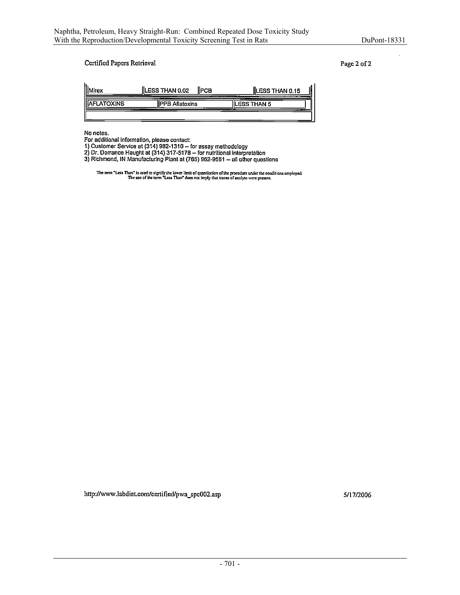ù.

### Certified Papers Retrieval

Page 2 of 2

| lirex            | LESS THAN 0.02<br>IIPCR<br>----     | <b>ILESS THAN 0.15</b>  |
|------------------|-------------------------------------|-------------------------|
| <b>FLATOXINS</b> | ___<br><b>IPPB Aflatoxins</b><br>__ | __<br><b>ESS THAN 5</b> |
|                  |                                     | ______                  |

No notes.

 $\ddot{\phantom{a}}$ 

For additional information, please contact:<br>1) Customer Service at (314) 982-1310 -- for assay methodology<br>2) Dr. Dorrance Haught at (314) 317-5178 -- for nutritional interpretation<br>3) Richmond, IN Manufacturing Plant at (

The term "Less Than" is used to signify the lower limit of quantitation of the procedure under the conditions employed.<br>The use of the term "Less Than" does not imply that traces of analyte were present.

http://www.labdiet.com/certified/pwa\_spc002.asp

5/17/2006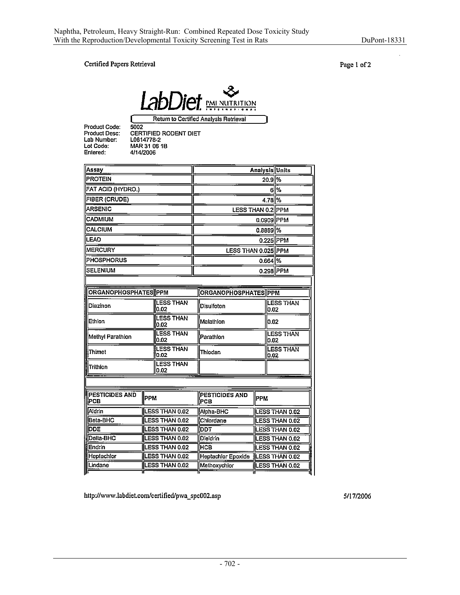$\overline{a}$ 

### Certified Papers Retrieval

Page 1 of 2



Product Code: Product Desc: Lab Number:<br>Lab Number:

Entered:

5002<br>CERTIFIED RODENT DIET<br>L0614778-2<br>MAR 31 06 1B<br>4/14/2006

| Assay                        |                       |                           |                                              |                              |                       |                  | <b>Analysis Units</b> |
|------------------------------|-----------------------|---------------------------|----------------------------------------------|------------------------------|-----------------------|------------------|-----------------------|
| <b>PROTEIN</b>               |                       |                           |                                              | 20.9 %                       |                       |                  |                       |
| FAT ACID (HYDRO.)            |                       |                           |                                              |                              |                       |                  | 6 %                   |
| FIBER (CRUDE)                |                       |                           |                                              | 4.78 %                       |                       |                  |                       |
| <b>ARSENIC</b>               |                       |                           |                                              | LESS THAN 0.2 PPM            |                       |                  |                       |
| <b>CADMIUM</b>               |                       |                           |                                              | 0.0909 PPM                   |                       |                  |                       |
| <b>CALCIUM</b>               |                       |                           |                                              | $0.8889$ %                   |                       |                  |                       |
| LEAD                         |                       |                           |                                              |                              |                       |                  | $0.225$  PPM          |
| <b>MERCURY</b>               |                       |                           |                                              | LESS THAN 0.025 PPM          |                       |                  |                       |
| PHOSPHORUS                   |                       |                           |                                              | $0.664$ $\%$                 |                       |                  |                       |
| <b>SELENIUM</b>              |                       |                           |                                              |                              |                       |                  | 0.298 PPM             |
|                              |                       |                           |                                              |                              |                       |                  |                       |
| ORGANOPHOSPHATES PPM         |                       |                           |                                              | <b>ORGANOPHOSPHATES PPM</b>  |                       |                  |                       |
| <b>LESS THAN</b><br>Diazinon |                       | 0.02                      |                                              | Disulfoton                   |                       | 0.02             | <b>LESS THAN</b>      |
| Ethion                       |                       | <b>LESS THAN</b><br>0.02  |                                              | Malathlon<br>0.02            |                       |                  |                       |
| Methyl Parathion             |                       | <b>LESS THAN</b><br>0.02  | Parathion<br>10.02                           |                              | <b>LESS THAN</b>      |                  |                       |
| Thimet                       |                       | <b>LESS THAN</b><br>lo 02 |                                              | Thiodan<br>0.02              |                       | <b>LESS THAN</b> |                       |
| Trithion                     |                       | <b>LESS THAN</b><br>lo.o2 |                                              |                              |                       |                  |                       |
|                              |                       |                           |                                              |                              |                       |                  |                       |
| <b>PESTICIDES AND</b><br>PCB | Іррм                  |                           |                                              | <b>PESTICIDES AND</b><br>PCB | Іррм                  |                  |                       |
| Aidrin                       | LESS THAN 0.02        |                           |                                              | Alpha-BHC                    | LESS THAN 0.02        |                  |                       |
| Beta-BHC                     | LESS THAN 0.02        |                           |                                              | Chlordane                    | <b>LESS THAN 0.02</b> |                  |                       |
| <b>DDE</b>                   | LESS THAN 0.02        |                           |                                              | <b>DDT</b>                   | LESS THAN 0.02        |                  |                       |
| Delta-BHC                    | LESS THAN 0.02        |                           |                                              | <b>Dieldrin</b>              |                       |                  | LESS THAN 0.02        |
| Endrin                       | <b>LESS THAN 0.02</b> |                           |                                              | <b>HCB</b>                   | LESS THAN 0.02        |                  |                       |
| Heptachlor                   |                       | LESS THAN 0.02            | Heptachlor Epoxide<br><b>ILESS THAN 0.02</b> |                              |                       |                  |                       |
| Lindane                      |                       | LESS THAN 0.02            |                                              | Methoxychlor                 |                       |                  | <b>LESS THAN 0.02</b> |
|                              |                       |                           |                                              |                              |                       |                  |                       |

http://www.labdiet.com/certified/pwa\_spc002.asp

5/17/2006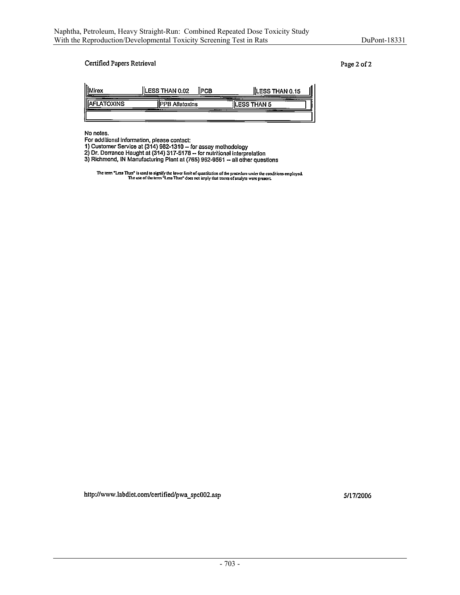#### Certified Papers Retrieval

Page 2 of 2

| ilrey                   | ILESS THAN 0.02<br>IPCB<br>--<br>$-$              | IILESS THAN 0.15<br>____<br>___ |
|-------------------------|---------------------------------------------------|---------------------------------|
| __<br><b>VFLATOXINS</b> | <b>IPPB Aflatoxins</b><br><b>STATISTICS</b><br>__ | ___<br><b>FSS THAN 5</b>        |
|                         |                                                   |                                 |

No notes.

 $\ddot{\phantom{a}}$ 

For additional information, please contact:<br>1) Customer Service at (314) 982-1310 – for assay methodology<br>2) Dr. Dorrance Haught at (314) 317-5178 – for nutritional interpretation<br>3) Richmond, IN Manufacturing Plant at (76

The term "Less Than" is used to signify the lower limit of quantitation of the procedure under the conditions employed.<br>The use of the term "Less Than" does not imply that traces of analyte were present.

http://www.labdiet.com/certified/pwa\_spc002.asp

5/17/2006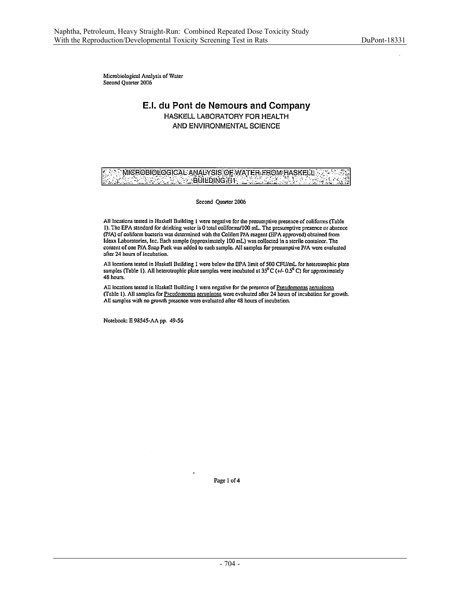Microbiological Analysis of Water Second Quarter 2006

# E.I. du Pont de Nemours and Company HASKELL LABORATORY FOR HEALTH AND ENVIRONMENTAL SCIENCE

MICROBIOLOGICAL ANALYSIS OF WATER FROM HASKELL 20 전 ă. VEG BÚILDING HA (LE)

Second Quarter 2006

All locations tested in Haskell Building 1 were negative for the presumptive presence of coliforms (Table 1). The EPA standard for drinking water is 0 total coliforms/100 mL. The presumptive presence or absence (P/A) of coliform bacteria was determined with the Colilert P/A reagent (EPA approved) obtained from Idexx Laboratories, Inc. Each sample (approximately 100 mL) was collected in a sterile container. The content of one P/A Snap Pack was added to each sample. All samples for presumptive P/A were evaluated after 24 hours of incubation.

All locations tested in Haskell Building 1 were below the EPA limit of 500 CFU/mL for heterotrophic plate samples (Table 1). All heterotrophic plate samples were incubated at  $35^0C$  (+/- 0.5<sup>0</sup> C) for approximately 48 hours.

All locations tested in Haskell Building 1 were negative for the presence of Pseudomonas aeruginosa (Table 1). All samples for Pseudomonas aeruginosa were evaluated after 24 hours of incubation for growth. All samples with no growth presence were evaluated after 48 hours of incubation.

Notebook: E 98545-AA pp. 49-56

Page 1 of 4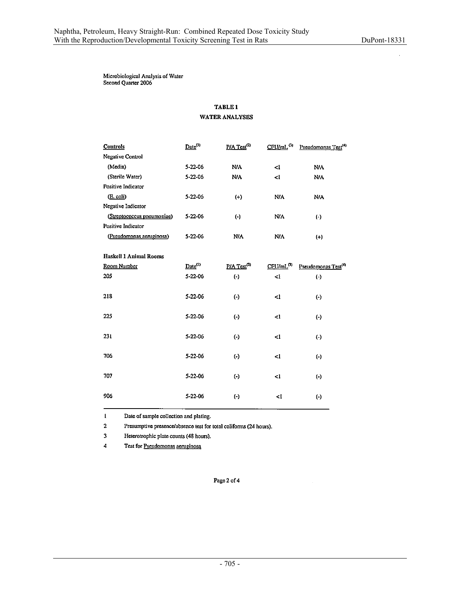Microbiological Analysis of Water<br>Second Quarter 2006

# **TABLE 1** WATER ANALYSES

| <b>Controls</b>               | Date <sup>(1)</sup> | $P/A$ Test <sup>(2)</sup> | $CFU/ml$ <sup>(3)</sup>  | Pseudomonas Test <sup>(4)</sup> |
|-------------------------------|---------------------|---------------------------|--------------------------|---------------------------------|
| <b>Negative Control</b>       |                     |                           |                          |                                 |
| (Media)                       | 5-22-06             | <b>N/A</b>                | -1                       | <b>N/A</b>                      |
| (Sterile Water)               | 5-22-06             | N/A                       | $\leq$ 1                 | N/A                             |
| Positive Indicator            |                     |                           |                          |                                 |
| (E. coli)                     | 5-22-06             | $(+)$                     | N/A                      | N/A                             |
| Negative Indicator            |                     |                           |                          |                                 |
| (Streptococcus pneumoniae)    | 5-22-06             | $\Theta$                  | <b>N/A</b>               | $(\cdot)$                       |
| Positive Indicator            |                     |                           |                          |                                 |
| (Pseudomonas aeruginosa)      | 5-22-06             | <b>NIA</b>                | <b>N/A</b>               | $(+)$                           |
|                               |                     |                           |                          |                                 |
| <b>Haskell 1 Animal Rooms</b> |                     |                           |                          |                                 |
| Room Number                   | $Date^{(1)}$        | $P/A$ Test <sup>(2)</sup> | $C$ FU/mL <sup>(3)</sup> | Pseudomonas Test <sup>(4)</sup> |
| 205                           | 5-22-06             | $(\cdot)$                 | 41                       | $(\cdot)$                       |
|                               |                     |                           |                          |                                 |
| 218                           | 5-22-06             | $\left(\cdot\right)$      | <1                       | $(\cdot)$                       |
|                               |                     |                           |                          |                                 |
| 225                           | 5-22-06             | $\left( -\right)$         | $\leq$                   | $(\cdot)$                       |
|                               |                     |                           |                          |                                 |
| 231                           | 5-22-06             | $(\cdot)$                 | $\leq$ 1                 | $(\cdot)$                       |
|                               |                     |                           |                          |                                 |
| 706                           | 5-22-06             | $(\cdot)$                 | $\leq$                   | $(\cdot)$                       |
|                               |                     |                           |                          |                                 |
| 707                           | 5-22-06             | $\left( \cdot \right)$    | <1                       | $(\cdot)$                       |
|                               |                     |                           |                          |                                 |
| 906                           | 5-22-06             | $\left( -\right)$         | 4                        | $(\cdot)$                       |
|                               |                     |                           |                          |                                 |

 $\mathbf{1}$ Date of sample collection and plating.

 $\mathbf 2$ Presumptive presence/absence test for total coliforms (24 hours).

 $\overline{\mathbf{3}}$ Heterotrophic plate counts (48 hours).

 $\ddot{4}$ Test for Pseudomonas aeruginosa

Page 2 of 4

l.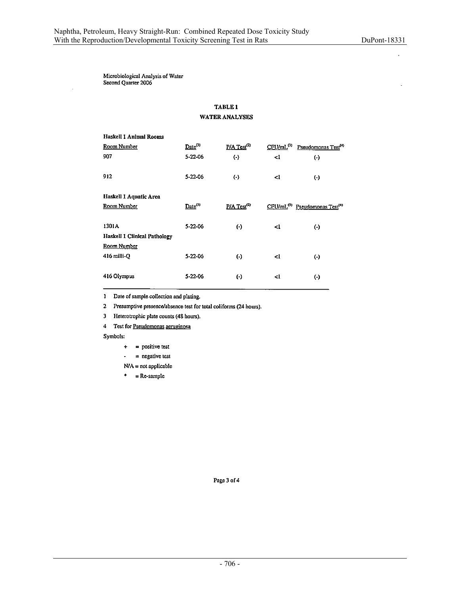Microbiological Analysis of Water<br>Second Quarter 2006

## TABLE<sub>1</sub> **WATER ANALYSES**

| Haskell 1 Animal Rooms              |                     |                           |                       |                                                       |
|-------------------------------------|---------------------|---------------------------|-----------------------|-------------------------------------------------------|
| Room Number                         | $Date^{(1)}$        | $P/A$ Test <sup>(2)</sup> | CFU/mL <sup>(3)</sup> | Pseudomonas Test <sup>(4)</sup>                       |
| 907                                 | 5-22-06             | $(\cdot)$                 | <1                    | $(\cdot)$                                             |
| 912                                 | 5-22-06             | $\left( \cdot \right)$    | <1                    | $(\cdot)$                                             |
| Haskell 1 Aquatic Area              |                     |                           |                       |                                                       |
| Room Number                         | Date <sup>(1)</sup> | $P/A$ Test <sup>(2)</sup> |                       | CFU/mL <sup>(3)</sup> Pseudomonas Test <sup>(4)</sup> |
| 1301A                               | 5-22-06             | $(\cdot)$                 | -1                    | $(\cdot)$                                             |
| <b>Haskell 1 Clinical Pathology</b> |                     |                           |                       |                                                       |
| Room Number                         |                     |                           |                       |                                                       |
| $416$ milli-O                       | 5-22-06             | $(\cdot)$                 | <1                    | $(\cdot)$                                             |
| 416 Olympus                         | 5-22-06             | $(\cdot)$                 | -1                    | $(\cdot)$                                             |

1 Date of sample collection and plating.

2 Presumptive presence/absence test for total coliforms (24 hours).

Heterotrophic plate counts (48 hours).  $\mathbf 3$ 

4 Test for Pseudomonas aeruginosa

Symbols:

- = positive test  $\ddot{}$
- $=$  negative test  $\bullet$
- $N/A = not applicable$
- $* = Re-sample$

 $\ddot{\phantom{a}}$ 

Page 3 of 4